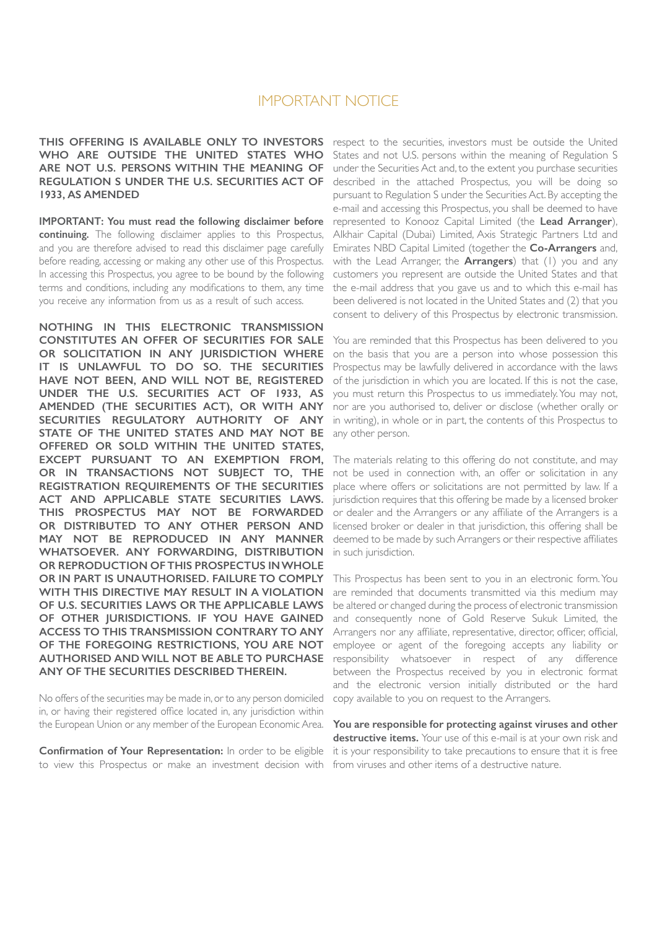# IMPORTANT NOTICE

**THIS OFFERING IS AVAILABLE ONLY TO INVESTORS** respect to the securities, investors must be outside the United **WHO ARE OUTSIDE THE UNITED STATES WHO ARE NOT U.S. PERSONS WITHIN THE MEANING OF REGULATION S UNDER THE U.S. SECURITIES ACT OF 1933, AS AMENDED**

**IMPORTANT: You must read the following disclaimer before continuing.** The following disclaimer applies to this Prospectus, and you are therefore advised to read this disclaimer page carefully before reading, accessing or making any other use of this Prospectus. In accessing this Prospectus, you agree to be bound by the following terms and conditions, including any modifications to them, any time you receive any information from us as a result of such access.

**NOTHING IN THIS ELECTRONIC TRANSMISSION CONSTITUTES AN OFFER OF SECURITIES FOR SALE OR SOLICITATION IN ANY JURISDICTION WHERE IT IS UNLAWFUL TO DO SO. THE SECURITIES HAVE NOT BEEN, AND WILL NOT BE, REGISTERED UNDER THE U.S. SECURITIES ACT OF 1933, AS AMENDED (THE SECURITIES ACT), OR WITH ANY SECURITIES REGULATORY AUTHORITY OF ANY STATE OF THE UNITED STATES AND MAY NOT BE OFFERED OR SOLD WITHIN THE UNITED STATES, EXCEPT PURSUANT TO AN EXEMPTION FROM, OR IN TRANSACTIONS NOT SUBJECT TO, THE REGISTRATION REQUIREMENTS OF THE SECURITIES ACT AND APPLICABLE STATE SECURITIES LAWS. THIS PROSPECTUS MAY NOT BE FORWARDED OR DISTRIBUTED TO ANY OTHER PERSON AND MAY NOT BE REPRODUCED IN ANY MANNER WHATSOEVER. ANY FORWARDING, DISTRIBUTION OR REPRODUCTION OF THIS PROSPECTUS IN WHOLE OR IN PART IS UNAUTHORISED. FAILURE TO COMPLY WITH THIS DIRECTIVE MAY RESULT IN A VIOLATION OF U.S. SECURITIES LAWS OR THE APPLICABLE LAWS OF OTHER JURISDICTIONS. IF YOU HAVE GAINED ACCESS TO THIS TRANSMISSION CONTRARY TO ANY OF THE FOREGOING RESTRICTIONS, YOU ARE NOT AUTHORISED AND WILL NOT BE ABLE TO PURCHASE ANY OF THE SECURITIES DESCRIBED THEREIN.**

No offers of the securities may be made in, or to any person domiciled in, or having their registered office located in, any jurisdiction within the European Union or any member of the European Economic Area.

**Confirmation of Your Representation:** In order to be eligible to view this Prospectus or make an investment decision with

States and not U.S. persons within the meaning of Regulation S under the Securities Act and, to the extent you purchase securities described in the attached Prospectus, you will be doing so pursuant to Regulation S under the Securities Act. By accepting the e-mail and accessing this Prospectus, you shall be deemed to have represented to Konooz Capital Limited (the **Lead Arranger**), Alkhair Capital (Dubai) Limited, Axis Strategic Partners Ltd and Emirates NBD Capital Limited (together the **Co-Arrangers** and, with the Lead Arranger, the **Arrangers**) that (1) you and any customers you represent are outside the United States and that the e-mail address that you gave us and to which this e-mail has been delivered is not located in the United States and (2) that you consent to delivery of this Prospectus by electronic transmission.

You are reminded that this Prospectus has been delivered to you on the basis that you are a person into whose possession this Prospectus may be lawfully delivered in accordance with the laws of the jurisdiction in which you are located. If this is not the case, you must return this Prospectus to us immediately. You may not, nor are you authorised to, deliver or disclose (whether orally or in writing), in whole or in part, the contents of this Prospectus to any other person.

The materials relating to this offering do not constitute, and may not be used in connection with, an offer or solicitation in any place where offers or solicitations are not permitted by law. If a jurisdiction requires that this offering be made by a licensed broker or dealer and the Arrangers or any affiliate of the Arrangers is a licensed broker or dealer in that jurisdiction, this offering shall be deemed to be made by such Arrangers or their respective affiliates in such jurisdiction.

This Prospectus has been sent to you in an electronic form. You are reminded that documents transmitted via this medium may be altered or changed during the process of electronic transmission and consequently none of Gold Reserve Sukuk Limited, the Arrangers nor any affiliate, representative, director, officer, official, employee or agent of the foregoing accepts any liability or responsibility whatsoever in respect of any difference between the Prospectus received by you in electronic format and the electronic version initially distributed or the hard copy available to you on request to the Arrangers.

**You are responsible for protecting against viruses and other destructive items.** Your use of this e-mail is at your own risk and it is your responsibility to take precautions to ensure that it is free from viruses and other items of a destructive nature.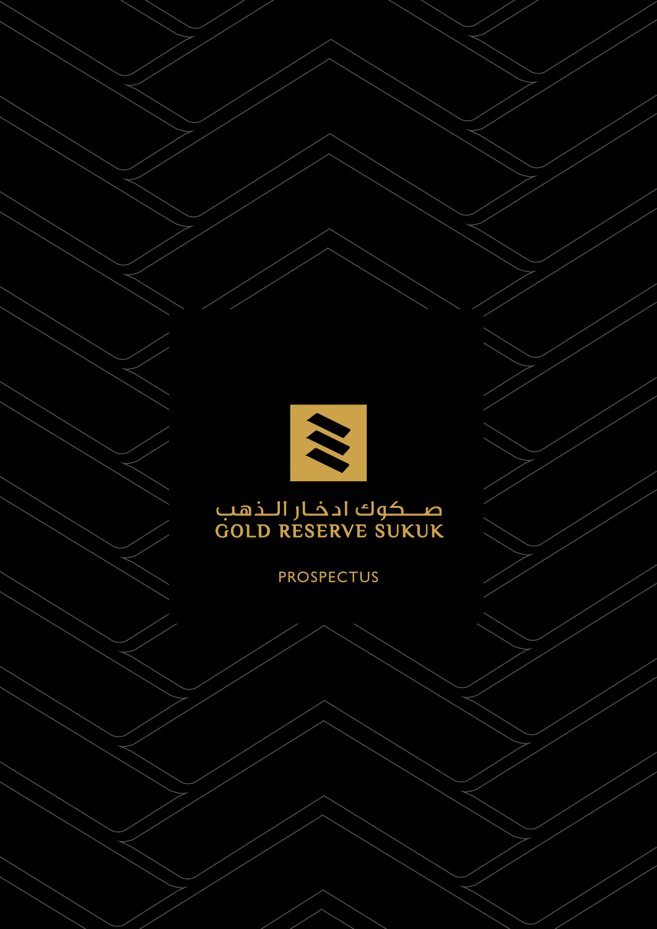

Gold Reserve Sukuk Limited **2** Trust Certificate Issuance Programme

# صــــکوك ادخــار الـــذهـب<br>GOLD RESERVE SUKUK

# PROSPECTUS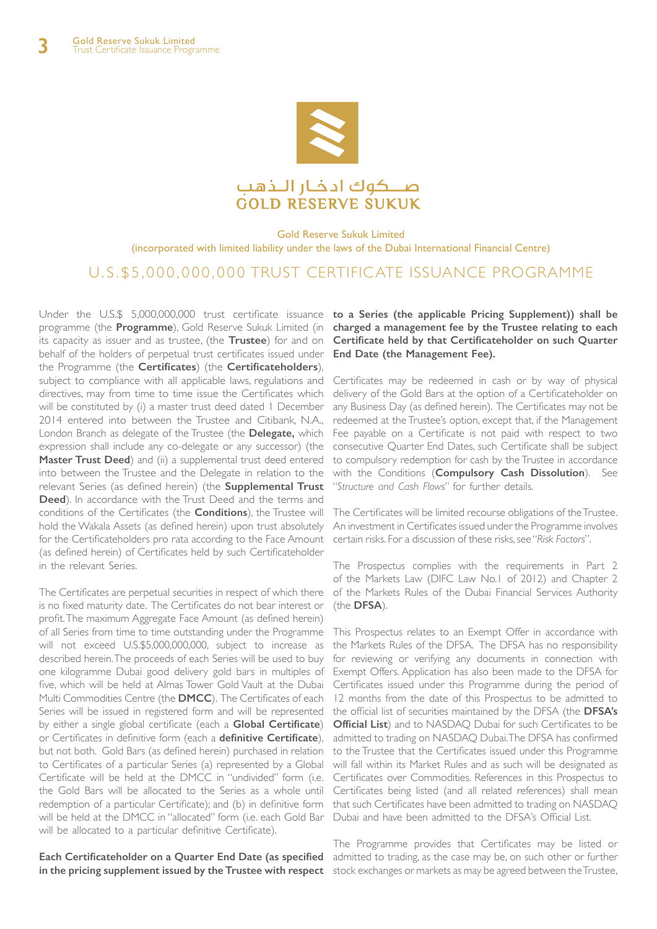

#### Gold Reserve Sukuk Limited (incorporated with limited liability under the laws of the Dubai International Financial Centre)

# U. S . \$ 5 , 0 0 0 , 0 0 0 , 0 0 0 TRUST CERTIFICATE ISSUANCE PROGRAMME

programme (the **Programme**), Gold Reserve Sukuk Limited (in **charged a management fee by the Trustee relating to each**  its capacity as issuer and as trustee, (the **Trustee**) for and on behalf of the holders of perpetual trust certificates issued under the Programme (the **Certificates**) (the **Certificateholders**), subject to compliance with all applicable laws, regulations and directives, may from time to time issue the Certificates which will be constituted by (i) a master trust deed dated 1 December 2014 entered into between the Trustee and Citibank, N.A., London Branch as delegate of the Trustee (the **Delegate,** which expression shall include any co-delegate or any successor) (the **Master Trust Deed**) and (ii) a supplemental trust deed entered into between the Trustee and the Delegate in relation to the relevant Series (as defined herein) (the **Supplemental Trust Deed**). In accordance with the Trust Deed and the terms and conditions of the Certificates (the **Conditions**), the Trustee will hold the Wakala Assets (as defined herein) upon trust absolutely for the Certificateholders pro rata according to the Face Amount (as defined herein) of Certificates held by such Certificateholder in the relevant Series.

The Certificates are perpetual securities in respect of which there is no fixed maturity date. The Certificates do not bear interest or profit. The maximum Aggregate Face Amount (as defined herein) of all Series from time to time outstanding under the Programme will not exceed U.S.\$5,000,000,000, subject to increase as described herein. The proceeds of each Series will be used to buy one kilogramme Dubai good delivery gold bars in multiples of five, which will be held at Almas Tower Gold Vault at the Dubai Multi Commodities Centre (the **DMCC**). The Certificates of each Series will be issued in registered form and will be represented by either a single global certificate (each a **Global Certificate**) or Certificates in definitive form (each a **definitive Certificate**), but not both. Gold Bars (as defined herein) purchased in relation to Certificates of a particular Series (a) represented by a Global Certificate will be held at the DMCC in "undivided" form (i.e. the Gold Bars will be allocated to the Series as a whole until redemption of a particular Certificate); and (b) in definitive form that such Certificates have been admitted to trading on NASDAQ will be held at the DMCC in "allocated" form (i.e. each Gold Bar Dubai and have been admitted to the DFSA's Official List. will be allocated to a particular definitive Certificate).

Each Certificateholder on a Quarter End Date (as specified admitted to trading, as the case may be, on such other or further **in the pricing supplement issued by the Trustee with respect**  stock exchanges or markets as may be agreed between the Trustee,

Under the U.S.\$ 5,000,000,000 trust certificate issuance **to a Series (the applicable Pricing Supplement)) shall be Certificate held by that Certificateholder on such Quarter End Date (the Management Fee).** 

> Certificates may be redeemed in cash or by way of physical delivery of the Gold Bars at the option of a Certificateholder on any Business Day (as defined herein). The Certificates may not be redeemed at the Trustee's option, except that, if the Management Fee payable on a Certificate is not paid with respect to two consecutive Quarter End Dates, such Certificate shall be subject to compulsory redemption for cash by the Trustee in accordance with the Conditions (**Compulsory Cash Dissolution**). See "*Structure and Cash Flows*" for further details.

> The Certificates will be limited recourse obligations of the Trustee. An investment in Certificates issued under the Programme involves certain risks. For a discussion of these risks, see "*Risk Factors*".

> The Prospectus complies with the requirements in Part 2 of the Markets Law (DIFC Law No.1 of 2012) and Chapter 2 of the Markets Rules of the Dubai Financial Services Authority (the **DFSA**).

This Prospectus relates to an Exempt Offer in accordance with the Markets Rules of the DFSA. The DFSA has no responsibility for reviewing or verifying any documents in connection with Exempt Offers. Application has also been made to the DFSA for Certificates issued under this Programme during the period of 12 months from the date of this Prospectus to be admitted to the official list of securities maintained by the DFSA (the **DFSA's Official List**) and to NASDAQ Dubai for such Certificates to be admitted to trading on NASDAQ Dubai. The DFSA has confirmed to the Trustee that the Certificates issued under this Programme will fall within its Market Rules and as such will be designated as Certificates over Commodities. References in this Prospectus to Certificates being listed (and all related references) shall mean

The Programme provides that Certificates may be listed or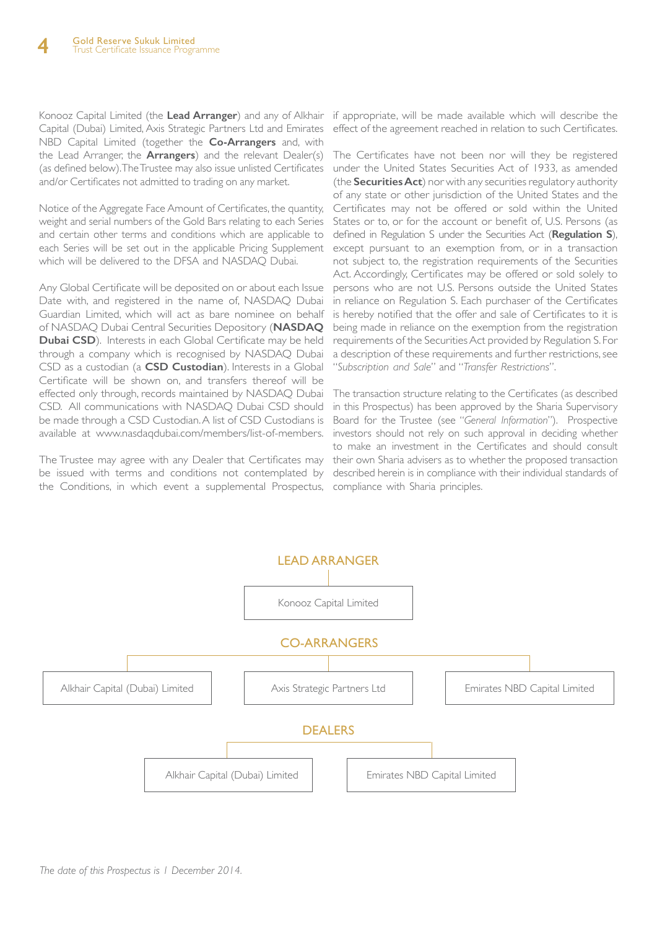Konooz Capital Limited (the **Lead Arranger**) and any of Alkhair if appropriate, will be made available which will describe the Capital (Dubai) Limited, Axis Strategic Partners Ltd and Emirates NBD Capital Limited (together the **Co-Arrangers** and, with the Lead Arranger, the **Arrangers**) and the relevant Dealer(s) (as defined below). The Trustee may also issue unlisted Certificates and/or Certificates not admitted to trading on any market.

Notice of the Aggregate Face Amount of Certificates, the quantity, weight and serial numbers of the Gold Bars relating to each Series and certain other terms and conditions which are applicable to each Series will be set out in the applicable Pricing Supplement which will be delivered to the DFSA and NASDAQ Dubai.

Any Global Certificate will be deposited on or about each Issue Date with, and registered in the name of, NASDAQ Dubai Guardian Limited, which will act as bare nominee on behalf of NASDAQ Dubai Central Securities Depository (**NASDAQ Dubai CSD**). Interests in each Global Certificate may be held through a company which is recognised by NASDAQ Dubai CSD as a custodian (a **CSD Custodian**). Interests in a Global Certificate will be shown on, and transfers thereof will be effected only through, records maintained by NASDAQ Dubai CSD. All communications with NASDAQ Dubai CSD should be made through a CSD Custodian. A list of CSD Custodians is available at www.nasdaqdubai.com/members/list-of-members.

The Trustee may agree with any Dealer that Certificates may be issued with terms and conditions not contemplated by the Conditions, in which event a supplemental Prospectus, compliance with Sharia principles.

effect of the agreement reached in relation to such Certificates.

The Certificates have not been nor will they be registered under the United States Securities Act of 1933, as amended (the **Securities Act**) nor with any securities regulatory authority of any state or other jurisdiction of the United States and the Certificates may not be offered or sold within the United States or to, or for the account or benefit of, U.S. Persons (as defined in Regulation S under the Securities Act (**Regulation S**), except pursuant to an exemption from, or in a transaction not subject to, the registration requirements of the Securities Act. Accordingly, Certificates may be offered or sold solely to persons who are not U.S. Persons outside the United States in reliance on Regulation S. Each purchaser of the Certificates is hereby notified that the offer and sale of Certificates to it is being made in reliance on the exemption from the registration requirements of the Securities Act provided by Regulation S. For a description of these requirements and further restrictions, see "*Subscription and Sale*" and "*Transfer Restrictions*".

The transaction structure relating to the Certificates (as described in this Prospectus) has been approved by the Sharia Supervisory Board for the Trustee (see "*General Information*"). Prospective investors should not rely on such approval in deciding whether to make an investment in the Certificates and should consult their own Sharia advisers as to whether the proposed transaction described herein is in compliance with their individual standards of

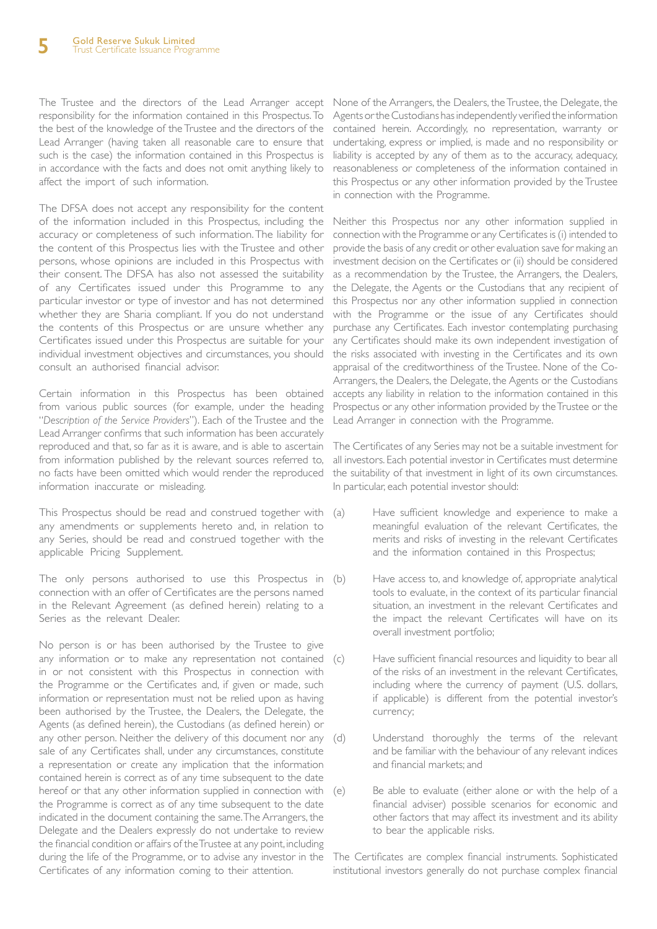responsibility for the information contained in this Prospectus. To the best of the knowledge of the Trustee and the directors of the Lead Arranger (having taken all reasonable care to ensure that such is the case) the information contained in this Prospectus is in accordance with the facts and does not omit anything likely to affect the import of such information.

The DFSA does not accept any responsibility for the content of the information included in this Prospectus, including the accuracy or completeness of such information. The liability for the content of this Prospectus lies with the Trustee and other persons, whose opinions are included in this Prospectus with their consent. The DFSA has also not assessed the suitability of any Certificates issued under this Programme to any particular investor or type of investor and has not determined whether they are Sharia compliant. If you do not understand the contents of this Prospectus or are unsure whether any Certificates issued under this Prospectus are suitable for your individual investment objectives and circumstances, you should consult an authorised financial advisor.

Certain information in this Prospectus has been obtained from various public sources (for example, under the heading "*Description of the Service Providers*"). Each of the Trustee and the Lead Arranger confirms that such information has been accurately reproduced and that, so far as it is aware, and is able to ascertain from information published by the relevant sources referred to, no facts have been omitted which would render the reproduced information inaccurate or misleading.

This Prospectus should be read and construed together with (a) any amendments or supplements hereto and, in relation to any Series, should be read and construed together with the applicable Pricing Supplement.

The only persons authorised to use this Prospectus in (b) connection with an offer of Certificates are the persons named in the Relevant Agreement (as defined herein) relating to a Series as the relevant Dealer.

No person is or has been authorised by the Trustee to give any information or to make any representation not contained (c) in or not consistent with this Prospectus in connection with the Programme or the Certificates and, if given or made, such information or representation must not be relied upon as having been authorised by the Trustee, the Dealers, the Delegate, the Agents (as defined herein), the Custodians (as defined herein) or any other person. Neither the delivery of this document nor any (d) sale of any Certificates shall, under any circumstances, constitute a representation or create any implication that the information contained herein is correct as of any time subsequent to the date hereof or that any other information supplied in connection with the Programme is correct as of any time subsequent to the date indicated in the document containing the same. The Arrangers, the Delegate and the Dealers expressly do not undertake to review the financial condition or affairs of the Trustee at any point, including during the life of the Programme, or to advise any investor in the Certificates of any information coming to their attention.

The Trustee and the directors of the Lead Arranger accept None of the Arrangers, the Dealers, the Trustee, the Delegate, the Agents or the Custodians has independently verified the information contained herein. Accordingly, no representation, warranty or undertaking, express or implied, is made and no responsibility or liability is accepted by any of them as to the accuracy, adequacy, reasonableness or completeness of the information contained in this Prospectus or any other information provided by the Trustee in connection with the Programme.

> Neither this Prospectus nor any other information supplied in connection with the Programme or any Certificates is (i) intended to provide the basis of any credit or other evaluation save for making an investment decision on the Certificates or (ii) should be considered as a recommendation by the Trustee, the Arrangers, the Dealers, the Delegate, the Agents or the Custodians that any recipient of this Prospectus nor any other information supplied in connection with the Programme or the issue of any Certificates should purchase any Certificates. Each investor contemplating purchasing any Certificates should make its own independent investigation of the risks associated with investing in the Certificates and its own appraisal of the creditworthiness of the Trustee. None of the Co-Arrangers, the Dealers, the Delegate, the Agents or the Custodians accepts any liability in relation to the information contained in this Prospectus or any other information provided by the Trustee or the Lead Arranger in connection with the Programme.

> The Certificates of any Series may not be a suitable investment for all investors. Each potential investor in Certificates must determine the suitability of that investment in light of its own circumstances. In particular, each potential investor should:

- Have sufficient knowledge and experience to make a meaningful evaluation of the relevant Certificates, the merits and risks of investing in the relevant Certificates and the information contained in this Prospectus;
- Have access to, and knowledge of, appropriate analytical tools to evaluate, in the context of its particular financial situation, an investment in the relevant Certificates and the impact the relevant Certificates will have on its overall investment portfolio;
	- Have sufficient financial resources and liquidity to bear all of the risks of an investment in the relevant Certificates, including where the currency of payment (U.S. dollars, if applicable) is different from the potential investor's currency;
- Understand thoroughly the terms of the relevant and be familiar with the behaviour of any relevant indices and financial markets; and
- (e) Be able to evaluate (either alone or with the help of a financial adviser) possible scenarios for economic and other factors that may affect its investment and its ability to bear the applicable risks.

The Certificates are complex financial instruments. Sophisticated institutional investors generally do not purchase complex financial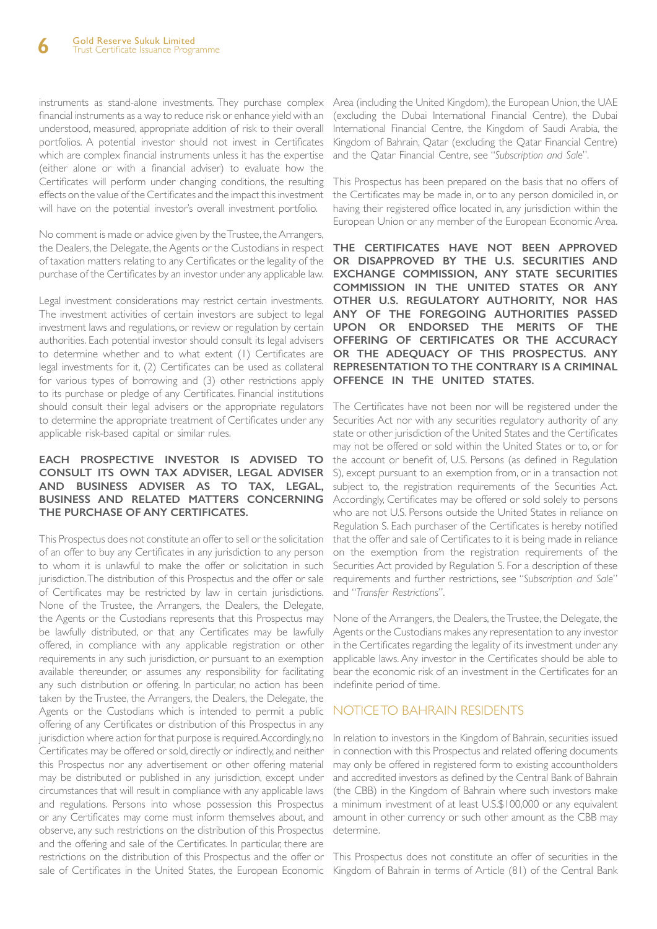instruments as stand-alone investments. They purchase complex financial instruments as a way to reduce risk or enhance yield with an understood, measured, appropriate addition of risk to their overall portfolios. A potential investor should not invest in Certificates which are complex financial instruments unless it has the expertise (either alone or with a financial adviser) to evaluate how the Certificates will perform under changing conditions, the resulting effects on the value of the Certificates and the impact this investment will have on the potential investor's overall investment portfolio.

No comment is made or advice given by the Trustee, the Arrangers, the Dealers, the Delegate, the Agents or the Custodians in respect of taxation matters relating to any Certificates or the legality of the purchase of the Certificates by an investor under any applicable law.

Legal investment considerations may restrict certain investments. The investment activities of certain investors are subject to legal investment laws and regulations, or review or regulation by certain authorities. Each potential investor should consult its legal advisers to determine whether and to what extent (1) Certificates are legal investments for it, (2) Certificates can be used as collateral for various types of borrowing and (3) other restrictions apply to its purchase or pledge of any Certificates. Financial institutions should consult their legal advisers or the appropriate regulators to determine the appropriate treatment of Certificates under any applicable risk-based capital or similar rules.

#### **EACH PROSPECTIVE INVESTOR IS ADVISED TO CONSULT ITS OWN TAX ADVISER, LEGAL ADVISER AND BUSINESS ADVISER AS TO TAX, LEGAL, BUSINESS AND RELATED MATTERS CONCERNING THE PURCHASE OF ANY CERTIFICATES.**

This Prospectus does not constitute an offer to sell or the solicitation of an offer to buy any Certificates in any jurisdiction to any person to whom it is unlawful to make the offer or solicitation in such jurisdiction. The distribution of this Prospectus and the offer or sale of Certificates may be restricted by law in certain jurisdictions. None of the Trustee, the Arrangers, the Dealers, the Delegate, the Agents or the Custodians represents that this Prospectus may be lawfully distributed, or that any Certificates may be lawfully offered, in compliance with any applicable registration or other requirements in any such jurisdiction, or pursuant to an exemption available thereunder, or assumes any responsibility for facilitating any such distribution or offering. In particular, no action has been taken by the Trustee, the Arrangers, the Dealers, the Delegate, the Agents or the Custodians which is intended to permit a public offering of any Certificates or distribution of this Prospectus in any jurisdiction where action for that purpose is required. Accordingly, no Certificates may be offered or sold, directly or indirectly, and neither this Prospectus nor any advertisement or other offering material may be distributed or published in any jurisdiction, except under circumstances that will result in compliance with any applicable laws and regulations. Persons into whose possession this Prospectus or any Certificates may come must inform themselves about, and observe, any such restrictions on the distribution of this Prospectus and the offering and sale of the Certificates. In particular, there are restrictions on the distribution of this Prospectus and the offer or This Prospectus does not constitute an offer of securities in the sale of Certificates in the United States, the European Economic Kingdom of Bahrain in terms of Article (81) of the Central Bank

Area (including the United Kingdom), the European Union, the UAE (excluding the Dubai International Financial Centre), the Dubai International Financial Centre, the Kingdom of Saudi Arabia, the Kingdom of Bahrain, Qatar (excluding the Qatar Financial Centre) and the Qatar Financial Centre, see "*Subscription and Sale*".

This Prospectus has been prepared on the basis that no offers of the Certificates may be made in, or to any person domiciled in, or having their registered office located in, any jurisdiction within the European Union or any member of the European Economic Area.

**THE CERTIFICATES HAVE NOT BEEN APPROVED OR DISAPPROVED BY THE U.S. SECURITIES AND EXCHANGE COMMISSION, ANY STATE SECURITIES COMMISSION IN THE UNITED STATES OR ANY OTHER U.S. REGULATORY AUTHORITY, NOR HAS ANY OF THE FOREGOING AUTHORITIES PASSED UPON OR ENDORSED THE MERITS OF THE OFFERING OF CERTIFICATES OR THE ACCURACY OR THE ADEQUACY OF THIS PROSPECTUS. ANY REPRESENTATION TO THE CONTRARY IS A CRIMINAL OFFENCE IN THE UNITED STATES.**

The Certificates have not been nor will be registered under the Securities Act nor with any securities regulatory authority of any state or other jurisdiction of the United States and the Certificates may not be offered or sold within the United States or to, or for the account or benefit of, U.S. Persons (as defined in Regulation S), except pursuant to an exemption from, or in a transaction not subject to, the registration requirements of the Securities Act. Accordingly, Certificates may be offered or sold solely to persons who are not U.S. Persons outside the United States in reliance on Regulation S. Each purchaser of the Certificates is hereby notified that the offer and sale of Certificates to it is being made in reliance on the exemption from the registration requirements of the Securities Act provided by Regulation S. For a description of these requirements and further restrictions, see "*Subscription and Sale*" and "*Transfer Restrictions*".

None of the Arrangers, the Dealers, the Trustee, the Delegate, the Agents or the Custodians makes any representation to any investor in the Certificates regarding the legality of its investment under any applicable laws. Any investor in the Certificates should be able to bear the economic risk of an investment in the Certificates for an indefinite period of time.

# NOTICE TO BAHRAIN RESIDENTS

In relation to investors in the Kingdom of Bahrain, securities issued in connection with this Prospectus and related offering documents may only be offered in registered form to existing accountholders and accredited investors as defined by the Central Bank of Bahrain (the CBB) in the Kingdom of Bahrain where such investors make a minimum investment of at least U.S.\$100,000 or any equivalent amount in other currency or such other amount as the CBB may determine.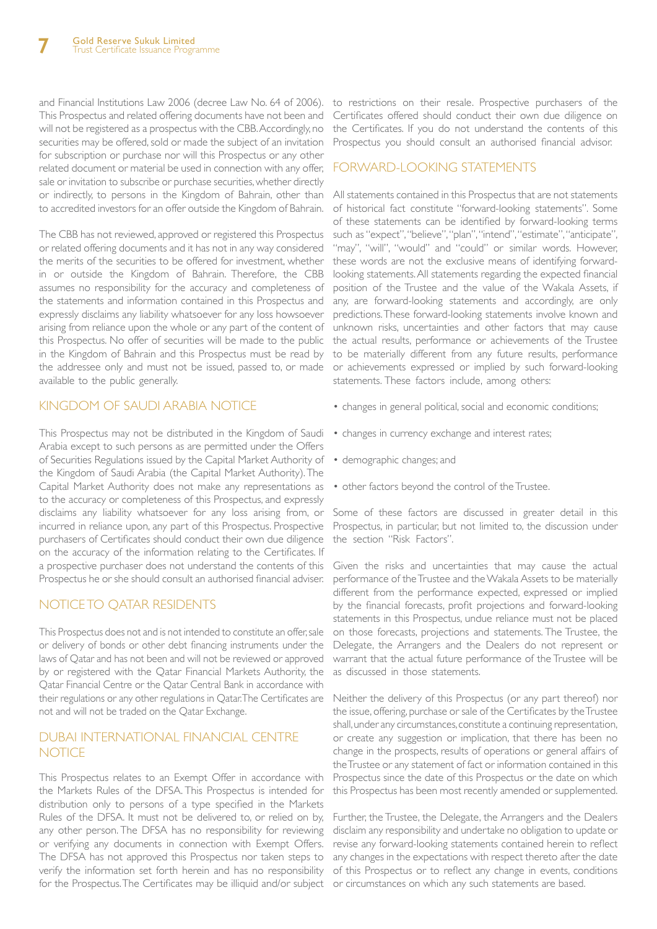and Financial Institutions Law 2006 (decree Law No. 64 of 2006). to restrictions on their resale. Prospective purchasers of the This Prospectus and related offering documents have not been and Certificates offered should conduct their own due diligence on will not be registered as a prospectus with the CBB. Accordingly, no securities may be offered, sold or made the subject of an invitation for subscription or purchase nor will this Prospectus or any other related document or material be used in connection with any offer, FORWARD-LOOKING STATEMENTS sale or invitation to subscribe or purchase securities, whether directly or indirectly, to persons in the Kingdom of Bahrain, other than to accredited investors for an offer outside the Kingdom of Bahrain.

The CBB has not reviewed, approved or registered this Prospectus or related offering documents and it has not in any way considered the merits of the securities to be offered for investment, whether in or outside the Kingdom of Bahrain. Therefore, the CBB assumes no responsibility for the accuracy and completeness of the statements and information contained in this Prospectus and expressly disclaims any liability whatsoever for any loss howsoever arising from reliance upon the whole or any part of the content of this Prospectus. No offer of securities will be made to the public in the Kingdom of Bahrain and this Prospectus must be read by the addressee only and must not be issued, passed to, or made available to the public generally.

## KINGDOM OF SAUDI ARABIA NOTICE

This Prospectus may not be distributed in the Kingdom of Saudi Arabia except to such persons as are permitted under the Offers of Securities Regulations issued by the Capital Market Authority of the Kingdom of Saudi Arabia (the Capital Market Authority). The Capital Market Authority does not make any representations as to the accuracy or completeness of this Prospectus, and expressly disclaims any liability whatsoever for any loss arising from, or incurred in reliance upon, any part of this Prospectus. Prospective purchasers of Certificates should conduct their own due diligence on the accuracy of the information relating to the Certificates. If a prospective purchaser does not understand the contents of this Prospectus he or she should consult an authorised financial adviser.

## NOTICE TO QATAR RESIDENTS

This Prospectus does not and is not intended to constitute an offer, sale or delivery of bonds or other debt financing instruments under the laws of Qatar and has not been and will not be reviewed or approved by or registered with the Qatar Financial Markets Authority, the Qatar Financial Centre or the Qatar Central Bank in accordance with their regulations or any other regulations in Qatar. The Certificates are not and will not be traded on the Qatar Exchange.

# DUBAI INTERNATIONAL FINANCIAL CENTRE **NOTICE**

This Prospectus relates to an Exempt Offer in accordance with the Markets Rules of the DFSA. This Prospectus is intended for distribution only to persons of a type specified in the Markets Rules of the DFSA. It must not be delivered to, or relied on by, any other person. The DFSA has no responsibility for reviewing or verifying any documents in connection with Exempt Offers. The DFSA has not approved this Prospectus nor taken steps to verify the information set forth herein and has no responsibility for the Prospectus. The Certificates may be illiquid and/or subject or circumstances on which any such statements are based.

the Certificates. If you do not understand the contents of this Prospectus you should consult an authorised financial advisor.

All statements contained in this Prospectus that are not statements of historical fact constitute "forward-looking statements". Some of these statements can be identified by forward-looking terms such as "expect", "believe", "plan", "intend", "estimate", "anticipate", "may", "will", "would" and "could" or similar words. However, these words are not the exclusive means of identifying forwardlooking statements. All statements regarding the expected financial position of the Trustee and the value of the Wakala Assets, if any, are forward-looking statements and accordingly, are only predictions. These forward-looking statements involve known and unknown risks, uncertainties and other factors that may cause the actual results, performance or achievements of the Trustee to be materially different from any future results, performance or achievements expressed or implied by such forward-looking statements. These factors include, among others:

- changes in general political, social and economic conditions;
- changes in currency exchange and interest rates;
- demographic changes; and
- other factors beyond the control of the Trustee.

Some of these factors are discussed in greater detail in this Prospectus, in particular, but not limited to, the discussion under the section "Risk Factors".

Given the risks and uncertainties that may cause the actual performance of the Trustee and the Wakala Assets to be materially different from the performance expected, expressed or implied by the financial forecasts, profit projections and forward-looking statements in this Prospectus, undue reliance must not be placed on those forecasts, projections and statements. The Trustee, the Delegate, the Arrangers and the Dealers do not represent or warrant that the actual future performance of the Trustee will be as discussed in those statements.

Neither the delivery of this Prospectus (or any part thereof) nor the issue, offering, purchase or sale of the Certificates by the Trustee shall, under any circumstances, constitute a continuing representation, or create any suggestion or implication, that there has been no change in the prospects, results of operations or general affairs of the Trustee or any statement of fact or information contained in this Prospectus since the date of this Prospectus or the date on which this Prospectus has been most recently amended or supplemented.

Further, the Trustee, the Delegate, the Arrangers and the Dealers disclaim any responsibility and undertake no obligation to update or revise any forward-looking statements contained herein to reflect any changes in the expectations with respect thereto after the date of this Prospectus or to reflect any change in events, conditions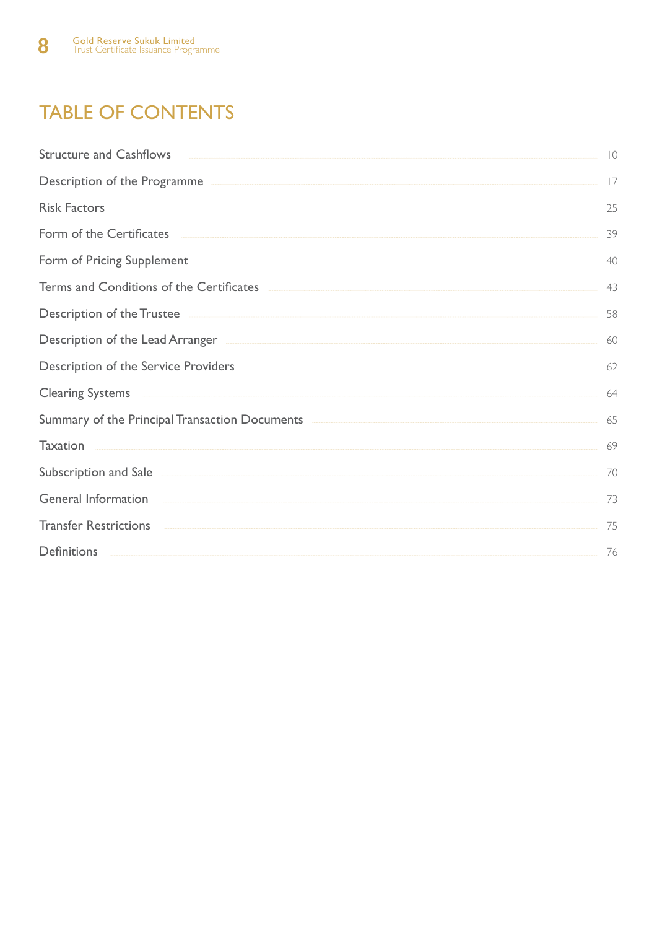# TABLE OF CONTENTS

| <b>Structure and Cashflows</b><br><u> 1980 - Johann Barbara, martin amerikan basar dan basa dan basa dan basa dan basa dan basa dan basa dan basa</u>                                                                                | $\overline{0}$ |
|--------------------------------------------------------------------------------------------------------------------------------------------------------------------------------------------------------------------------------------|----------------|
| Description of the Programme                                                                                                                                                                                                         | 17             |
|                                                                                                                                                                                                                                      | 25             |
| Form of the Certificates <b>Exercise Exercise Exercise Contract Contract Contract Contract Contract Contract Contract Contract Contract Contract Contract Contract Contract Contract Contract Contract Contract Contract Contrac</b> | 39             |
| Form of Pricing Supplement <b>Example 2018</b> Supplement <b>Example 2018</b> Supplement <b>Example 2018</b>                                                                                                                         | 40             |
|                                                                                                                                                                                                                                      | 43             |
| Description of the Trustee                                                                                                                                                                                                           | 58             |
| Description of the Lead Arranger <b>Exercise Arranger</b> and the set of the Lead Arranger and the set of the Lead Arranger                                                                                                          | 60             |
| Description of the Service Providers <b>Exercise Exercise 2018</b>                                                                                                                                                                   | 62             |
| Clearing Systems and the contract of the contract of the contract of the contract of the contract of the contract of the contract of the contract of the contract of the contract of the contract of the contract of the contr       | 64             |
|                                                                                                                                                                                                                                      | 65             |
| <b>Taxation</b>                                                                                                                                                                                                                      | 69             |
| Subscription and Sale <b>Subscription</b> and Sale                                                                                                                                                                                   | 70             |
| General Information and the contract of the contract of the contract of the contract of the contract of the contract of the contract of the contract of the contract of the contract of the contract of the contract of the co       | 73             |
| <b>Transfer Restrictions</b><br><u> Listen allerdigen av den stad av den stad av den stad av den stad av den stad av den stad av den stad av den s</u>                                                                               | 75             |
| <b>Definitions</b><br><u> 1999 - Jan Samuel Barbara, martin a shekara ta 1999 - Ann an t-Ann an t-Ann an t-Ann an t-Ann an t-Ann an t-An</u>                                                                                         | 76             |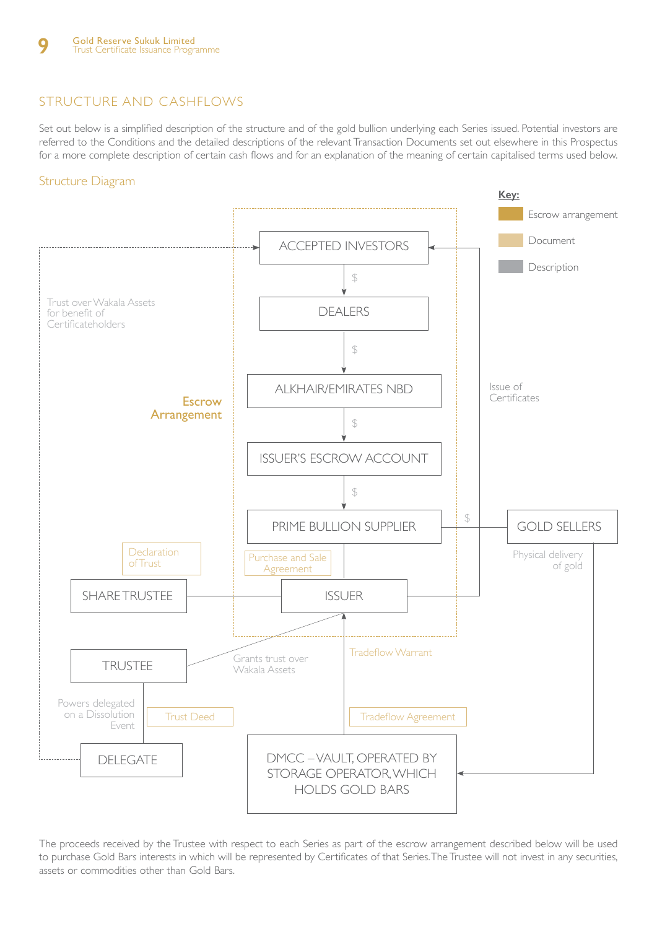# STRUCTURE AND CASHFLOWS

Set out below is a simplified description of the structure and of the gold bullion underlying each Series issued. Potential investors are referred to the Conditions and the detailed descriptions of the relevant Transaction Documents set out elsewhere in this Prospectus for a more complete description of certain cash flows and for an explanation of the meaning of certain capitalised terms used below.

## Structure Diagram



The proceeds received by the Trustee with respect to each Series as part of the escrow arrangement described below will be used to purchase Gold Bars interests in which will be represented by Certificates of that Series. The Trustee will not invest in any securities, assets or commodities other than Gold Bars.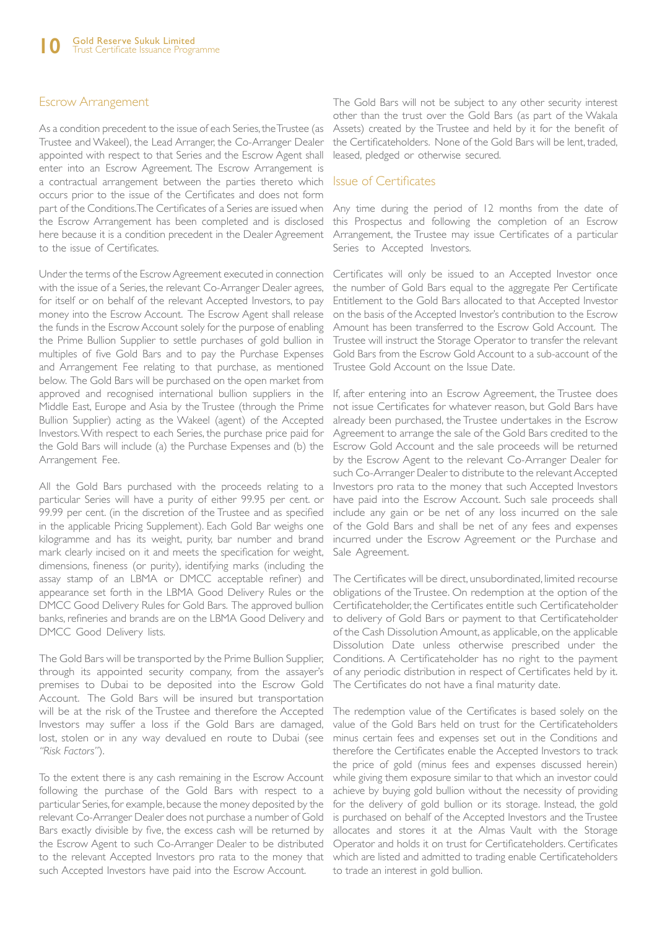#### Escrow Arrangement

As a condition precedent to the issue of each Series, the Trustee (as Trustee and Wakeel), the Lead Arranger, the Co-Arranger Dealer appointed with respect to that Series and the Escrow Agent shall enter into an Escrow Agreement. The Escrow Arrangement is a contractual arrangement between the parties thereto which occurs prior to the issue of the Certificates and does not form part of the Conditions. The Certificates of a Series are issued when the Escrow Arrangement has been completed and is disclosed here because it is a condition precedent in the Dealer Agreement to the issue of Certificates.

Under the terms of the Escrow Agreement executed in connection with the issue of a Series, the relevant Co-Arranger Dealer agrees, for itself or on behalf of the relevant Accepted Investors, to pay money into the Escrow Account. The Escrow Agent shall release the funds in the Escrow Account solely for the purpose of enabling the Prime Bullion Supplier to settle purchases of gold bullion in multiples of five Gold Bars and to pay the Purchase Expenses and Arrangement Fee relating to that purchase, as mentioned below. The Gold Bars will be purchased on the open market from approved and recognised international bullion suppliers in the Middle East, Europe and Asia by the Trustee (through the Prime Bullion Supplier) acting as the Wakeel (agent) of the Accepted Investors. With respect to each Series, the purchase price paid for the Gold Bars will include (a) the Purchase Expenses and (b) the Arrangement Fee.

All the Gold Bars purchased with the proceeds relating to a particular Series will have a purity of either 99.95 per cent. or 99.99 per cent. (in the discretion of the Trustee and as specified in the applicable Pricing Supplement). Each Gold Bar weighs one kilogramme and has its weight, purity, bar number and brand mark clearly incised on it and meets the specification for weight, dimensions, fineness (or purity), identifying marks (including the assay stamp of an LBMA or DMCC acceptable refiner) and appearance set forth in the LBMA Good Delivery Rules or the DMCC Good Delivery Rules for Gold Bars. The approved bullion banks, refineries and brands are on the LBMA Good Delivery and DMCC Good Delivery lists.

The Gold Bars will be transported by the Prime Bullion Supplier, through its appointed security company, from the assayer's premises to Dubai to be deposited into the Escrow Gold Account. The Gold Bars will be insured but transportation will be at the risk of the Trustee and therefore the Accepted Investors may suffer a loss if the Gold Bars are damaged, lost, stolen or in any way devalued en route to Dubai (see *"Risk Factors"*).

To the extent there is any cash remaining in the Escrow Account following the purchase of the Gold Bars with respect to a particular Series, for example, because the money deposited by the relevant Co-Arranger Dealer does not purchase a number of Gold Bars exactly divisible by five, the excess cash will be returned by the Escrow Agent to such Co-Arranger Dealer to be distributed to the relevant Accepted Investors pro rata to the money that such Accepted Investors have paid into the Escrow Account.

The Gold Bars will not be subject to any other security interest other than the trust over the Gold Bars (as part of the Wakala Assets) created by the Trustee and held by it for the benefit of the Certificateholders. None of the Gold Bars will be lent, traded, leased, pledged or otherwise secured.

#### Issue of Certificates

Any time during the period of 12 months from the date of this Prospectus and following the completion of an Escrow Arrangement, the Trustee may issue Certificates of a particular Series to Accepted Investors.

Certificates will only be issued to an Accepted Investor once the number of Gold Bars equal to the aggregate Per Certificate Entitlement to the Gold Bars allocated to that Accepted Investor on the basis of the Accepted Investor's contribution to the Escrow Amount has been transferred to the Escrow Gold Account. The Trustee will instruct the Storage Operator to transfer the relevant Gold Bars from the Escrow Gold Account to a sub-account of the Trustee Gold Account on the Issue Date.

If, after entering into an Escrow Agreement, the Trustee does not issue Certificates for whatever reason, but Gold Bars have already been purchased, the Trustee undertakes in the Escrow Agreement to arrange the sale of the Gold Bars credited to the Escrow Gold Account and the sale proceeds will be returned by the Escrow Agent to the relevant Co-Arranger Dealer for such Co-Arranger Dealer to distribute to the relevant Accepted Investors pro rata to the money that such Accepted Investors have paid into the Escrow Account. Such sale proceeds shall include any gain or be net of any loss incurred on the sale of the Gold Bars and shall be net of any fees and expenses incurred under the Escrow Agreement or the Purchase and Sale Agreement.

The Certificates will be direct, unsubordinated, limited recourse obligations of the Trustee. On redemption at the option of the Certificateholder, the Certificates entitle such Certificateholder to delivery of Gold Bars or payment to that Certificateholder of the Cash Dissolution Amount, as applicable, on the applicable Dissolution Date unless otherwise prescribed under the Conditions. A Certificateholder has no right to the payment of any periodic distribution in respect of Certificates held by it. The Certificates do not have a final maturity date.

The redemption value of the Certificates is based solely on the value of the Gold Bars held on trust for the Certificateholders minus certain fees and expenses set out in the Conditions and therefore the Certificates enable the Accepted Investors to track the price of gold (minus fees and expenses discussed herein) while giving them exposure similar to that which an investor could achieve by buying gold bullion without the necessity of providing for the delivery of gold bullion or its storage. Instead, the gold is purchased on behalf of the Accepted Investors and the Trustee allocates and stores it at the Almas Vault with the Storage Operator and holds it on trust for Certificateholders. Certificates which are listed and admitted to trading enable Certificateholders to trade an interest in gold bullion.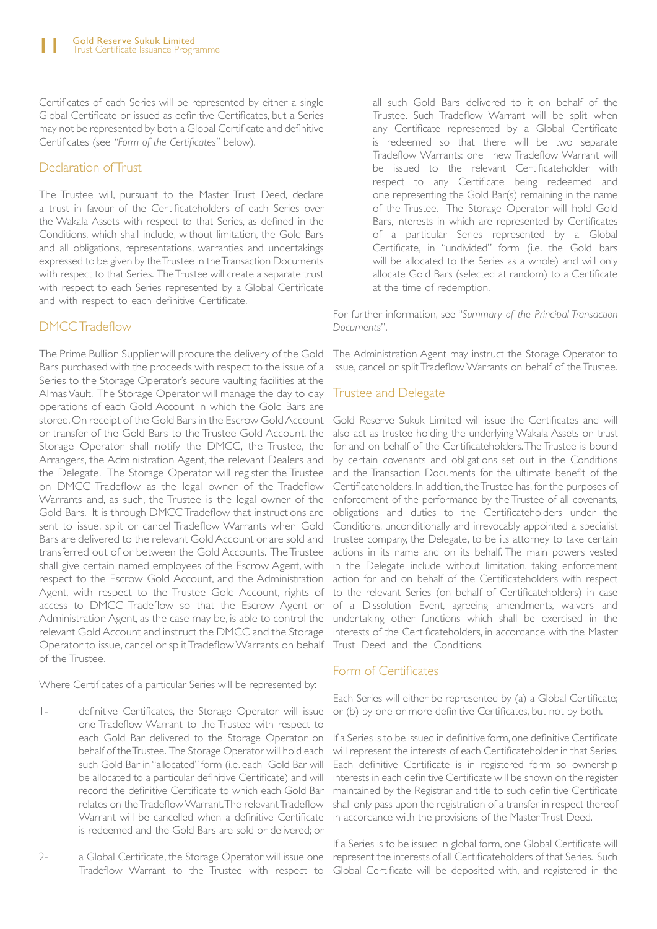Certificates of each Series will be represented by either a single Global Certificate or issued as definitive Certificates, but a Series may not be represented by both a Global Certificate and definitive Certificates (see *"Form of the Certificates"* below).

#### Declaration of Trust

The Trustee will, pursuant to the Master Trust Deed, declare a trust in favour of the Certificateholders of each Series over the Wakala Assets with respect to that Series, as defined in the Conditions, which shall include, without limitation, the Gold Bars and all obligations, representations, warranties and undertakings expressed to be given by the Trustee in the Transaction Documents with respect to that Series. The Trustee will create a separate trust with respect to each Series represented by a Global Certificate and with respect to each definitive Certificate.

# DMCC Tradeflow

The Prime Bullion Supplier will procure the delivery of the Gold Bars purchased with the proceeds with respect to the issue of a Series to the Storage Operator's secure vaulting facilities at the Almas Vault. The Storage Operator will manage the day to day operations of each Gold Account in which the Gold Bars are stored. On receipt of the Gold Bars in the Escrow Gold Account or transfer of the Gold Bars to the Trustee Gold Account, the Storage Operator shall notify the DMCC, the Trustee, the Arrangers, the Administration Agent, the relevant Dealers and the Delegate. The Storage Operator will register the Trustee on DMCC Tradeflow as the legal owner of the Tradeflow Warrants and, as such, the Trustee is the legal owner of the Gold Bars. It is through DMCC Tradeflow that instructions are sent to issue, split or cancel Tradeflow Warrants when Gold Bars are delivered to the relevant Gold Account or are sold and transferred out of or between the Gold Accounts. The Trustee shall give certain named employees of the Escrow Agent, with respect to the Escrow Gold Account, and the Administration Agent, with respect to the Trustee Gold Account, rights of to the relevant Series (on behalf of Certificateholders) in case access to DMCC Tradeflow so that the Escrow Agent or of a Dissolution Event, agreeing amendments, waivers and Administration Agent, as the case may be, is able to control the undertaking other functions which shall be exercised in the relevant Gold Account and instruct the DMCC and the Storage interests of the Certificateholders, in accordance with the Master Operator to issue, cancel or split Tradeflow Warrants on behalf Trust Deed and the Conditions. of the Trustee.

Where Certificates of a particular Series will be represented by:

- 1- definitive Certificates, the Storage Operator will issue one Tradeflow Warrant to the Trustee with respect to each Gold Bar delivered to the Storage Operator on behalf of the Trustee. The Storage Operator will hold each such Gold Bar in "allocated" form (i.e. each Gold Bar will be allocated to a particular definitive Certificate) and will record the definitive Certificate to which each Gold Bar relates on the Tradeflow Warrant. The relevant Tradeflow Warrant will be cancelled when a definitive Certificate is redeemed and the Gold Bars are sold or delivered; or
- 

all such Gold Bars delivered to it on behalf of the Trustee. Such Tradeflow Warrant will be split when any Certificate represented by a Global Certificate is redeemed so that there will be two separate Tradeflow Warrants: one new Tradeflow Warrant will be issued to the relevant Certificateholder with respect to any Certificate being redeemed and one representing the Gold Bar(s) remaining in the name of the Trustee. The Storage Operator will hold Gold Bars, interests in which are represented by Certificates of a particular Series represented by a Global Certificate, in "undivided" form (i.e. the Gold bars will be allocated to the Series as a whole) and will only allocate Gold Bars (selected at random) to a Certificate at the time of redemption.

For further information, see "*Summary of the Principal Transaction Documents*".

The Administration Agent may instruct the Storage Operator to issue, cancel or split Tradeflow Warrants on behalf of the Trustee.

#### Trustee and Delegate

Gold Reserve Sukuk Limited will issue the Certificates and will also act as trustee holding the underlying Wakala Assets on trust for and on behalf of the Certificateholders. The Trustee is bound by certain covenants and obligations set out in the Conditions and the Transaction Documents for the ultimate benefit of the Certificateholders. In addition, the Trustee has, for the purposes of enforcement of the performance by the Trustee of all covenants, obligations and duties to the Certificateholders under the Conditions, unconditionally and irrevocably appointed a specialist trustee company, the Delegate, to be its attorney to take certain actions in its name and on its behalf. The main powers vested in the Delegate include without limitation, taking enforcement action for and on behalf of the Certificateholders with respect

## Form of Certificates

Each Series will either be represented by (a) a Global Certificate; or (b) by one or more definitive Certificates, but not by both.

If a Series is to be issued in definitive form, one definitive Certificate will represent the interests of each Certificateholder in that Series. Each definitive Certificate is in registered form so ownership interests in each definitive Certificate will be shown on the register maintained by the Registrar and title to such definitive Certificate shall only pass upon the registration of a transfer in respect thereof in accordance with the provisions of the Master Trust Deed.

2- a Global Certificate, the Storage Operator will issue one represent the interests of all Certificateholders of that Series. Such Tradeflow Warrant to the Trustee with respect to Global Certificate will be deposited with, and registered in the If a Series is to be issued in global form, one Global Certificate will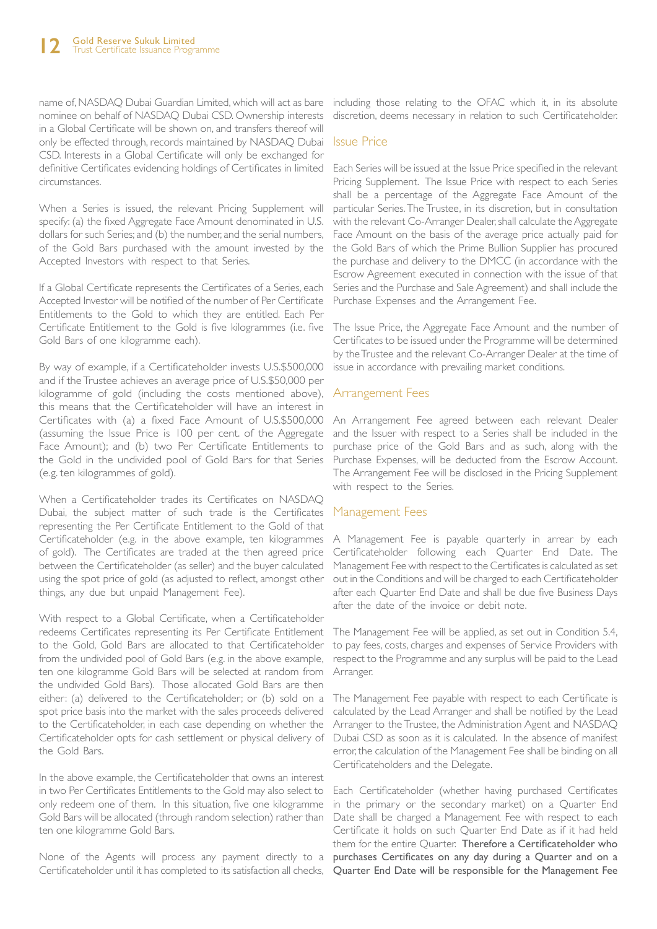nominee on behalf of NASDAQ Dubai CSD. Ownership interests in a Global Certificate will be shown on, and transfers thereof will only be effected through, records maintained by NASDAQ Dubai CSD. Interests in a Global Certificate will only be exchanged for definitive Certificates evidencing holdings of Certificates in limited Each Series will be issued at the Issue Price specified in the relevant circumstances.

When a Series is issued, the relevant Pricing Supplement will specify: (a) the fixed Aggregate Face Amount denominated in U.S. dollars for such Series; and (b) the number, and the serial numbers, of the Gold Bars purchased with the amount invested by the Accepted Investors with respect to that Series.

If a Global Certificate represents the Certificates of a Series, each Accepted Investor will be notified of the number of Per Certificate Entitlements to the Gold to which they are entitled. Each Per Certificate Entitlement to the Gold is five kilogrammes (i.e. five Gold Bars of one kilogramme each).

By way of example, if a Certificateholder invests U.S.\$500,000 and if the Trustee achieves an average price of U.S.\$50,000 per kilogramme of gold (including the costs mentioned above), this means that the Certificateholder will have an interest in Certificates with (a) a fixed Face Amount of U.S.\$500,000 (assuming the Issue Price is 100 per cent. of the Aggregate Face Amount); and (b) two Per Certificate Entitlements to the Gold in the undivided pool of Gold Bars for that Series (e.g. ten kilogrammes of gold).

When a Certificateholder trades its Certificates on NASDAQ Dubai, the subject matter of such trade is the Certificates representing the Per Certificate Entitlement to the Gold of that Certificateholder (e.g. in the above example, ten kilogrammes of gold). The Certificates are traded at the then agreed price between the Certificateholder (as seller) and the buyer calculated using the spot price of gold (as adjusted to reflect, amongst other things, any due but unpaid Management Fee).

With respect to a Global Certificate, when a Certificateholder redeems Certificates representing its Per Certificate Entitlement to the Gold, Gold Bars are allocated to that Certificateholder from the undivided pool of Gold Bars (e.g. in the above example, ten one kilogramme Gold Bars will be selected at random from the undivided Gold Bars). Those allocated Gold Bars are then either: (a) delivered to the Certificateholder; or (b) sold on a spot price basis into the market with the sales proceeds delivered to the Certificateholder, in each case depending on whether the Certificateholder opts for cash settlement or physical delivery of the Gold Bars.

In the above example, the Certificateholder that owns an interest in two Per Certificates Entitlements to the Gold may also select to only redeem one of them. In this situation, five one kilogramme Gold Bars will be allocated (through random selection) rather than ten one kilogramme Gold Bars.

Certificateholder until it has completed to its satisfaction all checks, Quarter End Date will be responsible for the Management Fee

name of, NASDAQ Dubai Guardian Limited, which will act as bare including those relating to the OFAC which it, in its absolute discretion, deems necessary in relation to such Certificateholder.

#### Issue Price

Pricing Supplement. The Issue Price with respect to each Series shall be a percentage of the Aggregate Face Amount of the particular Series. The Trustee, in its discretion, but in consultation with the relevant Co-Arranger Dealer, shall calculate the Aggregate Face Amount on the basis of the average price actually paid for the Gold Bars of which the Prime Bullion Supplier has procured the purchase and delivery to the DMCC (in accordance with the Escrow Agreement executed in connection with the issue of that Series and the Purchase and Sale Agreement) and shall include the Purchase Expenses and the Arrangement Fee.

The Issue Price, the Aggregate Face Amount and the number of Certificates to be issued under the Programme will be determined by the Trustee and the relevant Co-Arranger Dealer at the time of issue in accordance with prevailing market conditions.

#### Arrangement Fees

An Arrangement Fee agreed between each relevant Dealer and the Issuer with respect to a Series shall be included in the purchase price of the Gold Bars and as such, along with the Purchase Expenses, will be deducted from the Escrow Account. The Arrangement Fee will be disclosed in the Pricing Supplement with respect to the Series.

#### Management Fees

A Management Fee is payable quarterly in arrear by each Certificateholder following each Quarter End Date. The Management Fee with respect to the Certificates is calculated as set out in the Conditions and will be charged to each Certificateholder after each Quarter End Date and shall be due five Business Days after the date of the invoice or debit note.

The Management Fee will be applied, as set out in Condition 5.4, to pay fees, costs, charges and expenses of Service Providers with respect to the Programme and any surplus will be paid to the Lead Arranger.

The Management Fee payable with respect to each Certificate is calculated by the Lead Arranger and shall be notified by the Lead Arranger to the Trustee, the Administration Agent and NASDAQ Dubai CSD as soon as it is calculated. In the absence of manifest error, the calculation of the Management Fee shall be binding on all Certificateholders and the Delegate.

None of the Agents will process any payment directly to a purchases Certificates on any day during a Quarter and on a Each Certificateholder (whether having purchased Certificates in the primary or the secondary market) on a Quarter End Date shall be charged a Management Fee with respect to each Certificate it holds on such Quarter End Date as if it had held them for the entire Quarter. Therefore a Certificateholder who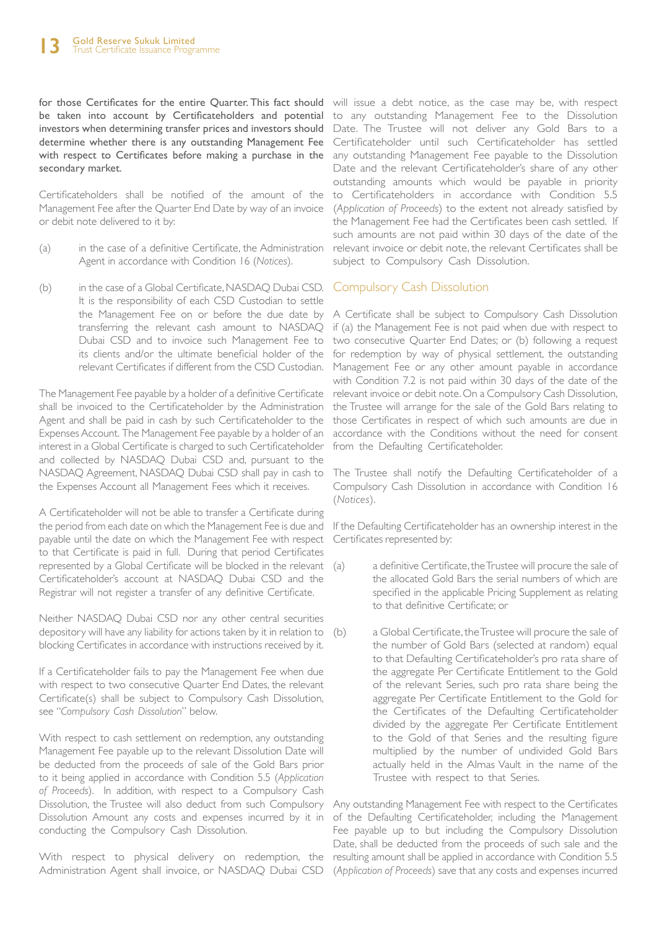be taken into account by Certificateholders and potential to any outstanding Management Fee to the Dissolution investors when determining transfer prices and investors should determine whether there is any outstanding Management Fee with respect to Certificates before making a purchase in the secondary market.

Certificateholders shall be notified of the amount of the Management Fee after the Quarter End Date by way of an invoice or debit note delivered to it by:

- (a) in the case of a definitive Certificate, the Administration Agent in accordance with Condition 16 (*Notices*).
- (b) in the case of a Global Certificate, NASDAQ Dubai CSD. It is the responsibility of each CSD Custodian to settle transferring the relevant cash amount to NASDAQ Dubai CSD and to invoice such Management Fee to its clients and/or the ultimate beneficial holder of the relevant Certificates if different from the CSD Custodian.

The Management Fee payable by a holder of a definitive Certificate shall be invoiced to the Certificateholder by the Administration Agent and shall be paid in cash by such Certificateholder to the Expenses Account. The Management Fee payable by a holder of an interest in a Global Certificate is charged to such Certificateholder and collected by NASDAQ Dubai CSD and, pursuant to the NASDAQ Agreement, NASDAQ Dubai CSD shall pay in cash to the Expenses Account all Management Fees which it receives.

A Certificateholder will not be able to transfer a Certificate during the period from each date on which the Management Fee is due and payable until the date on which the Management Fee with respect to that Certificate is paid in full. During that period Certificates represented by a Global Certificate will be blocked in the relevant (a) Certificateholder's account at NASDAQ Dubai CSD and the Registrar will not register a transfer of any definitive Certificate.

Neither NASDAQ Dubai CSD nor any other central securities depository will have any liability for actions taken by it in relation to (b) blocking Certificates in accordance with instructions received by it.

If a Certificateholder fails to pay the Management Fee when due with respect to two consecutive Quarter End Dates, the relevant Certificate(s) shall be subject to Compulsory Cash Dissolution, see "*Compulsory Cash Dissolution*" below.

With respect to cash settlement on redemption, any outstanding Management Fee payable up to the relevant Dissolution Date will be deducted from the proceeds of sale of the Gold Bars prior to it being applied in accordance with Condition 5.5 (*Application of Proceeds*). In addition, with respect to a Compulsory Cash Dissolution, the Trustee will also deduct from such Compulsory Any outstanding Management Fee with respect to the Certificates Dissolution Amount any costs and expenses incurred by it in of the Defaulting Certificateholder, including the Management conducting the Compulsory Cash Dissolution.

With respect to physical delivery on redemption, the resulting amount shall be applied in accordance with Condition 5.5

for those Certificates for the entire Quarter. This fact should will issue a debt notice, as the case may be, with respect Date. The Trustee will not deliver any Gold Bars to a Certificateholder until such Certificateholder has settled any outstanding Management Fee payable to the Dissolution Date and the relevant Certificateholder's share of any other outstanding amounts which would be payable in priority to Certificateholders in accordance with Condition 5.5 (*Application of Proceeds*) to the extent not already satisfied by the Management Fee had the Certificates been cash settled. If such amounts are not paid within 30 days of the date of the relevant invoice or debit note, the relevant Certificates shall be subject to Compulsory Cash Dissolution.

# Compulsory Cash Dissolution

the Management Fee on or before the due date by A Certificate shall be subject to Compulsory Cash Dissolution if (a) the Management Fee is not paid when due with respect to two consecutive Quarter End Dates; or (b) following a request for redemption by way of physical settlement, the outstanding Management Fee or any other amount payable in accordance with Condition 7.2 is not paid within 30 days of the date of the relevant invoice or debit note. On a Compulsory Cash Dissolution, the Trustee will arrange for the sale of the Gold Bars relating to those Certificates in respect of which such amounts are due in accordance with the Conditions without the need for consent from the Defaulting Certificateholder.

> The Trustee shall notify the Defaulting Certificateholder of a Compulsory Cash Dissolution in accordance with Condition 16 (*Notices*).

> If the Defaulting Certificateholder has an ownership interest in the Certificates represented by:

- a definitive Certificate, the Trustee will procure the sale of the allocated Gold Bars the serial numbers of which are specified in the applicable Pricing Supplement as relating to that definitive Certificate; or
	- a Global Certificate, the Trustee will procure the sale of the number of Gold Bars (selected at random) equal to that Defaulting Certificateholder's pro rata share of the aggregate Per Certificate Entitlement to the Gold of the relevant Series, such pro rata share being the aggregate Per Certificate Entitlement to the Gold for the Certificates of the Defaulting Certificateholder divided by the aggregate Per Certificate Entitlement to the Gold of that Series and the resulting figure multiplied by the number of undivided Gold Bars actually held in the Almas Vault in the name of the Trustee with respect to that Series.

Administration Agent shall invoice, or NASDAQ Dubai CSD (*Application of Proceeds*) save that any costs and expenses incurred Fee payable up to but including the Compulsory Dissolution Date, shall be deducted from the proceeds of such sale and the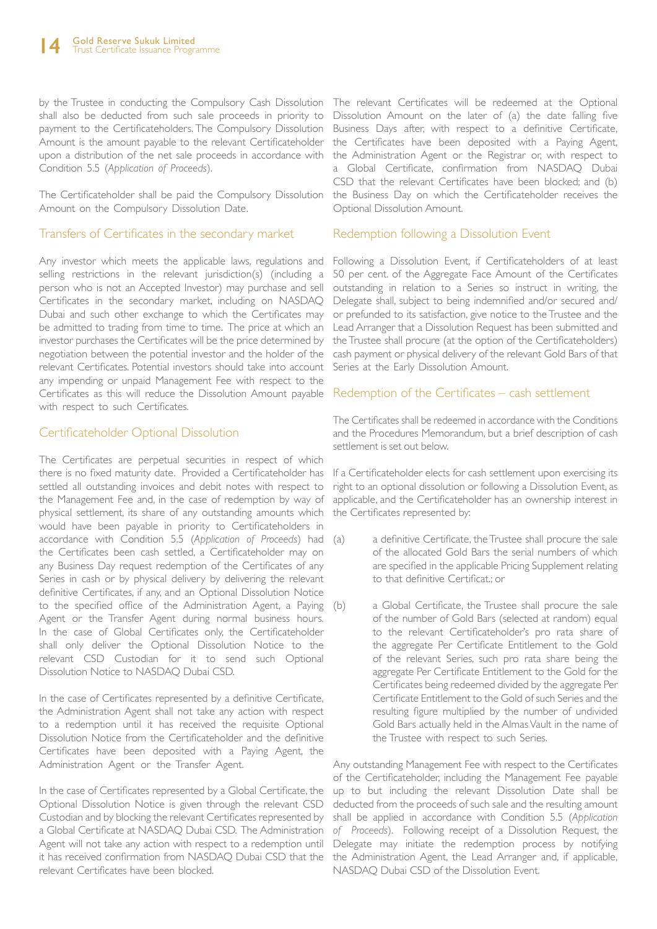by the Trustee in conducting the Compulsory Cash Dissolution The relevant Certificates will be redeemed at the Optional shall also be deducted from such sale proceeds in priority to payment to the Certificateholders. The Compulsory Dissolution Amount is the amount payable to the relevant Certificateholder upon a distribution of the net sale proceeds in accordance with the Administration Agent or the Registrar or, with respect to Condition 5.5 (*Application of Proceeds*).

The Certificateholder shall be paid the Compulsory Dissolution Amount on the Compulsory Dissolution Date.

#### Transfers of Certificates in the secondary market

Any investor which meets the applicable laws, regulations and selling restrictions in the relevant jurisdiction(s) (including a person who is not an Accepted Investor) may purchase and sell Certificates in the secondary market, including on NASDAQ Dubai and such other exchange to which the Certificates may be admitted to trading from time to time. The price at which an investor purchases the Certificates will be the price determined by negotiation between the potential investor and the holder of the relevant Certificates. Potential investors should take into account any impending or unpaid Management Fee with respect to the Certificates as this will reduce the Dissolution Amount payable with respect to such Certificates.

## Certificateholder Optional Dissolution

The Certificates are perpetual securities in respect of which there is no fixed maturity date. Provided a Certificateholder has settled all outstanding invoices and debit notes with respect to the Management Fee and, in the case of redemption by way of physical settlement, its share of any outstanding amounts which would have been payable in priority to Certificateholders in accordance with Condition 5.5 (*Application of Proceeds*) had the Certificates been cash settled, a Certificateholder may on any Business Day request redemption of the Certificates of any Series in cash or by physical delivery by delivering the relevant definitive Certificates, if any, and an Optional Dissolution Notice to the specified office of the Administration Agent, a Paying Agent or the Transfer Agent during normal business hours. In the case of Global Certificates only, the Certificateholder shall only deliver the Optional Dissolution Notice to the relevant CSD Custodian for it to send such Optional Dissolution Notice to NASDAQ Dubai CSD.

In the case of Certificates represented by a definitive Certificate, the Administration Agent shall not take any action with respect to a redemption until it has received the requisite Optional Dissolution Notice from the Certificateholder and the definitive Certificates have been deposited with a Paying Agent, the Administration Agent or the Transfer Agent.

In the case of Certificates represented by a Global Certificate, the Optional Dissolution Notice is given through the relevant CSD Custodian and by blocking the relevant Certificates represented by a Global Certificate at NASDAQ Dubai CSD. The Administration Agent will not take any action with respect to a redemption until it has received confirmation from NASDAQ Dubai CSD that the relevant Certificates have been blocked.

Dissolution Amount on the later of (a) the date falling five Business Days after, with respect to a definitive Certificate, the Certificates have been deposited with a Paying Agent, a Global Certificate, confirmation from NASDAQ Dubai CSD that the relevant Certificates have been blocked; and (b) the Business Day on which the Certificateholder receives the Optional Dissolution Amount.

#### Redemption following a Dissolution Event

Following a Dissolution Event, if Certificateholders of at least 50 per cent. of the Aggregate Face Amount of the Certificates outstanding in relation to a Series so instruct in writing, the Delegate shall, subject to being indemnified and/or secured and/ or prefunded to its satisfaction, give notice to the Trustee and the Lead Arranger that a Dissolution Request has been submitted and the Trustee shall procure (at the option of the Certificateholders) cash payment or physical delivery of the relevant Gold Bars of that Series at the Early Dissolution Amount.

#### Redemption of the Certificates – cash settlement

The Certificates shall be redeemed in accordance with the Conditions and the Procedures Memorandum, but a brief description of cash settlement is set out below.

If a Certificateholder elects for cash settlement upon exercising its right to an optional dissolution or following a Dissolution Event, as applicable, and the Certificateholder has an ownership interest in the Certificates represented by:

- (a) a definitive Certificate, the Trustee shall procure the sale of the allocated Gold Bars the serial numbers of which are specified in the applicable Pricing Supplement relating to that definitive Certificat.; or
	- a Global Certificate, the Trustee shall procure the sale of the number of Gold Bars (selected at random) equal to the relevant Certificateholder's pro rata share of the aggregate Per Certificate Entitlement to the Gold of the relevant Series, such pro rata share being the aggregate Per Certificate Entitlement to the Gold for the Certificates being redeemed divided by the aggregate Per Certificate Entitlement to the Gold of such Series and the resulting figure multiplied by the number of undivided Gold Bars actually held in the Almas Vault in the name of the Trustee with respect to such Series.

Any outstanding Management Fee with respect to the Certificates of the Certificateholder, including the Management Fee payable up to but including the relevant Dissolution Date shall be deducted from the proceeds of such sale and the resulting amount shall be applied in accordance with Condition 5.5 (*Application of Proceeds*). Following receipt of a Dissolution Request, the Delegate may initiate the redemption process by notifying the Administration Agent, the Lead Arranger and, if applicable, NASDAQ Dubai CSD of the Dissolution Event.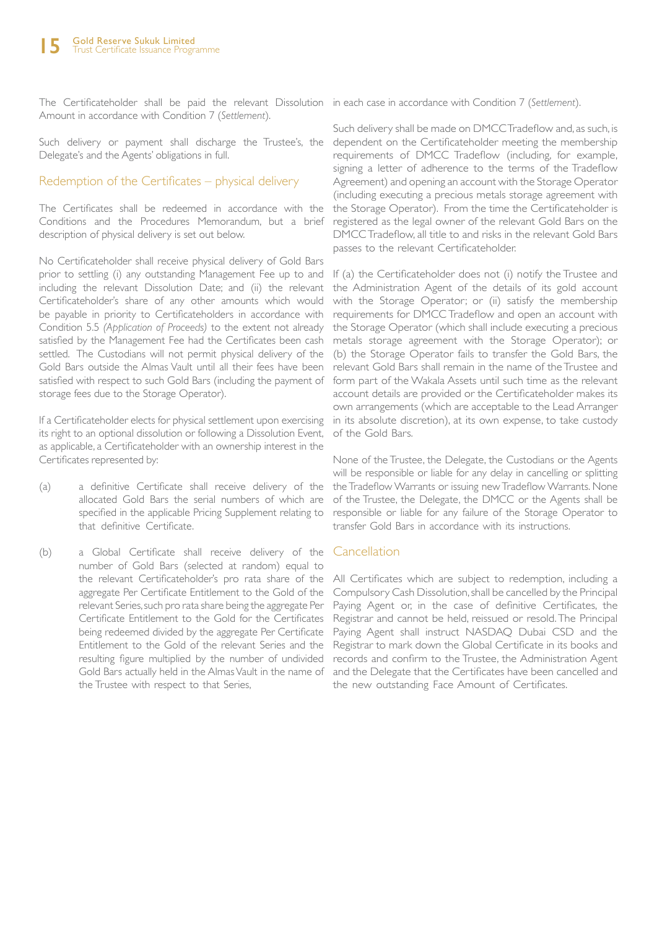The Certificateholder shall be paid the relevant Dissolution in each case in accordance with Condition 7 (*Settlement*). Amount in accordance with Condition 7 (*Settlement*).

Such delivery or payment shall discharge the Trustee's, the Delegate's and the Agents' obligations in full.

#### Redemption of the Certificates – physical delivery

The Certificates shall be redeemed in accordance with the Conditions and the Procedures Memorandum, but a brief description of physical delivery is set out below.

No Certificateholder shall receive physical delivery of Gold Bars prior to settling (i) any outstanding Management Fee up to and including the relevant Dissolution Date; and (ii) the relevant Certificateholder's share of any other amounts which would be payable in priority to Certificateholders in accordance with Condition 5.5 *(Application of Proceeds)* to the extent not already satisfied by the Management Fee had the Certificates been cash settled. The Custodians will not permit physical delivery of the Gold Bars outside the Almas Vault until all their fees have been satisfied with respect to such Gold Bars (including the payment of storage fees due to the Storage Operator).

If a Certificateholder elects for physical settlement upon exercising its right to an optional dissolution or following a Dissolution Event, as applicable, a Certificateholder with an ownership interest in the Certificates represented by:

- (a) a definitive Certificate shall receive delivery of the allocated Gold Bars the serial numbers of which are specified in the applicable Pricing Supplement relating to that definitive Certificate.
- (b) a Global Certificate shall receive delivery of the Cancellation number of Gold Bars (selected at random) equal to the relevant Certificateholder's pro rata share of the aggregate Per Certificate Entitlement to the Gold of the relevant Series, such pro rata share being the aggregate Per Certificate Entitlement to the Gold for the Certificates being redeemed divided by the aggregate Per Certificate Entitlement to the Gold of the relevant Series and the resulting figure multiplied by the number of undivided Gold Bars actually held in the Almas Vault in the name of the Trustee with respect to that Series,

Such delivery shall be made on DMCC Tradeflow and, as such, is dependent on the Certificateholder meeting the membership requirements of DMCC Tradeflow (including, for example, signing a letter of adherence to the terms of the Tradeflow Agreement) and opening an account with the Storage Operator (including executing a precious metals storage agreement with the Storage Operator). From the time the Certificateholder is registered as the legal owner of the relevant Gold Bars on the DMCC Tradeflow, all title to and risks in the relevant Gold Bars passes to the relevant Certificateholder.

If (a) the Certificateholder does not (i) notify the Trustee and the Administration Agent of the details of its gold account with the Storage Operator; or (ii) satisfy the membership requirements for DMCC Tradeflow and open an account with the Storage Operator (which shall include executing a precious metals storage agreement with the Storage Operator); or (b) the Storage Operator fails to transfer the Gold Bars, the relevant Gold Bars shall remain in the name of the Trustee and form part of the Wakala Assets until such time as the relevant account details are provided or the Certificateholder makes its own arrangements (which are acceptable to the Lead Arranger in its absolute discretion), at its own expense, to take custody of the Gold Bars.

None of the Trustee, the Delegate, the Custodians or the Agents will be responsible or liable for any delay in cancelling or splitting the Tradeflow Warrants or issuing new Tradeflow Warrants. None of the Trustee, the Delegate, the DMCC or the Agents shall be responsible or liable for any failure of the Storage Operator to transfer Gold Bars in accordance with its instructions.

All Certificates which are subject to redemption, including a Compulsory Cash Dissolution, shall be cancelled by the Principal Paying Agent or, in the case of definitive Certificates, the Registrar and cannot be held, reissued or resold. The Principal Paying Agent shall instruct NASDAQ Dubai CSD and the Registrar to mark down the Global Certificate in its books and records and confirm to the Trustee, the Administration Agent and the Delegate that the Certificates have been cancelled and the new outstanding Face Amount of Certificates.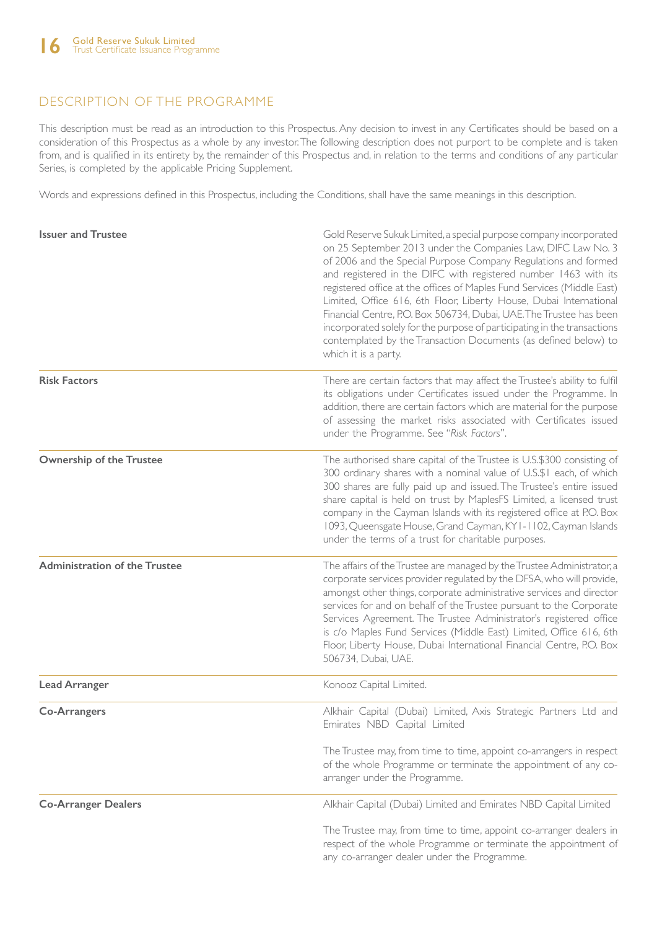# DESCRIPTION OF THE PROGRAMME

This description must be read as an introduction to this Prospectus. Any decision to invest in any Certificates should be based on a consideration of this Prospectus as a whole by any investor. The following description does not purport to be complete and is taken from, and is qualified in its entirety by, the remainder of this Prospectus and, in relation to the terms and conditions of any particular Series, is completed by the applicable Pricing Supplement.

Words and expressions defined in this Prospectus, including the Conditions, shall have the same meanings in this description.

| <b>Issuer and Trustee</b>            | Gold Reserve Sukuk Limited, a special purpose company incorporated<br>on 25 September 2013 under the Companies Law, DIFC Law No. 3<br>of 2006 and the Special Purpose Company Regulations and formed<br>and registered in the DIFC with registered number 1463 with its<br>registered office at the offices of Maples Fund Services (Middle East)<br>Limited, Office 616, 6th Floor, Liberty House, Dubai International<br>Financial Centre, P.O. Box 506734, Dubai, UAE. The Trustee has been<br>incorporated solely for the purpose of participating in the transactions<br>contemplated by the Transaction Documents (as defined below) to<br>which it is a party. |
|--------------------------------------|-----------------------------------------------------------------------------------------------------------------------------------------------------------------------------------------------------------------------------------------------------------------------------------------------------------------------------------------------------------------------------------------------------------------------------------------------------------------------------------------------------------------------------------------------------------------------------------------------------------------------------------------------------------------------|
| <b>Risk Factors</b>                  | There are certain factors that may affect the Trustee's ability to fulfil<br>its obligations under Certificates issued under the Programme. In<br>addition, there are certain factors which are material for the purpose<br>of assessing the market risks associated with Certificates issued<br>under the Programme. See "Risk Factors".                                                                                                                                                                                                                                                                                                                             |
| <b>Ownership of the Trustee</b>      | The authorised share capital of the Trustee is U.S.\$300 consisting of<br>300 ordinary shares with a nominal value of U.S.\$1 each, of which<br>300 shares are fully paid up and issued. The Trustee's entire issued<br>share capital is held on trust by MaplesFS Limited, a licensed trust<br>company in the Cayman Islands with its registered office at P.O. Box<br>1093, Queensgate House, Grand Cayman, KY1-1102, Cayman Islands<br>under the terms of a trust for charitable purposes.                                                                                                                                                                         |
| <b>Administration of the Trustee</b> | The affairs of the Trustee are managed by the Trustee Administrator, a<br>corporate services provider regulated by the DFSA, who will provide,<br>amongst other things, corporate administrative services and director<br>services for and on behalf of the Trustee pursuant to the Corporate<br>Services Agreement. The Trustee Administrator's registered office<br>is c/o Maples Fund Services (Middle East) Limited, Office 616, 6th<br>Floor, Liberty House, Dubai International Financial Centre, P.O. Box<br>506734, Dubai, UAE.                                                                                                                               |
| <b>Lead Arranger</b>                 | Konooz Capital Limited.                                                                                                                                                                                                                                                                                                                                                                                                                                                                                                                                                                                                                                               |
| <b>Co-Arrangers</b>                  | Alkhair Capital (Dubai) Limited, Axis Strategic Partners Ltd and<br>Emirates NBD Capital Limited<br>The Trustee may, from time to time, appoint co-arrangers in respect<br>of the whole Programme or terminate the appointment of any co-<br>arranger under the Programme.                                                                                                                                                                                                                                                                                                                                                                                            |
| <b>Co-Arranger Dealers</b>           | Alkhair Capital (Dubai) Limited and Emirates NBD Capital Limited<br>The Trustee may, from time to time, appoint co-arranger dealers in<br>respect of the whole Programme or terminate the appointment of<br>any co-arranger dealer under the Programme.                                                                                                                                                                                                                                                                                                                                                                                                               |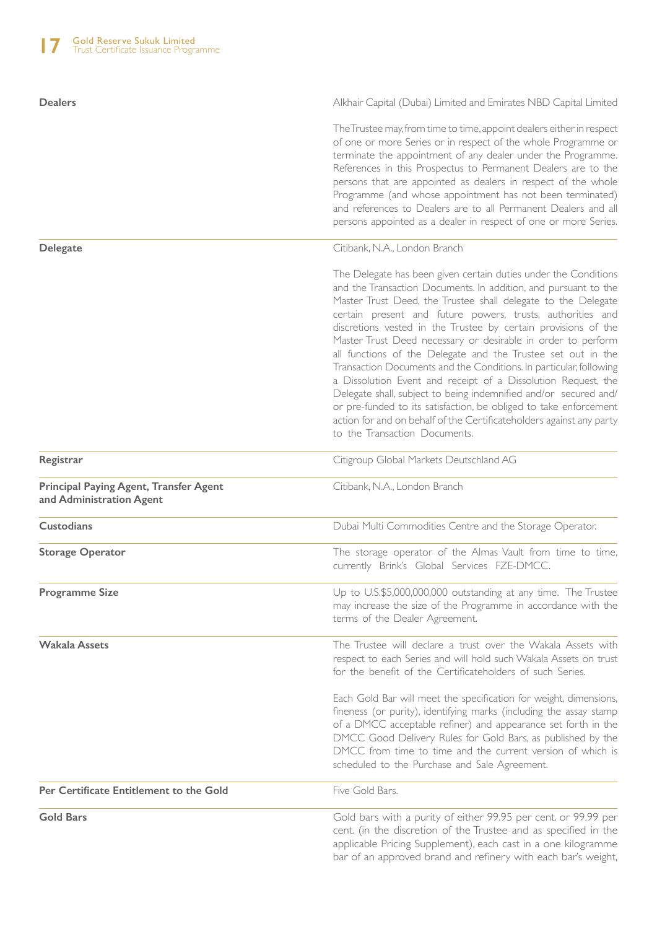| <b>Dealers</b>                                                            | Alkhair Capital (Dubai) Limited and Emirates NBD Capital Limited                                                                                                                                                                                                                                                                                                                                                                                                                                                                                                                                                                                                                                                                                                                                                                                             |
|---------------------------------------------------------------------------|--------------------------------------------------------------------------------------------------------------------------------------------------------------------------------------------------------------------------------------------------------------------------------------------------------------------------------------------------------------------------------------------------------------------------------------------------------------------------------------------------------------------------------------------------------------------------------------------------------------------------------------------------------------------------------------------------------------------------------------------------------------------------------------------------------------------------------------------------------------|
|                                                                           | The Trustee may, from time to time, appoint dealers either in respect<br>of one or more Series or in respect of the whole Programme or<br>terminate the appointment of any dealer under the Programme.<br>References in this Prospectus to Permanent Dealers are to the<br>persons that are appointed as dealers in respect of the whole<br>Programme (and whose appointment has not been terminated)<br>and references to Dealers are to all Permanent Dealers and all<br>persons appointed as a dealer in respect of one or more Series.                                                                                                                                                                                                                                                                                                                   |
| <b>Delegate</b>                                                           | Citibank, N.A., London Branch                                                                                                                                                                                                                                                                                                                                                                                                                                                                                                                                                                                                                                                                                                                                                                                                                                |
|                                                                           | The Delegate has been given certain duties under the Conditions<br>and the Transaction Documents. In addition, and pursuant to the<br>Master Trust Deed, the Trustee shall delegate to the Delegate<br>certain present and future powers, trusts, authorities and<br>discretions vested in the Trustee by certain provisions of the<br>Master Trust Deed necessary or desirable in order to perform<br>all functions of the Delegate and the Trustee set out in the<br>Transaction Documents and the Conditions. In particular, following<br>a Dissolution Event and receipt of a Dissolution Request, the<br>Delegate shall, subject to being indemnified and/or secured and/<br>or pre-funded to its satisfaction, be obliged to take enforcement<br>action for and on behalf of the Certificateholders against any party<br>to the Transaction Documents. |
| Registrar                                                                 | Citigroup Global Markets Deutschland AG                                                                                                                                                                                                                                                                                                                                                                                                                                                                                                                                                                                                                                                                                                                                                                                                                      |
| <b>Principal Paying Agent, Transfer Agent</b><br>and Administration Agent | Citibank, N.A., London Branch                                                                                                                                                                                                                                                                                                                                                                                                                                                                                                                                                                                                                                                                                                                                                                                                                                |
| <b>Custodians</b>                                                         | Dubai Multi Commodities Centre and the Storage Operator.                                                                                                                                                                                                                                                                                                                                                                                                                                                                                                                                                                                                                                                                                                                                                                                                     |
| <b>Storage Operator</b>                                                   | The storage operator of the Almas Vault from time to time,<br>currently Brink's Global Services FZE-DMCC.                                                                                                                                                                                                                                                                                                                                                                                                                                                                                                                                                                                                                                                                                                                                                    |
| <b>Programme Size</b>                                                     | Up to U.S.\$5,000,000,000 outstanding at any time. The Trustee<br>may increase the size of the Programme in accordance with the<br>terms of the Dealer Agreement.                                                                                                                                                                                                                                                                                                                                                                                                                                                                                                                                                                                                                                                                                            |
| <b>Wakala Assets</b>                                                      | The Trustee will declare a trust over the Wakala Assets with<br>respect to each Series and will hold such Wakala Assets on trust<br>for the benefit of the Certificateholders of such Series.<br>Each Gold Bar will meet the specification for weight, dimensions,<br>fineness (or purity), identifying marks (including the assay stamp<br>of a DMCC acceptable refiner) and appearance set forth in the<br>DMCC Good Delivery Rules for Gold Bars, as published by the<br>DMCC from time to time and the current version of which is<br>scheduled to the Purchase and Sale Agreement.                                                                                                                                                                                                                                                                      |
| Per Certificate Entitlement to the Gold                                   | Five Gold Bars.                                                                                                                                                                                                                                                                                                                                                                                                                                                                                                                                                                                                                                                                                                                                                                                                                                              |
| <b>Gold Bars</b>                                                          | Gold bars with a purity of either 99.95 per cent. or 99.99 per<br>cent. (in the discretion of the Trustee and as specified in the<br>applicable Pricing Supplement), each cast in a one kilogramme<br>bar of an approved brand and refinery with each bar's weight,                                                                                                                                                                                                                                                                                                                                                                                                                                                                                                                                                                                          |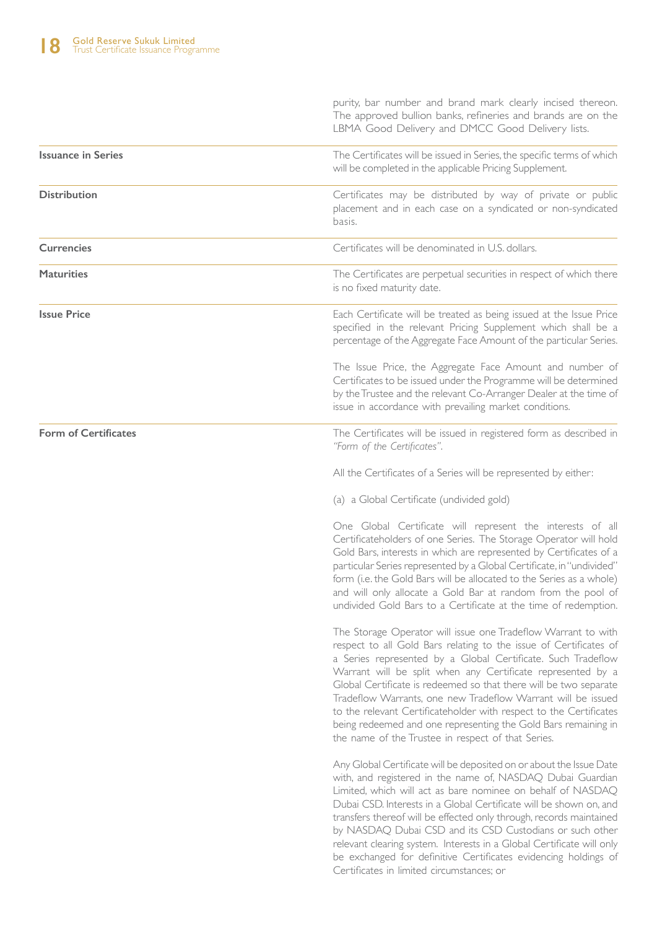|                             | purity, bar number and brand mark clearly incised thereon.<br>The approved bullion banks, refineries and brands are on the<br>LBMA Good Delivery and DMCC Good Delivery lists.                                                                                                                                                                                                                                                                                                                                                                                                                       |
|-----------------------------|------------------------------------------------------------------------------------------------------------------------------------------------------------------------------------------------------------------------------------------------------------------------------------------------------------------------------------------------------------------------------------------------------------------------------------------------------------------------------------------------------------------------------------------------------------------------------------------------------|
| <b>Issuance in Series</b>   | The Certificates will be issued in Series, the specific terms of which<br>will be completed in the applicable Pricing Supplement.                                                                                                                                                                                                                                                                                                                                                                                                                                                                    |
| <b>Distribution</b>         | Certificates may be distributed by way of private or public<br>placement and in each case on a syndicated or non-syndicated<br>basis.                                                                                                                                                                                                                                                                                                                                                                                                                                                                |
| <b>Currencies</b>           | Certificates will be denominated in U.S. dollars.                                                                                                                                                                                                                                                                                                                                                                                                                                                                                                                                                    |
| <b>Maturities</b>           | The Certificates are perpetual securities in respect of which there<br>is no fixed maturity date.                                                                                                                                                                                                                                                                                                                                                                                                                                                                                                    |
| <b>Issue Price</b>          | Each Certificate will be treated as being issued at the Issue Price<br>specified in the relevant Pricing Supplement which shall be a<br>percentage of the Aggregate Face Amount of the particular Series.                                                                                                                                                                                                                                                                                                                                                                                            |
|                             | The Issue Price, the Aggregate Face Amount and number of<br>Certificates to be issued under the Programme will be determined<br>by the Trustee and the relevant Co-Arranger Dealer at the time of<br>issue in accordance with prevailing market conditions.                                                                                                                                                                                                                                                                                                                                          |
| <b>Form of Certificates</b> | The Certificates will be issued in registered form as described in<br>"Form of the Certificates".                                                                                                                                                                                                                                                                                                                                                                                                                                                                                                    |
|                             | All the Certificates of a Series will be represented by either:                                                                                                                                                                                                                                                                                                                                                                                                                                                                                                                                      |
|                             | (a) a Global Certificate (undivided gold)                                                                                                                                                                                                                                                                                                                                                                                                                                                                                                                                                            |
|                             | One Global Certificate will represent the interests of all<br>Certificateholders of one Series. The Storage Operator will hold<br>Gold Bars, interests in which are represented by Certificates of a<br>particular Series represented by a Global Certificate, in "undivided"<br>form (i.e. the Gold Bars will be allocated to the Series as a whole)<br>and will only allocate a Gold Bar at random from the pool of<br>undivided Gold Bars to a Certificate at the time of redemption.                                                                                                             |
|                             | The Storage Operator will issue one Tradeflow Warrant to with<br>respect to all Gold Bars relating to the issue of Certificates of<br>a Series represented by a Global Certificate. Such Tradeflow<br>Warrant will be split when any Certificate represented by a<br>Global Certificate is redeemed so that there will be two separate<br>Tradeflow Warrants, one new Tradeflow Warrant will be issued<br>to the relevant Certificateholder with respect to the Certificates<br>being redeemed and one representing the Gold Bars remaining in<br>the name of the Trustee in respect of that Series. |
|                             | Any Global Certificate will be deposited on or about the Issue Date<br>with, and registered in the name of, NASDAQ Dubai Guardian<br>Limited, which will act as bare nominee on behalf of NASDAQ<br>Dubai CSD, Interests in a Global Certificate will be shown on, and<br>transfers thereof will be effected only through, records maintained<br>by NASDAQ Dubai CSD and its CSD Custodians or such other<br>relevant clearing system. Interests in a Global Certificate will only<br>be exchanged for definitive Certificates evidencing holdings of<br>Certificates in limited circumstances; or   |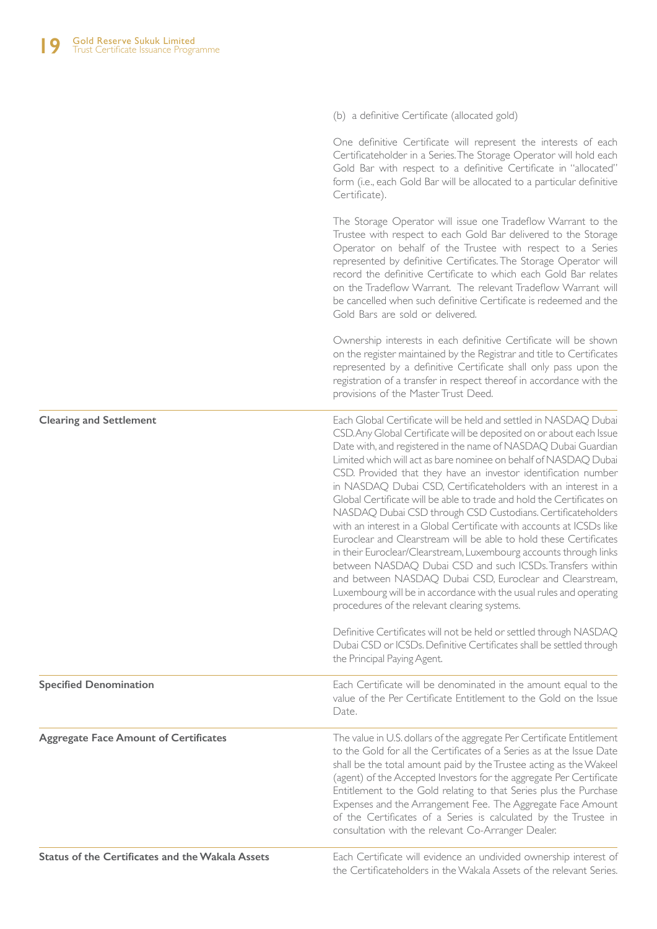|                                                         | (b) a definitive Certificate (allocated gold)                                                                                                                                                                                                                                                                                                                                                                                                                                                                                                                                                                                                                                                                                                                                                                                                                                                                                                                                                                               |
|---------------------------------------------------------|-----------------------------------------------------------------------------------------------------------------------------------------------------------------------------------------------------------------------------------------------------------------------------------------------------------------------------------------------------------------------------------------------------------------------------------------------------------------------------------------------------------------------------------------------------------------------------------------------------------------------------------------------------------------------------------------------------------------------------------------------------------------------------------------------------------------------------------------------------------------------------------------------------------------------------------------------------------------------------------------------------------------------------|
|                                                         | One definitive Certificate will represent the interests of each<br>Certificateholder in a Series. The Storage Operator will hold each<br>Gold Bar with respect to a definitive Certificate in "allocated"<br>form (i.e., each Gold Bar will be allocated to a particular definitive<br>Certificate).                                                                                                                                                                                                                                                                                                                                                                                                                                                                                                                                                                                                                                                                                                                        |
|                                                         | The Storage Operator will issue one Tradeflow Warrant to the<br>Trustee with respect to each Gold Bar delivered to the Storage<br>Operator on behalf of the Trustee with respect to a Series<br>represented by definitive Certificates. The Storage Operator will<br>record the definitive Certificate to which each Gold Bar relates<br>on the Tradeflow Warrant. The relevant Tradeflow Warrant will<br>be cancelled when such definitive Certificate is redeemed and the<br>Gold Bars are sold or delivered.                                                                                                                                                                                                                                                                                                                                                                                                                                                                                                             |
|                                                         | Ownership interests in each definitive Certificate will be shown<br>on the register maintained by the Registrar and title to Certificates<br>represented by a definitive Certificate shall only pass upon the<br>registration of a transfer in respect thereof in accordance with the<br>provisions of the Master Trust Deed.                                                                                                                                                                                                                                                                                                                                                                                                                                                                                                                                                                                                                                                                                               |
| <b>Clearing and Settlement</b>                          | Each Global Certificate will be held and settled in NASDAQ Dubai<br>CSD. Any Global Certificate will be deposited on or about each Issue<br>Date with, and registered in the name of NASDAQ Dubai Guardian<br>Limited which will act as bare nominee on behalf of NASDAQ Dubai<br>CSD. Provided that they have an investor identification number<br>in NASDAQ Dubai CSD, Certificateholders with an interest in a<br>Global Certificate will be able to trade and hold the Certificates on<br>NASDAQ Dubai CSD through CSD Custodians. Certificateholders<br>with an interest in a Global Certificate with accounts at ICSDs like<br>Euroclear and Clearstream will be able to hold these Certificates<br>in their Euroclear/Clearstream, Luxembourg accounts through links<br>between NASDAQ Dubai CSD and such ICSDs. Transfers within<br>and between NASDAQ Dubai CSD, Euroclear and Clearstream,<br>Luxembourg will be in accordance with the usual rules and operating<br>procedures of the relevant clearing systems. |
|                                                         | Definitive Certificates will not be held or settled through NASDAQ<br>Dubai CSD or ICSDs. Definitive Certificates shall be settled through<br>the Principal Paying Agent.                                                                                                                                                                                                                                                                                                                                                                                                                                                                                                                                                                                                                                                                                                                                                                                                                                                   |
| <b>Specified Denomination</b>                           | Each Certificate will be denominated in the amount equal to the<br>value of the Per Certificate Entitlement to the Gold on the Issue<br>Date.                                                                                                                                                                                                                                                                                                                                                                                                                                                                                                                                                                                                                                                                                                                                                                                                                                                                               |
| <b>Aggregate Face Amount of Certificates</b>            | The value in U.S. dollars of the aggregate Per Certificate Entitlement<br>to the Gold for all the Certificates of a Series as at the Issue Date<br>shall be the total amount paid by the Trustee acting as the Wakeel<br>(agent) of the Accepted Investors for the aggregate Per Certificate<br>Entitlement to the Gold relating to that Series plus the Purchase<br>Expenses and the Arrangement Fee. The Aggregate Face Amount<br>of the Certificates of a Series is calculated by the Trustee in<br>consultation with the relevant Co-Arranger Dealer.                                                                                                                                                                                                                                                                                                                                                                                                                                                                   |
| <b>Status of the Certificates and the Wakala Assets</b> | Each Certificate will evidence an undivided ownership interest of<br>the Certificateholders in the Wakala Assets of the relevant Series.                                                                                                                                                                                                                                                                                                                                                                                                                                                                                                                                                                                                                                                                                                                                                                                                                                                                                    |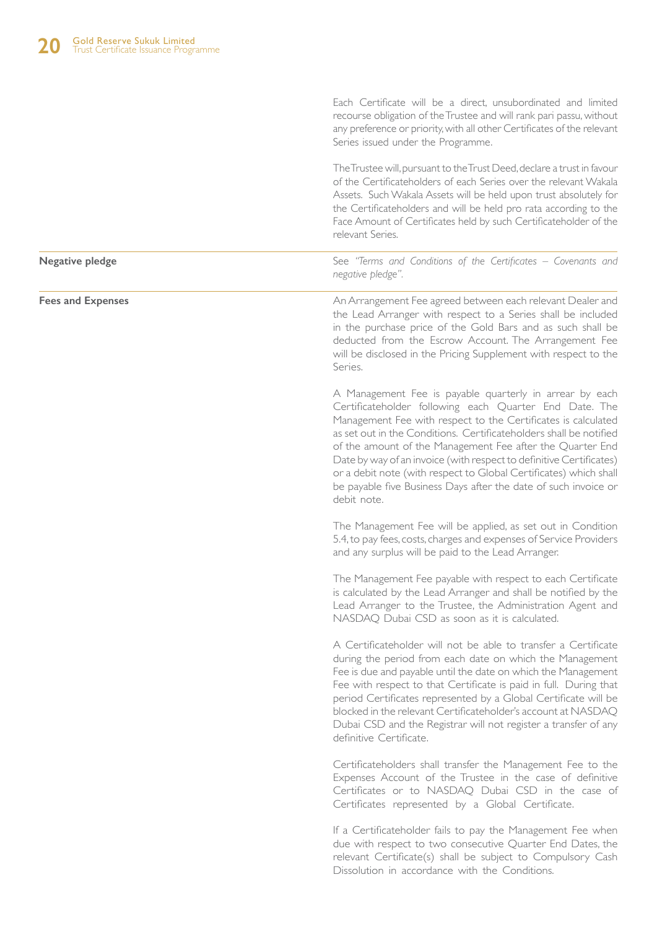Each Certificate will be a direct, unsubordinated and limited recourse obligation of the Trustee and will rank pari passu, without any preference or priority, with all other Certificates of the relevant Series issued under the Programme.

The Trustee will, pursuant to the Trust Deed, declare a trust in favour of the Certificateholders of each Series over the relevant Wakala Assets. Such Wakala Assets will be held upon trust absolutely for the Certificateholders and will be held pro rata according to the Face Amount of Certificates held by such Certificateholder of the relevant Series.

See *"Terms and Conditions of the Certificates – Covenants and negative pledge".*

**Fees and Expenses**

**Negative pledge**

An Arrangement Fee agreed between each relevant Dealer and the Lead Arranger with respect to a Series shall be included in the purchase price of the Gold Bars and as such shall be deducted from the Escrow Account. The Arrangement Fee will be disclosed in the Pricing Supplement with respect to the Series.

A Management Fee is payable quarterly in arrear by each Certificateholder following each Quarter End Date. The Management Fee with respect to the Certificates is calculated as set out in the Conditions. Certificateholders shall be notified of the amount of the Management Fee after the Quarter End Date by way of an invoice (with respect to definitive Certificates) or a debit note (with respect to Global Certificates) which shall be payable five Business Days after the date of such invoice or debit note.

The Management Fee will be applied, as set out in Condition 5.4, to pay fees, costs, charges and expenses of Service Providers and any surplus will be paid to the Lead Arranger.

The Management Fee payable with respect to each Certificate is calculated by the Lead Arranger and shall be notified by the Lead Arranger to the Trustee, the Administration Agent and NASDAQ Dubai CSD as soon as it is calculated.

A Certificateholder will not be able to transfer a Certificate during the period from each date on which the Management Fee is due and payable until the date on which the Management Fee with respect to that Certificate is paid in full. During that period Certificates represented by a Global Certificate will be blocked in the relevant Certificateholder's account at NASDAQ Dubai CSD and the Registrar will not register a transfer of any definitive Certificate.

Certificateholders shall transfer the Management Fee to the Expenses Account of the Trustee in the case of definitive Certificates or to NASDAQ Dubai CSD in the case of Certificates represented by a Global Certificate.

If a Certificateholder fails to pay the Management Fee when due with respect to two consecutive Quarter End Dates, the relevant Certificate(s) shall be subject to Compulsory Cash Dissolution in accordance with the Conditions.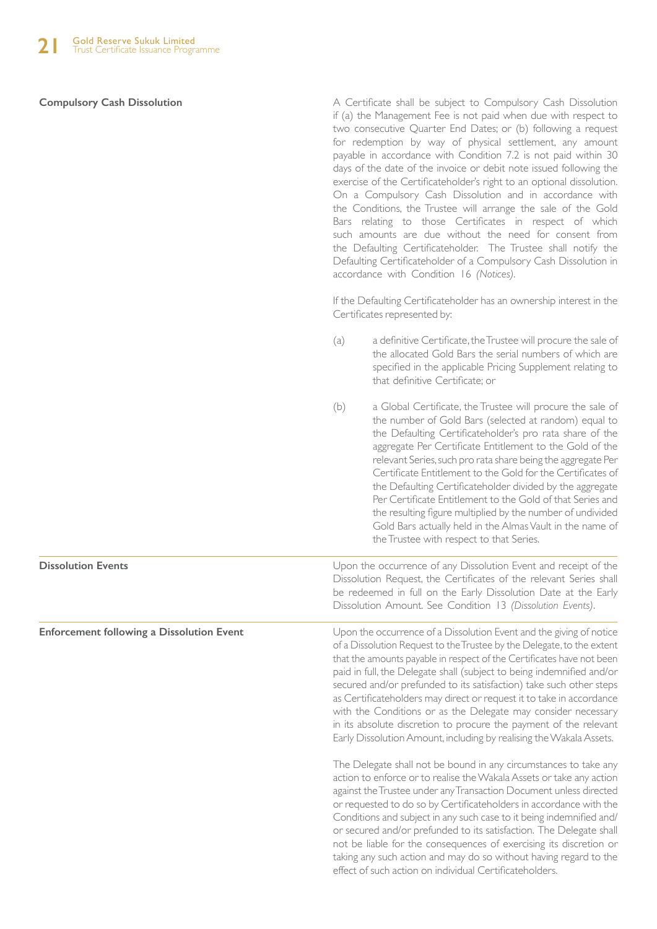#### **Compulsory Cash Dissolution**

A Certificate shall be subject to Compulsory Cash Dissolution if (a) the Management Fee is not paid when due with respect to two consecutive Quarter End Dates; or (b) following a request for redemption by way of physical settlement, any amount payable in accordance with Condition 7.2 is not paid within 30 days of the date of the invoice or debit note issued following the exercise of the Certificateholder's right to an optional dissolution. On a Compulsory Cash Dissolution and in accordance with the Conditions, the Trustee will arrange the sale of the Gold Bars relating to those Certificates in respect of which such amounts are due without the need for consent from the Defaulting Certificateholder. The Trustee shall notify the Defaulting Certificateholder of a Compulsory Cash Dissolution in accordance with Condition 16 *(Notices)*.

If the Defaulting Certificateholder has an ownership interest in the Certificates represented by:

- (a) a definitive Certificate, the Trustee will procure the sale of the allocated Gold Bars the serial numbers of which are specified in the applicable Pricing Supplement relating to that definitive Certificate; or
- (b) a Global Certificate, the Trustee will procure the sale of the number of Gold Bars (selected at random) equal to the Defaulting Certificateholder's pro rata share of the aggregate Per Certificate Entitlement to the Gold of the relevant Series, such pro rata share being the aggregate Per Certificate Entitlement to the Gold for the Certificates of the Defaulting Certificateholder divided by the aggregate Per Certificate Entitlement to the Gold of that Series and the resulting figure multiplied by the number of undivided Gold Bars actually held in the Almas Vault in the name of the Trustee with respect to that Series.

**Dissolution Events** Upon the occurrence of any Dissolution Event and receipt of the Dissolution Request, the Certificates of the relevant Series shall be redeemed in full on the Early Dissolution Date at the Early Dissolution Amount. See Condition 13 *(Dissolution Events)*.

**Enforcement following a Dissolution Event**

Upon the occurrence of a Dissolution Event and the giving of notice of a Dissolution Request to the Trustee by the Delegate, to the extent that the amounts payable in respect of the Certificates have not been paid in full, the Delegate shall (subject to being indemnified and/or secured and/or prefunded to its satisfaction) take such other steps as Certificateholders may direct or request it to take in accordance with the Conditions or as the Delegate may consider necessary in its absolute discretion to procure the payment of the relevant Early Dissolution Amount, including by realising the Wakala Assets.

The Delegate shall not be bound in any circumstances to take any action to enforce or to realise the Wakala Assets or take any action against the Trustee under any Transaction Document unless directed or requested to do so by Certificateholders in accordance with the Conditions and subject in any such case to it being indemnified and/ or secured and/or prefunded to its satisfaction. The Delegate shall not be liable for the consequences of exercising its discretion or taking any such action and may do so without having regard to the effect of such action on individual Certificateholders.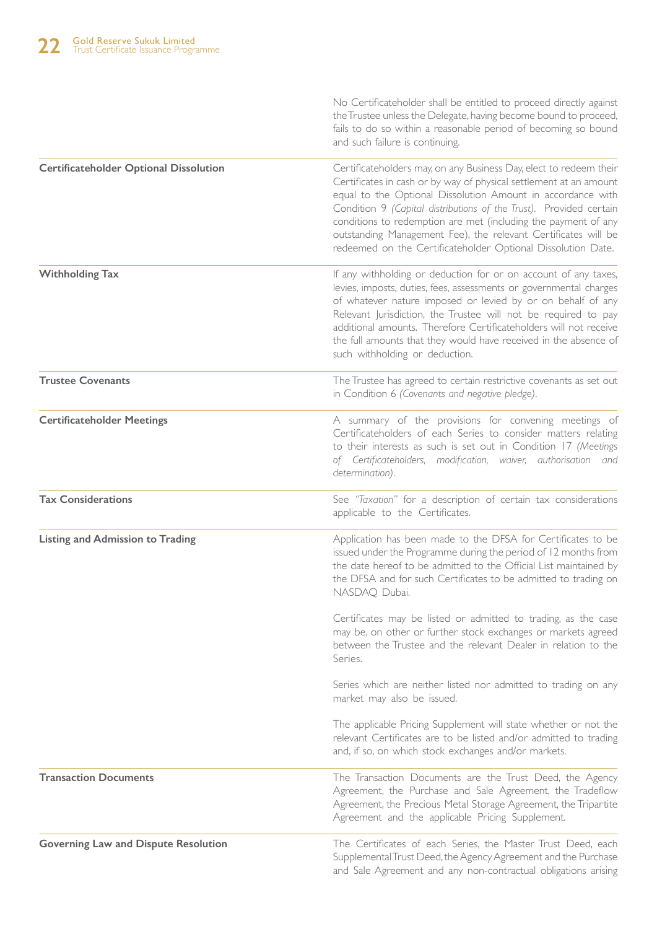|                                               | No Certificateholder shall be entitled to proceed directly against<br>the Trustee unless the Delegate, having become bound to proceed,<br>fails to do so within a reasonable period of becoming so bound<br>and such failure is continuing.                                                                                                                                                                                                                                       |
|-----------------------------------------------|-----------------------------------------------------------------------------------------------------------------------------------------------------------------------------------------------------------------------------------------------------------------------------------------------------------------------------------------------------------------------------------------------------------------------------------------------------------------------------------|
| <b>Certificateholder Optional Dissolution</b> | Certificateholders may, on any Business Day, elect to redeem their<br>Certificates in cash or by way of physical settlement at an amount<br>equal to the Optional Dissolution Amount in accordance with<br>Condition 9 (Capital distributions of the Trust). Provided certain<br>conditions to redemption are met (including the payment of any<br>outstanding Management Fee), the relevant Certificates will be<br>redeemed on the Certificateholder Optional Dissolution Date. |
| <b>Withholding Tax</b>                        | If any withholding or deduction for or on account of any taxes,<br>levies, imposts, duties, fees, assessments or governmental charges<br>of whatever nature imposed or levied by or on behalf of any<br>Relevant Jurisdiction, the Trustee will not be required to pay<br>additional amounts. Therefore Certificateholders will not receive<br>the full amounts that they would have received in the absence of<br>such withholding or deduction.                                 |
| <b>Trustee Covenants</b>                      | The Trustee has agreed to certain restrictive covenants as set out<br>in Condition 6 (Covenants and negative pledge).                                                                                                                                                                                                                                                                                                                                                             |
| <b>Certificateholder Meetings</b>             | A summary of the provisions for convening meetings of<br>Certificateholders of each Series to consider matters relating<br>to their interests as such is set out in Condition 17 (Meetings<br>of Certificateholders, modification, waiver, authorisation and<br>determination).                                                                                                                                                                                                   |
| <b>Tax Considerations</b>                     | See "Taxation" for a description of certain tax considerations<br>applicable to the Certificates.                                                                                                                                                                                                                                                                                                                                                                                 |
| <b>Listing and Admission to Trading</b>       | Application has been made to the DFSA for Certificates to be<br>issued under the Programme during the period of 12 months from<br>the date hereof to be admitted to the Official List maintained by<br>the DFSA and for such Certificates to be admitted to trading on<br>NASDAQ Dubai.                                                                                                                                                                                           |
|                                               | Certificates may be listed or admitted to trading, as the case<br>may be, on other or further stock exchanges or markets agreed<br>between the Trustee and the relevant Dealer in relation to the<br>Series.                                                                                                                                                                                                                                                                      |
|                                               | Series which are neither listed nor admitted to trading on any<br>market may also be issued.                                                                                                                                                                                                                                                                                                                                                                                      |
|                                               | The applicable Pricing Supplement will state whether or not the<br>relevant Certificates are to be listed and/or admitted to trading<br>and, if so, on which stock exchanges and/or markets.                                                                                                                                                                                                                                                                                      |
| <b>Transaction Documents</b>                  | The Transaction Documents are the Trust Deed, the Agency<br>Agreement, the Purchase and Sale Agreement, the Tradeflow<br>Agreement, the Precious Metal Storage Agreement, the Tripartite<br>Agreement and the applicable Pricing Supplement.                                                                                                                                                                                                                                      |
| <b>Governing Law and Dispute Resolution</b>   | The Certificates of each Series, the Master Trust Deed, each<br>Supplemental Trust Deed, the Agency Agreement and the Purchase<br>and Sale Agreement and any non-contractual obligations arising                                                                                                                                                                                                                                                                                  |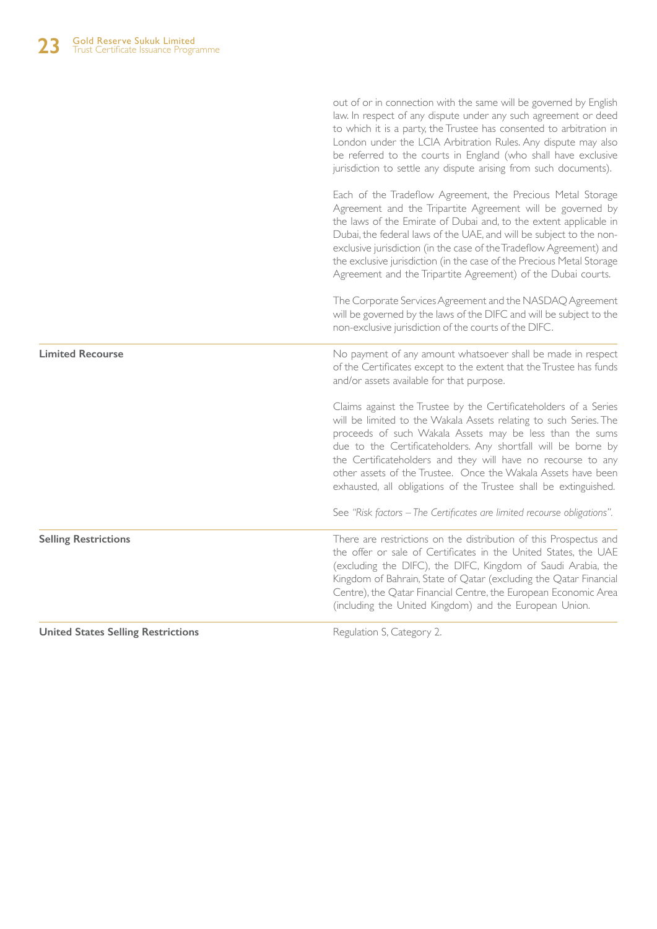|                             | out of or in connection with the same will be governed by English<br>law. In respect of any dispute under any such agreement or deed<br>to which it is a party, the Trustee has consented to arbitration in<br>London under the LCIA Arbitration Rules. Any dispute may also<br>be referred to the courts in England (who shall have exclusive<br>jurisdiction to settle any dispute arising from such documents).                                                                    |
|-----------------------------|---------------------------------------------------------------------------------------------------------------------------------------------------------------------------------------------------------------------------------------------------------------------------------------------------------------------------------------------------------------------------------------------------------------------------------------------------------------------------------------|
|                             | Each of the Tradeflow Agreement, the Precious Metal Storage<br>Agreement and the Tripartite Agreement will be governed by<br>the laws of the Emirate of Dubai and, to the extent applicable in<br>Dubai, the federal laws of the UAE, and will be subject to the non-<br>exclusive jurisdiction (in the case of the Tradeflow Agreement) and<br>the exclusive jurisdiction (in the case of the Precious Metal Storage<br>Agreement and the Tripartite Agreement) of the Dubai courts. |
|                             | The Corporate Services Agreement and the NASDAQ Agreement<br>will be governed by the laws of the DIFC and will be subject to the<br>non-exclusive jurisdiction of the courts of the DIFC.                                                                                                                                                                                                                                                                                             |
| <b>Limited Recourse</b>     | No payment of any amount whatsoever shall be made in respect<br>of the Certificates except to the extent that the Trustee has funds<br>and/or assets available for that purpose.                                                                                                                                                                                                                                                                                                      |
|                             | Claims against the Trustee by the Certificateholders of a Series<br>will be limited to the Wakala Assets relating to such Series. The<br>proceeds of such Wakala Assets may be less than the sums<br>due to the Certificateholders. Any shortfall will be borne by<br>the Certificateholders and they will have no recourse to any<br>other assets of the Trustee. Once the Wakala Assets have been<br>exhausted, all obligations of the Trustee shall be extinguished.               |
|                             | See "Risk factors - The Certificates are limited recourse obligations".                                                                                                                                                                                                                                                                                                                                                                                                               |
| <b>Selling Restrictions</b> | There are restrictions on the distribution of this Prospectus and<br>the offer or sale of Certificates in the United States, the UAE<br>(excluding the DIFC), the DIFC, Kingdom of Saudi Arabia, the<br>Kingdom of Bahrain, State of Qatar (excluding the Qatar Financial<br>Centre), the Qatar Financial Centre, the European Economic Area<br>(including the United Kingdom) and the European Union.                                                                                |
|                             |                                                                                                                                                                                                                                                                                                                                                                                                                                                                                       |

**United States Selling Restrictions**

Regulation S, Category 2.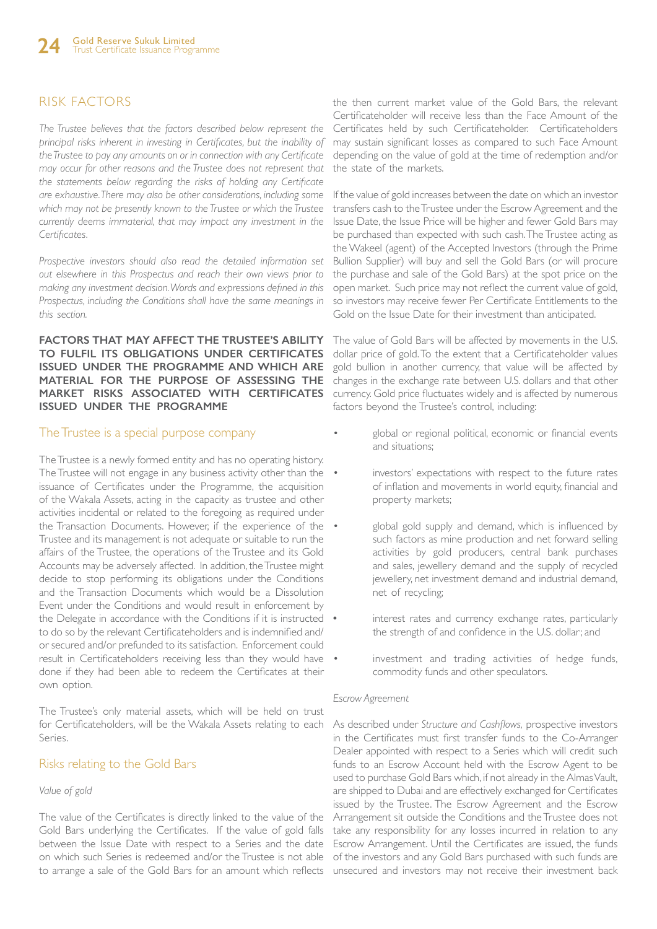# RISK FACTORS

*The Trustee believes that the factors described below represent the principal risks inherent in investing in Certificates, but the inability of the Trustee to pay any amounts on or in connection with any Certificate may occur for other reasons and the Trustee does not represent that the statements below regarding the risks of holding any Certificate are exhaustive. There may also be other considerations, including some which may not be presently known to the Trustee or which the Trustee currently deems immaterial, that may impact any investment in the Certificates.* 

*Prospective investors should also read the detailed information set out elsewhere in this Prospectus and reach their own views prior to making any investment decision. Words and expressions defined in this Prospectus, including the Conditions shall have the same meanings in this section.*

**FACTORS THAT MAY AFFECT THE TRUSTEE'S ABILITY TO FULFIL ITS OBLIGATIONS UNDER CERTIFICATES ISSUED UNDER THE PROGRAMME AND WHICH ARE MATERIAL FOR THE PURPOSE OF ASSESSING THE MARKET RISKS ASSOCIATED WITH CERTIFICATES ISSUED UNDER THE PROGRAMME**

#### The Trustee is a special purpose company

The Trustee is a newly formed entity and has no operating history. The Trustee will not engage in any business activity other than the • issuance of Certificates under the Programme, the acquisition of the Wakala Assets, acting in the capacity as trustee and other activities incidental or related to the foregoing as required under the Transaction Documents. However, if the experience of the Trustee and its management is not adequate or suitable to run the affairs of the Trustee, the operations of the Trustee and its Gold Accounts may be adversely affected. In addition, the Trustee might decide to stop performing its obligations under the Conditions and the Transaction Documents which would be a Dissolution Event under the Conditions and would result in enforcement by the Delegate in accordance with the Conditions if it is instructed • to do so by the relevant Certificateholders and is indemnified and/ or secured and/or prefunded to its satisfaction. Enforcement could result in Certificateholders receiving less than they would have . done if they had been able to redeem the Certificates at their own option.

The Trustee's only material assets, which will be held on trust for Certificateholders, will be the Wakala Assets relating to each Series.

#### Risks relating to the Gold Bars

#### *Value of gold*

The value of the Certificates is directly linked to the value of the Gold Bars underlying the Certificates. If the value of gold falls between the Issue Date with respect to a Series and the date on which such Series is redeemed and/or the Trustee is not able

the then current market value of the Gold Bars, the relevant Certificateholder will receive less than the Face Amount of the Certificates held by such Certificateholder. Certificateholders may sustain significant losses as compared to such Face Amount depending on the value of gold at the time of redemption and/or the state of the markets.

If the value of gold increases between the date on which an investor transfers cash to the Trustee under the Escrow Agreement and the Issue Date, the Issue Price will be higher and fewer Gold Bars may be purchased than expected with such cash. The Trustee acting as the Wakeel (agent) of the Accepted Investors (through the Prime Bullion Supplier) will buy and sell the Gold Bars (or will procure the purchase and sale of the Gold Bars) at the spot price on the open market. Such price may not reflect the current value of gold, so investors may receive fewer Per Certificate Entitlements to the Gold on the Issue Date for their investment than anticipated.

The value of Gold Bars will be affected by movements in the U.S. dollar price of gold. To the extent that a Certificateholder values gold bullion in another currency, that value will be affected by changes in the exchange rate between U.S. dollars and that other currency. Gold price fluctuates widely and is affected by numerous factors beyond the Trustee's control, including:

- global or regional political, economic or financial events and situations;
	- investors' expectations with respect to the future rates of inflation and movements in world equity, financial and property markets;
	- global gold supply and demand, which is influenced by such factors as mine production and net forward selling activities by gold producers, central bank purchases and sales, jewellery demand and the supply of recycled jewellery, net investment demand and industrial demand, net of recycling;
	- **•** interest rates and currency exchange rates, particularly the strength of and confidence in the U.S. dollar; and
- investment and trading activities of hedge funds, commodity funds and other speculators.

#### *Escrow Agreement*

to arrange a sale of the Gold Bars for an amount which reflects unsecured and investors may not receive their investment back As described under *Structure and Cashflows,* prospective investors in the Certificates must first transfer funds to the Co-Arranger Dealer appointed with respect to a Series which will credit such funds to an Escrow Account held with the Escrow Agent to be used to purchase Gold Bars which, if not already in the Almas Vault, are shipped to Dubai and are effectively exchanged for Certificates issued by the Trustee. The Escrow Agreement and the Escrow Arrangement sit outside the Conditions and the Trustee does not take any responsibility for any losses incurred in relation to any Escrow Arrangement. Until the Certificates are issued, the funds of the investors and any Gold Bars purchased with such funds are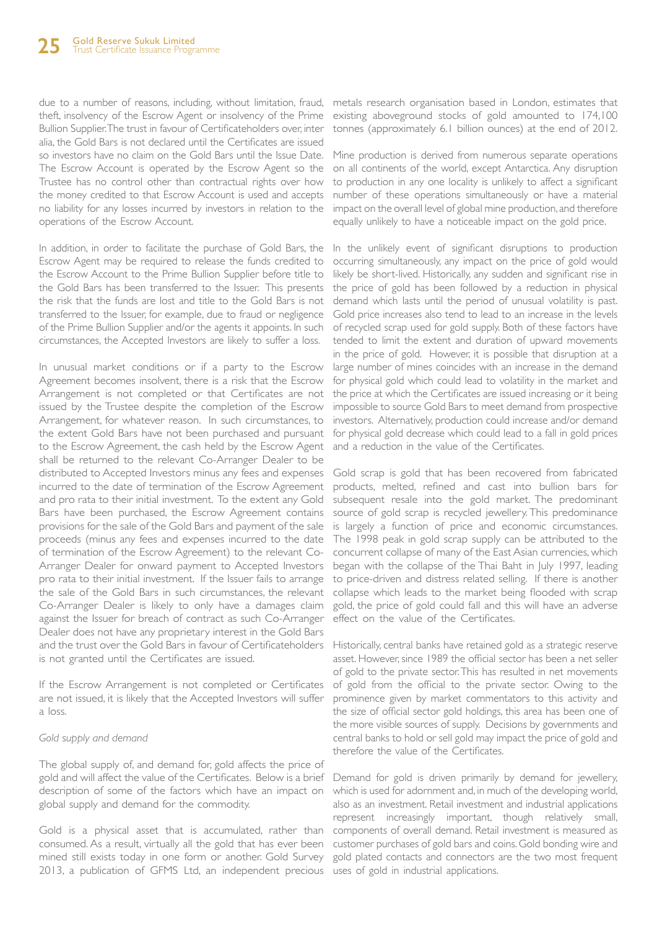due to a number of reasons, including, without limitation, fraud, metals research organisation based in London, estimates that theft, insolvency of the Escrow Agent or insolvency of the Prime Bullion Supplier. The trust in favour of Certificateholders over, inter alia, the Gold Bars is not declared until the Certificates are issued so investors have no claim on the Gold Bars until the Issue Date. The Escrow Account is operated by the Escrow Agent so the Trustee has no control other than contractual rights over how the money credited to that Escrow Account is used and accepts no liability for any losses incurred by investors in relation to the operations of the Escrow Account.

In addition, in order to facilitate the purchase of Gold Bars, the Escrow Agent may be required to release the funds credited to the Escrow Account to the Prime Bullion Supplier before title to the Gold Bars has been transferred to the Issuer. This presents the risk that the funds are lost and title to the Gold Bars is not transferred to the Issuer, for example, due to fraud or negligence of the Prime Bullion Supplier and/or the agents it appoints. In such circumstances, the Accepted Investors are likely to suffer a loss.

In unusual market conditions or if a party to the Escrow Agreement becomes insolvent, there is a risk that the Escrow Arrangement is not completed or that Certificates are not issued by the Trustee despite the completion of the Escrow Arrangement, for whatever reason. In such circumstances, to the extent Gold Bars have not been purchased and pursuant to the Escrow Agreement, the cash held by the Escrow Agent shall be returned to the relevant Co-Arranger Dealer to be distributed to Accepted Investors minus any fees and expenses incurred to the date of termination of the Escrow Agreement and pro rata to their initial investment. To the extent any Gold Bars have been purchased, the Escrow Agreement contains provisions for the sale of the Gold Bars and payment of the sale proceeds (minus any fees and expenses incurred to the date of termination of the Escrow Agreement) to the relevant Co-Arranger Dealer for onward payment to Accepted Investors pro rata to their initial investment. If the Issuer fails to arrange the sale of the Gold Bars in such circumstances, the relevant Co-Arranger Dealer is likely to only have a damages claim against the Issuer for breach of contract as such Co-Arranger Dealer does not have any proprietary interest in the Gold Bars and the trust over the Gold Bars in favour of Certificateholders is not granted until the Certificates are issued.

If the Escrow Arrangement is not completed or Certificates are not issued, it is likely that the Accepted Investors will suffer a loss.

#### *Gold supply and demand*

The global supply of, and demand for, gold affects the price of gold and will affect the value of the Certificates. Below is a brief description of some of the factors which have an impact on global supply and demand for the commodity.

Gold is a physical asset that is accumulated, rather than consumed. As a result, virtually all the gold that has ever been mined still exists today in one form or another. Gold Survey gold plated contacts and connectors are the two most frequent 2013, a publication of GFMS Ltd, an independent precious uses of gold in industrial applications.

existing aboveground stocks of gold amounted to 174,100 tonnes (approximately 6.1 billion ounces) at the end of 2012.

Mine production is derived from numerous separate operations on all continents of the world, except Antarctica. Any disruption to production in any one locality is unlikely to affect a significant number of these operations simultaneously or have a material impact on the overall level of global mine production, and therefore equally unlikely to have a noticeable impact on the gold price.

In the unlikely event of significant disruptions to production occurring simultaneously, any impact on the price of gold would likely be short-lived. Historically, any sudden and significant rise in the price of gold has been followed by a reduction in physical demand which lasts until the period of unusual volatility is past. Gold price increases also tend to lead to an increase in the levels of recycled scrap used for gold supply. Both of these factors have tended to limit the extent and duration of upward movements in the price of gold. However, it is possible that disruption at a large number of mines coincides with an increase in the demand for physical gold which could lead to volatility in the market and the price at which the Certificates are issued increasing or it being impossible to source Gold Bars to meet demand from prospective investors. Alternatively, production could increase and/or demand for physical gold decrease which could lead to a fall in gold prices and a reduction in the value of the Certificates.

Gold scrap is gold that has been recovered from fabricated products, melted, refined and cast into bullion bars for subsequent resale into the gold market. The predominant source of gold scrap is recycled jewellery. This predominance is largely a function of price and economic circumstances. The 1998 peak in gold scrap supply can be attributed to the concurrent collapse of many of the East Asian currencies, which began with the collapse of the Thai Baht in July 1997, leading to price-driven and distress related selling. If there is another collapse which leads to the market being flooded with scrap gold, the price of gold could fall and this will have an adverse effect on the value of the Certificates.

Historically, central banks have retained gold as a strategic reserve asset. However, since 1989 the official sector has been a net seller of gold to the private sector. This has resulted in net movements of gold from the official to the private sector. Owing to the prominence given by market commentators to this activity and the size of official sector gold holdings, this area has been one of the more visible sources of supply. Decisions by governments and central banks to hold or sell gold may impact the price of gold and therefore the value of the Certificates.

Demand for gold is driven primarily by demand for jewellery, which is used for adornment and, in much of the developing world, also as an investment. Retail investment and industrial applications represent increasingly important, though relatively small, components of overall demand. Retail investment is measured as customer purchases of gold bars and coins. Gold bonding wire and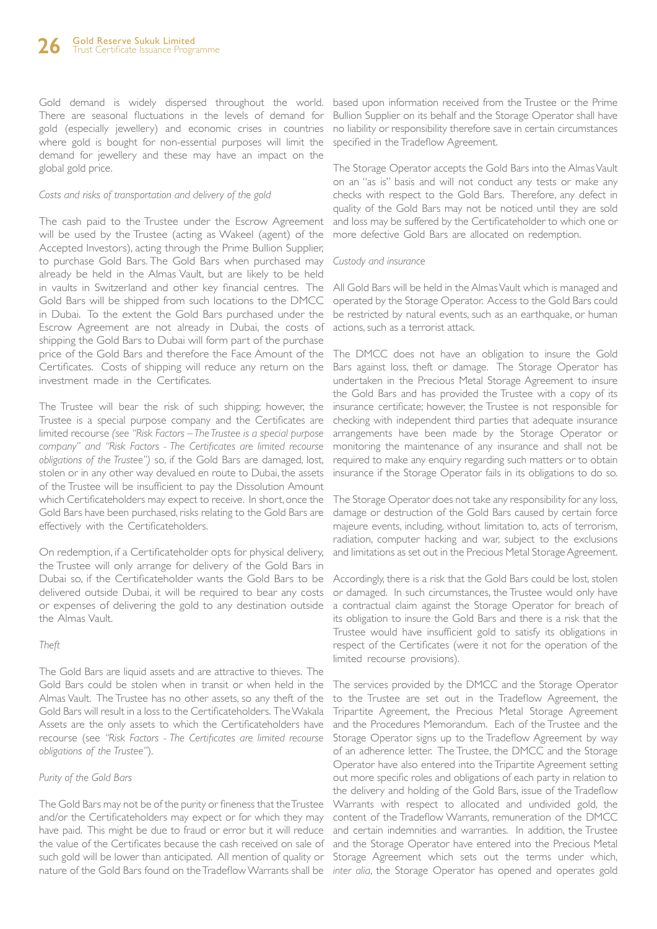Gold demand is widely dispersed throughout the world. There are seasonal fluctuations in the levels of demand for gold (especially jewellery) and economic crises in countries where gold is bought for non-essential purposes will limit the demand for jewellery and these may have an impact on the global gold price.

#### *Costs and risks of transportation and delivery of the gold*

The cash paid to the Trustee under the Escrow Agreement will be used by the Trustee (acting as Wakeel (agent) of the Accepted Investors), acting through the Prime Bullion Supplier, to purchase Gold Bars. The Gold Bars when purchased may already be held in the Almas Vault, but are likely to be held in vaults in Switzerland and other key financial centres. The Gold Bars will be shipped from such locations to the DMCC in Dubai. To the extent the Gold Bars purchased under the Escrow Agreement are not already in Dubai, the costs of shipping the Gold Bars to Dubai will form part of the purchase price of the Gold Bars and therefore the Face Amount of the Certificates. Costs of shipping will reduce any return on the investment made in the Certificates.

The Trustee will bear the risk of such shipping; however, the Trustee is a special purpose company and the Certificates are limited recourse *(see "Risk Factors – The Trustee is a special purpose company" and "Risk Factors - The Certificates are limited recourse obligations of the Trustee")* so, if the Gold Bars are damaged, lost, stolen or in any other way devalued en route to Dubai, the assets of the Trustee will be insufficient to pay the Dissolution Amount which Certificateholders may expect to receive. In short, once the Gold Bars have been purchased, risks relating to the Gold Bars are effectively with the Certificateholders.

On redemption, if a Certificateholder opts for physical delivery, the Trustee will only arrange for delivery of the Gold Bars in Dubai so, if the Certificateholder wants the Gold Bars to be delivered outside Dubai, it will be required to bear any costs or expenses of delivering the gold to any destination outside the Almas Vault.

#### *Theft*

The Gold Bars are liquid assets and are attractive to thieves. The Gold Bars could be stolen when in transit or when held in the Almas Vault. The Trustee has no other assets, so any theft of the Gold Bars will result in a loss to the Certificateholders. The Wakala Assets are the only assets to which the Certificateholders have recourse (see *"Risk Factors - The Certificates are limited recourse obligations of the Trustee"*).

#### *Purity of the Gold Bars*

The Gold Bars may not be of the purity or fineness that the Trustee and/or the Certificateholders may expect or for which they may have paid. This might be due to fraud or error but it will reduce the value of the Certificates because the cash received on sale of nature of the Gold Bars found on the Tradeflow Warrants shall be *inter alia*, the Storage Operator has opened and operates gold

based upon information received from the Trustee or the Prime Bullion Supplier on its behalf and the Storage Operator shall have no liability or responsibility therefore save in certain circumstances specified in the Tradeflow Agreement.

The Storage Operator accepts the Gold Bars into the Almas Vault on an "as is" basis and will not conduct any tests or make any checks with respect to the Gold Bars. Therefore, any defect in quality of the Gold Bars may not be noticed until they are sold and loss may be suffered by the Certificateholder to which one or more defective Gold Bars are allocated on redemption.

#### *Custody and insurance*

All Gold Bars will be held in the Almas Vault which is managed and operated by the Storage Operator. Access to the Gold Bars could be restricted by natural events, such as an earthquake, or human actions, such as a terrorist attack.

The DMCC does not have an obligation to insure the Gold Bars against loss, theft or damage. The Storage Operator has undertaken in the Precious Metal Storage Agreement to insure the Gold Bars and has provided the Trustee with a copy of its insurance certificate; however, the Trustee is not responsible for checking with independent third parties that adequate insurance arrangements have been made by the Storage Operator or monitoring the maintenance of any insurance and shall not be required to make any enquiry regarding such matters or to obtain insurance if the Storage Operator fails in its obligations to do so.

The Storage Operator does not take any responsibility for any loss, damage or destruction of the Gold Bars caused by certain force majeure events, including, without limitation to, acts of terrorism, radiation, computer hacking and war, subject to the exclusions and limitations as set out in the Precious Metal Storage Agreement.

Accordingly, there is a risk that the Gold Bars could be lost, stolen or damaged. In such circumstances, the Trustee would only have a contractual claim against the Storage Operator for breach of its obligation to insure the Gold Bars and there is a risk that the Trustee would have insufficient gold to satisfy its obligations in respect of the Certificates (were it not for the operation of the limited recourse provisions).

such gold will be lower than anticipated. All mention of quality or Storage Agreement which sets out the terms under which, The services provided by the DMCC and the Storage Operator to the Trustee are set out in the Tradeflow Agreement, the Tripartite Agreement, the Precious Metal Storage Agreement and the Procedures Memorandum. Each of the Trustee and the Storage Operator signs up to the Tradeflow Agreement by way of an adherence letter. The Trustee, the DMCC and the Storage Operator have also entered into the Tripartite Agreement setting out more specific roles and obligations of each party in relation to the delivery and holding of the Gold Bars, issue of the Tradeflow Warrants with respect to allocated and undivided gold, the content of the Tradeflow Warrants, remuneration of the DMCC and certain indemnities and warranties. In addition, the Trustee and the Storage Operator have entered into the Precious Metal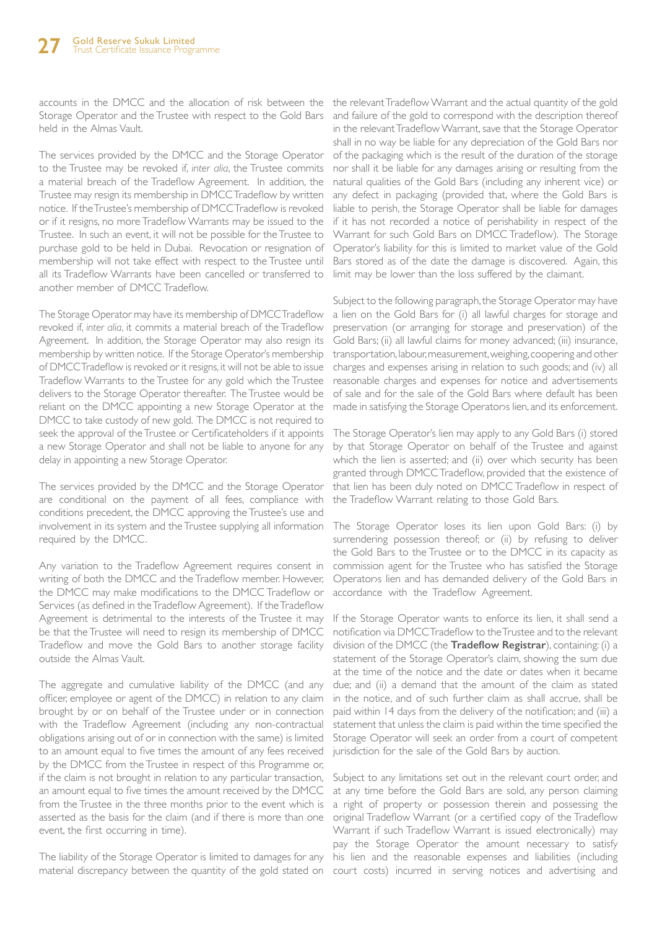accounts in the DMCC and the allocation of risk between the the relevant Tradeflow Warrant and the actual quantity of the gold Storage Operator and the Trustee with respect to the Gold Bars and failure of the gold to correspond with the description thereof held in the Almas Vault.

The services provided by the DMCC and the Storage Operator to the Trustee may be revoked if, *inter alia*, the Trustee commits a material breach of the Tradeflow Agreement. In addition, the Trustee may resign its membership in DMCC Tradeflow by written notice. If the Trustee's membership of DMCC Tradeflow is revoked or if it resigns, no more Tradeflow Warrants may be issued to the Trustee. In such an event, it will not be possible for the Trustee to purchase gold to be held in Dubai. Revocation or resignation of membership will not take effect with respect to the Trustee until all its Tradeflow Warrants have been cancelled or transferred to another member of DMCC Tradeflow.

The Storage Operator may have its membership of DMCC Tradeflow revoked if, *inter alia*, it commits a material breach of the Tradeflow Agreement. In addition, the Storage Operator may also resign its membership by written notice. If the Storage Operator's membership of DMCC Tradeflow is revoked or it resigns, it will not be able to issue Tradeflow Warrants to the Trustee for any gold which the Trustee delivers to the Storage Operator thereafter. The Trustee would be reliant on the DMCC appointing a new Storage Operator at the DMCC to take custody of new gold. The DMCC is not required to seek the approval of the Trustee or Certificateholders if it appoints a new Storage Operator and shall not be liable to anyone for any delay in appointing a new Storage Operator.

The services provided by the DMCC and the Storage Operator are conditional on the payment of all fees, compliance with conditions precedent, the DMCC approving the Trustee's use and involvement in its system and the Trustee supplying all information required by the DMCC.

Any variation to the Tradeflow Agreement requires consent in writing of both the DMCC and the Tradeflow member. However, the DMCC may make modifications to the DMCC Tradeflow or Services (as defined in the Tradeflow Agreement). If the Tradeflow Agreement is detrimental to the interests of the Trustee it may be that the Trustee will need to resign its membership of DMCC Tradeflow and move the Gold Bars to another storage facility outside the Almas Vault.

The aggregate and cumulative liability of the DMCC (and any officer, employee or agent of the DMCC) in relation to any claim brought by or on behalf of the Trustee under or in connection with the Tradeflow Agreement (including any non-contractual obligations arising out of or in connection with the same) is limited to an amount equal to five times the amount of any fees received by the DMCC from the Trustee in respect of this Programme or, if the claim is not brought in relation to any particular transaction, an amount equal to five times the amount received by the DMCC from the Trustee in the three months prior to the event which is asserted as the basis for the claim (and if there is more than one event, the first occurring in time).

The liability of the Storage Operator is limited to damages for any his lien and the reasonable expenses and liabilities (including material discrepancy between the quantity of the gold stated on court costs) incurred in serving notices and advertising and

in the relevant Tradeflow Warrant, save that the Storage Operator shall in no way be liable for any depreciation of the Gold Bars nor of the packaging which is the result of the duration of the storage nor shall it be liable for any damages arising or resulting from the natural qualities of the Gold Bars (including any inherent vice) or any defect in packaging (provided that, where the Gold Bars is liable to perish, the Storage Operator shall be liable for damages if it has not recorded a notice of perishability in respect of the Warrant for such Gold Bars on DMCC Tradeflow). The Storage Operator's liability for this is limited to market value of the Gold Bars stored as of the date the damage is discovered. Again, this limit may be lower than the loss suffered by the claimant.

Subject to the following paragraph, the Storage Operator may have a lien on the Gold Bars for (i) all lawful charges for storage and preservation (or arranging for storage and preservation) of the Gold Bars; (ii) all lawful claims for money advanced; (iii) insurance, transportation, labour, measurement, weighing, coopering and other charges and expenses arising in relation to such goods; and (iv) all reasonable charges and expenses for notice and advertisements of sale and for the sale of the Gold Bars where default has been made in satisfying the Storage Operatory lien, and its enforcement.

The Storage Operator's lien may apply to any Gold Bars (i) stored by that Storage Operator on behalf of the Trustee and against which the lien is asserted; and (ii) over which security has been granted through DMCC Tradeflow, provided that the existence of that lien has been duly noted on DMCC Tradeflow in respect of the Tradeflow Warrant relating to those Gold Bars.

The Storage Operator loses its lien upon Gold Bars: (i) by surrendering possession thereof; or (ii) by refusing to deliver the Gold Bars to the Trustee or to the DMCC in its capacity as commission agent for the Trustee who has satisfied the Storage Operatory lien and has demanded delivery of the Gold Bars in accordance with the Tradeflow Agreement.

If the Storage Operator wants to enforce its lien, it shall send a notification via DMCC Tradeflow to the Trustee and to the relevant division of the DMCC (the **Tradeflow Registrar**), containing: (i) a statement of the Storage Operator's claim, showing the sum due at the time of the notice and the date or dates when it became due; and (ii) a demand that the amount of the claim as stated in the notice, and of such further claim as shall accrue, shall be paid within 14 days from the delivery of the notification; and (iii) a statement that unless the claim is paid within the time specified the Storage Operator will seek an order from a court of competent jurisdiction for the sale of the Gold Bars by auction.

Subject to any limitations set out in the relevant court order, and at any time before the Gold Bars are sold, any person claiming a right of property or possession therein and possessing the original Tradeflow Warrant (or a certified copy of the Tradeflow Warrant if such Tradeflow Warrant is issued electronically) may pay the Storage Operator the amount necessary to satisfy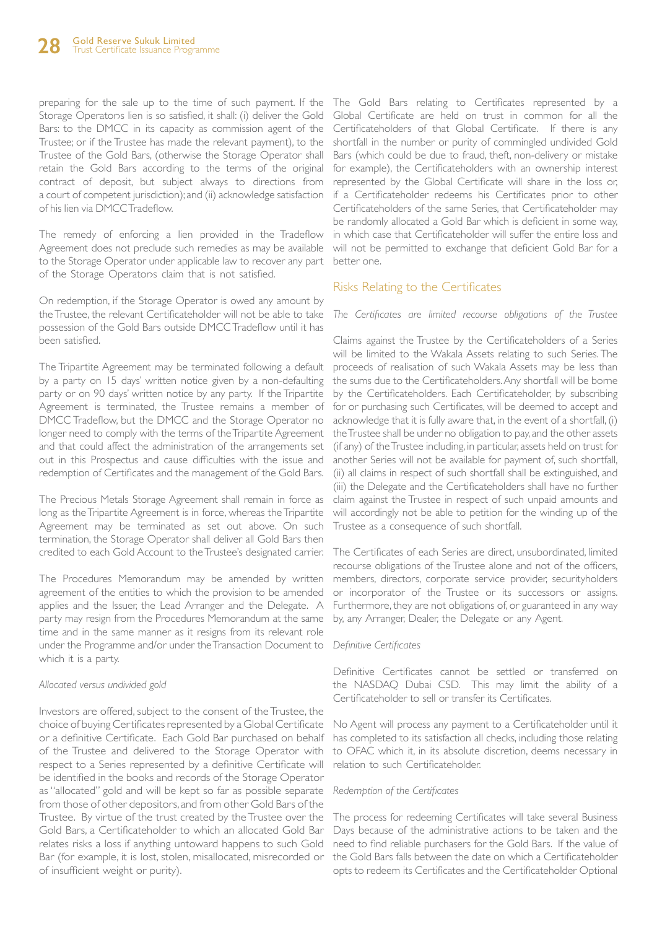preparing for the sale up to the time of such payment. If the The Gold Bars relating to Certificates represented by a Storage Operatory lien is so satisfied, it shall: (i) deliver the Gold Bars: to the DMCC in its capacity as commission agent of the Trustee; or if the Trustee has made the relevant payment), to the Trustee of the Gold Bars, (otherwise the Storage Operator shall retain the Gold Bars according to the terms of the original contract of deposit, but subject always to directions from a court of competent jurisdiction); and (ii) acknowledge satisfaction of his lien via DMCC Tradeflow.

The remedy of enforcing a lien provided in the Tradeflow Agreement does not preclude such remedies as may be available to the Storage Operator under applicable law to recover any part of the Storage Operatorys claim that is not satisfied.

On redemption, if the Storage Operator is owed any amount by the Trustee, the relevant Certificateholder will not be able to take possession of the Gold Bars outside DMCC Tradeflow until it has been satisfied.

The Tripartite Agreement may be terminated following a default by a party on 15 days' written notice given by a non-defaulting party or on 90 days' written notice by any party. If the Tripartite Agreement is terminated, the Trustee remains a member of DMCC Tradeflow, but the DMCC and the Storage Operator no longer need to comply with the terms of the Tripartite Agreement and that could affect the administration of the arrangements set out in this Prospectus and cause difficulties with the issue and redemption of Certificates and the management of the Gold Bars.

The Precious Metals Storage Agreement shall remain in force as long as the Tripartite Agreement is in force, whereas the Tripartite Agreement may be terminated as set out above. On such termination, the Storage Operator shall deliver all Gold Bars then credited to each Gold Account to the Trustee's designated carrier.

The Procedures Memorandum may be amended by written agreement of the entities to which the provision to be amended applies and the Issuer, the Lead Arranger and the Delegate. A party may resign from the Procedures Memorandum at the same time and in the same manner as it resigns from its relevant role under the Programme and/or under the Transaction Document to which it is a party.

#### *Allocated versus undivided gold*

Investors are offered, subject to the consent of the Trustee, the choice of buying Certificates represented by a Global Certificate or a definitive Certificate. Each Gold Bar purchased on behalf of the Trustee and delivered to the Storage Operator with respect to a Series represented by a definitive Certificate will be identified in the books and records of the Storage Operator as "allocated" gold and will be kept so far as possible separate from those of other depositors, and from other Gold Bars of the Trustee. By virtue of the trust created by the Trustee over the Gold Bars, a Certificateholder to which an allocated Gold Bar relates risks a loss if anything untoward happens to such Gold Bar (for example, it is lost, stolen, misallocated, misrecorded or of insufficient weight or purity).

Global Certificate are held on trust in common for all the Certificateholders of that Global Certificate. If there is any shortfall in the number or purity of commingled undivided Gold Bars (which could be due to fraud, theft, non-delivery or mistake for example), the Certificateholders with an ownership interest represented by the Global Certificate will share in the loss or, if a Certificateholder redeems his Certificates prior to other Certificateholders of the same Series, that Certificateholder may be randomly allocated a Gold Bar which is deficient in some way, in which case that Certificateholder will suffer the entire loss and will not be permitted to exchange that deficient Gold Bar for a better one.

#### Risks Relating to the Certificates

*The Certificates are limited recourse obligations of the Trustee*

Claims against the Trustee by the Certificateholders of a Series will be limited to the Wakala Assets relating to such Series. The proceeds of realisation of such Wakala Assets may be less than the sums due to the Certificateholders. Any shortfall will be borne by the Certificateholders. Each Certificateholder, by subscribing for or purchasing such Certificates, will be deemed to accept and acknowledge that it is fully aware that, in the event of a shortfall, (i) the Trustee shall be under no obligation to pay, and the other assets (if any) of the Trustee including, in particular, assets held on trust for another Series will not be available for payment of, such shortfall, (ii) all claims in respect of such shortfall shall be extinguished, and (iii) the Delegate and the Certificateholders shall have no further claim against the Trustee in respect of such unpaid amounts and will accordingly not be able to petition for the winding up of the Trustee as a consequence of such shortfall.

The Certificates of each Series are direct, unsubordinated, limited recourse obligations of the Trustee alone and not of the officers, members, directors, corporate service provider, securityholders or incorporator of the Trustee or its successors or assigns. Furthermore, they are not obligations of, or guaranteed in any way by, any Arranger, Dealer, the Delegate or any Agent.

#### *Definitive Certificates*

Definitive Certificates cannot be settled or transferred on the NASDAQ Dubai CSD. This may limit the ability of a Certificateholder to sell or transfer its Certificates.

No Agent will process any payment to a Certificateholder until it has completed to its satisfaction all checks, including those relating to OFAC which it, in its absolute discretion, deems necessary in relation to such Certificateholder.

#### *Redemption of the Certificates*

The process for redeeming Certificates will take several Business Days because of the administrative actions to be taken and the need to find reliable purchasers for the Gold Bars. If the value of the Gold Bars falls between the date on which a Certificateholder opts to redeem its Certificates and the Certificateholder Optional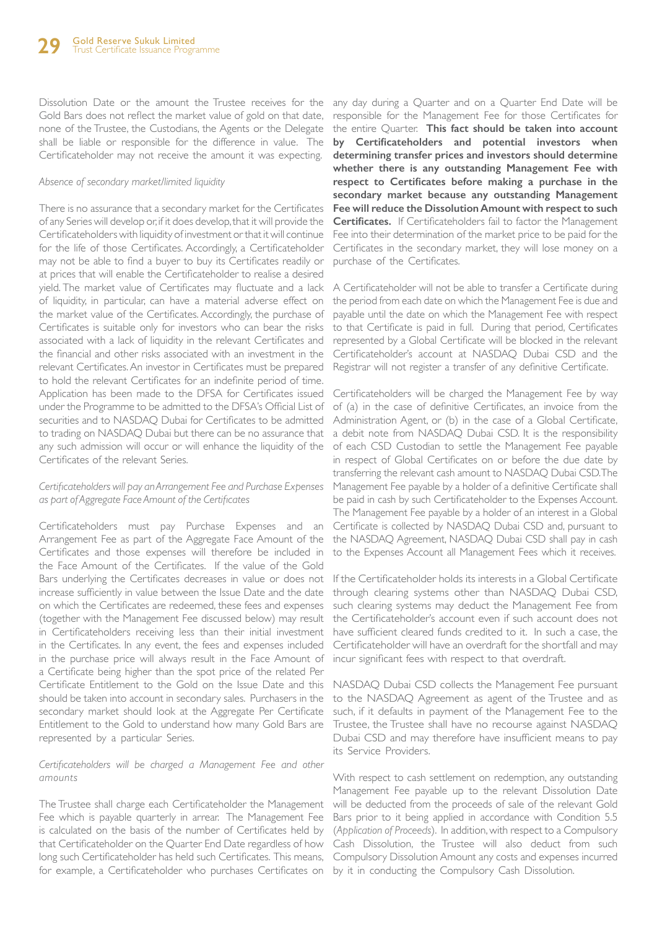Dissolution Date or the amount the Trustee receives for the Gold Bars does not reflect the market value of gold on that date, none of the Trustee, the Custodians, the Agents or the Delegate shall be liable or responsible for the difference in value. The Certificateholder may not receive the amount it was expecting.

#### *Absence of secondary market/limited liquidity*

There is no assurance that a secondary market for the Certificates of any Series will develop or, if it does develop, that it will provide the Certificateholders with liquidity of investment or that it will continue for the life of those Certificates. Accordingly, a Certificateholder may not be able to find a buyer to buy its Certificates readily or at prices that will enable the Certificateholder to realise a desired yield. The market value of Certificates may fluctuate and a lack of liquidity, in particular, can have a material adverse effect on the market value of the Certificates. Accordingly, the purchase of Certificates is suitable only for investors who can bear the risks associated with a lack of liquidity in the relevant Certificates and the financial and other risks associated with an investment in the relevant Certificates. An investor in Certificates must be prepared to hold the relevant Certificates for an indefinite period of time. Application has been made to the DFSA for Certificates issued under the Programme to be admitted to the DFSA's Official List of securities and to NASDAQ Dubai for Certificates to be admitted to trading on NASDAQ Dubai but there can be no assurance that any such admission will occur or will enhance the liquidity of the Certificates of the relevant Series.

#### *Certificateholders will pay an Arrangement Fee and Purchase Expenses as part of Aggregate Face Amount of the Certificates*

Certificateholders must pay Purchase Expenses and an Arrangement Fee as part of the Aggregate Face Amount of the Certificates and those expenses will therefore be included in the Face Amount of the Certificates. If the value of the Gold Bars underlying the Certificates decreases in value or does not increase sufficiently in value between the Issue Date and the date on which the Certificates are redeemed, these fees and expenses (together with the Management Fee discussed below) may result in Certificateholders receiving less than their initial investment in the Certificates. In any event, the fees and expenses included in the purchase price will always result in the Face Amount of a Certificate being higher than the spot price of the related Per Certificate Entitlement to the Gold on the Issue Date and this should be taken into account in secondary sales. Purchasers in the secondary market should look at the Aggregate Per Certificate Entitlement to the Gold to understand how many Gold Bars are represented by a particular Series.

#### *Certificateholders will be charged a Management Fee and other amounts*

The Trustee shall charge each Certificateholder the Management Fee which is payable quarterly in arrear. The Management Fee is calculated on the basis of the number of Certificates held by that Certificateholder on the Quarter End Date regardless of how long such Certificateholder has held such Certificates. This means, for example, a Certificateholder who purchases Certificates on by it in conducting the Compulsory Cash Dissolution.

any day during a Quarter and on a Quarter End Date will be responsible for the Management Fee for those Certificates for the entire Quarter. **This fact should be taken into account by Certificateholders and potential investors when determining transfer prices and investors should determine whether there is any outstanding Management Fee with respect to Certificates before making a purchase in the secondary market because any outstanding Management Fee will reduce the Dissolution Amount with respect to such Certificates.** If Certificateholders fail to factor the Management Fee into their determination of the market price to be paid for the Certificates in the secondary market, they will lose money on a purchase of the Certificates.

A Certificateholder will not be able to transfer a Certificate during the period from each date on which the Management Fee is due and payable until the date on which the Management Fee with respect to that Certificate is paid in full. During that period, Certificates represented by a Global Certificate will be blocked in the relevant Certificateholder's account at NASDAQ Dubai CSD and the Registrar will not register a transfer of any definitive Certificate.

Certificateholders will be charged the Management Fee by way of (a) in the case of definitive Certificates, an invoice from the Administration Agent, or (b) in the case of a Global Certificate, a debit note from NASDAQ Dubai CSD. It is the responsibility of each CSD Custodian to settle the Management Fee payable in respect of Global Certificates on or before the due date by transferring the relevant cash amount to NASDAQ Dubai CSD. The Management Fee payable by a holder of a definitive Certificate shall be paid in cash by such Certificateholder to the Expenses Account. The Management Fee payable by a holder of an interest in a Global Certificate is collected by NASDAQ Dubai CSD and, pursuant to the NASDAQ Agreement, NASDAQ Dubai CSD shall pay in cash to the Expenses Account all Management Fees which it receives.

If the Certificateholder holds its interests in a Global Certificate through clearing systems other than NASDAQ Dubai CSD, such clearing systems may deduct the Management Fee from the Certificateholder's account even if such account does not have sufficient cleared funds credited to it. In such a case, the Certificateholder will have an overdraft for the shortfall and may incur significant fees with respect to that overdraft.

NASDAQ Dubai CSD collects the Management Fee pursuant to the NASDAQ Agreement as agent of the Trustee and as such, if it defaults in payment of the Management Fee to the Trustee, the Trustee shall have no recourse against NASDAQ Dubai CSD and may therefore have insufficient means to pay its Service Providers.

With respect to cash settlement on redemption, any outstanding Management Fee payable up to the relevant Dissolution Date will be deducted from the proceeds of sale of the relevant Gold Bars prior to it being applied in accordance with Condition 5.5 (*Application of Proceeds*). In addition, with respect to a Compulsory Cash Dissolution, the Trustee will also deduct from such Compulsory Dissolution Amount any costs and expenses incurred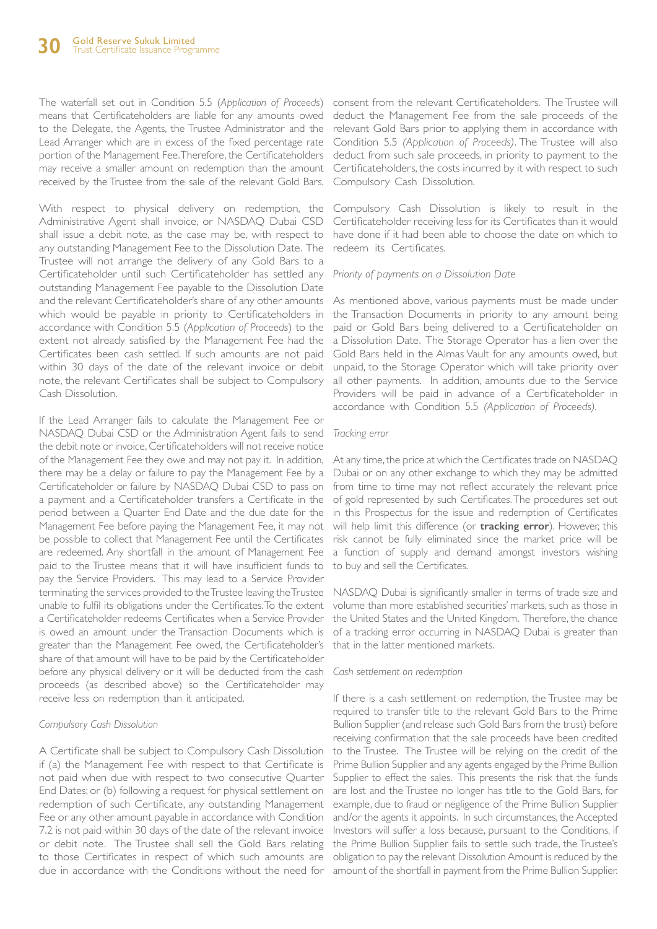The waterfall set out in Condition 5.5 (*Application of Proceeds*) means that Certificateholders are liable for any amounts owed to the Delegate, the Agents, the Trustee Administrator and the Lead Arranger which are in excess of the fixed percentage rate portion of the Management Fee. Therefore, the Certificateholders may receive a smaller amount on redemption than the amount received by the Trustee from the sale of the relevant Gold Bars.

With respect to physical delivery on redemption, the Administrative Agent shall invoice, or NASDAQ Dubai CSD shall issue a debit note, as the case may be, with respect to any outstanding Management Fee to the Dissolution Date. The Trustee will not arrange the delivery of any Gold Bars to a Certificateholder until such Certificateholder has settled any outstanding Management Fee payable to the Dissolution Date and the relevant Certificateholder's share of any other amounts which would be payable in priority to Certificateholders in accordance with Condition 5.5 (*Application of Proceeds*) to the extent not already satisfied by the Management Fee had the Certificates been cash settled. If such amounts are not paid within 30 days of the date of the relevant invoice or debit note, the relevant Certificates shall be subject to Compulsory Cash Dissolution.

If the Lead Arranger fails to calculate the Management Fee or NASDAQ Dubai CSD or the Administration Agent fails to send the debit note or invoice, Certificateholders will not receive notice of the Management Fee they owe and may not pay it. In addition, there may be a delay or failure to pay the Management Fee by a Certificateholder or failure by NASDAQ Dubai CSD to pass on a payment and a Certificateholder transfers a Certificate in the period between a Quarter End Date and the due date for the Management Fee before paying the Management Fee, it may not be possible to collect that Management Fee until the Certificates are redeemed. Any shortfall in the amount of Management Fee paid to the Trustee means that it will have insufficient funds to pay the Service Providers. This may lead to a Service Provider terminating the services provided to the Trustee leaving the Trustee unable to fulfil its obligations under the Certificates. To the extent a Certificateholder redeems Certificates when a Service Provider is owed an amount under the Transaction Documents which is greater than the Management Fee owed, the Certificateholder's share of that amount will have to be paid by the Certificateholder before any physical delivery or it will be deducted from the cash proceeds (as described above) so the Certificateholder may receive less on redemption than it anticipated.

#### *Compulsory Cash Dissolution*

A Certificate shall be subject to Compulsory Cash Dissolution if (a) the Management Fee with respect to that Certificate is not paid when due with respect to two consecutive Quarter End Dates; or (b) following a request for physical settlement on redemption of such Certificate, any outstanding Management Fee or any other amount payable in accordance with Condition 7.2 is not paid within 30 days of the date of the relevant invoice or debit note. The Trustee shall sell the Gold Bars relating to those Certificates in respect of which such amounts are due in accordance with the Conditions without the need for amount of the shortfall in payment from the Prime Bullion Supplier.

consent from the relevant Certificateholders. The Trustee will deduct the Management Fee from the sale proceeds of the relevant Gold Bars prior to applying them in accordance with Condition 5.5 *(Application of Proceeds)*. The Trustee will also deduct from such sale proceeds, in priority to payment to the Certificateholders, the costs incurred by it with respect to such Compulsory Cash Dissolution.

Compulsory Cash Dissolution is likely to result in the Certificateholder receiving less for its Certificates than it would have done if it had been able to choose the date on which to redeem its Certificates.

#### *Priority of payments on a Dissolution Date*

As mentioned above, various payments must be made under the Transaction Documents in priority to any amount being paid or Gold Bars being delivered to a Certificateholder on a Dissolution Date. The Storage Operator has a lien over the Gold Bars held in the Almas Vault for any amounts owed, but unpaid, to the Storage Operator which will take priority over all other payments. In addition, amounts due to the Service Providers will be paid in advance of a Certificateholder in accordance with Condition 5.5 *(Application of Proceeds).* 

#### *Tracking error*

At any time, the price at which the Certificates trade on NASDAQ Dubai or on any other exchange to which they may be admitted from time to time may not reflect accurately the relevant price of gold represented by such Certificates. The procedures set out in this Prospectus for the issue and redemption of Certificates will help limit this difference (or **tracking error**). However, this risk cannot be fully eliminated since the market price will be a function of supply and demand amongst investors wishing to buy and sell the Certificates.

NASDAQ Dubai is significantly smaller in terms of trade size and volume than more established securities' markets, such as those in the United States and the United Kingdom. Therefore, the chance of a tracking error occurring in NASDAQ Dubai is greater than that in the latter mentioned markets.

#### *Cash settlement on redemption*

If there is a cash settlement on redemption, the Trustee may be required to transfer title to the relevant Gold Bars to the Prime Bullion Supplier (and release such Gold Bars from the trust) before receiving confirmation that the sale proceeds have been credited to the Trustee. The Trustee will be relying on the credit of the Prime Bullion Supplier and any agents engaged by the Prime Bullion Supplier to effect the sales. This presents the risk that the funds are lost and the Trustee no longer has title to the Gold Bars, for example, due to fraud or negligence of the Prime Bullion Supplier and/or the agents it appoints. In such circumstances, the Accepted Investors will suffer a loss because, pursuant to the Conditions, if the Prime Bullion Supplier fails to settle such trade, the Trustee's obligation to pay the relevant Dissolution Amount is reduced by the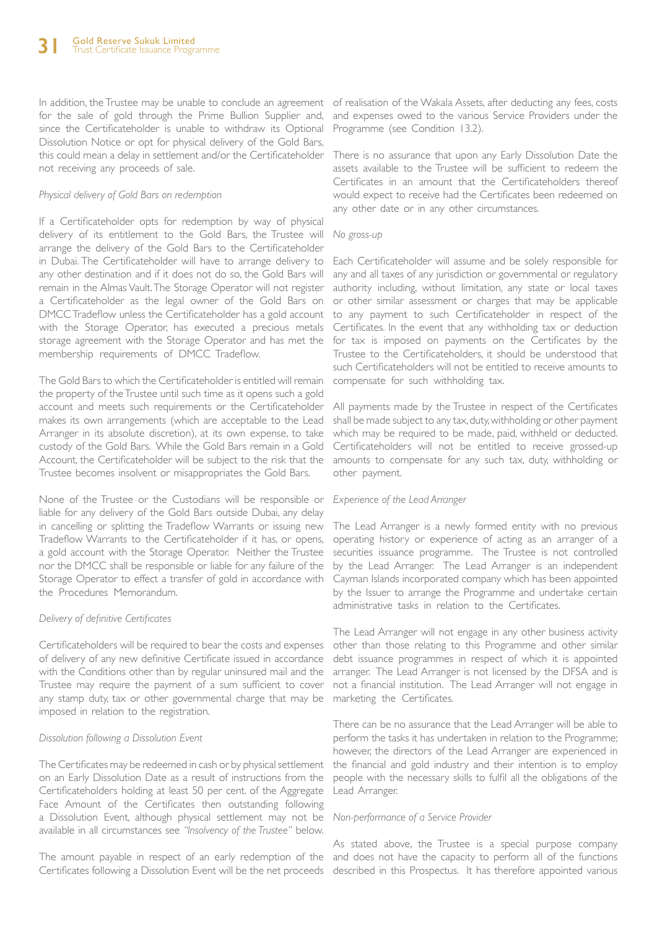In addition, the Trustee may be unable to conclude an agreement of realisation of the Wakala Assets, after deducting any fees, costs for the sale of gold through the Prime Bullion Supplier and, since the Certificateholder is unable to withdraw its Optional Dissolution Notice or opt for physical delivery of the Gold Bars, this could mean a delay in settlement and/or the Certificateholder not receiving any proceeds of sale.

#### *Physical delivery of Gold Bars on redemption*

If a Certificateholder opts for redemption by way of physical delivery of its entitlement to the Gold Bars, the Trustee will arrange the delivery of the Gold Bars to the Certificateholder in Dubai. The Certificateholder will have to arrange delivery to any other destination and if it does not do so, the Gold Bars will remain in the Almas Vault. The Storage Operator will not register a Certificateholder as the legal owner of the Gold Bars on DMCC Tradeflow unless the Certificateholder has a gold account with the Storage Operator, has executed a precious metals storage agreement with the Storage Operator and has met the membership requirements of DMCC Tradeflow.

The Gold Bars to which the Certificateholder is entitled will remain the property of the Trustee until such time as it opens such a gold account and meets such requirements or the Certificateholder makes its own arrangements (which are acceptable to the Lead Arranger in its absolute discretion), at its own expense, to take custody of the Gold Bars. While the Gold Bars remain in a Gold Account, the Certificateholder will be subject to the risk that the Trustee becomes insolvent or misappropriates the Gold Bars.

None of the Trustee or the Custodians will be responsible or *Experience of the Lead Arranger* liable for any delivery of the Gold Bars outside Dubai, any delay in cancelling or splitting the Tradeflow Warrants or issuing new Tradeflow Warrants to the Certificateholder if it has, or opens, a gold account with the Storage Operator. Neither the Trustee nor the DMCC shall be responsible or liable for any failure of the Storage Operator to effect a transfer of gold in accordance with the Procedures Memorandum.

#### *Delivery of definitive Certificates*

Certificateholders will be required to bear the costs and expenses of delivery of any new definitive Certificate issued in accordance with the Conditions other than by regular uninsured mail and the Trustee may require the payment of a sum sufficient to cover any stamp duty, tax or other governmental charge that may be imposed in relation to the registration.

#### *Dissolution following a Dissolution Event*

The Certificates may be redeemed in cash or by physical settlement on an Early Dissolution Date as a result of instructions from the Certificateholders holding at least 50 per cent. of the Aggregate Face Amount of the Certificates then outstanding following a Dissolution Event, although physical settlement may not be available in all circumstances see *"Insolvency of the Trustee"* below.

The amount payable in respect of an early redemption of the and does not have the capacity to perform all of the functions Certificates following a Dissolution Event will be the net proceeds described in this Prospectus. It has therefore appointed various

and expenses owed to the various Service Providers under the Programme (see Condition 13.2).

There is no assurance that upon any Early Dissolution Date the assets available to the Trustee will be sufficient to redeem the Certificates in an amount that the Certificateholders thereof would expect to receive had the Certificates been redeemed on any other date or in any other circumstances.

#### *No gross-up*

Each Certificateholder will assume and be solely responsible for any and all taxes of any jurisdiction or governmental or regulatory authority including, without limitation, any state or local taxes or other similar assessment or charges that may be applicable to any payment to such Certificateholder in respect of the Certificates. In the event that any withholding tax or deduction for tax is imposed on payments on the Certificates by the Trustee to the Certificateholders, it should be understood that such Certificateholders will not be entitled to receive amounts to compensate for such withholding tax.

All payments made by the Trustee in respect of the Certificates shall be made subject to any tax, duty, withholding or other payment which may be required to be made, paid, withheld or deducted. Certificateholders will not be entitled to receive grossed-up amounts to compensate for any such tax, duty, withholding or other payment.

The Lead Arranger is a newly formed entity with no previous operating history or experience of acting as an arranger of a securities issuance programme. The Trustee is not controlled by the Lead Arranger. The Lead Arranger is an independent Cayman Islands incorporated company which has been appointed by the Issuer to arrange the Programme and undertake certain administrative tasks in relation to the Certificates.

The Lead Arranger will not engage in any other business activity other than those relating to this Programme and other similar debt issuance programmes in respect of which it is appointed arranger. The Lead Arranger is not licensed by the DFSA and is not a financial institution. The Lead Arranger will not engage in marketing the Certificates.

There can be no assurance that the Lead Arranger will be able to perform the tasks it has undertaken in relation to the Programme; however, the directors of the Lead Arranger are experienced in the financial and gold industry and their intention is to employ people with the necessary skills to fulfil all the obligations of the Lead Arranger.

#### *Non-performance of a Service Provider*

As stated above, the Trustee is a special purpose company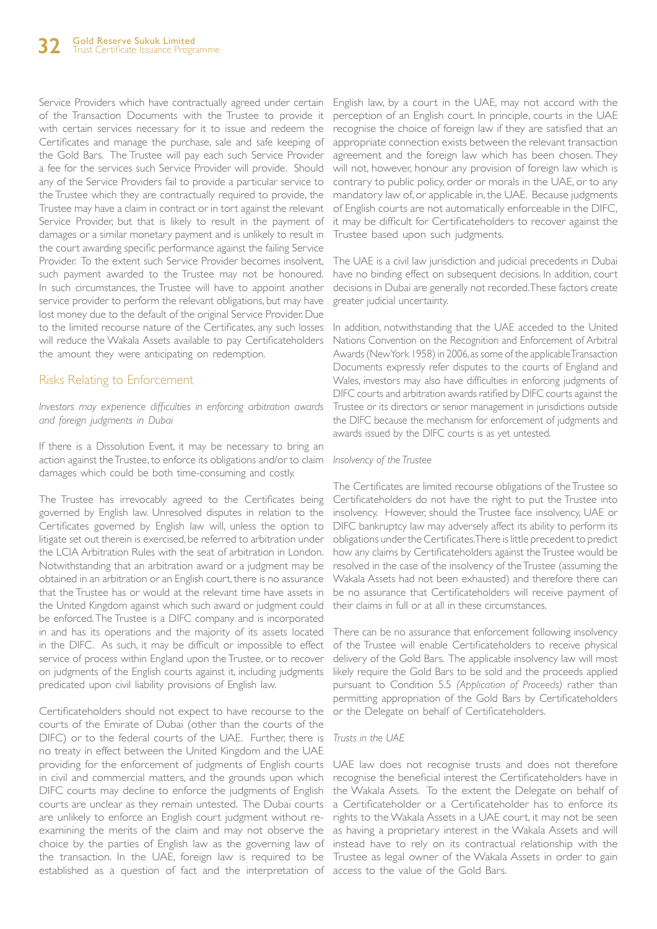Service Providers which have contractually agreed under certain of the Transaction Documents with the Trustee to provide it with certain services necessary for it to issue and redeem the Certificates and manage the purchase, sale and safe keeping of the Gold Bars. The Trustee will pay each such Service Provider a fee for the services such Service Provider will provide. Should any of the Service Providers fail to provide a particular service to the Trustee which they are contractually required to provide, the Trustee may have a claim in contract or in tort against the relevant Service Provider, but that is likely to result in the payment of damages or a similar monetary payment and is unlikely to result in the court awarding specific performance against the failing Service Provider. To the extent such Service Provider becomes insolvent, such payment awarded to the Trustee may not be honoured. In such circumstances, the Trustee will have to appoint another service provider to perform the relevant obligations, but may have lost money due to the default of the original Service Provider. Due to the limited recourse nature of the Certificates, any such losses will reduce the Wakala Assets available to pay Certificateholders the amount they were anticipating on redemption.

#### Risks Relating to Enforcement

*Investors may experience difficulties in enforcing arbitration awards and foreign judgments in Dubai*

If there is a Dissolution Event, it may be necessary to bring an action against the Trustee, to enforce its obligations and/or to claim damages which could be both time-consuming and costly.

The Trustee has irrevocably agreed to the Certificates being governed by English law. Unresolved disputes in relation to the Certificates governed by English law will, unless the option to litigate set out therein is exercised, be referred to arbitration under the LCIA Arbitration Rules with the seat of arbitration in London. Notwithstanding that an arbitration award or a judgment may be obtained in an arbitration or an English court, there is no assurance that the Trustee has or would at the relevant time have assets in the United Kingdom against which such award or judgment could be enforced. The Trustee is a DIFC company and is incorporated in and has its operations and the majority of its assets located in the DIFC. As such, it may be difficult or impossible to effect service of process within England upon the Trustee, or to recover on judgments of the English courts against it, including judgments predicated upon civil liability provisions of English law.

Certificateholders should not expect to have recourse to the courts of the Emirate of Dubai (other than the courts of the DIFC) or to the federal courts of the UAE. Further, there is no treaty in effect between the United Kingdom and the UAE providing for the enforcement of judgments of English courts UAE law does not recognise trusts and does not therefore in civil and commercial matters, and the grounds upon which recognise the beneficial interest the Certificateholders have in DIFC courts may decline to enforce the judgments of English courts are unclear as they remain untested. The Dubai courts a Certificateholder or a Certificateholder has to enforce its are unlikely to enforce an English court judgment without reexamining the merits of the claim and may not observe the as having a proprietary interest in the Wakala Assets and will choice by the parties of English law as the governing law of instead have to rely on its contractual relationship with the the transaction. In the UAE, foreign law is required to be Trustee as legal owner of the Wakala Assets in order to gain established as a question of fact and the interpretation of access to the value of the Gold Bars.

English law, by a court in the UAE, may not accord with the perception of an English court. In principle, courts in the UAE recognise the choice of foreign law if they are satisfied that an appropriate connection exists between the relevant transaction agreement and the foreign law which has been chosen. They will not, however, honour any provision of foreign law which is contrary to public policy, order or morals in the UAE, or to any mandatory law of, or applicable in, the UAE. Because judgments of English courts are not automatically enforceable in the DIFC, it may be difficult for Certificateholders to recover against the Trustee based upon such judgments.

The UAE is a civil law jurisdiction and judicial precedents in Dubai have no binding effect on subsequent decisions. In addition, court decisions in Dubai are generally not recorded. These factors create greater judicial uncertainty.

In addition, notwithstanding that the UAE acceded to the United Nations Convention on the Recognition and Enforcement of Arbitral Awards (New York 1958) in 2006, as some of the applicable Transaction Documents expressly refer disputes to the courts of England and Wales, investors may also have difficulties in enforcing judgments of DIFC courts and arbitration awards ratified by DIFC courts against the Trustee or its directors or senior management in jurisdictions outside the DIFC because the mechanism for enforcement of judgments and awards issued by the DIFC courts is as yet untested.

#### *Insolvency of the Trustee*

The Certificates are limited recourse obligations of the Trustee so Certificateholders do not have the right to put the Trustee into insolvency. However, should the Trustee face insolvency, UAE or DIFC bankruptcy law may adversely affect its ability to perform its obligations under the Certificates. There is little precedent to predict how any claims by Certificateholders against the Trustee would be resolved in the case of the insolvency of the Trustee (assuming the Wakala Assets had not been exhausted) and therefore there can be no assurance that Certificateholders will receive payment of their claims in full or at all in these circumstances.

There can be no assurance that enforcement following insolvency of the Trustee will enable Certificateholders to receive physical delivery of the Gold Bars. The applicable insolvency law will most likely require the Gold Bars to be sold and the proceeds applied pursuant to Condition 5.5 *(Application of Proceeds)* rather than permitting appropriation of the Gold Bars by Certificateholders or the Delegate on behalf of Certificateholders.

#### *Trusts in the UAE*

the Wakala Assets. To the extent the Delegate on behalf of rights to the Wakala Assets in a UAE court, it may not be seen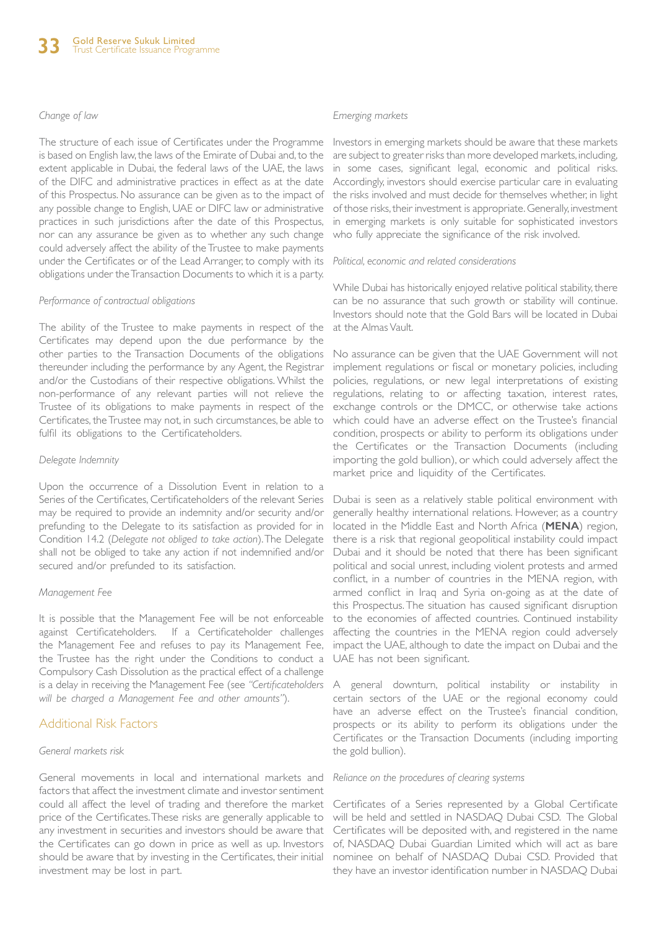#### *Change of law*

The structure of each issue of Certificates under the Programme is based on English law, the laws of the Emirate of Dubai and, to the extent applicable in Dubai, the federal laws of the UAE, the laws of the DIFC and administrative practices in effect as at the date of this Prospectus. No assurance can be given as to the impact of any possible change to English, UAE or DIFC law or administrative practices in such jurisdictions after the date of this Prospectus, nor can any assurance be given as to whether any such change could adversely affect the ability of the Trustee to make payments under the Certificates or of the Lead Arranger, to comply with its obligations under the Transaction Documents to which it is a party.

#### *Performance of contractual obligations*

The ability of the Trustee to make payments in respect of the Certificates may depend upon the due performance by the other parties to the Transaction Documents of the obligations thereunder including the performance by any Agent, the Registrar and/or the Custodians of their respective obligations. Whilst the non-performance of any relevant parties will not relieve the Trustee of its obligations to make payments in respect of the Certificates, the Trustee may not, in such circumstances, be able to fulfil its obligations to the Certificateholders.

#### *Delegate Indemnity*

Upon the occurrence of a Dissolution Event in relation to a Series of the Certificates, Certificateholders of the relevant Series may be required to provide an indemnity and/or security and/or prefunding to the Delegate to its satisfaction as provided for in Condition 14.2 (*Delegate not obliged to take action*). The Delegate shall not be obliged to take any action if not indemnified and/or secured and/or prefunded to its satisfaction.

#### *Management Fee*

It is possible that the Management Fee will be not enforceable against Certificateholders. If a Certificateholder challenges the Management Fee and refuses to pay its Management Fee, the Trustee has the right under the Conditions to conduct a Compulsory Cash Dissolution as the practical effect of a challenge is a delay in receiving the Management Fee (see *"Certificateholders will be charged a Management Fee and other amounts"*).

#### Additional Risk Factors

#### *General markets risk*

General movements in local and international markets and factors that affect the investment climate and investor sentiment could all affect the level of trading and therefore the market price of the Certificates. These risks are generally applicable to any investment in securities and investors should be aware that the Certificates can go down in price as well as up. Investors should be aware that by investing in the Certificates, their initial investment may be lost in part.

#### *Emerging markets*

Investors in emerging markets should be aware that these markets are subject to greater risks than more developed markets, including, in some cases, significant legal, economic and political risks. Accordingly, investors should exercise particular care in evaluating the risks involved and must decide for themselves whether, in light of those risks, their investment is appropriate. Generally, investment in emerging markets is only suitable for sophisticated investors who fully appreciate the significance of the risk involved.

*Political, economic and related considerations*

While Dubai has historically enjoyed relative political stability, there can be no assurance that such growth or stability will continue. Investors should note that the Gold Bars will be located in Dubai at the Almas Vault.

No assurance can be given that the UAE Government will not implement regulations or fiscal or monetary policies, including policies, regulations, or new legal interpretations of existing regulations, relating to or affecting taxation, interest rates, exchange controls or the DMCC, or otherwise take actions which could have an adverse effect on the Trustee's financial condition, prospects or ability to perform its obligations under the Certificates or the Transaction Documents (including importing the gold bullion), or which could adversely affect the market price and liquidity of the Certificates.

Dubai is seen as a relatively stable political environment with generally healthy international relations. However, as a country located in the Middle East and North Africa (**MENA**) region, there is a risk that regional geopolitical instability could impact Dubai and it should be noted that there has been significant political and social unrest, including violent protests and armed conflict, in a number of countries in the MENA region, with armed conflict in Iraq and Syria on-going as at the date of this Prospectus. The situation has caused significant disruption to the economies of affected countries. Continued instability affecting the countries in the MENA region could adversely impact the UAE, although to date the impact on Dubai and the UAE has not been significant.

A general downturn, political instability or instability in certain sectors of the UAE or the regional economy could have an adverse effect on the Trustee's financial condition, prospects or its ability to perform its obligations under the Certificates or the Transaction Documents (including importing the gold bullion).

#### *Reliance on the procedures of clearing systems*

Certificates of a Series represented by a Global Certificate will be held and settled in NASDAQ Dubai CSD. The Global Certificates will be deposited with, and registered in the name of, NASDAQ Dubai Guardian Limited which will act as bare nominee on behalf of NASDAQ Dubai CSD. Provided that they have an investor identification number in NASDAQ Dubai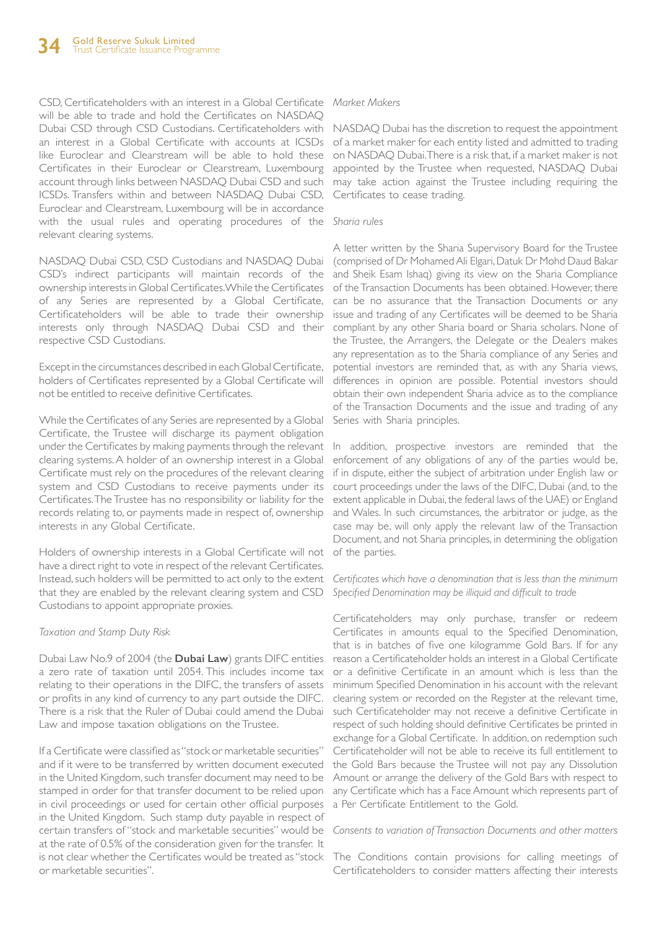CSD, Certificateholders with an interest in a Global Certificate *Market Makers* will be able to trade and hold the Certificates on NASDAQ Dubai CSD through CSD Custodians. Certificateholders with NASDAQ Dubai has the discretion to request the appointment an interest in a Global Certificate with accounts at ICSDs like Euroclear and Clearstream will be able to hold these Certificates in their Euroclear or Clearstream, Luxembourg account through links between NASDAQ Dubai CSD and such ICSDs. Transfers within and between NASDAQ Dubai CSD, Euroclear and Clearstream, Luxembourg will be in accordance with the usual rules and operating procedures of the relevant clearing systems.

NASDAQ Dubai CSD, CSD Custodians and NASDAQ Dubai CSD's indirect participants will maintain records of the ownership interests in Global Certificates. While the Certificates of any Series are represented by a Global Certificate, Certificateholders will be able to trade their ownership interests only through NASDAQ Dubai CSD and their respective CSD Custodians.

Except in the circumstances described in each Global Certificate, holders of Certificates represented by a Global Certificate will not be entitled to receive definitive Certificates.

While the Certificates of any Series are represented by a Global Certificate, the Trustee will discharge its payment obligation under the Certificates by making payments through the relevant clearing systems. A holder of an ownership interest in a Global Certificate must rely on the procedures of the relevant clearing system and CSD Custodians to receive payments under its Certificates. The Trustee has no responsibility or liability for the records relating to, or payments made in respect of, ownership interests in any Global Certificate.

Holders of ownership interests in a Global Certificate will not of the parties. have a direct right to vote in respect of the relevant Certificates. Instead, such holders will be permitted to act only to the extent that they are enabled by the relevant clearing system and CSD Custodians to appoint appropriate proxies.

#### *Taxation and Stamp Duty Risk*

Dubai Law No.9 of 2004 (the **Dubai Law**) grants DIFC entities a zero rate of taxation until 2054. This includes income tax relating to their operations in the DIFC, the transfers of assets or profits in any kind of currency to any part outside the DIFC. There is a risk that the Ruler of Dubai could amend the Dubai Law and impose taxation obligations on the Trustee.

If a Certificate were classified as "stock or marketable securities" and if it were to be transferred by written document executed in the United Kingdom, such transfer document may need to be stamped in order for that transfer document to be relied upon in civil proceedings or used for certain other official purposes in the United Kingdom. Such stamp duty payable in respect of certain transfers of "stock and marketable securities" would be at the rate of 0.5% of the consideration given for the transfer. It is not clear whether the Certificates would be treated as "stock The Conditions contain provisions for calling meetings of or marketable securities".

of a market maker for each entity listed and admitted to trading on NASDAQ Dubai. There is a risk that, if a market maker is not appointed by the Trustee when requested, NASDAQ Dubai may take action against the Trustee including requiring the Certificates to cease trading.

#### *Sharia rules*

A letter written by the Sharia Supervisory Board for the Trustee (comprised of Dr Mohamed Ali Elgari, Datuk Dr Mohd Daud Bakar and Sheik Esam Ishaq) giving its view on the Sharia Compliance of the Transaction Documents has been obtained. However, there can be no assurance that the Transaction Documents or any issue and trading of any Certificates will be deemed to be Sharia compliant by any other Sharia board or Sharia scholars. None of the Trustee, the Arrangers, the Delegate or the Dealers makes any representation as to the Sharia compliance of any Series and potential investors are reminded that, as with any Sharia views, differences in opinion are possible. Potential investors should obtain their own independent Sharia advice as to the compliance of the Transaction Documents and the issue and trading of any Series with Sharia principles.

In addition, prospective investors are reminded that the enforcement of any obligations of any of the parties would be, if in dispute, either the subject of arbitration under English law or court proceedings under the laws of the DIFC, Dubai (and, to the extent applicable in Dubai, the federal laws of the UAE) or England and Wales. In such circumstances, the arbitrator or judge, as the case may be, will only apply the relevant law of the Transaction Document, and not Sharia principles, in determining the obligation

*Certificates which have a denomination that is less than the minimum Specified Denomination may be illiquid and difficult to trade* 

Certificateholders may only purchase, transfer or redeem Certificates in amounts equal to the Specified Denomination, that is in batches of five one kilogramme Gold Bars. If for any reason a Certificateholder holds an interest in a Global Certificate or a definitive Certificate in an amount which is less than the minimum Specified Denomination in his account with the relevant clearing system or recorded on the Register at the relevant time, such Certificateholder may not receive a definitive Certificate in respect of such holding should definitive Certificates be printed in exchange for a Global Certificate. In addition, on redemption such Certificateholder will not be able to receive its full entitlement to the Gold Bars because the Trustee will not pay any Dissolution Amount or arrange the delivery of the Gold Bars with respect to any Certificate which has a Face Amount which represents part of a Per Certificate Entitlement to the Gold.

#### *Consents to variation of Transaction Documents and other matters*

Certificateholders to consider matters affecting their interests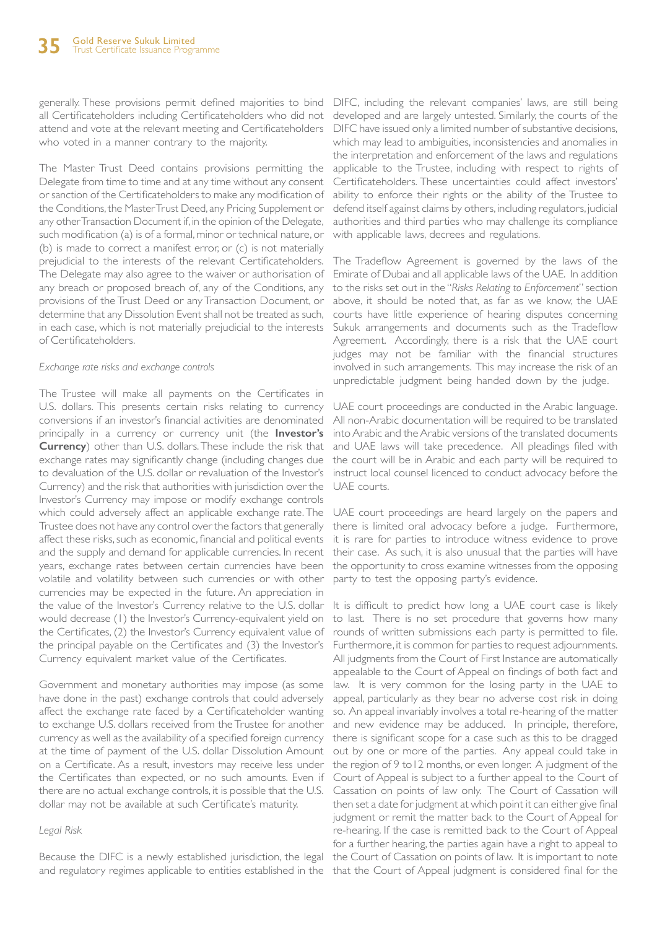generally. These provisions permit defined majorities to bind DIFC, including the relevant companies' laws, are still being all Certificateholders including Certificateholders who did not attend and vote at the relevant meeting and Certificateholders who voted in a manner contrary to the majority.

The Master Trust Deed contains provisions permitting the Delegate from time to time and at any time without any consent or sanction of the Certificateholders to make any modification of the Conditions, the Master Trust Deed, any Pricing Supplement or any other Transaction Document if, in the opinion of the Delegate, such modification (a) is of a formal, minor or technical nature, or (b) is made to correct a manifest error, or (c) is not materially prejudicial to the interests of the relevant Certificateholders. The Delegate may also agree to the waiver or authorisation of any breach or proposed breach of, any of the Conditions, any provisions of the Trust Deed or any Transaction Document, or determine that any Dissolution Event shall not be treated as such, in each case, which is not materially prejudicial to the interests of Certificateholders.

#### *Exchange rate risks and exchange controls*

The Trustee will make all payments on the Certificates in U.S. dollars. This presents certain risks relating to currency conversions if an investor's financial activities are denominated principally in a currency or currency unit (the **Investor's Currency**) other than U.S. dollars. These include the risk that exchange rates may significantly change (including changes due to devaluation of the U.S. dollar or revaluation of the Investor's Currency) and the risk that authorities with jurisdiction over the Investor's Currency may impose or modify exchange controls which could adversely affect an applicable exchange rate. The Trustee does not have any control over the factors that generally affect these risks, such as economic, financial and political events and the supply and demand for applicable currencies. In recent years, exchange rates between certain currencies have been volatile and volatility between such currencies or with other currencies may be expected in the future. An appreciation in the value of the Investor's Currency relative to the U.S. dollar would decrease (1) the Investor's Currency-equivalent yield on the Certificates, (2) the Investor's Currency equivalent value of the principal payable on the Certificates and (3) the Investor's Currency equivalent market value of the Certificates.

Government and monetary authorities may impose (as some have done in the past) exchange controls that could adversely affect the exchange rate faced by a Certificateholder wanting to exchange U.S. dollars received from the Trustee for another currency as well as the availability of a specified foreign currency at the time of payment of the U.S. dollar Dissolution Amount on a Certificate. As a result, investors may receive less under the Certificates than expected, or no such amounts. Even if there are no actual exchange controls, it is possible that the U.S. dollar may not be available at such Certificate's maturity.

#### *Legal Risk*

Because the DIFC is a newly established jurisdiction, the legal

developed and are largely untested. Similarly, the courts of the DIFC have issued only a limited number of substantive decisions, which may lead to ambiguities, inconsistencies and anomalies in the interpretation and enforcement of the laws and regulations applicable to the Trustee, including with respect to rights of Certificateholders. These uncertainties could affect investors' ability to enforce their rights or the ability of the Trustee to defend itself against claims by others, including regulators, judicial authorities and third parties who may challenge its compliance with applicable laws, decrees and regulations.

The Tradeflow Agreement is governed by the laws of the Emirate of Dubai and all applicable laws of the UAE. In addition to the risks set out in the "*Risks Relating to Enforcement*" section above, it should be noted that, as far as we know, the UAE courts have little experience of hearing disputes concerning Sukuk arrangements and documents such as the Tradeflow Agreement. Accordingly, there is a risk that the UAE court judges may not be familiar with the financial structures involved in such arrangements. This may increase the risk of an unpredictable judgment being handed down by the judge.

UAE court proceedings are conducted in the Arabic language. All non-Arabic documentation will be required to be translated into Arabic and the Arabic versions of the translated documents and UAE laws will take precedence. All pleadings filed with the court will be in Arabic and each party will be required to instruct local counsel licenced to conduct advocacy before the UAE courts.

UAE court proceedings are heard largely on the papers and there is limited oral advocacy before a judge. Furthermore, it is rare for parties to introduce witness evidence to prove their case. As such, it is also unusual that the parties will have the opportunity to cross examine witnesses from the opposing party to test the opposing party's evidence.

and regulatory regimes applicable to entities established in the that the Court of Appeal judgment is considered final for the It is difficult to predict how long a UAE court case is likely to last. There is no set procedure that governs how many rounds of written submissions each party is permitted to file. Furthermore, it is common for parties to request adjournments. All judgments from the Court of First Instance are automatically appealable to the Court of Appeal on findings of both fact and law. It is very common for the losing party in the UAE to appeal, particularly as they bear no adverse cost risk in doing so. An appeal invariably involves a total re-hearing of the matter and new evidence may be adduced. In principle, therefore, there is significant scope for a case such as this to be dragged out by one or more of the parties. Any appeal could take in the region of 9 to12 months, or even longer. A judgment of the Court of Appeal is subject to a further appeal to the Court of Cassation on points of law only. The Court of Cassation will then set a date for judgment at which point it can either give final judgment or remit the matter back to the Court of Appeal for re-hearing. If the case is remitted back to the Court of Appeal for a further hearing, the parties again have a right to appeal to the Court of Cassation on points of law. It is important to note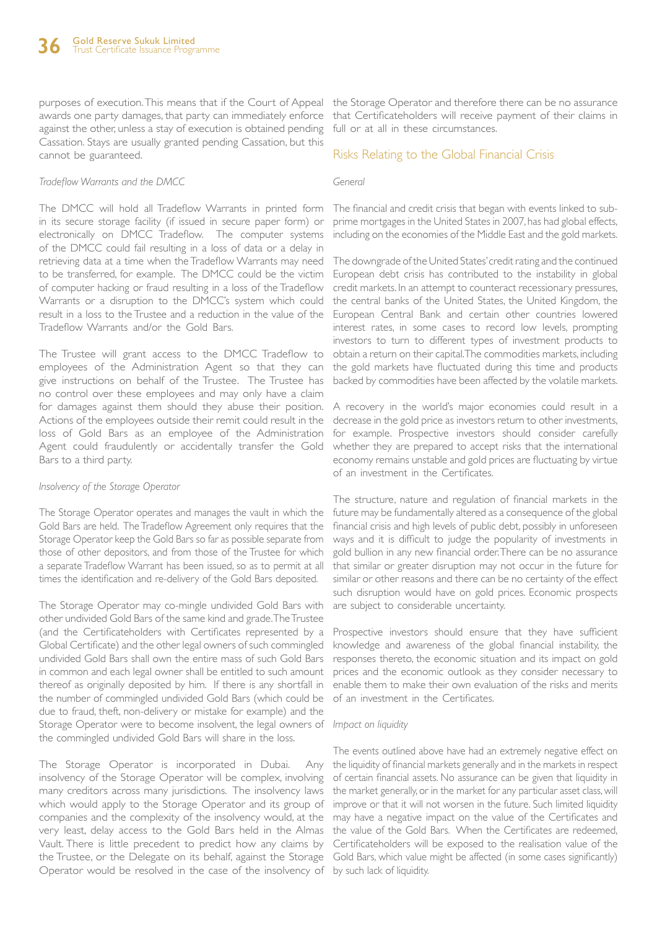awards one party damages, that party can immediately enforce against the other, unless a stay of execution is obtained pending Cassation. Stays are usually granted pending Cassation, but this cannot be guaranteed.

#### *Tradeflow Warrants and the DMCC*

The DMCC will hold all Tradeflow Warrants in printed form in its secure storage facility (if issued in secure paper form) or electronically on DMCC Tradeflow. The computer systems of the DMCC could fail resulting in a loss of data or a delay in retrieving data at a time when the Tradeflow Warrants may need to be transferred, for example. The DMCC could be the victim of computer hacking or fraud resulting in a loss of the Tradeflow Warrants or a disruption to the DMCC's system which could result in a loss to the Trustee and a reduction in the value of the Tradeflow Warrants and/or the Gold Bars.

The Trustee will grant access to the DMCC Tradeflow to employees of the Administration Agent so that they can give instructions on behalf of the Trustee. The Trustee has no control over these employees and may only have a claim for damages against them should they abuse their position. Actions of the employees outside their remit could result in the loss of Gold Bars as an employee of the Administration Agent could fraudulently or accidentally transfer the Gold Bars to a third party.

#### *Insolvency of the Storage Operator*

The Storage Operator operates and manages the vault in which the Gold Bars are held. The Tradeflow Agreement only requires that the Storage Operator keep the Gold Bars so far as possible separate from those of other depositors, and from those of the Trustee for which a separate Tradeflow Warrant has been issued, so as to permit at all times the identification and re-delivery of the Gold Bars deposited.

The Storage Operator may co-mingle undivided Gold Bars with other undivided Gold Bars of the same kind and grade. The Trustee (and the Certificateholders with Certificates represented by a Global Certificate) and the other legal owners of such commingled undivided Gold Bars shall own the entire mass of such Gold Bars in common and each legal owner shall be entitled to such amount thereof as originally deposited by him. If there is any shortfall in the number of commingled undivided Gold Bars (which could be due to fraud, theft, non-delivery or mistake for example) and the Storage Operator were to become insolvent, the legal owners of *Impact on liquidity* the commingled undivided Gold Bars will share in the loss.

The Storage Operator is incorporated in Dubai. Any insolvency of the Storage Operator will be complex, involving many creditors across many jurisdictions. The insolvency laws which would apply to the Storage Operator and its group of companies and the complexity of the insolvency would, at the very least, delay access to the Gold Bars held in the Almas the value of the Gold Bars. When the Certificates are redeemed, Vault. There is little precedent to predict how any claims by Certificateholders will be exposed to the realisation value of the the Trustee, or the Delegate on its behalf, against the Storage Gold Bars, which value might be affected (in some cases significantly) Operator would be resolved in the case of the insolvency of by such lack of liquidity.

purposes of execution. This means that if the Court of Appeal the Storage Operator and therefore there can be no assurance that Certificateholders will receive payment of their claims in full or at all in these circumstances.

#### Risks Relating to the Global Financial Crisis

#### *General*

The financial and credit crisis that began with events linked to subprime mortgages in the United States in 2007, has had global effects, including on the economies of the Middle East and the gold markets.

The downgrade of the United States' credit rating and the continued European debt crisis has contributed to the instability in global credit markets. In an attempt to counteract recessionary pressures, the central banks of the United States, the United Kingdom, the European Central Bank and certain other countries lowered interest rates, in some cases to record low levels, prompting investors to turn to different types of investment products to obtain a return on their capital. The commodities markets, including the gold markets have fluctuated during this time and products backed by commodities have been affected by the volatile markets.

A recovery in the world's major economies could result in a decrease in the gold price as investors return to other investments, for example. Prospective investors should consider carefully whether they are prepared to accept risks that the international economy remains unstable and gold prices are fluctuating by virtue of an investment in the Certificates.

The structure, nature and regulation of financial markets in the future may be fundamentally altered as a consequence of the global financial crisis and high levels of public debt, possibly in unforeseen ways and it is difficult to judge the popularity of investments in gold bullion in any new financial order. There can be no assurance that similar or greater disruption may not occur in the future for similar or other reasons and there can be no certainty of the effect such disruption would have on gold prices. Economic prospects are subject to considerable uncertainty.

Prospective investors should ensure that they have sufficient knowledge and awareness of the global financial instability, the responses thereto, the economic situation and its impact on gold prices and the economic outlook as they consider necessary to enable them to make their own evaluation of the risks and merits of an investment in the Certificates.

The events outlined above have had an extremely negative effect on the liquidity of financial markets generally and in the markets in respect of certain financial assets. No assurance can be given that liquidity in the market generally, or in the market for any particular asset class, will improve or that it will not worsen in the future. Such limited liquidity may have a negative impact on the value of the Certificates and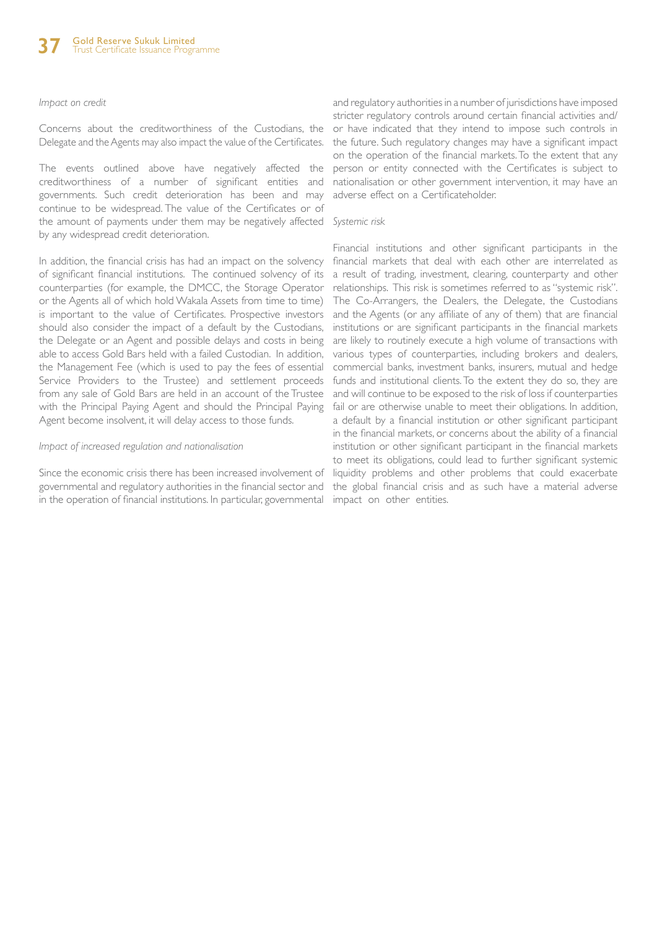#### *Impact on credit*

Concerns about the creditworthiness of the Custodians, the Delegate and the Agents may also impact the value of the Certificates.

The events outlined above have negatively affected the creditworthiness of a number of significant entities and governments. Such credit deterioration has been and may continue to be widespread. The value of the Certificates or of the amount of payments under them may be negatively affected *Systemic risk* by any widespread credit deterioration.

In addition, the financial crisis has had an impact on the solvency of significant financial institutions. The continued solvency of its counterparties (for example, the DMCC, the Storage Operator or the Agents all of which hold Wakala Assets from time to time) is important to the value of Certificates. Prospective investors should also consider the impact of a default by the Custodians, the Delegate or an Agent and possible delays and costs in being able to access Gold Bars held with a failed Custodian. In addition, the Management Fee (which is used to pay the fees of essential Service Providers to the Trustee) and settlement proceeds from any sale of Gold Bars are held in an account of the Trustee with the Principal Paying Agent and should the Principal Paying Agent become insolvent, it will delay access to those funds.

#### *Impact of increased regulation and nationalisation*

Since the economic crisis there has been increased involvement of governmental and regulatory authorities in the financial sector and in the operation of financial institutions. In particular, governmental impact on other entities.

and regulatory authorities in a number of jurisdictions have imposed stricter regulatory controls around certain financial activities and/ or have indicated that they intend to impose such controls in the future. Such regulatory changes may have a significant impact on the operation of the financial markets. To the extent that any person or entity connected with the Certificates is subject to nationalisation or other government intervention, it may have an adverse effect on a Certificateholder.

Financial institutions and other significant participants in the financial markets that deal with each other are interrelated as a result of trading, investment, clearing, counterparty and other relationships. This risk is sometimes referred to as "systemic risk". The Co-Arrangers, the Dealers, the Delegate, the Custodians and the Agents (or any affiliate of any of them) that are financial institutions or are significant participants in the financial markets are likely to routinely execute a high volume of transactions with various types of counterparties, including brokers and dealers, commercial banks, investment banks, insurers, mutual and hedge funds and institutional clients. To the extent they do so, they are and will continue to be exposed to the risk of loss if counterparties fail or are otherwise unable to meet their obligations. In addition, a default by a financial institution or other significant participant in the financial markets, or concerns about the ability of a financial institution or other significant participant in the financial markets to meet its obligations, could lead to further significant systemic liquidity problems and other problems that could exacerbate the global financial crisis and as such have a material adverse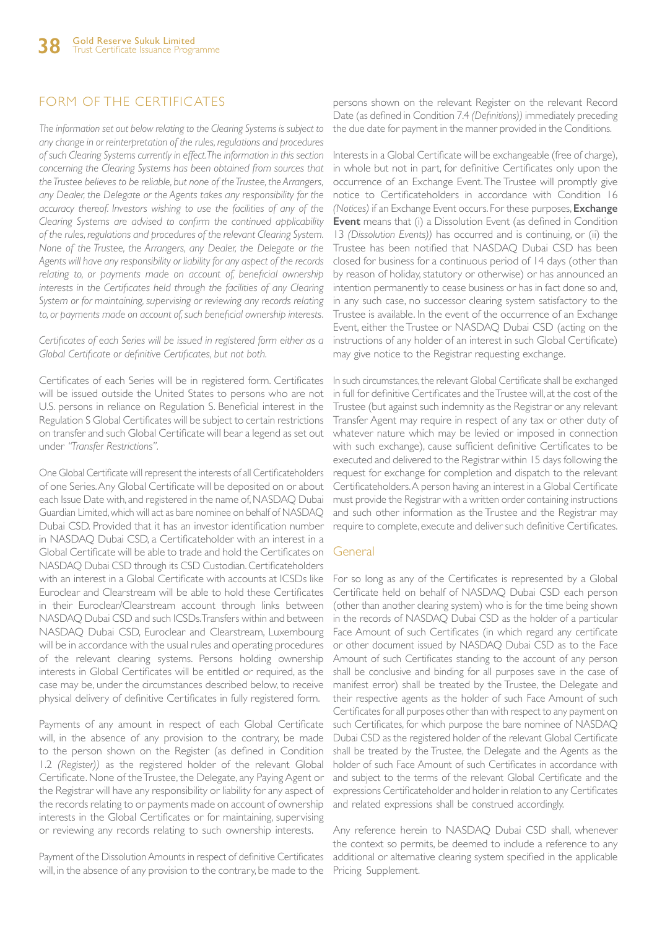### FORM OF THE CERTIFICATES

*The information set out below relating to the Clearing Systems is subject to any change in or reinterpretation of the rules, regulations and procedures of such Clearing Systems currently in effect. The information in this section concerning the Clearing Systems has been obtained from sources that the Trustee believes to be reliable, but none of the Trustee, the Arrangers, any Dealer, the Delegate or the Agents takes any responsibility for the accuracy thereof. Investors wishing to use the facilities of any of the Clearing Systems are advised to confirm the continued applicability of the rules, regulations and procedures of the relevant Clearing System. None of the Trustee, the Arrangers, any Dealer, the Delegate or the Agents will have any responsibility or liability for any aspect of the records*  relating to, or payments made on account of, beneficial ownership *interests in the Certificates held through the facilities of any Clearing System or for maintaining, supervising or reviewing any records relating to, or payments made on account of, such beneficial ownership interests.*

*Certificates of each Series will be issued in registered form either as a Global Certificate or definitive Certificates, but not both.* 

Certificates of each Series will be in registered form. Certificates will be issued outside the United States to persons who are not U.S. persons in reliance on Regulation S. Beneficial interest in the Regulation S Global Certificates will be subject to certain restrictions on transfer and such Global Certificate will bear a legend as set out under *"Transfer Restrictions".*

One Global Certificate will represent the interests of all Certificateholders of one Series. Any Global Certificate will be deposited on or about each Issue Date with, and registered in the name of, NASDAQ Dubai Guardian Limited, which will act as bare nominee on behalf of NASDAQ Dubai CSD. Provided that it has an investor identification number in NASDAQ Dubai CSD, a Certificateholder with an interest in a Global Certificate will be able to trade and hold the Certificates on NASDAQ Dubai CSD through its CSD Custodian. Certificateholders with an interest in a Global Certificate with accounts at ICSDs like Euroclear and Clearstream will be able to hold these Certificates in their Euroclear/Clearstream account through links between NASDAQ Dubai CSD and such ICSDs. Transfers within and between NASDAQ Dubai CSD, Euroclear and Clearstream, Luxembourg will be in accordance with the usual rules and operating procedures of the relevant clearing systems. Persons holding ownership interests in Global Certificates will be entitled or required, as the case may be, under the circumstances described below, to receive physical delivery of definitive Certificates in fully registered form.

Payments of any amount in respect of each Global Certificate will, in the absence of any provision to the contrary, be made to the person shown on the Register (as defined in Condition 1.2 *(Register))* as the registered holder of the relevant Global Certificate. None of the Trustee, the Delegate, any Paying Agent or the Registrar will have any responsibility or liability for any aspect of the records relating to or payments made on account of ownership interests in the Global Certificates or for maintaining, supervising or reviewing any records relating to such ownership interests.

Payment of the Dissolution Amounts in respect of definitive Certificates will, in the absence of any provision to the contrary, be made to the

persons shown on the relevant Register on the relevant Record Date (as defined in Condition 7.4 *(Definitions))* immediately preceding the due date for payment in the manner provided in the Conditions.

Interests in a Global Certificate will be exchangeable (free of charge), in whole but not in part, for definitive Certificates only upon the occurrence of an Exchange Event. The Trustee will promptly give notice to Certificateholders in accordance with Condition 16 *(Notices)* if an Exchange Event occurs. For these purposes, **Exchange Event** means that (i) a Dissolution Event (as defined in Condition 13 *(Dissolution Events))* has occurred and is continuing, or (ii) the Trustee has been notified that NASDAQ Dubai CSD has been closed for business for a continuous period of 14 days (other than by reason of holiday, statutory or otherwise) or has announced an intention permanently to cease business or has in fact done so and, in any such case, no successor clearing system satisfactory to the Trustee is available. In the event of the occurrence of an Exchange Event, either the Trustee or NASDAQ Dubai CSD (acting on the instructions of any holder of an interest in such Global Certificate) may give notice to the Registrar requesting exchange.

In such circumstances, the relevant Global Certificate shall be exchanged in full for definitive Certificates and the Trustee will, at the cost of the Trustee (but against such indemnity as the Registrar or any relevant Transfer Agent may require in respect of any tax or other duty of whatever nature which may be levied or imposed in connection with such exchange), cause sufficient definitive Certificates to be executed and delivered to the Registrar within 15 days following the request for exchange for completion and dispatch to the relevant Certificateholders. A person having an interest in a Global Certificate must provide the Registrar with a written order containing instructions and such other information as the Trustee and the Registrar may require to complete, execute and deliver such definitive Certificates.

### **General**

For so long as any of the Certificates is represented by a Global Certificate held on behalf of NASDAQ Dubai CSD each person (other than another clearing system) who is for the time being shown in the records of NASDAQ Dubai CSD as the holder of a particular Face Amount of such Certificates (in which regard any certificate or other document issued by NASDAQ Dubai CSD as to the Face Amount of such Certificates standing to the account of any person shall be conclusive and binding for all purposes save in the case of manifest error) shall be treated by the Trustee, the Delegate and their respective agents as the holder of such Face Amount of such Certificates for all purposes other than with respect to any payment on such Certificates, for which purpose the bare nominee of NASDAQ Dubai CSD as the registered holder of the relevant Global Certificate shall be treated by the Trustee, the Delegate and the Agents as the holder of such Face Amount of such Certificates in accordance with and subject to the terms of the relevant Global Certificate and the expressions Certificateholder and holder in relation to any Certificates and related expressions shall be construed accordingly.

Any reference herein to NASDAQ Dubai CSD shall, whenever the context so permits, be deemed to include a reference to any additional or alternative clearing system specified in the applicable Pricing Supplement.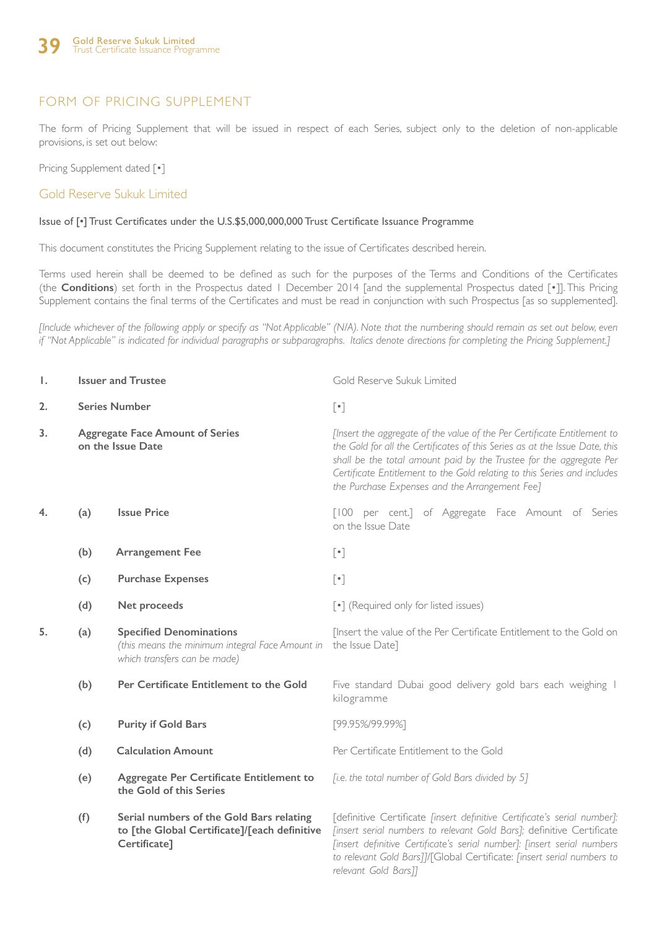### FORM OF PRICING SUPPLEMENT

The form of Pricing Supplement that will be issued in respect of each Series, subject only to the deletion of non-applicable provisions, is set out below:

Pricing Supplement dated [ $\cdot$ ]

Gold Reserve Sukuk Limited

#### Issue of [•] Trust Certificates under the U.S.\$5,000,000,000 Trust Certificate Issuance Programme

This document constitutes the Pricing Supplement relating to the issue of Certificates described herein.

Terms used herein shall be deemed to be defined as such for the purposes of the Terms and Conditions of the Certificates (the **Conditions**) set forth in the Prospectus dated 1 December 2014 [and the supplemental Prospectus dated [•]]. This Pricing Supplement contains the final terms of the Certificates and must be read in conjunction with such Prospectus [as so supplemented].

*[Include whichever of the following apply or specify as "Not Applicable" (N/A). Note that the numbering should remain as set out below, even if "Not Applicable" is indicated for individual paragraphs or subparagraphs. Italics denote directions for completing the Pricing Supplement.]*

| Ι. |                                                             | <b>Issuer and Trustee</b>                                                                                         | Gold Reserve Sukuk Limited                                                                                                                                                                                                                                                                                                                                   |  |  |  |
|----|-------------------------------------------------------------|-------------------------------------------------------------------------------------------------------------------|--------------------------------------------------------------------------------------------------------------------------------------------------------------------------------------------------------------------------------------------------------------------------------------------------------------------------------------------------------------|--|--|--|
| 2. | <b>Series Number</b>                                        |                                                                                                                   | $[\cdot]$                                                                                                                                                                                                                                                                                                                                                    |  |  |  |
| 3. | <b>Aggregate Face Amount of Series</b><br>on the Issue Date |                                                                                                                   | [Insert the aggregate of the value of the Per Certificate Entitlement to<br>the Gold for all the Certificates of this Series as at the Issue Date, this<br>shall be the total amount paid by the Trustee for the aggregate Per<br>Certificate Entitlement to the Gold relating to this Series and includes<br>the Purchase Expenses and the Arrangement Fee] |  |  |  |
| 4. | (a)                                                         | <b>Issue Price</b>                                                                                                | [100 per cent.] of Aggregate Face Amount of Series<br>on the Issue Date                                                                                                                                                                                                                                                                                      |  |  |  |
|    | (b)                                                         | <b>Arrangement Fee</b>                                                                                            | $[\cdot]$                                                                                                                                                                                                                                                                                                                                                    |  |  |  |
|    | (c)                                                         | <b>Purchase Expenses</b>                                                                                          | $[\cdot] % \centering \includegraphics[width=0.9\textwidth]{images/TrDiM-Architecture.png} % \caption{The first two different values of $A$ with the same time. The first two different values of $A$ is the same time.} \label{TrDiM-Architecture} %$                                                                                                       |  |  |  |
|    | (d)                                                         | Net proceeds                                                                                                      | [.] (Required only for listed issues)                                                                                                                                                                                                                                                                                                                        |  |  |  |
| 5. | (a)                                                         | <b>Specified Denominations</b><br>(this means the minimum integral Face Amount in<br>which transfers can be made) | [Insert the value of the Per Certificate Entitlement to the Gold on<br>the Issue Date]                                                                                                                                                                                                                                                                       |  |  |  |
|    | (b)                                                         | Per Certificate Entitlement to the Gold                                                                           | Five standard Dubai good delivery gold bars each weighing I<br>kilogramme                                                                                                                                                                                                                                                                                    |  |  |  |
|    | (c)                                                         | <b>Purity if Gold Bars</b>                                                                                        | [99.95%/99.99%]                                                                                                                                                                                                                                                                                                                                              |  |  |  |
|    | (d)                                                         | <b>Calculation Amount</b>                                                                                         | Per Certificate Entitlement to the Gold                                                                                                                                                                                                                                                                                                                      |  |  |  |
|    | (e)                                                         | Aggregate Per Certificate Entitlement to<br>the Gold of this Series                                               | [i.e. the total number of Gold Bars divided by 5]                                                                                                                                                                                                                                                                                                            |  |  |  |
|    | (f)                                                         | Serial numbers of the Gold Bars relating<br>to [the Global Certificate]/[each definitive<br>Certificate]          | [definitive Certificate [insert definitive Certificate's serial number]:<br>[insert serial numbers to relevant Gold Bars]; definitive Certificate<br>[insert definitive Certificate's serial number]: [insert serial numbers<br>to relevant Gold Bars]]/[Global Certificate: [insert serial numbers to<br>relevant Gold Bars]]                               |  |  |  |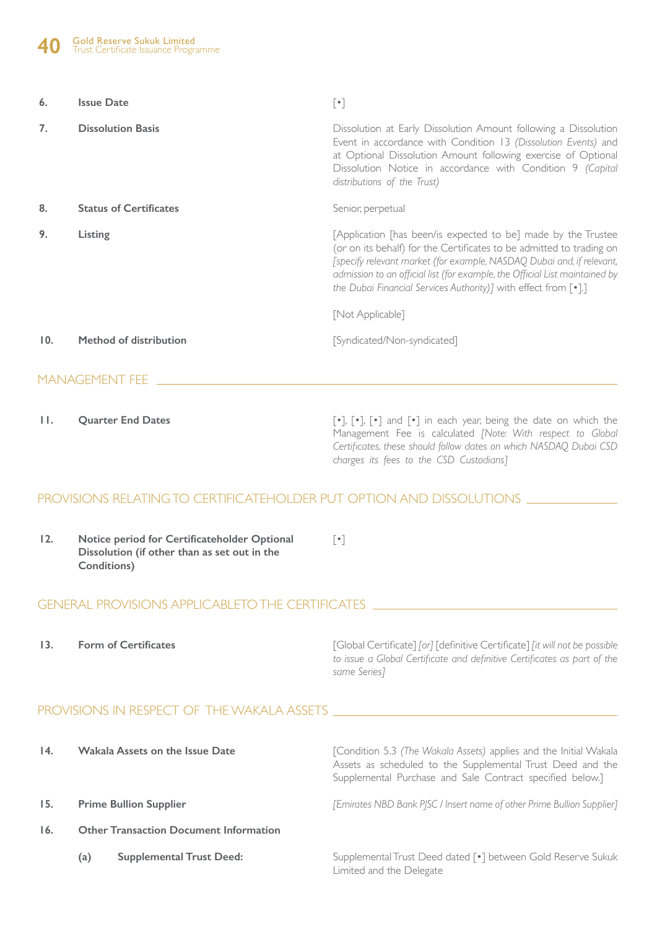| 6.  | <b>Issue Date</b>             | $[\cdot]$                                                                                                                                                                                                                                                                                                                                                                             |
|-----|-------------------------------|---------------------------------------------------------------------------------------------------------------------------------------------------------------------------------------------------------------------------------------------------------------------------------------------------------------------------------------------------------------------------------------|
| 7.  | <b>Dissolution Basis</b>      | Dissolution at Early Dissolution Amount following a Dissolution<br>Event in accordance with Condition 13 (Dissolution Events) and<br>at Optional Dissolution Amount following exercise of Optional<br>Dissolution Notice in accordance with Condition 9 (Capital<br>distributions of the Trust)                                                                                       |
| 8.  | <b>Status of Certificates</b> | Senior, perpetual                                                                                                                                                                                                                                                                                                                                                                     |
| 9.  | Listing                       | [Application [has been/is expected to be] made by the Trustee<br>(or on its behalf) for the Certificates to be admitted to trading on<br>[specify relevant market (for example, NASDAQ, Dubai and, if relevant,<br>admission to an official list (for example, the Official List maintained by<br>the Dubai Financial Services Authority)] with effect from [.].]<br>[Not Applicable] |
| 10. | Method of distribution        | [Syndicated/Non-syndicated]                                                                                                                                                                                                                                                                                                                                                           |
|     | <b>MANAGEMENT FEE</b>         |                                                                                                                                                                                                                                                                                                                                                                                       |

**11. Quarter End Dates** [•], [•], [•] and [•] in each year, being the date on which the Management Fee is calculated *[Note: With respect to Global Certificates, these should follow dates on which NASDAQ Dubai CSD charges its fees to the CSD Custodians]*

### PROVISIONS RELATING TO CERTIFICATEHOLDER PUT OPTION AND DISSOLUTIONS

| 12. | Notice period for Certificateholder Optional |  |  |
|-----|----------------------------------------------|--|--|
|     | Dissolution (if other than as set out in the |  |  |
|     | Conditions)                                  |  |  |

### GENERAL PROVISIONS APPLICABLETO THE CERTIFICATES

**13. Form of Certificates**

[Global Certificate] *[or]* [definitive Certificate] *[it will not be possible to issue a Global Certificate and definitive Certificates as part of the same Series]*

### PROVISIONS IN RESPECT OF THE WAKALA ASSETS

| $\overline{14}$ . | <b>Wakala Assets on the Issue Date</b>        |                                 | [Condition 5.3 (The Wakala Assets) applies and the Initial Wakala<br>Assets as scheduled to the Supplemental Trust Deed and the<br>Supplemental Purchase and Sale Contract specified below.] |  |  |  |
|-------------------|-----------------------------------------------|---------------------------------|----------------------------------------------------------------------------------------------------------------------------------------------------------------------------------------------|--|--|--|
| 15.               |                                               | <b>Prime Bullion Supplier</b>   | [Emirates NBD Bank PJSC / Insert name of other Prime Bullion Supplier]                                                                                                                       |  |  |  |
| 16.               | <b>Other Transaction Document Information</b> |                                 |                                                                                                                                                                                              |  |  |  |
|                   | (a)                                           | <b>Supplemental Trust Deed:</b> | Supplemental Trust Deed dated [.] between Gold Reserve Sukuk<br>Limited and the Delegate                                                                                                     |  |  |  |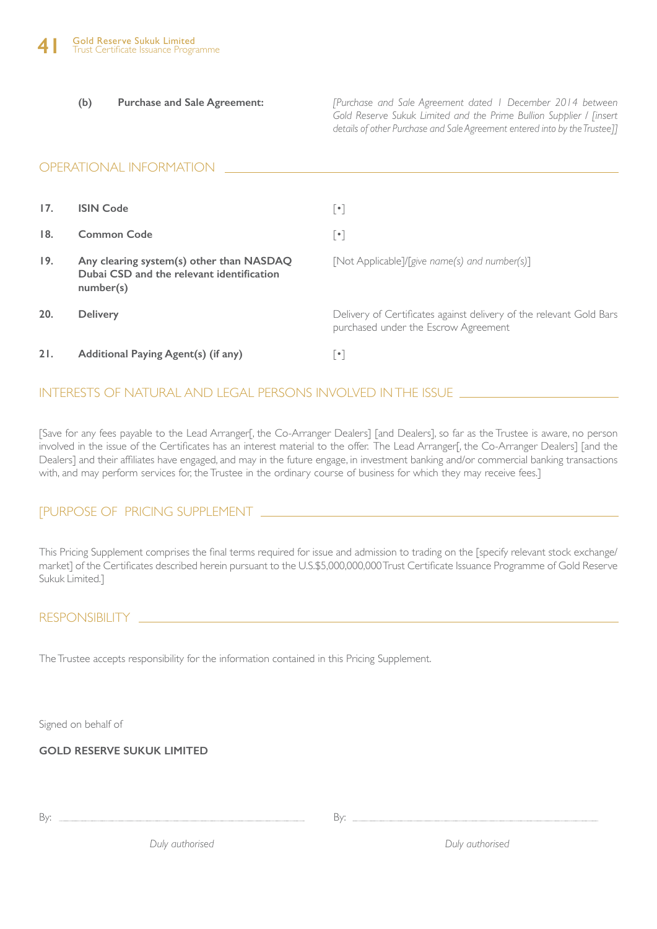**(b) Purchase and Sale Agreement:**

*[Purchase and Sale Agreement dated 1 December 2014 between Gold Reserve Sukuk Limited and the Prime Bullion Supplier / [insert details of other Purchase and Sale Agreement entered into by the Trustee]]*

#### OPERATIONAL INFORMATION **17. 18. 19. 20. 21. ISIN Code Common Code Any clearing system(s) other than NASDAQ Dubai CSD and the relevant identification number(s) Delivery Additional Paying Agent(s) (if any)** [•] [•] [Not Applicable]/[*give name(s) and number(s)*] Delivery of Certificates against delivery of the relevant Gold Bars purchased under the Escrow Agreement [•]

### INTERESTS OF NATURAL AND LEGAL PERSONS INVOLVED IN THE ISSUE

[Save for any fees payable to the Lead Arranger[, the Co-Arranger Dealers] [and Dealers], so far as the Trustee is aware, no person involved in the issue of the Certificates has an interest material to the offer. The Lead Arranger[, the Co-Arranger Dealers] [and the Dealers] and their affiliates have engaged, and may in the future engage, in investment banking and/or commercial banking transactions with, and may perform services for, the Trustee in the ordinary course of business for which they may receive fees.]

### [PURPOSE OF PRICING SUPPLEMENT

This Pricing Supplement comprises the final terms required for issue and admission to trading on the [specify relevant stock exchange/ market] of the Certificates described herein pursuant to the U.S.\$5,000,000,000 Trust Certificate Issuance Programme of Gold Reserve Sukuk Limited.]

### RESPONSIBILITY

The Trustee accepts responsibility for the information contained in this Pricing Supplement.

Signed on behalf of

**GOLD RESERVE SUKUK LIMITED**

By:

By:

*Duly authorised Duly authorised*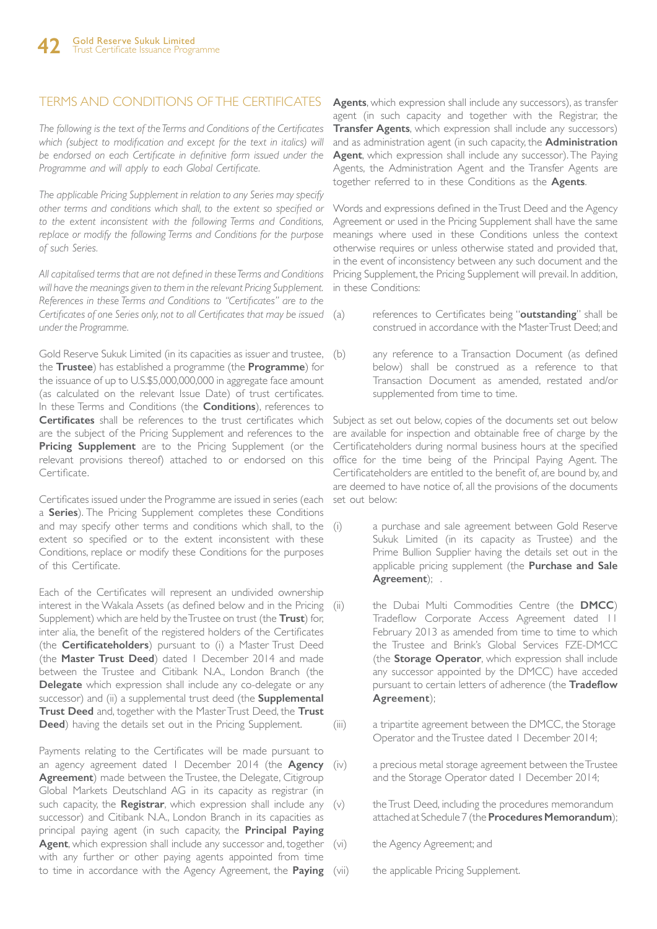### TERMS AND CONDITIONS OF THE CERTIFICATES

*The following is the text of the Terms and Conditions of the Certificates*  which (subject to modification and except for the text in italics) will *be endorsed on each Certificate in definitive form issued under the Programme and will apply to each Global Certificate.*

*The applicable Pricing Supplement in relation to any Series may specify other terms and conditions which shall, to the extent so specified or to the extent inconsistent with the following Terms and Conditions, replace or modify the following Terms and Conditions for the purpose of such Series.*

*All capitalised terms that are not defined in these Terms and Conditions will have the meanings given to them in the relevant Pricing Supplement. References in these Terms and Conditions to "Certificates" are to the Certificates of one Series only, not to all Certificates that may be issued under the Programme.*

Gold Reserve Sukuk Limited (in its capacities as issuer and trustee, (b) the **Trustee**) has established a programme (the **Programme**) for the issuance of up to U.S.\$5,000,000,000 in aggregate face amount (as calculated on the relevant Issue Date) of trust certificates. In these Terms and Conditions (the **Conditions**), references to **Certificates** shall be references to the trust certificates which are the subject of the Pricing Supplement and references to the **Pricing Supplement** are to the Pricing Supplement (or the relevant provisions thereof) attached to or endorsed on this Certificate.

Certificates issued under the Programme are issued in series (each set out below: a **Series**). The Pricing Supplement completes these Conditions and may specify other terms and conditions which shall, to the (i) extent so specified or to the extent inconsistent with these Conditions, replace or modify these Conditions for the purposes of this Certificate.

Each of the Certificates will represent an undivided ownership interest in the Wakala Assets (as defined below and in the Pricing (ii) Supplement) which are held by the Trustee on trust (the **Trust**) for, inter alia, the benefit of the registered holders of the Certificates (the **Certificateholders**) pursuant to (i) a Master Trust Deed (the **Master Trust Deed**) dated 1 December 2014 and made between the Trustee and Citibank N.A., London Branch (the **Delegate** which expression shall include any co-delegate or any successor) and (ii) a supplemental trust deed (the **Supplemental Trust Deed** and, together with the Master Trust Deed, the **Trust Deed**) having the details set out in the Pricing Supplement.

Payments relating to the Certificates will be made pursuant to an agency agreement dated 1 December 2014 (the **Agency Agreement**) made between the Trustee, the Delegate, Citigroup Global Markets Deutschland AG in its capacity as registrar (in such capacity, the **Registrar**, which expression shall include any (v) successor) and Citibank N.A., London Branch in its capacities as principal paying agent (in such capacity, the **Principal Paying Agent**, which expression shall include any successor and, together (vi) with any further or other paying agents appointed from time to time in accordance with the Agency Agreement, the **Paying** 

**Agents**, which expression shall include any successors), as transfer agent (in such capacity and together with the Registrar, the **Transfer Agents**, which expression shall include any successors) and as administration agent (in such capacity, the **Administration Agent**, which expression shall include any successor). The Paying Agents, the Administration Agent and the Transfer Agents are together referred to in these Conditions as the **Agents**.

Words and expressions defined in the Trust Deed and the Agency Agreement or used in the Pricing Supplement shall have the same meanings where used in these Conditions unless the context otherwise requires or unless otherwise stated and provided that, in the event of inconsistency between any such document and the Pricing Supplement, the Pricing Supplement will prevail. In addition, in these Conditions:

- references to Certificates being "outstanding" shall be construed in accordance with the Master Trust Deed; and
- any reference to a Transaction Document (as defined below) shall be construed as a reference to that Transaction Document as amended, restated and/or supplemented from time to time.

Subject as set out below, copies of the documents set out below are available for inspection and obtainable free of charge by the Certificateholders during normal business hours at the specified office for the time being of the Principal Paying Agent. The Certificateholders are entitled to the benefit of, are bound by, and are deemed to have notice of, all the provisions of the documents

- a purchase and sale agreement between Gold Reserve Sukuk Limited (in its capacity as Trustee) and the Prime Bullion Supplier having the details set out in the applicable pricing supplement (the **Purchase and Sale Agreement**); .
- the Dubai Multi Commodities Centre (the **DMCC**) Tradeflow Corporate Access Agreement dated 11 February 2013 as amended from time to time to which the Trustee and Brink's Global Services FZE-DMCC (the **Storage Operator**, which expression shall include any successor appointed by the DMCC) have acceded pursuant to certain letters of adherence (the **Tradeflow Agreement**);
- (iii) a tripartite agreement between the DMCC, the Storage Operator and the Trustee dated 1 December 2014;
	- a precious metal storage agreement between the Trustee and the Storage Operator dated 1 December 2014;
	- the Trust Deed, including the procedures memorandum attached at Schedule 7 (the **Procedures Memorandum**);
	- the Agency Agreement; and
	- the applicable Pricing Supplement.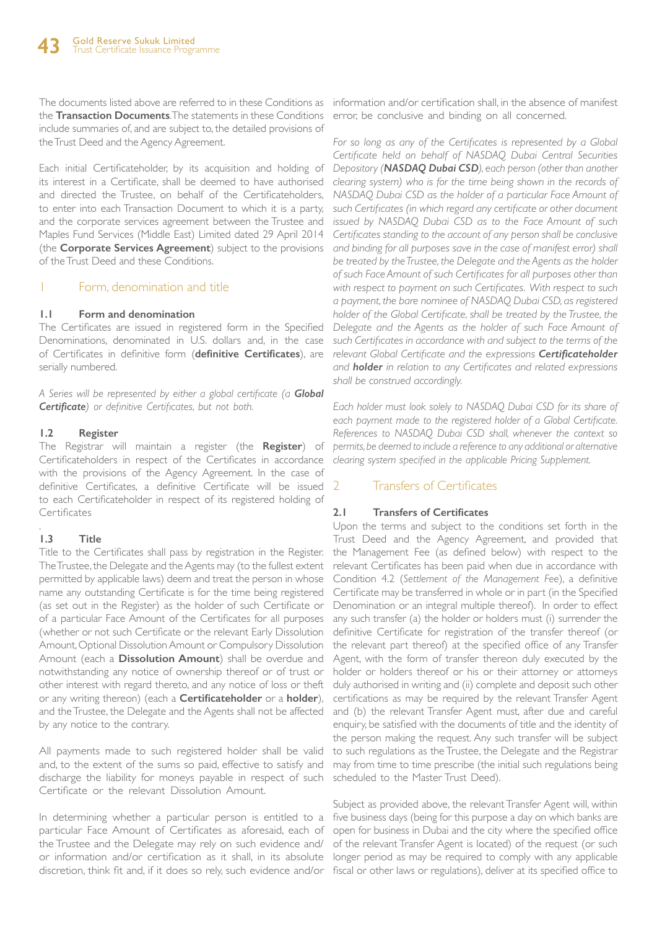The documents listed above are referred to in these Conditions as information and/or certification shall, in the absence of manifest the **Transaction Documents**. The statements in these Conditions include summaries of, and are subject to, the detailed provisions of the Trust Deed and the Agency Agreement.

Each initial Certificateholder, by its acquisition and holding of its interest in a Certificate, shall be deemed to have authorised and directed the Trustee, on behalf of the Certificateholders, to enter into each Transaction Document to which it is a party, and the corporate services agreement between the Trustee and Maples Fund Services (Middle East) Limited dated 29 April 2014 (the **Corporate Services Agreement**) subject to the provisions of the Trust Deed and these Conditions.

### Form, denomination and title

#### **1.1 Form and denomination**

The Certificates are issued in registered form in the Specified Denominations, denominated in U.S. dollars and, in the case of Certificates in definitive form (**definitive Certificates**), are serially numbered.

*A Series will be represented by either a global certificate (a Global Certificate) or definitive Certificates, but not both.*

#### **1.2 Register**

The Registrar will maintain a register (the **Register**) of Certificateholders in respect of the Certificates in accordance with the provisions of the Agency Agreement. In the case of definitive Certificates, a definitive Certificate will be issued to each Certificateholder in respect of its registered holding of **Certificates** 

#### . **1.3 Title**

Title to the Certificates shall pass by registration in the Register. The Trustee, the Delegate and the Agents may (to the fullest extent permitted by applicable laws) deem and treat the person in whose name any outstanding Certificate is for the time being registered (as set out in the Register) as the holder of such Certificate or of a particular Face Amount of the Certificates for all purposes (whether or not such Certificate or the relevant Early Dissolution Amount, Optional Dissolution Amount or Compulsory Dissolution Amount (each a **Dissolution Amount**) shall be overdue and notwithstanding any notice of ownership thereof or of trust or other interest with regard thereto, and any notice of loss or theft or any writing thereon) (each a **Certificateholder** or a **holder**), and the Trustee, the Delegate and the Agents shall not be affected by any notice to the contrary.

All payments made to such registered holder shall be valid and, to the extent of the sums so paid, effective to satisfy and discharge the liability for moneys payable in respect of such Certificate or the relevant Dissolution Amount.

In determining whether a particular person is entitled to a particular Face Amount of Certificates as aforesaid, each of the Trustee and the Delegate may rely on such evidence and/ or information and/or certification as it shall, in its absolute discretion, think fit and, if it does so rely, such evidence and/or fiscal or other laws or regulations), deliver at its specified office to

error, be conclusive and binding on all concerned.

For so long as any of the Certificates is represented by a Global *Certificate held on behalf of NASDAQ Dubai Central Securities Depository (NASDAQ Dubai CSD), each person (other than another clearing system) who is for the time being shown in the records of NASDAQ Dubai CSD as the holder of a particular Face Amount of such Certificates (in which regard any certificate or other document issued by NASDAQ Dubai CSD as to the Face Amount of such Certificates standing to the account of any person shall be conclusive and binding for all purposes save in the case of manifest error) shall be treated by the Trustee, the Delegate and the Agents as the holder of such Face Amount of such Certificates for all purposes other than with respect to payment on such Certificates. With respect to such a payment, the bare nominee of NASDAQ Dubai CSD, as registered holder of the Global Certificate, shall be treated by the Trustee, the Delegate and the Agents as the holder of such Face Amount of such Certificates in accordance with and subject to the terms of the relevant Global Certificate and the expressions Certificateholder and holder in relation to any Certificates and related expressions shall be construed accordingly.* 

*Each holder must look solely to NASDAQ Dubai CSD for its share of*  each payment made to the registered holder of a Global Certificate. *References to NASDAQ Dubai CSD shall, whenever the context so permits, be deemed to include a reference to any additional or alternative clearing system specified in the applicable Pricing Supplement.*

### 2 Transfers of Certificates

### **2.1 Transfers of Certificates**

Upon the terms and subject to the conditions set forth in the Trust Deed and the Agency Agreement, and provided that the Management Fee (as defined below) with respect to the relevant Certificates has been paid when due in accordance with Condition 4.2 (*Settlement of the Management Fee*), a definitive Certificate may be transferred in whole or in part (in the Specified Denomination or an integral multiple thereof). In order to effect any such transfer (a) the holder or holders must (i) surrender the definitive Certificate for registration of the transfer thereof (or the relevant part thereof) at the specified office of any Transfer Agent, with the form of transfer thereon duly executed by the holder or holders thereof or his or their attorney or attorneys duly authorised in writing and (ii) complete and deposit such other certifications as may be required by the relevant Transfer Agent and (b) the relevant Transfer Agent must, after due and careful enquiry, be satisfied with the documents of title and the identity of the person making the request. Any such transfer will be subject to such regulations as the Trustee, the Delegate and the Registrar may from time to time prescribe (the initial such regulations being scheduled to the Master Trust Deed).

Subject as provided above, the relevant Transfer Agent will, within five business days (being for this purpose a day on which banks are open for business in Dubai and the city where the specified office of the relevant Transfer Agent is located) of the request (or such longer period as may be required to comply with any applicable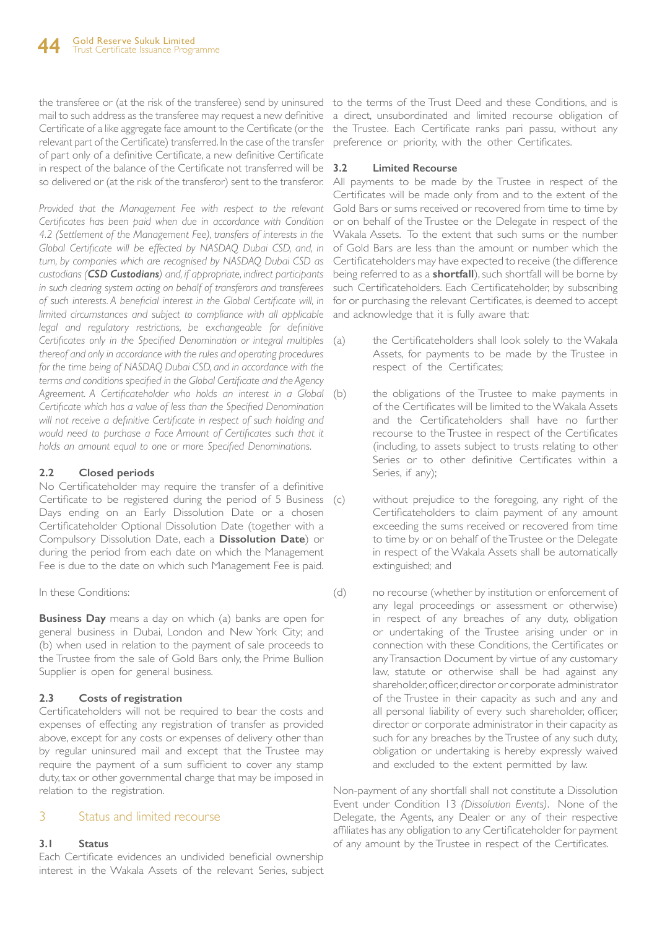the transferee or (at the risk of the transferee) send by uninsured to the terms of the Trust Deed and these Conditions, and is mail to such address as the transferee may request a new definitive a direct, unsubordinated and limited recourse obligation of Certificate of a like aggregate face amount to the Certificate (or the the Trustee. Each Certificate ranks pari passu, without any relevant part of the Certificate) transferred. In the case of the transfer of part only of a definitive Certificate, a new definitive Certificate in respect of the balance of the Certificate not transferred will be 3.2

*Provided that the Management Fee with respect to the relevant Certificates has been paid when due in accordance with Condition 4.2 (Settlement of the Management Fee), transfers of interests in the*  Global Certificate will be effected by NASDAQ Dubai CSD, and, in *turn, by companies which are recognised by NASDAQ Dubai CSD as custodians (CSD Custodians) and, if appropriate, indirect participants in such clearing system acting on behalf of transferors and transferees of such interests. A beneficial interest in the Global Certificate will, in limited circumstances and subject to compliance with all applicable*  legal and regulatory restrictions, be exchangeable for definitive *Certificates only in the Specified Denomination or integral multiples thereof and only in accordance with the rules and operating procedures for the time being of NASDAQ Dubai CSD, and in accordance with the terms and conditions specified in the Global Certificate and the Agency Agreement. A Certificateholder who holds an interest in a Global Certificate which has a value of less than the Specified Denomination will not receive a definitive Certificate in respect of such holding and*  would need to purchase a Face Amount of Certificates such that it *holds an amount equal to one or more Specified Denominations.*

### **2.2 Closed periods**

No Certificateholder may require the transfer of a definitive Certificate to be registered during the period of 5 Business (c) Days ending on an Early Dissolution Date or a chosen Certificateholder Optional Dissolution Date (together with a Compulsory Dissolution Date, each a **Dissolution Date**) or during the period from each date on which the Management Fee is due to the date on which such Management Fee is paid.

### In these Conditions:

**Business Day** means a day on which (a) banks are open for general business in Dubai, London and New York City; and (b) when used in relation to the payment of sale proceeds to the Trustee from the sale of Gold Bars only, the Prime Bullion Supplier is open for general business.

### **2.3 Costs of registration**

Certificateholders will not be required to bear the costs and expenses of effecting any registration of transfer as provided above, except for any costs or expenses of delivery other than by regular uninsured mail and except that the Trustee may require the payment of a sum sufficient to cover any stamp duty, tax or other governmental charge that may be imposed in relation to the registration.

### 3 Status and limited recourse

### **3.1 Status**

Each Certificate evidences an undivided beneficial ownership interest in the Wakala Assets of the relevant Series, subject

preference or priority, with the other Certificates.

### **3.2 Limited Recourse**

so delivered or (at the risk of the transferor) sent to the transferor. All payments to be made by the Trustee in respect of the Certificates will be made only from and to the extent of the Gold Bars or sums received or recovered from time to time by or on behalf of the Trustee or the Delegate in respect of the Wakala Assets. To the extent that such sums or the number of Gold Bars are less than the amount or number which the Certificateholders may have expected to receive (the difference being referred to as a **shortfall**), such shortfall will be borne by such Certificateholders. Each Certificateholder, by subscribing for or purchasing the relevant Certificates, is deemed to accept and acknowledge that it is fully aware that:

- the Certificateholders shall look solely to the Wakala Assets, for payments to be made by the Trustee in respect of the Certificates;
- the obligations of the Trustee to make payments in of the Certificates will be limited to the Wakala Assets and the Certificateholders shall have no further recourse to the Trustee in respect of the Certificates (including, to assets subject to trusts relating to other Series or to other definitive Certificates within a Series, if any);
	- without prejudice to the foregoing, any right of the Certificateholders to claim payment of any amount exceeding the sums received or recovered from time to time by or on behalf of the Trustee or the Delegate in respect of the Wakala Assets shall be automatically extinguished; and
- (d) no recourse (whether by institution or enforcement of any legal proceedings or assessment or otherwise) in respect of any breaches of any duty, obligation or undertaking of the Trustee arising under or in connection with these Conditions, the Certificates or any Transaction Document by virtue of any customary law, statute or otherwise shall be had against any shareholder, officer, director or corporate administrator of the Trustee in their capacity as such and any and all personal liability of every such shareholder, officer, director or corporate administrator in their capacity as such for any breaches by the Trustee of any such duty, obligation or undertaking is hereby expressly waived and excluded to the extent permitted by law.

Non-payment of any shortfall shall not constitute a Dissolution Event under Condition 13 *(Dissolution Events)*. None of the Delegate, the Agents, any Dealer or any of their respective affiliates has any obligation to any Certificateholder for payment of any amount by the Trustee in respect of the Certificates.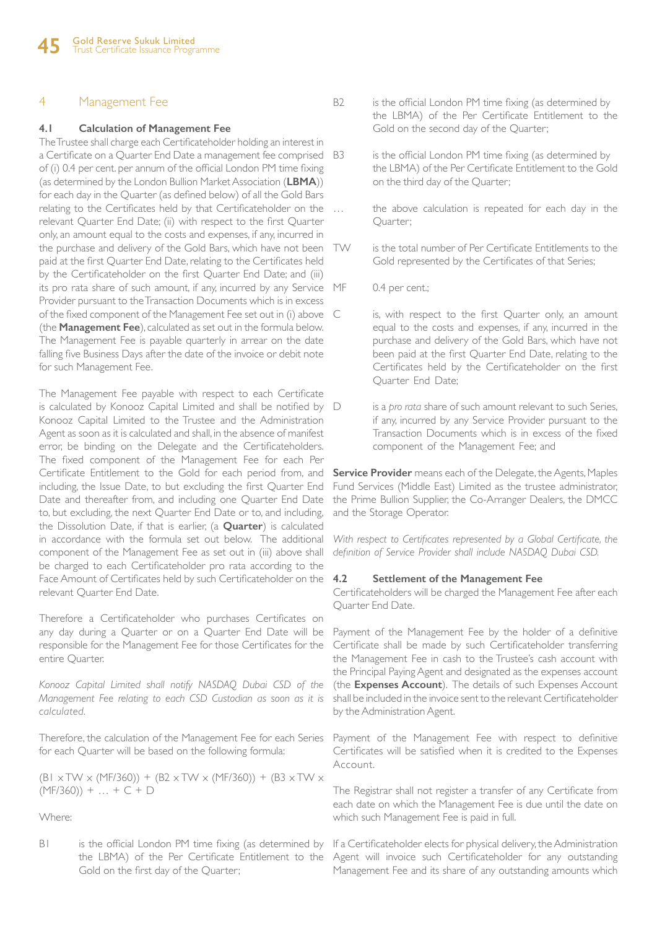### 4 Management Fee

#### **4.1 Calculation of Management Fee**

The Trustee shall charge each Certificateholder holding an interest in a Certificate on a Quarter End Date a management fee comprised B3 of (i) 0.4 per cent. per annum of the official London PM time fixing (as determined by the London Bullion Market Association (**LBMA**)) for each day in the Quarter (as defined below) of all the Gold Bars relating to the Certificates held by that Certificateholder on the relevant Quarter End Date; (ii) with respect to the first Quarter only, an amount equal to the costs and expenses, if any, incurred in the purchase and delivery of the Gold Bars, which have not been paid at the first Quarter End Date, relating to the Certificates held by the Certificateholder on the first Quarter End Date; and (iii) its pro rata share of such amount, if any, incurred by any Service Provider pursuant to the Transaction Documents which is in excess of the fixed component of the Management Fee set out in (i) above (the **Management Fee**), calculated as set out in the formula below. The Management Fee is payable quarterly in arrear on the date falling five Business Days after the date of the invoice or debit note for such Management Fee.

The Management Fee payable with respect to each Certificate is calculated by Konooz Capital Limited and shall be notified by Konooz Capital Limited to the Trustee and the Administration Agent as soon as it is calculated and shall, in the absence of manifest error, be binding on the Delegate and the Certificateholders. The fixed component of the Management Fee for each Per Certificate Entitlement to the Gold for each period from, and including, the Issue Date, to but excluding the first Quarter End Date and thereafter from, and including one Quarter End Date to, but excluding, the next Quarter End Date or to, and including, the Dissolution Date, if that is earlier, (a **Quarter**) is calculated in accordance with the formula set out below. The additional component of the Management Fee as set out in (iii) above shall be charged to each Certificateholder pro rata according to the Face Amount of Certificates held by such Certificateholder on the relevant Quarter End Date.

Therefore a Certificateholder who purchases Certificates on any day during a Quarter or on a Quarter End Date will be responsible for the Management Fee for those Certificates for the entire Quarter.

*Konooz Capital Limited shall notify NASDAQ Dubai CSD of the Management Fee relating to each CSD Custodian as soon as it is calculated.* 

Therefore, the calculation of the Management Fee for each Series for each Quarter will be based on the following formula:

 $(B1 \times TW \times (MF/360)) + (B2 \times TW \times (MF/360)) + (B3 \times TW \times$  $(MF/360)$  + ... + C + D

Where:

B1 is the official London PM time fixing (as determined by the LBMA) of the Per Certificate Entitlement to the Gold on the first day of the Quarter;

- B2 is the official London PM time fixing (as determined by the LBMA) of the Per Certificate Entitlement to the Gold on the second day of the Quarter;
	- is the official London PM time fixing (as determined by the LBMA) of the Per Certificate Entitlement to the Gold on the third day of the Quarter;
	- the above calculation is repeated for each day in the Quarter;
- TW is the total number of Per Certificate Entitlements to the Gold represented by the Certificates of that Series;
	- 0.4 per cent.;
	- is, with respect to the first Quarter only, an amount equal to the costs and expenses, if any, incurred in the purchase and delivery of the Gold Bars, which have not been paid at the first Quarter End Date, relating to the Certificates held by the Certificateholder on the first Quarter End Date;
	- is a *pro rata* share of such amount relevant to such Series, if any, incurred by any Service Provider pursuant to the Transaction Documents which is in excess of the fixed component of the Management Fee; and

**Service Provider** means each of the Delegate, the Agents, Maples Fund Services (Middle East) Limited as the trustee administrator, the Prime Bullion Supplier, the Co-Arranger Dealers, the DMCC and the Storage Operator.

With respect to Certificates represented by a Global Certificate, the *definition of Service Provider shall include NASDAQ Dubai CSD.*

#### **4.2 Settlement of the Management Fee**

Certificateholders will be charged the Management Fee after each Quarter End Date.

Payment of the Management Fee by the holder of a definitive Certificate shall be made by such Certificateholder transferring the Management Fee in cash to the Trustee's cash account with the Principal Paying Agent and designated as the expenses account (the **Expenses Account**). The details of such Expenses Account shall be included in the invoice sent to the relevant Certificateholder by the Administration Agent.

Payment of the Management Fee with respect to definitive Certificates will be satisfied when it is credited to the Expenses Account.

The Registrar shall not register a transfer of any Certificate from each date on which the Management Fee is due until the date on which such Management Fee is paid in full.

If a Certificateholder elects for physical delivery, the Administration Agent will invoice such Certificateholder for any outstanding Management Fee and its share of any outstanding amounts which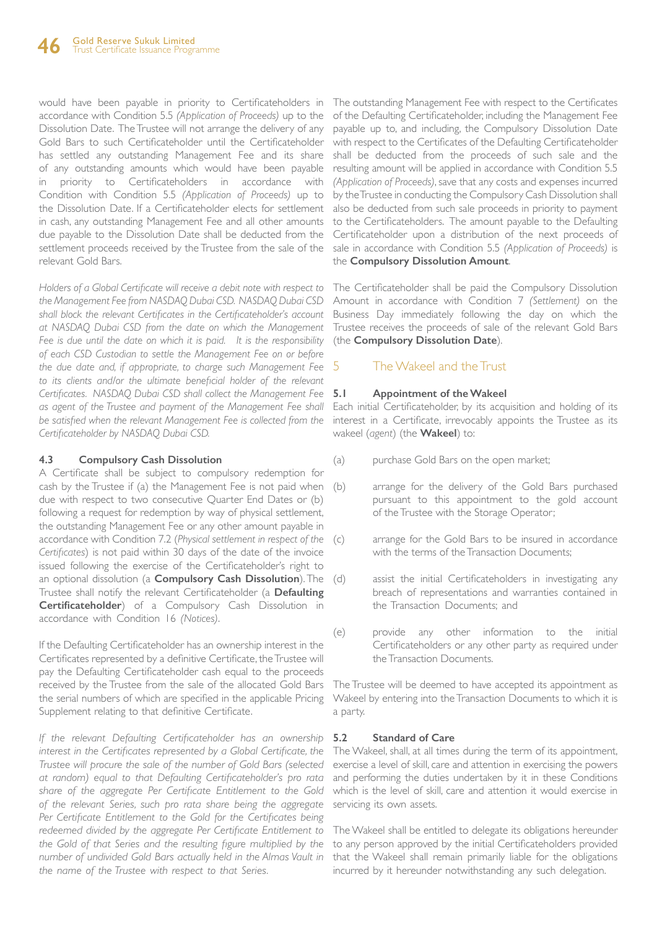would have been payable in priority to Certificateholders in accordance with Condition 5.5 *(Application of Proceeds)* up to the Dissolution Date. The Trustee will not arrange the delivery of any Gold Bars to such Certificateholder until the Certificateholder has settled any outstanding Management Fee and its share of any outstanding amounts which would have been payable priority to Certificateholders in accordance with Condition with Condition 5.5 *(Application of Proceeds)* up to the Dissolution Date. If a Certificateholder elects for settlement in cash, any outstanding Management Fee and all other amounts due payable to the Dissolution Date shall be deducted from the settlement proceeds received by the Trustee from the sale of the relevant Gold Bars.

*Holders of a Global Certificate will receive a debit note with respect to the Management Fee from NASDAQ Dubai CSD. NASDAQ Dubai CSD shall block the relevant Certificates in the Certificateholder's account at NASDAQ Dubai CSD from the date on which the Management Fee is due until the date on which it is paid. It is the responsibility of each CSD Custodian to settle the Management Fee on or before the due date and, if appropriate, to charge such Management Fee*  to its clients and/or the ultimate beneficial holder of the relevant *Certificates. NASDAQ Dubai CSD shall collect the Management Fee as agent of the Trustee and payment of the Management Fee shall be satisfied when the relevant Management Fee is collected from the Certificateholder by NASDAQ Dubai CSD.*

#### **4.3 Compulsory Cash Dissolution**

A Certificate shall be subject to compulsory redemption for cash by the Trustee if (a) the Management Fee is not paid when (b) due with respect to two consecutive Quarter End Dates or (b) following a request for redemption by way of physical settlement, the outstanding Management Fee or any other amount payable in accordance with Condition 7.2 (*Physical settlement in respect of the Certificates*) is not paid within 30 days of the date of the invoice issued following the exercise of the Certificateholder's right to an optional dissolution (a **Compulsory Cash Dissolution**). The Trustee shall notify the relevant Certificateholder (a **Defaulting Certificateholder**) of a Compulsory Cash Dissolution in accordance with Condition 16 *(Notices)*.

If the Defaulting Certificateholder has an ownership interest in the Certificates represented by a definitive Certificate, the Trustee will pay the Defaulting Certificateholder cash equal to the proceeds received by the Trustee from the sale of the allocated Gold Bars the serial numbers of which are specified in the applicable Pricing Supplement relating to that definitive Certificate.

*If the relevant Defaulting Certificateholder has an ownership interest in the Certificates represented by a Global Certificate, the Trustee will procure the sale of the number of Gold Bars (selected at random) equal to that Defaulting Certificateholder's pro rata share of the aggregate Per Certificate Entitlement to the Gold of the relevant Series, such pro rata share being the aggregate Per Certificate Entitlement to the Gold for the Certificates being redeemed divided by the aggregate Per Certificate Entitlement to the Gold of that Series and the resulting figure multiplied by the number of undivided Gold Bars actually held in the Almas Vault in the name of the Trustee with respect to that Series.*

The outstanding Management Fee with respect to the Certificates of the Defaulting Certificateholder, including the Management Fee payable up to, and including, the Compulsory Dissolution Date with respect to the Certificates of the Defaulting Certificateholder shall be deducted from the proceeds of such sale and the resulting amount will be applied in accordance with Condition 5.5 *(Application of Proceeds)*, save that any costs and expenses incurred by the Trustee in conducting the Compulsory Cash Dissolution shall also be deducted from such sale proceeds in priority to payment to the Certificateholders. The amount payable to the Defaulting Certificateholder upon a distribution of the next proceeds of sale in accordance with Condition 5.5 *(Application of Proceeds)* is the **Compulsory Dissolution Amount**.

The Certificateholder shall be paid the Compulsory Dissolution Amount in accordance with Condition 7 *(Settlement)* on the Business Day immediately following the day on which the Trustee receives the proceeds of sale of the relevant Gold Bars (the **Compulsory Dissolution Date**).

### 5 The Wakeel and the Trust

#### **5.1 Appointment of the Wakeel**

Each initial Certificateholder, by its acquisition and holding of its interest in a Certificate, irrevocably appoints the Trustee as its wakeel (*agent*) (the **Wakeel**) to:

- (a) purchase Gold Bars on the open market;
- arrange for the delivery of the Gold Bars purchased pursuant to this appointment to the gold account of the Trustee with the Storage Operator;
- arrange for the Gold Bars to be insured in accordance with the terms of the Transaction Documents;
- (d) assist the initial Certificateholders in investigating any breach of representations and warranties contained in the Transaction Documents; and
- (e) provide any other information to the initial Certificateholders or any other party as required under the Transaction Documents.

The Trustee will be deemed to have accepted its appointment as Wakeel by entering into the Transaction Documents to which it is a party.

### **5.2 Standard of Care**

The Wakeel, shall, at all times during the term of its appointment, exercise a level of skill, care and attention in exercising the powers and performing the duties undertaken by it in these Conditions which is the level of skill, care and attention it would exercise in servicing its own assets.

The Wakeel shall be entitled to delegate its obligations hereunder to any person approved by the initial Certificateholders provided that the Wakeel shall remain primarily liable for the obligations incurred by it hereunder notwithstanding any such delegation.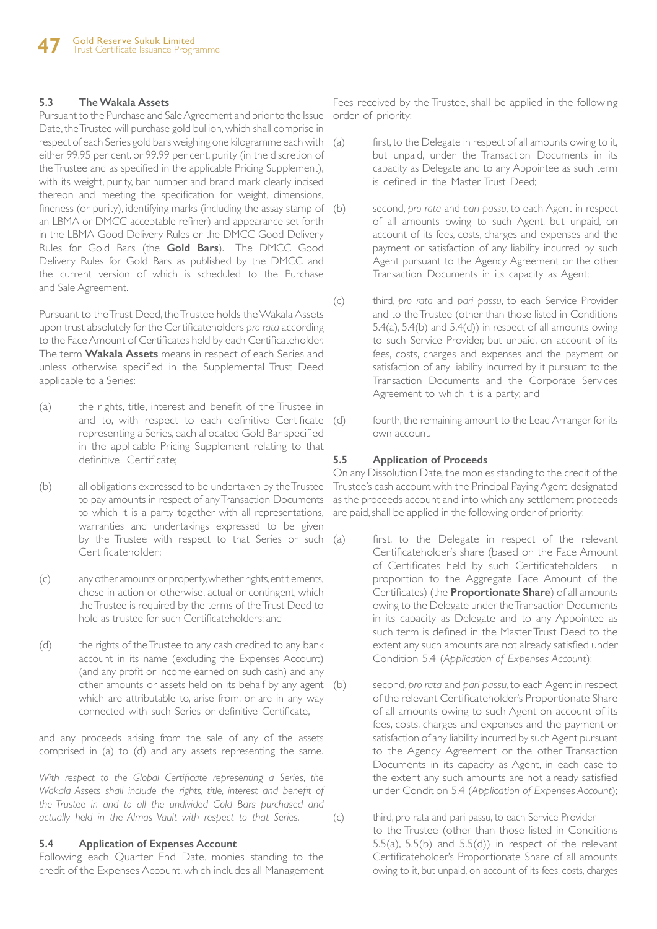#### **5.3 The Wakala Assets**

Pursuant to the Purchase and Sale Agreement and prior to the Issue Date, the Trustee will purchase gold bullion, which shall comprise in respect of each Series gold bars weighing one kilogramme each with either 99.95 per cent. or 99.99 per cent. purity (in the discretion of the Trustee and as specified in the applicable Pricing Supplement), with its weight, purity, bar number and brand mark clearly incised thereon and meeting the specification for weight, dimensions, fineness (or purity), identifying marks (including the assay stamp of (b) an LBMA or DMCC acceptable refiner) and appearance set forth in the LBMA Good Delivery Rules or the DMCC Good Delivery Rules for Gold Bars (the **Gold Bars**). The DMCC Good Delivery Rules for Gold Bars as published by the DMCC and the current version of which is scheduled to the Purchase and Sale Agreement.

Pursuant to the Trust Deed, the Trustee holds the Wakala Assets upon trust absolutely for the Certificateholders *pro rata* according to the Face Amount of Certificates held by each Certificateholder. The term **Wakala Assets** means in respect of each Series and unless otherwise specified in the Supplemental Trust Deed applicable to a Series:

- (a) the rights, title, interest and benefit of the Trustee in and to, with respect to each definitive Certificate representing a Series, each allocated Gold Bar specified in the applicable Pricing Supplement relating to that definitive Certificate;
- (b) all obligations expressed to be undertaken by the Trustee to pay amounts in respect of any Transaction Documents to which it is a party together with all representations, warranties and undertakings expressed to be given by the Trustee with respect to that Series or such (a) Certificateholder;
- (c) any other amounts or property, whether rights, entitlements, chose in action or otherwise, actual or contingent, which the Trustee is required by the terms of the Trust Deed to hold as trustee for such Certificateholders; and
- (d) the rights of the Trustee to any cash credited to any bank account in its name (excluding the Expenses Account) (and any profit or income earned on such cash) and any other amounts or assets held on its behalf by any agent which are attributable to, arise from, or are in any way connected with such Series or definitive Certificate,

and any proceeds arising from the sale of any of the assets comprised in (a) to (d) and any assets representing the same.

With respect to the Global Certificate representing a Series, the *Wakala Assets shall include the rights, title, interest and benefit of the Trustee in and to all the undivided Gold Bars purchased and actually held in the Almas Vault with respect to that Series.*

#### **5.4 Application of Expenses Account**

Following each Quarter End Date, monies standing to the credit of the Expenses Account, which includes all Management

Fees received by the Trustee, shall be applied in the following order of priority:

- first, to the Delegate in respect of all amounts owing to it, but unpaid, under the Transaction Documents in its capacity as Delegate and to any Appointee as such term is defined in the Master Trust Deed;
- second, *pro rata* and *pari passu*, to each Agent in respect of all amounts owing to such Agent, but unpaid, on account of its fees, costs, charges and expenses and the payment or satisfaction of any liability incurred by such Agent pursuant to the Agency Agreement or the other Transaction Documents in its capacity as Agent;
- (c) third, *pro rata* and *pari passu*, to each Service Provider and to the Trustee (other than those listed in Conditions 5.4(a), 5.4(b) and 5.4(d)) in respect of all amounts owing to such Service Provider, but unpaid, on account of its fees, costs, charges and expenses and the payment or satisfaction of any liability incurred by it pursuant to the Transaction Documents and the Corporate Services Agreement to which it is a party; and
- (d) fourth, the remaining amount to the Lead Arranger for its own account.

#### **5.5 Application of Proceeds**

On any Dissolution Date, the monies standing to the credit of the Trustee's cash account with the Principal Paying Agent, designated as the proceeds account and into which any settlement proceeds are paid, shall be applied in the following order of priority:

- first, to the Delegate in respect of the relevant Certificateholder's share (based on the Face Amount of Certificates held by such Certificateholders in proportion to the Aggregate Face Amount of the Certificates) (the **Proportionate Share**) of all amounts owing to the Delegate under the Transaction Documents in its capacity as Delegate and to any Appointee as such term is defined in the Master Trust Deed to the extent any such amounts are not already satisfied under Condition 5.4 (*Application of Expenses Account*);
	- second, *pro rata* and *pari passu*, to each Agent in respect of the relevant Certificateholder's Proportionate Share of all amounts owing to such Agent on account of its fees, costs, charges and expenses and the payment or satisfaction of any liability incurred by such Agent pursuant to the Agency Agreement or the other Transaction Documents in its capacity as Agent, in each case to the extent any such amounts are not already satisfied under Condition 5.4 (*Application of Expenses Account*);
- (c) third, pro rata and pari passu, to each Service Provider to the Trustee (other than those listed in Conditions 5.5(a), 5.5(b) and 5.5(d)) in respect of the relevant Certificateholder's Proportionate Share of all amounts owing to it, but unpaid, on account of its fees, costs, charges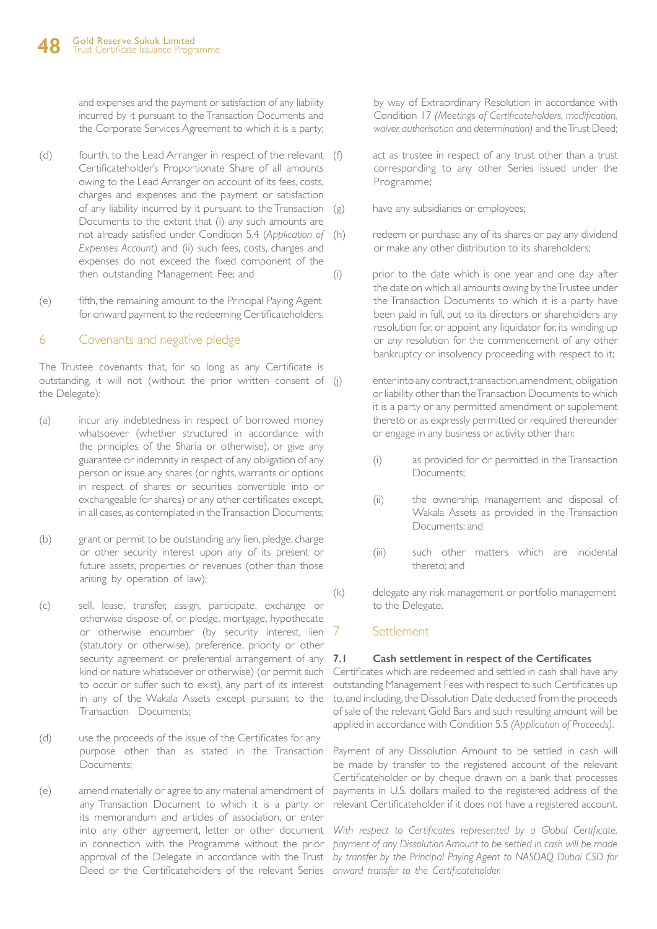and expenses and the payment or satisfaction of any liability incurred by it pursuant to the Transaction Documents and the Corporate Services Agreement to which it is a party;

- (d) fourth, to the Lead Arranger in respect of the relevant (f) Certificateholder's Proportionate Share of all amounts owing to the Lead Arranger on account of its fees, costs, charges and expenses and the payment or satisfaction of any liability incurred by it pursuant to the Transaction Documents to the extent that (i) any such amounts are not already satisfied under Condition 5.4 (*Application of Expenses Account*) and (ii) such fees, costs, charges and expenses do not exceed the fixed component of the then outstanding Management Fee; and
- (e) fifth, the remaining amount to the Principal Paying Agent for onward payment to the redeeming Certificateholders.

### 6 Covenants and negative pledge

The Trustee covenants that, for so long as any Certificate is outstanding, it will not (without the prior written consent of (i) the Delegate):

- (a) incur any indebtedness in respect of borrowed money whatsoever (whether structured in accordance with the principles of the Sharia or otherwise), or give any guarantee or indemnity in respect of any obligation of any person or issue any shares (or rights, warrants or options in respect of shares or securities convertible into or exchangeable for shares) or any other certificates except, in all cases, as contemplated in the Transaction Documents;
- (b) grant or permit to be outstanding any lien, pledge, charge or other security interest upon any of its present or future assets, properties or revenues (other than those arising by operation of law);
- (c) sell, lease, transfer, assign, participate, exchange or otherwise dispose of, or pledge, mortgage, hypothecate or otherwise encumber (by security interest, lien (statutory or otherwise), preference, priority or other security agreement or preferential arrangement of any 7.1 kind or nature whatsoever or otherwise) (or permit such to occur or suffer such to exist), any part of its interest in any of the Wakala Assets except pursuant to the Transaction Documents;
- (d) use the proceeds of the issue of the Certificates for any purpose other than as stated in the Transaction Documents;
- (e) amend materially or agree to any material amendment of any Transaction Document to which it is a party or its memorandum and articles of association, or enter into any other agreement, letter or other document in connection with the Programme without the prior approval of the Delegate in accordance with the Trust Deed or the Certificateholders of the relevant Series *onward transfer to the Certificateholder.*

by way of Extraordinary Resolution in accordance with Condition 17 *(Meetings of Certificateholders, modification, waiver, authorisation and determination)* and the Trust Deed;

- act as trustee in respect of any trust other than a trust corresponding to any other Series issued under the Programme;
- (g) have any subsidiaries or employees;
- (h) redeem or purchase any of its shares or pay any dividend or make any other distribution to its shareholders;
- (i) prior to the date which is one year and one day after the date on which all amounts owing by the Trustee under the Transaction Documents to which it is a party have been paid in full, put to its directors or shareholders any resolution for, or appoint any liquidator for, its winding up or any resolution for the commencement of any other bankruptcy or insolvency proceeding with respect to it;

enter into any contract, transaction, amendment, obligation or liability other than the Transaction Documents to which it is a party or any permitted amendment or supplement thereto or as expressly permitted or required thereunder or engage in any business or activity other than:

- (i) as provided for or permitted in the Transaction Documents;
- (ii) the ownership, management and disposal of Wakala Assets as provided in the Transaction Documents; and
- (iii) such other matters which are incidental thereto; and
- (k) delegate any risk management or portfolio management to the Delegate.

### 7 Settlement

#### **7.1 Cash settlement in respect of the Certificates**

Certificates which are redeemed and settled in cash shall have any outstanding Management Fees with respect to such Certificates up to, and including, the Dissolution Date deducted from the proceeds of sale of the relevant Gold Bars and such resulting amount will be applied in accordance with Condition 5.5 *(Application of Proceeds)*.

Payment of any Dissolution Amount to be settled in cash will be made by transfer to the registered account of the relevant Certificateholder or by cheque drawn on a bank that processes payments in U.S. dollars mailed to the registered address of the relevant Certificateholder if it does not have a registered account.

With respect to Certificates represented by a Global Certificate, *payment of any Dissolution Amount to be settled in cash will be made by transfer by the Principal Paying Agent to NASDAQ Dubai CSD for*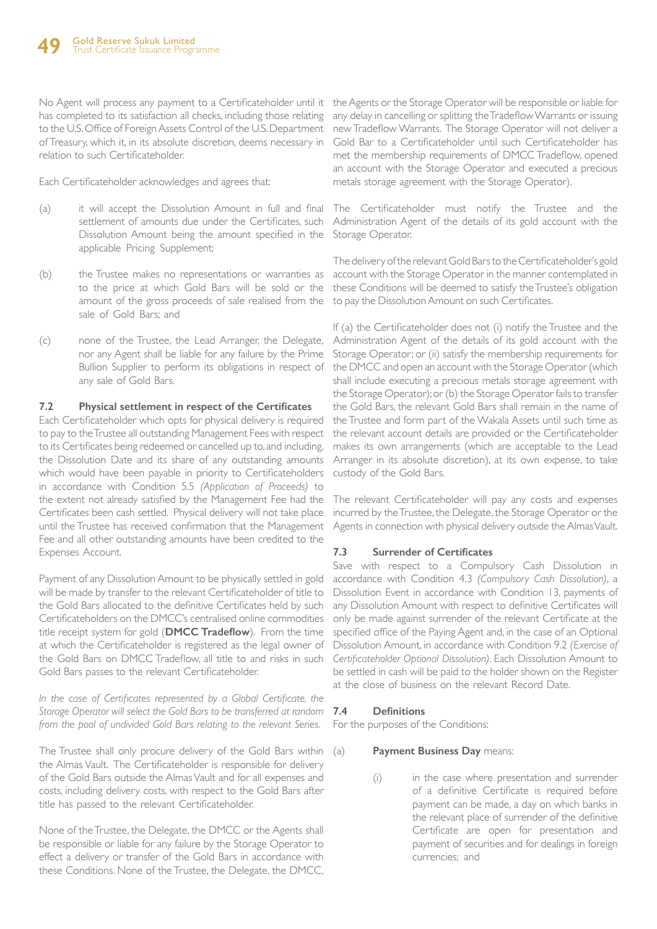No Agent will process any payment to a Certificateholder until it the Agents or the Storage Operator will be responsible or liable for has completed to its satisfaction all checks, including those relating to the U.S. Office of Foreign Assets Control of the U.S. Department of Treasury, which it, in its absolute discretion, deems necessary in relation to such Certificateholder.

Each Certificateholder acknowledges and agrees that:

- (a) it will accept the Dissolution Amount in full and final settlement of amounts due under the Certificates, such Dissolution Amount being the amount specified in the applicable Pricing Supplement;
- (b) the Trustee makes no representations or warranties as to the price at which Gold Bars will be sold or the amount of the gross proceeds of sale realised from the sale of Gold Bars; and
- (c) none of the Trustee, the Lead Arranger, the Delegate, nor any Agent shall be liable for any failure by the Prime Bullion Supplier to perform its obligations in respect of any sale of Gold Bars.

#### **7.2 Physical settlement in respect of the Certificates**

Each Certificateholder which opts for physical delivery is required to pay to the Trustee all outstanding Management Fees with respect to its Certificates being redeemed or cancelled up to, and including, the Dissolution Date and its share of any outstanding amounts which would have been payable in priority to Certificateholders in accordance with Condition 5.5 *(Application of Proceeds)* to the extent not already satisfied by the Management Fee had the Certificates been cash settled. Physical delivery will not take place until the Trustee has received confirmation that the Management Fee and all other outstanding amounts have been credited to the Expenses Account.

Payment of any Dissolution Amount to be physically settled in gold will be made by transfer to the relevant Certificateholder of title to the Gold Bars allocated to the definitive Certificates held by such Certificateholders on the DMCC's centralised online commodities title receipt system for gold (**DMCC Tradeflow**). From the time at which the Certificateholder is registered as the legal owner of the Gold Bars on DMCC Tradeflow, all title to and risks in such Gold Bars passes to the relevant Certificateholder.

*In the case of Certificates represented by a Global Certificate, the Storage Operator will select the Gold Bars to be transferred at random from the pool of undivided Gold Bars relating to the relevant Series.*

The Trustee shall only procure delivery of the Gold Bars within (a) the Almas Vault. The Certificateholder is responsible for delivery of the Gold Bars outside the Almas Vault and for all expenses and costs, including delivery costs, with respect to the Gold Bars after title has passed to the relevant Certificateholder.

None of the Trustee, the Delegate, the DMCC or the Agents shall be responsible or liable for any failure by the Storage Operator to effect a delivery or transfer of the Gold Bars in accordance with these Conditions. None of the Trustee, the Delegate, the DMCC,

any delay in cancelling or splitting the Tradeflow Warrants or issuing new Tradeflow Warrants. The Storage Operator will not deliver a Gold Bar to a Certificateholder until such Certificateholder has met the membership requirements of DMCC Tradeflow, opened an account with the Storage Operator and executed a precious metals storage agreement with the Storage Operator).

The Certificateholder must notify the Trustee and the Administration Agent of the details of its gold account with the Storage Operator.

The delivery of the relevant Gold Bars to the Certificateholder's gold account with the Storage Operator in the manner contemplated in these Conditions will be deemed to satisfy the Trustee's obligation to pay the Dissolution Amount on such Certificates.

If (a) the Certificateholder does not (i) notify the Trustee and the Administration Agent of the details of its gold account with the Storage Operator; or (ii) satisfy the membership requirements for the DMCC and open an account with the Storage Operator (which shall include executing a precious metals storage agreement with the Storage Operator); or (b) the Storage Operator fails to transfer the Gold Bars, the relevant Gold Bars shall remain in the name of the Trustee and form part of the Wakala Assets until such time as the relevant account details are provided or the Certificateholder makes its own arrangements (which are acceptable to the Lead Arranger in its absolute discretion), at its own expense, to take custody of the Gold Bars.

The relevant Certificateholder will pay any costs and expenses incurred by the Trustee, the Delegate, the Storage Operator or the Agents in connection with physical delivery outside the Almas Vault.

### **7.3 Surrender of Certificates**

Save with respect to a Compulsory Cash Dissolution in accordance with Condition 4.3 *(Compulsory Cash Dissolution)*, a Dissolution Event in accordance with Condition 13, payments of any Dissolution Amount with respect to definitive Certificates will only be made against surrender of the relevant Certificate at the specified office of the Paying Agent and, in the case of an Optional Dissolution Amount, in accordance with Condition 9.2 *(Exercise of Certificateholder Optional Dissolution)*. Each Dissolution Amount to be settled in cash will be paid to the holder shown on the Register at the close of business on the relevant Record Date.

#### **7.4 Definitions**

For the purposes of the Conditions:

#### **Payment Business Day means:**

(i) in the case where presentation and surrender of a definitive Certificate is required before payment can be made, a day on which banks in the relevant place of surrender of the definitive Certificate are open for presentation and payment of securities and for dealings in foreign currencies; and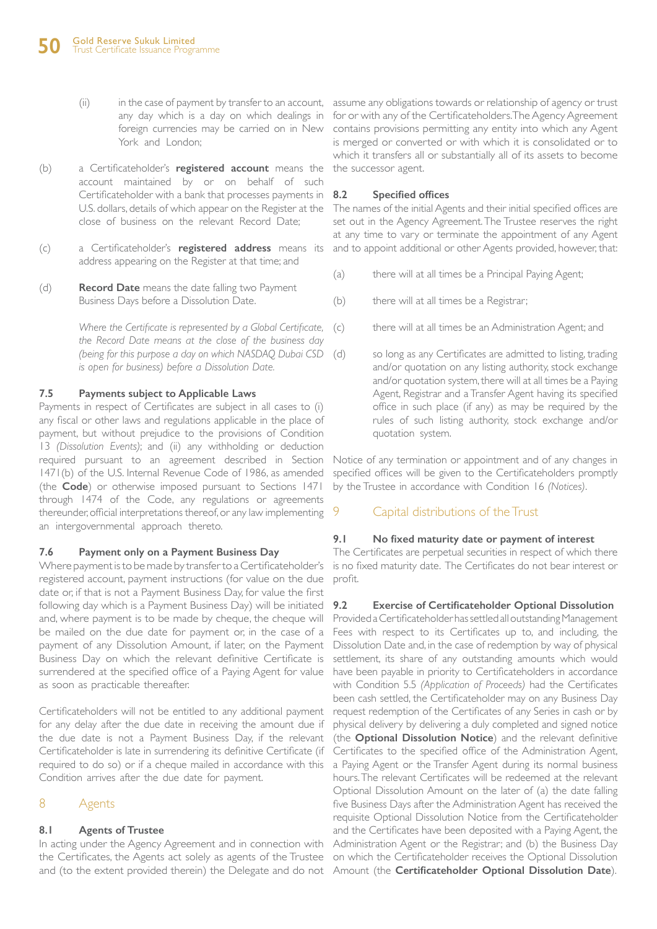- any day which is a day on which dealings in foreign currencies may be carried on in New York and London;
- (b) a Certificateholder's **registered account** means the the successor agent. account maintained by or on behalf of such Certificateholder with a bank that processes payments in U.S. dollars, details of which appear on the Register at the close of business on the relevant Record Date;
- (c) a Certificateholder's **registered address** means its address appearing on the Register at that time; and
- (d) **Record Date** means the date falling two Payment Business Days before a Dissolution Date.

*Where the Certificate is represented by a Global Certificate, the Record Date means at the close of the business day (being for this purpose a day on which NASDAQ Dubai CSD is open for business) before a Dissolution Date.*

### **7.5 Payments subject to Applicable Laws**

Payments in respect of Certificates are subject in all cases to (i) any fiscal or other laws and regulations applicable in the place of payment, but without prejudice to the provisions of Condition 13 *(Dissolution Events)*; and (ii) any withholding or deduction required pursuant to an agreement described in Section 1471(b) of the U.S. Internal Revenue Code of 1986, as amended (the **Code**) or otherwise imposed pursuant to Sections 1471 through 1474 of the Code, any regulations or agreements thereunder, official interpretations thereof, or any law implementing an intergovernmental approach thereto.

### **7.6 Payment only on a Payment Business Day**

Where payment is to be made by transfer to a Certificateholder's registered account, payment instructions (for value on the due date or, if that is not a Payment Business Day, for value the first following day which is a Payment Business Day) will be initiated and, where payment is to be made by cheque, the cheque will be mailed on the due date for payment or, in the case of a payment of any Dissolution Amount, if later, on the Payment Business Day on which the relevant definitive Certificate is surrendered at the specified office of a Paying Agent for value as soon as practicable thereafter.

Certificateholders will not be entitled to any additional payment for any delay after the due date in receiving the amount due if the due date is not a Payment Business Day, if the relevant Certificateholder is late in surrendering its definitive Certificate (if required to do so) or if a cheque mailed in accordance with this Condition arrives after the due date for payment.

### 8 Agents

### **8.1 Agents of Trustee**

In acting under the Agency Agreement and in connection with and (to the extent provided therein) the Delegate and do not Amount (the **Certificateholder Optional Dissolution Date**).

(ii) in the case of payment by transfer to an account, assume any obligations towards or relationship of agency or trust for or with any of the Certificateholders. The Agency Agreement contains provisions permitting any entity into which any Agent is merged or converted or with which it is consolidated or to which it transfers all or substantially all of its assets to become

#### **8.2 Specified offices**

The names of the initial Agents and their initial specified offices are set out in the Agency Agreement. The Trustee reserves the right at any time to vary or terminate the appointment of any Agent and to appoint additional or other Agents provided, however, that:

- (a) there will at all times be a Principal Paying Agent;
- (b) there will at all times be a Registrar;
- (c) there will at all times be an Administration Agent; and
- (d) so long as any Certificates are admitted to listing, trading and/or quotation on any listing authority, stock exchange and/or quotation system, there will at all times be a Paying Agent, Registrar and a Transfer Agent having its specified office in such place (if any) as may be required by the rules of such listing authority, stock exchange and/or quotation system.

Notice of any termination or appointment and of any changes in specified offices will be given to the Certificateholders promptly by the Trustee in accordance with Condition 16 *(Notices)*.

### 9 Capital distributions of the Trust

#### **9.1 No fixed maturity date or payment of interest**

The Certificates are perpetual securities in respect of which there is no fixed maturity date. The Certificates do not bear interest or profit.

### **9.2 Exercise of Certificateholder Optional Dissolution**

the Certificates, the Agents act solely as agents of the Trustee on which the Certificateholder receives the Optional Dissolution Provided a Certificateholder has settled all outstanding Management Fees with respect to its Certificates up to, and including, the Dissolution Date and, in the case of redemption by way of physical settlement, its share of any outstanding amounts which would have been payable in priority to Certificateholders in accordance with Condition 5.5 *(Application of Proceeds)* had the Certificates been cash settled, the Certificateholder may on any Business Day request redemption of the Certificates of any Series in cash or by physical delivery by delivering a duly completed and signed notice (the **Optional Dissolution Notice**) and the relevant definitive Certificates to the specified office of the Administration Agent, a Paying Agent or the Transfer Agent during its normal business hours. The relevant Certificates will be redeemed at the relevant Optional Dissolution Amount on the later of (a) the date falling five Business Days after the Administration Agent has received the requisite Optional Dissolution Notice from the Certificateholder and the Certificates have been deposited with a Paying Agent, the Administration Agent or the Registrar; and (b) the Business Day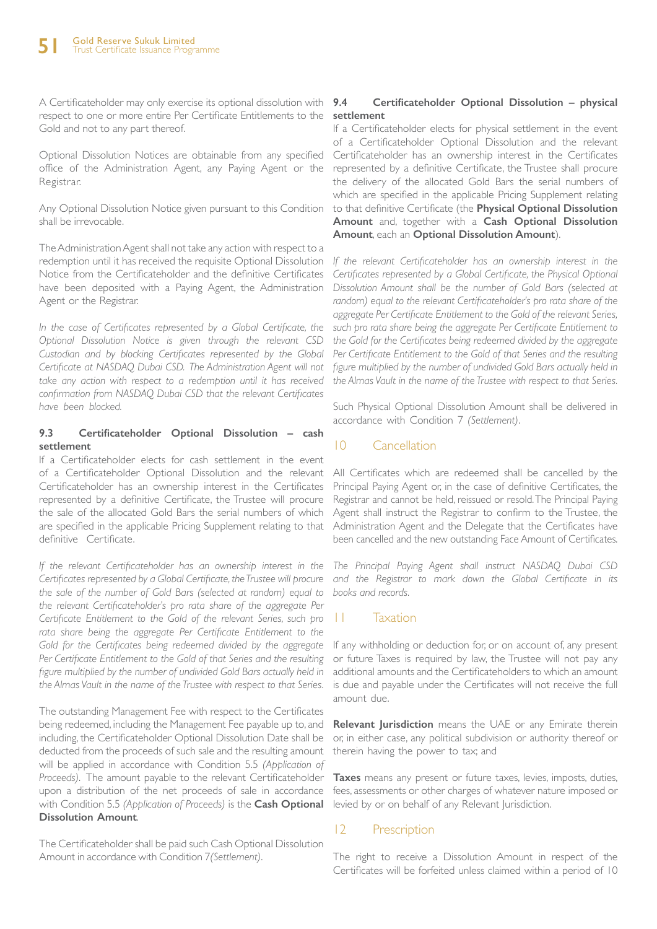A Certificateholder may only exercise its optional dissolution with 9.4 respect to one or more entire Per Certificate Entitlements to the Gold and not to any part thereof.

Optional Dissolution Notices are obtainable from any specified office of the Administration Agent, any Paying Agent or the Registrar.

Any Optional Dissolution Notice given pursuant to this Condition shall be irrevocable.

The Administration Agent shall not take any action with respect to a redemption until it has received the requisite Optional Dissolution Notice from the Certificateholder and the definitive Certificates have been deposited with a Paying Agent, the Administration Agent or the Registrar.

*In the case of Certificates represented by a Global Certificate, the Optional Dissolution Notice is given through the relevant CSD Custodian and by blocking Certificates represented by the Global Certificate at NASDAQ Dubai CSD. The Administration Agent will not take any action with respect to a redemption until it has received confirmation from NASDAQ Dubai CSD that the relevant Certificates have been blocked.* 

#### **9.3 Certificateholder Optional Dissolution – cash settlement**

If a Certificateholder elects for cash settlement in the event of a Certificateholder Optional Dissolution and the relevant Certificateholder has an ownership interest in the Certificates represented by a definitive Certificate, the Trustee will procure the sale of the allocated Gold Bars the serial numbers of which are specified in the applicable Pricing Supplement relating to that definitive Certificate.

*If the relevant Certificateholder has an ownership interest in the Certificates represented by a Global Certificate, the Trustee will procure the sale of the number of Gold Bars (selected at random) equal to the relevant Certificateholder's pro rata share of the aggregate Per Certificate Entitlement to the Gold of the relevant Series, such pro*  rata share being the aggregate Per Certificate Entitlement to the Gold for the Certificates being redeemed divided by the aggregate *Per Certificate Entitlement to the Gold of that Series and the resulting figure multiplied by the number of undivided Gold Bars actually held in the Almas Vault in the name of the Trustee with respect to that Series.*

The outstanding Management Fee with respect to the Certificates being redeemed, including the Management Fee payable up to, and including, the Certificateholder Optional Dissolution Date shall be deducted from the proceeds of such sale and the resulting amount will be applied in accordance with Condition 5.5 *(Application of Proceeds)*. The amount payable to the relevant Certificateholder upon a distribution of the net proceeds of sale in accordance with Condition 5.5 *(Application of Proceeds)* is the **Cash Optional Dissolution Amount**.

The Certificateholder shall be paid such Cash Optional Dissolution Amount in accordance with Condition 7*(Settlement)*.

#### **9.4 Certificateholder Optional Dissolution – physical settlement**

If a Certificateholder elects for physical settlement in the event of a Certificateholder Optional Dissolution and the relevant Certificateholder has an ownership interest in the Certificates represented by a definitive Certificate, the Trustee shall procure the delivery of the allocated Gold Bars the serial numbers of which are specified in the applicable Pricing Supplement relating to that definitive Certificate (the **Physical Optional Dissolution Amount** and, together with a **Cash Optional Dissolution Amount**, each an **Optional Dissolution Amount**).

*If the relevant Certificateholder has an ownership interest in the Certificates represented by a Global Certificate, the Physical Optional Dissolution Amount shall be the number of Gold Bars (selected at*  random) equal to the relevant Certificateholder's pro rata share of the *aggregate Per Certificate Entitlement to the Gold of the relevant Series, such pro rata share being the aggregate Per Certificate Entitlement to the Gold for the Certificates being redeemed divided by the aggregate Per Certificate Entitlement to the Gold of that Series and the resulting figure multiplied by the number of undivided Gold Bars actually held in the Almas Vault in the name of the Trustee with respect to that Series.*

Such Physical Optional Dissolution Amount shall be delivered in accordance with Condition 7 *(Settlement)*.

### 10 Cancellation

All Certificates which are redeemed shall be cancelled by the Principal Paying Agent or, in the case of definitive Certificates, the Registrar and cannot be held, reissued or resold. The Principal Paying Agent shall instruct the Registrar to confirm to the Trustee, the Administration Agent and the Delegate that the Certificates have been cancelled and the new outstanding Face Amount of Certificates.

*The Principal Paying Agent shall instruct NASDAQ Dubai CSD and the Registrar to mark down the Global Certificate in its books and records.*

### 11 Taxation

If any withholding or deduction for, or on account of, any present or future Taxes is required by law, the Trustee will not pay any additional amounts and the Certificateholders to which an amount is due and payable under the Certificates will not receive the full amount due.

**Relevant Jurisdiction** means the UAE or any Emirate therein or, in either case, any political subdivision or authority thereof or therein having the power to tax; and

**Taxes** means any present or future taxes, levies, imposts, duties, fees, assessments or other charges of whatever nature imposed or levied by or on behalf of any Relevant Jurisdiction.

### 12 Prescription

The right to receive a Dissolution Amount in respect of the Certificates will be forfeited unless claimed within a period of 10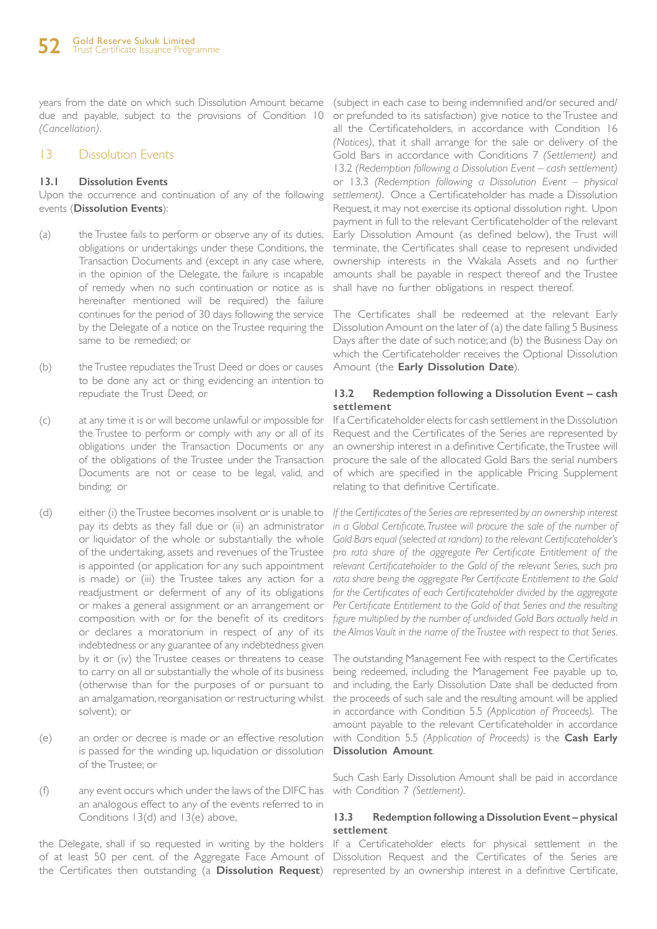years from the date on which such Dissolution Amount became due and payable, subject to the provisions of Condition 10 *(Cancellation)*.

#### 13 Dissolution Events

#### **13.1 Dissolution Events**

Upon the occurrence and continuation of any of the following events (**Dissolution Events**):

- (a) the Trustee fails to perform or observe any of its duties, obligations or undertakings under these Conditions, the Transaction Documents and (except in any case where, in the opinion of the Delegate, the failure is incapable of remedy when no such continuation or notice as is hereinafter mentioned will be required) the failure continues for the period of 30 days following the service by the Delegate of a notice on the Trustee requiring the same to be remedied; or
- (b) the Trustee repudiates the Trust Deed or does or causes to be done any act or thing evidencing an intention to repudiate the Trust Deed; or
- (c) at any time it is or will become unlawful or impossible for the Trustee to perform or comply with any or all of its obligations under the Transaction Documents or any of the obligations of the Trustee under the Transaction Documents are not or cease to be legal, valid, and binding; or
- (d) either (i) the Trustee becomes insolvent or is unable to pay its debts as they fall due or (ii) an administrator or liquidator of the whole or substantially the whole of the undertaking, assets and revenues of the Trustee is appointed (or application for any such appointment is made) or (iii) the Trustee takes any action for a readjustment or deferment of any of its obligations or makes a general assignment or an arrangement or composition with or for the benefit of its creditors or declares a moratorium in respect of any of its indebtedness or any guarantee of any indebtedness given by it or (iv) the Trustee ceases or threatens to cease to carry on all or substantially the whole of its business (otherwise than for the purposes of or pursuant to an amalgamation, reorganisation or restructuring whilst solvent); or
- is passed for the winding up, liquidation or dissolution **Dissolution Amount**. of the Trustee; or
- (f) any event occurs which under the laws of the DIFC has an analogous effect to any of the events referred to in Conditions 13(d) and 13(e) above,

the Delegate, shall if so requested in writing by the holders If a Certificateholder elects for physical settlement in the of at least 50 per cent. of the Aggregate Face Amount of Dissolution Request and the Certificates of the Series are the Certificates then outstanding (a **Dissolution Request**) represented by an ownership interest in a definitive Certificate,

(subject in each case to being indemnified and/or secured and/ or prefunded to its satisfaction) give notice to the Trustee and all the Certificateholders, in accordance with Condition 16 *(Notices)*, that it shall arrange for the sale or delivery of the Gold Bars in accordance with Conditions 7 *(Settlement)* and 13.2 *(Redemption following a Dissolution Event – cash settlement)* or 13.3 *(Redemption following a Dissolution Event – physical settlement)*. Once a Certificateholder has made a Dissolution Request, it may not exercise its optional dissolution right. Upon payment in full to the relevant Certificateholder of the relevant Early Dissolution Amount (as defined below), the Trust will terminate, the Certificates shall cease to represent undivided ownership interests in the Wakala Assets and no further amounts shall be payable in respect thereof and the Trustee shall have no further obligations in respect thereof.

The Certificates shall be redeemed at the relevant Early Dissolution Amount on the later of (a) the date falling 5 Business Days after the date of such notice; and (b) the Business Day on which the Certificateholder receives the Optional Dissolution Amount (the **Early Dissolution Date**).

#### **13.2 Redemption following a Dissolution Event – cash settlement**

If a Certificateholder elects for cash settlement in the Dissolution Request and the Certificates of the Series are represented by an ownership interest in a definitive Certificate, the Trustee will procure the sale of the allocated Gold Bars the serial numbers of which are specified in the applicable Pricing Supplement relating to that definitive Certificate.

*If the Certificates of the Series are represented by an ownership interest in a Global Certificate. Trustee will procure the sale of the number of Gold Bars equal (selected at random) to the relevant Certificateholder's pro rata share of the aggregate Per Certificate Entitlement of the relevant Certificateholder to the Gold of the relevant Series, such pro rata share being the aggregate Per Certificate Entitlement to the Gold for the Certificates of each Certificateholder divided by the aggregate*  Per Certificate Entitlement to the Gold of that Series and the resulting *figure multiplied by the number of undivided Gold Bars actually held in the Almas Vault in the name of the Trustee with respect to that Series.* 

(e) an order or decree is made or an effective resolution with Condition 5.5 *(Application of Proceeds)* is the **Cash Early**  The outstanding Management Fee with respect to the Certificates being redeemed, including the Management Fee payable up to, and including, the Early Dissolution Date shall be deducted from the proceeds of such sale and the resulting amount will be applied in accordance with Condition 5.5 *(Application of Proceeds)*. The amount payable to the relevant Certificateholder in accordance

> Such Cash Early Dissolution Amount shall be paid in accordance with Condition 7 *(Settlement)*.

#### **13.3 Redemption following a Dissolution Event – physical settlement**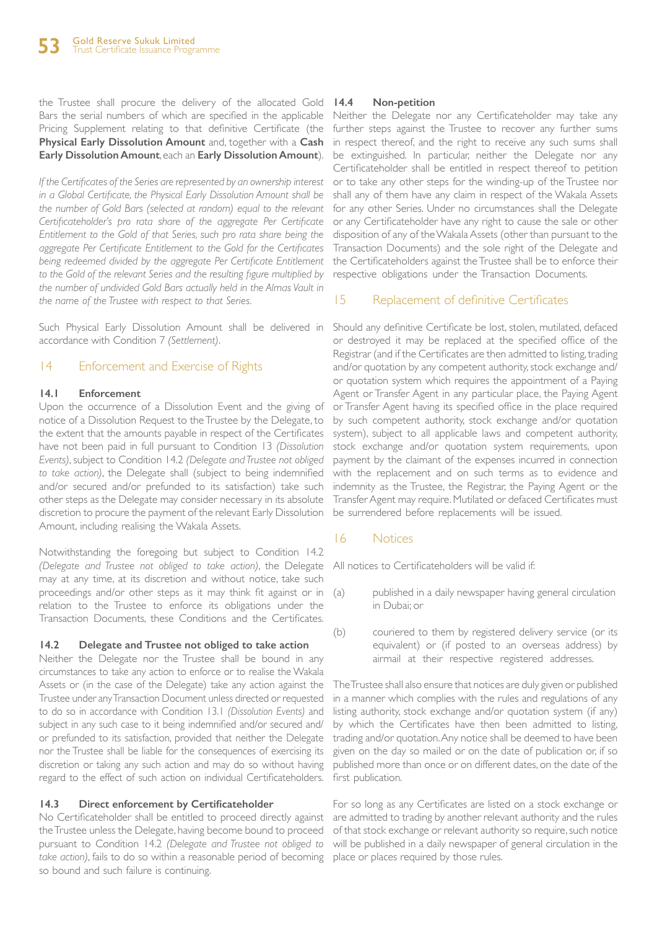the Trustee shall procure the delivery of the allocated Gold Bars the serial numbers of which are specified in the applicable Pricing Supplement relating to that definitive Certificate (the **Physical Early Dissolution Amount** and, together with a **Cash Early Dissolution Amount**, each an **Early Dissolution Amount**).

*If the Certificates of the Series are represented by an ownership interest in a Global Certificate, the Physical Early Dissolution Amount shall be the number of Gold Bars (selected at random) equal to the relevant Certificateholder's pro rata share of the aggregate Per Certificate Entitlement to the Gold of that Series, such pro rata share being the aggregate Per Certificate Entitlement to the Gold for the Certificates being redeemed divided by the aggregate Per Certificate Entitlement to the Gold of the relevant Series and the resulting figure multiplied by the number of undivided Gold Bars actually held in the Almas Vault in the name of the Trustee with respect to that Series.*

Such Physical Early Dissolution Amount shall be delivered in accordance with Condition 7 *(Settlement)*.

### 14 Enforcement and Exercise of Rights

#### **14.1 Enforcement**

Upon the occurrence of a Dissolution Event and the giving of notice of a Dissolution Request to the Trustee by the Delegate, to the extent that the amounts payable in respect of the Certificates have not been paid in full pursuant to Condition 13 *(Dissolution Events)*, subject to Condition 14.2 *(Delegate and Trustee not obliged to take action)*, the Delegate shall (subject to being indemnified and/or secured and/or prefunded to its satisfaction) take such other steps as the Delegate may consider necessary in its absolute discretion to procure the payment of the relevant Early Dissolution Amount, including realising the Wakala Assets.

Notwithstanding the foregoing but subject to Condition 14.2 *(Delegate and Trustee not obliged to take action)*, the Delegate may at any time, at its discretion and without notice, take such proceedings and/or other steps as it may think fit against or in relation to the Trustee to enforce its obligations under the Transaction Documents, these Conditions and the Certificates.

#### **14.2 Delegate and Trustee not obliged to take action**

Neither the Delegate nor the Trustee shall be bound in any circumstances to take any action to enforce or to realise the Wakala Assets or (in the case of the Delegate) take any action against the Trustee under any Transaction Document unless directed or requested to do so in accordance with Condition 13.1 *(Dissolution Events)* and subject in any such case to it being indemnified and/or secured and/ or prefunded to its satisfaction, provided that neither the Delegate nor the Trustee shall be liable for the consequences of exercising its discretion or taking any such action and may do so without having regard to the effect of such action on individual Certificateholders.

### **14.3 Direct enforcement by Certificateholder**

No Certificateholder shall be entitled to proceed directly against the Trustee unless the Delegate, having become bound to proceed pursuant to Condition 14.2 *(Delegate and Trustee not obliged to take action)*, fails to do so within a reasonable period of becoming so bound and such failure is continuing.

#### **14.4 Non-petition**

Neither the Delegate nor any Certificateholder may take any further steps against the Trustee to recover any further sums in respect thereof, and the right to receive any such sums shall be extinguished. In particular, neither the Delegate nor any Certificateholder shall be entitled in respect thereof to petition or to take any other steps for the winding-up of the Trustee nor shall any of them have any claim in respect of the Wakala Assets for any other Series. Under no circumstances shall the Delegate or any Certificateholder have any right to cause the sale or other disposition of any of the Wakala Assets (other than pursuant to the Transaction Documents) and the sole right of the Delegate and the Certificateholders against the Trustee shall be to enforce their respective obligations under the Transaction Documents.

### 15 Replacement of definitive Certificates

Should any definitive Certificate be lost, stolen, mutilated, defaced or destroyed it may be replaced at the specified office of the Registrar (and if the Certificates are then admitted to listing, trading and/or quotation by any competent authority, stock exchange and/ or quotation system which requires the appointment of a Paying Agent or Transfer Agent in any particular place, the Paying Agent or Transfer Agent having its specified office in the place required by such competent authority, stock exchange and/or quotation system), subject to all applicable laws and competent authority, stock exchange and/or quotation system requirements, upon payment by the claimant of the expenses incurred in connection with the replacement and on such terms as to evidence and indemnity as the Trustee, the Registrar, the Paying Agent or the Transfer Agent may require. Mutilated or defaced Certificates must be surrendered before replacements will be issued.

### 16 Notices

All notices to Certificateholders will be valid if:

- (a) published in a daily newspaper having general circulation in Dubai; or
- (b) couriered to them by registered delivery service (or its equivalent) or (if posted to an overseas address) by airmail at their respective registered addresses.

The Trustee shall also ensure that notices are duly given or published in a manner which complies with the rules and regulations of any listing authority, stock exchange and/or quotation system (if any) by which the Certificates have then been admitted to listing, trading and/or quotation. Any notice shall be deemed to have been given on the day so mailed or on the date of publication or, if so published more than once or on different dates, on the date of the first publication.

For so long as any Certificates are listed on a stock exchange or are admitted to trading by another relevant authority and the rules of that stock exchange or relevant authority so require, such notice will be published in a daily newspaper of general circulation in the place or places required by those rules.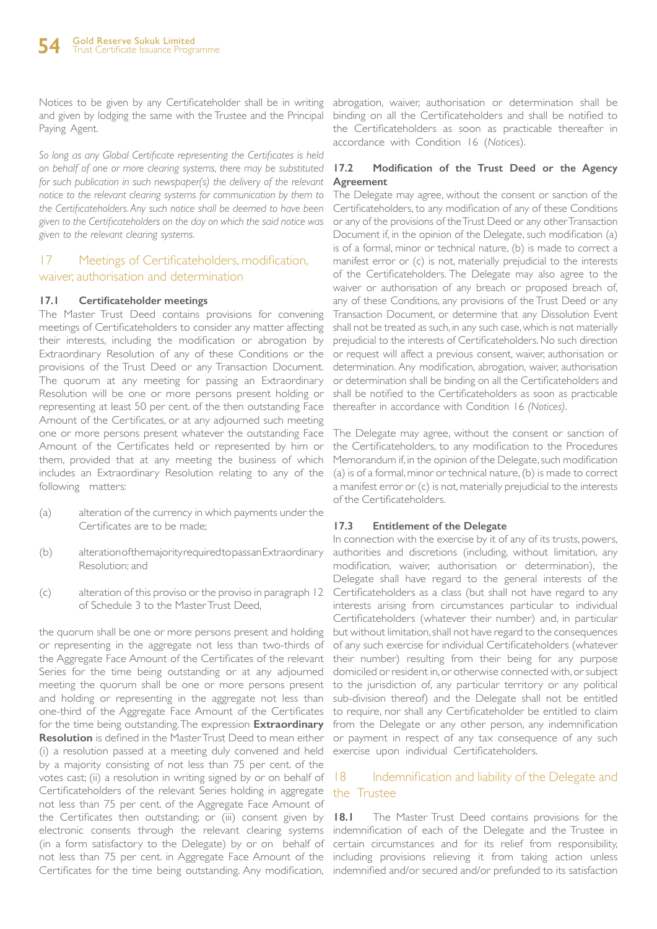Notices to be given by any Certificateholder shall be in writing and given by lodging the same with the Trustee and the Principal Paying Agent.

*So long as any Global Certificate representing the Certificates is held on behalf of one or more clearing systems, there may be substituted for such publication in such newspaper(s) the delivery of the relevant notice to the relevant clearing systems for communication by them to the Certificateholders. Any such notice shall be deemed to have been given to the Certificateholders on the day on which the said notice was given to the relevant clearing systems.*

### 17 Meetings of Certificateholders, modification, waiver, authorisation and determination

#### **17.1 Certificateholder meetings**

The Master Trust Deed contains provisions for convening meetings of Certificateholders to consider any matter affecting their interests, including the modification or abrogation by Extraordinary Resolution of any of these Conditions or the provisions of the Trust Deed or any Transaction Document. The quorum at any meeting for passing an Extraordinary Resolution will be one or more persons present holding or representing at least 50 per cent. of the then outstanding Face Amount of the Certificates, or at any adjourned such meeting one or more persons present whatever the outstanding Face Amount of the Certificates held or represented by him or them, provided that at any meeting the business of which includes an Extraordinary Resolution relating to any of the following matters:

- (a) alteration of the currency in which payments under the Certificates are to be made;
- (b) alteration of the majority required to pass an Extraordinary Resolution; and
- (c) alteration of this proviso or the proviso in paragraph 12 of Schedule 3 to the Master Trust Deed,

the quorum shall be one or more persons present and holding or representing in the aggregate not less than two-thirds of the Aggregate Face Amount of the Certificates of the relevant Series for the time being outstanding or at any adjourned meeting the quorum shall be one or more persons present and holding or representing in the aggregate not less than one-third of the Aggregate Face Amount of the Certificates for the time being outstanding. The expression **Extraordinary Resolution** is defined in the Master Trust Deed to mean either (i) a resolution passed at a meeting duly convened and held by a majority consisting of not less than 75 per cent. of the votes cast; (ii) a resolution in writing signed by or on behalf of Certificateholders of the relevant Series holding in aggregate not less than 75 per cent. of the Aggregate Face Amount of the Certificates then outstanding; or (iii) consent given by  $18.1$ electronic consents through the relevant clearing systems indemnification of each of the Delegate and the Trustee in (in a form satisfactory to the Delegate) by or on behalf of certain circumstances and for its relief from responsibility, not less than 75 per cent. in Aggregate Face Amount of the including provisions relieving it from taking action unless

abrogation, waiver, authorisation or determination shall be binding on all the Certificateholders and shall be notified to the Certificateholders as soon as practicable thereafter in accordance with Condition 16 (*Notices*).

#### **17.2 Modification of the Trust Deed or the Agency Agreement**

The Delegate may agree, without the consent or sanction of the Certificateholders, to any modification of any of these Conditions or any of the provisions of the Trust Deed or any other Transaction Document if, in the opinion of the Delegate, such modification (a) is of a formal, minor or technical nature, (b) is made to correct a manifest error or (c) is not, materially prejudicial to the interests of the Certificateholders. The Delegate may also agree to the waiver or authorisation of any breach or proposed breach of, any of these Conditions, any provisions of the Trust Deed or any Transaction Document, or determine that any Dissolution Event shall not be treated as such, in any such case, which is not materially prejudicial to the interests of Certificateholders. No such direction or request will affect a previous consent, waiver, authorisation or determination. Any modification, abrogation, waiver, authorisation or determination shall be binding on all the Certificateholders and shall be notified to the Certificateholders as soon as practicable thereafter in accordance with Condition 16 *(Notices)*.

The Delegate may agree, without the consent or sanction of the Certificateholders, to any modification to the Procedures Memorandum if, in the opinion of the Delegate, such modification (a) is of a formal, minor or technical nature, (b) is made to correct a manifest error or (c) is not, materially prejudicial to the interests of the Certificateholders.

### **17.3 Entitlement of the Delegate**

In connection with the exercise by it of any of its trusts, powers, authorities and discretions (including, without limitation, any modification, waiver, authorisation or determination), the Delegate shall have regard to the general interests of the Certificateholders as a class (but shall not have regard to any interests arising from circumstances particular to individual Certificateholders (whatever their number) and, in particular but without limitation, shall not have regard to the consequences of any such exercise for individual Certificateholders (whatever their number) resulting from their being for any purpose domiciled or resident in, or otherwise connected with, or subject to the jurisdiction of, any particular territory or any political sub-division thereof) and the Delegate shall not be entitled to require, nor shall any Certificateholder be entitled to claim from the Delegate or any other person, any indemnification or payment in respect of any tax consequence of any such exercise upon individual Certificateholders.

### 18 Indemnification and liability of the Delegate and the Trustee

Certificates for the time being outstanding. Any modification, indemnified and/or secured and/or prefunded to its satisfaction **18.1** The Master Trust Deed contains provisions for the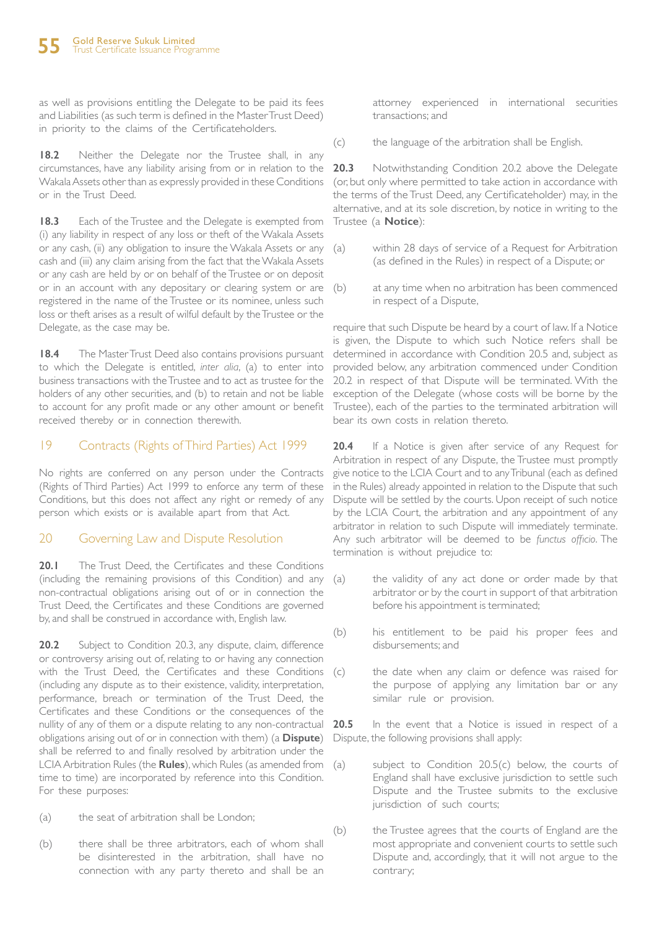as well as provisions entitling the Delegate to be paid its fees and Liabilities (as such term is defined in the Master Trust Deed) in priority to the claims of the Certificateholders.

**18.2** Neither the Delegate nor the Trustee shall, in any circumstances, have any liability arising from or in relation to the Wakala Assets other than as expressly provided in these Conditions or in the Trust Deed.

**18.3** Each of the Trustee and the Delegate is exempted from (i) any liability in respect of any loss or theft of the Wakala Assets or any cash, (ii) any obligation to insure the Wakala Assets or any cash and (iii) any claim arising from the fact that the Wakala Assets or any cash are held by or on behalf of the Trustee or on deposit or in an account with any depositary or clearing system or are (b) registered in the name of the Trustee or its nominee, unless such loss or theft arises as a result of wilful default by the Trustee or the Delegate, as the case may be.

**18.4** The Master Trust Deed also contains provisions pursuant to which the Delegate is entitled, *inter alia*, (a) to enter into business transactions with the Trustee and to act as trustee for the holders of any other securities, and (b) to retain and not be liable to account for any profit made or any other amount or benefit received thereby or in connection therewith.

### 19 Contracts (Rights of Third Parties) Act 1999

No rights are conferred on any person under the Contracts (Rights of Third Parties) Act 1999 to enforce any term of these Conditions, but this does not affect any right or remedy of any person which exists or is available apart from that Act.

### 20 Governing Law and Dispute Resolution

**20.1** The Trust Deed, the Certificates and these Conditions (including the remaining provisions of this Condition) and any non-contractual obligations arising out of or in connection the Trust Deed, the Certificates and these Conditions are governed by, and shall be construed in accordance with, English law.

20.2 Subject to Condition 20.3, any dispute, claim, difference or controversy arising out of, relating to or having any connection with the Trust Deed, the Certificates and these Conditions (c) (including any dispute as to their existence, validity, interpretation, performance, breach or termination of the Trust Deed, the Certificates and these Conditions or the consequences of the nullity of any of them or a dispute relating to any non-contractual obligations arising out of or in connection with them) (a **Dispute**) shall be referred to and finally resolved by arbitration under the LCIA Arbitration Rules (the **Rules**), which Rules (as amended from time to time) are incorporated by reference into this Condition. For these purposes:

- (a) the seat of arbitration shall be London;
- (b) there shall be three arbitrators, each of whom shall be disinterested in the arbitration, shall have no connection with any party thereto and shall be an

attorney experienced in international securities transactions; and

(c) the language of the arbitration shall be English.

**20.3** Notwithstanding Condition 20.2 above the Delegate (or, but only where permitted to take action in accordance with the terms of the Trust Deed, any Certificateholder) may, in the alternative, and at its sole discretion, by notice in writing to the Trustee (a **Notice**):

- (a) within 28 days of service of a Request for Arbitration (as defined in the Rules) in respect of a Dispute; or
- at any time when no arbitration has been commenced in respect of a Dispute,

require that such Dispute be heard by a court of law. If a Notice is given, the Dispute to which such Notice refers shall be determined in accordance with Condition 20.5 and, subject as provided below, any arbitration commenced under Condition 20.2 in respect of that Dispute will be terminated. With the exception of the Delegate (whose costs will be borne by the Trustee), each of the parties to the terminated arbitration will bear its own costs in relation thereto.

**20.4** If a Notice is given after service of any Request for Arbitration in respect of any Dispute, the Trustee must promptly give notice to the LCIA Court and to any Tribunal (each as defined in the Rules) already appointed in relation to the Dispute that such Dispute will be settled by the courts. Upon receipt of such notice by the LCIA Court, the arbitration and any appointment of any arbitrator in relation to such Dispute will immediately terminate. Any such arbitrator will be deemed to be *functus officio*. The termination is without prejudice to:

- (a) the validity of any act done or order made by that arbitrator or by the court in support of that arbitration before his appointment is terminated;
- (b) his entitlement to be paid his proper fees and disbursements; and
	- the date when any claim or defence was raised for the purpose of applying any limitation bar or any similar rule or provision.

**20.5** In the event that a Notice is issued in respect of a Dispute, the following provisions shall apply:

- (a) subject to Condition 20.5(c) below, the courts of England shall have exclusive jurisdiction to settle such Dispute and the Trustee submits to the exclusive jurisdiction of such courts;
- (b) the Trustee agrees that the courts of England are the most appropriate and convenient courts to settle such Dispute and, accordingly, that it will not argue to the contrary;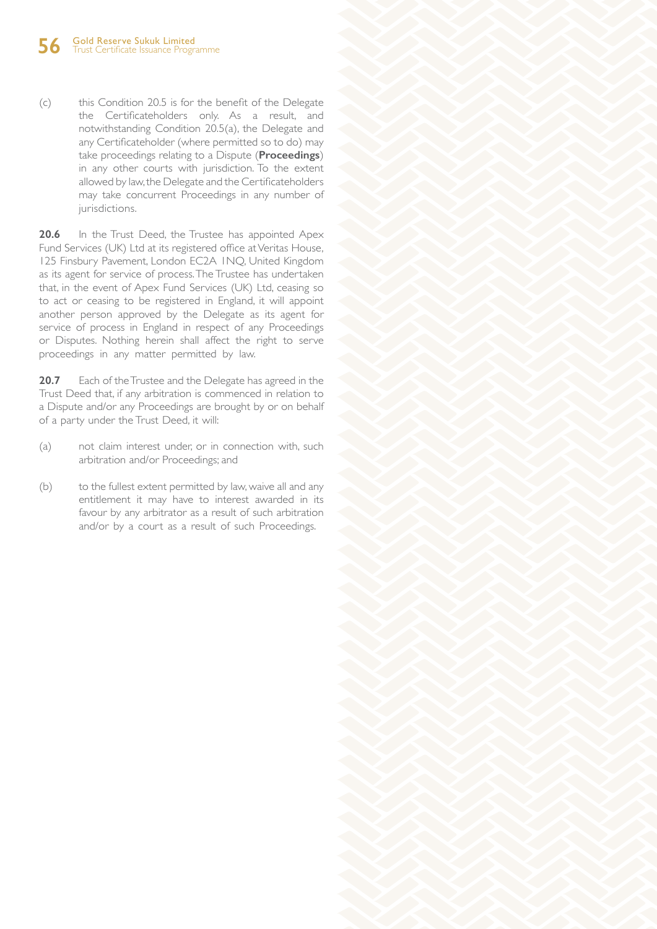(c) this Condition 20.5 is for the benefit of the Delegate the Certificateholders only. As a result, and notwithstanding Condition 20.5(a), the Delegate and any Certificateholder (where permitted so to do) may take proceedings relating to a Dispute (**Proceedings**) in any other courts with jurisdiction. To the extent allowed by law, the Delegate and the Certificateholders may take concurrent Proceedings in any number of jurisdictions.

20.6 In the Trust Deed, the Trustee has appointed Apex Fund Services (UK) Ltd at its registered office at Veritas House, 125 Finsbury Pavement, London EC2A 1NQ, United Kingdom as its agent for service of process. The Trustee has undertaken that, in the event of Apex Fund Services (UK) Ltd, ceasing so to act or ceasing to be registered in England, it will appoint another person approved by the Delegate as its agent for service of process in England in respect of any Proceedings or Disputes. Nothing herein shall affect the right to serve proceedings in any matter permitted by law.

**20.7** Each of the Trustee and the Delegate has agreed in the Trust Deed that, if any arbitration is commenced in relation to a Dispute and/or any Proceedings are brought by or on behalf of a party under the Trust Deed, it will:

- (a) not claim interest under, or in connection with, such arbitration and/or Proceedings; and
- (b) to the fullest extent permitted by law, waive all and any entitlement it may have to interest awarded in its favour by any arbitrator as a result of such arbitration and/or by a court as a result of such Proceedings.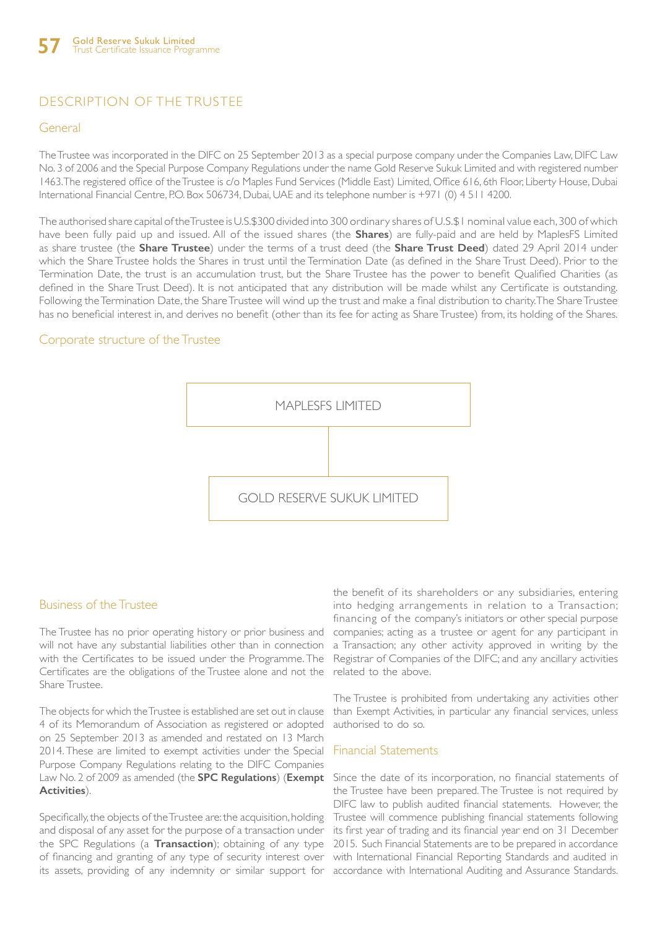### DESCRIPTION OF THE TRUSTEE

#### General

The Trustee was incorporated in the DIFC on 25 September 2013 as a special purpose company under the Companies Law, DIFC Law No. 3 of 2006 and the Special Purpose Company Regulations under the name Gold Reserve Sukuk Limited and with registered number 1463. The registered office of the Trustee is c/o Maples Fund Services (Middle East) Limited, Office 616, 6th Floor, Liberty House, Dubai International Financial Centre, P.O. Box 506734, Dubai, UAE and its telephone number is +971 (0) 4 511 4200.

The authorised share capital of the Trustee is U.S.\$300 divided into 300 ordinary shares of U.S.\$1 nominal value each, 300 of which have been fully paid up and issued. All of the issued shares (the **Shares**) are fully-paid and are held by MaplesFS Limited as share trustee (the **Share Trustee**) under the terms of a trust deed (the **Share Trust Deed**) dated 29 April 2014 under which the Share Trustee holds the Shares in trust until the Termination Date (as defined in the Share Trust Deed). Prior to the Termination Date, the trust is an accumulation trust, but the Share Trustee has the power to benefit Qualified Charities (as defined in the Share Trust Deed). It is not anticipated that any distribution will be made whilst any Certificate is outstanding. Following the Termination Date, the Share Trustee will wind up the trust and make a final distribution to charity. The Share Trustee has no beneficial interest in, and derives no benefit (other than its fee for acting as Share Trustee) from, its holding of the Shares.

### Corporate structure of the Trustee



### Business of the Trustee

The Trustee has no prior operating history or prior business and will not have any substantial liabilities other than in connection with the Certificates to be issued under the Programme. The Certificates are the obligations of the Trustee alone and not the Share Trustee.

The objects for which the Trustee is established are set out in clause 4 of its Memorandum of Association as registered or adopted on 25 September 2013 as amended and restated on 13 March 2014. These are limited to exempt activities under the Special Purpose Company Regulations relating to the DIFC Companies Law No. 2 of 2009 as amended (the **SPC Regulations**) (**Exempt Activities**).

Specifically, the objects of the Trustee are: the acquisition, holding and disposal of any asset for the purpose of a transaction under the SPC Regulations (a **Transaction**); obtaining of any type of financing and granting of any type of security interest over its assets, providing of any indemnity or similar support for accordance with International Auditing and Assurance Standards.

the benefit of its shareholders or any subsidiaries, entering into hedging arrangements in relation to a Transaction; financing of the company's initiators or other special purpose companies; acting as a trustee or agent for any participant in a Transaction; any other activity approved in writing by the Registrar of Companies of the DIFC; and any ancillary activities related to the above.

The Trustee is prohibited from undertaking any activities other than Exempt Activities, in particular any financial services, unless authorised to do so.

#### Financial Statements

Since the date of its incorporation, no financial statements of the Trustee have been prepared. The Trustee is not required by DIFC law to publish audited financial statements. However, the Trustee will commence publishing financial statements following its first year of trading and its financial year end on 31 December 2015. Such Financial Statements are to be prepared in accordance with International Financial Reporting Standards and audited in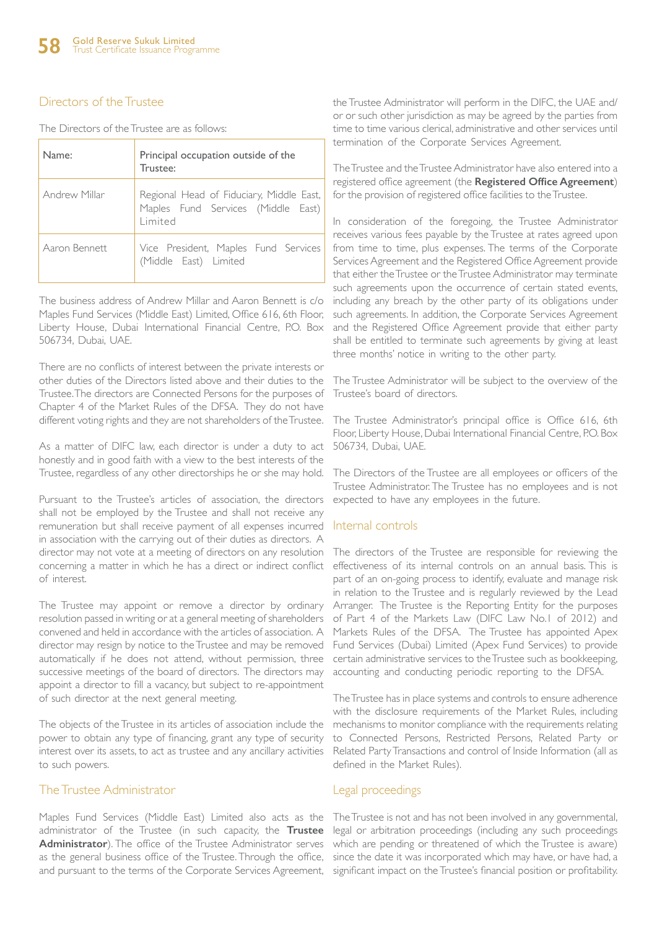### Directors of the Trustee

|  |  | The Directors of the Trustee are as follows: |  |  |  |  |  |
|--|--|----------------------------------------------|--|--|--|--|--|
|--|--|----------------------------------------------|--|--|--|--|--|

| Name:         | Principal occupation outside of the<br>Trustee:                                           |  |  |
|---------------|-------------------------------------------------------------------------------------------|--|--|
| Andrew Millar | Regional Head of Fiduciary, Middle East,<br>Maples Fund Services (Middle East)<br>Limited |  |  |
| Aaron Bennett | Vice President, Maples Fund Services<br>(Middle East) Limited                             |  |  |

The business address of Andrew Millar and Aaron Bennett is c/o Maples Fund Services (Middle East) Limited, Office 616, 6th Floor, Liberty House, Dubai International Financial Centre, P.O. Box 506734, Dubai, UAE.

There are no conflicts of interest between the private interests or other duties of the Directors listed above and their duties to the Trustee. The directors are Connected Persons for the purposes of Chapter 4 of the Market Rules of the DFSA. They do not have different voting rights and they are not shareholders of the Trustee.

As a matter of DIFC law, each director is under a duty to act honestly and in good faith with a view to the best interests of the Trustee, regardless of any other directorships he or she may hold.

Pursuant to the Trustee's articles of association, the directors shall not be employed by the Trustee and shall not receive any remuneration but shall receive payment of all expenses incurred in association with the carrying out of their duties as directors. A director may not vote at a meeting of directors on any resolution concerning a matter in which he has a direct or indirect conflict of interest.

The Trustee may appoint or remove a director by ordinary resolution passed in writing or at a general meeting of shareholders convened and held in accordance with the articles of association. A director may resign by notice to the Trustee and may be removed automatically if he does not attend, without permission, three successive meetings of the board of directors. The directors may appoint a director to fill a vacancy, but subject to re-appointment of such director at the next general meeting.

The objects of the Trustee in its articles of association include the power to obtain any type of financing, grant any type of security interest over its assets, to act as trustee and any ancillary activities to such powers.

### The Trustee Administrator

Maples Fund Services (Middle East) Limited also acts as the The Trustee is not and has not been involved in any governmental, administrator of the Trustee (in such capacity, the **Trustee**  legal or arbitration proceedings (including any such proceedings Administrator). The office of the Trustee Administrator serves which are pending or threatened of which the Trustee is aware) as the general business office of the Trustee. Through the office, since the date it was incorporated which may have, or have had, a and pursuant to the terms of the Corporate Services Agreement, significant impact on the Trustee's financial position or profitability.

the Trustee Administrator will perform in the DIFC, the UAE and/ or or such other jurisdiction as may be agreed by the parties from time to time various clerical, administrative and other services until termination of the Corporate Services Agreement.

The Trustee and the Trustee Administrator have also entered into a registered office agreement (the **Registered Office Agreement**) for the provision of registered office facilities to the Trustee.

In consideration of the foregoing, the Trustee Administrator receives various fees payable by the Trustee at rates agreed upon from time to time, plus expenses. The terms of the Corporate Services Agreement and the Registered Office Agreement provide that either the Trustee or the Trustee Administrator may terminate such agreements upon the occurrence of certain stated events, including any breach by the other party of its obligations under such agreements. In addition, the Corporate Services Agreement and the Registered Office Agreement provide that either party shall be entitled to terminate such agreements by giving at least three months' notice in writing to the other party.

The Trustee Administrator will be subject to the overview of the Trustee's board of directors.

The Trustee Administrator's principal office is Office 616, 6th Floor, Liberty House, Dubai International Financial Centre, P.O. Box 506734, Dubai, UAE.

The Directors of the Trustee are all employees or officers of the Trustee Administrator. The Trustee has no employees and is not expected to have any employees in the future.

### Internal controls

The directors of the Trustee are responsible for reviewing the effectiveness of its internal controls on an annual basis. This is part of an on-going process to identify, evaluate and manage risk in relation to the Trustee and is regularly reviewed by the Lead Arranger. The Trustee is the Reporting Entity for the purposes of Part 4 of the Markets Law (DIFC Law No.1 of 2012) and Markets Rules of the DFSA. The Trustee has appointed Apex Fund Services (Dubai) Limited (Apex Fund Services) to provide certain administrative services to the Trustee such as bookkeeping, accounting and conducting periodic reporting to the DFSA.

The Trustee has in place systems and controls to ensure adherence with the disclosure requirements of the Market Rules, including mechanisms to monitor compliance with the requirements relating to Connected Persons, Restricted Persons, Related Party or Related Party Transactions and control of Inside Information (all as defined in the Market Rules).

### Legal proceedings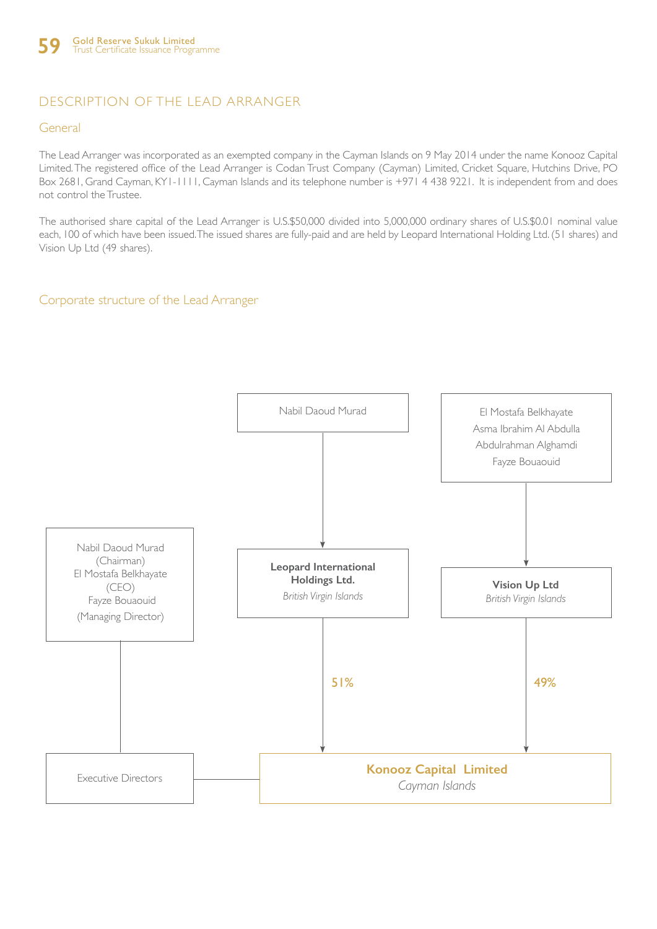# DESCRIPTION OF THE LEAD ARRANGER

### General

The Lead Arranger was incorporated as an exempted company in the Cayman Islands on 9 May 2014 under the name Konooz Capital Limited. The registered office of the Lead Arranger is Codan Trust Company (Cayman) Limited, Cricket Square, Hutchins Drive, PO Box 2681, Grand Cayman, KY1-1111, Cayman Islands and its telephone number is +971 4 438 9221. It is independent from and does not control the Trustee.

The authorised share capital of the Lead Arranger is U.S.\$50,000 divided into 5,000,000 ordinary shares of U.S.\$0.01 nominal value each, 100 of which have been issued. The issued shares are fully-paid and are held by Leopard International Holding Ltd. (51 shares) and Vision Up Ltd (49 shares).

### Corporate structure of the Lead Arranger

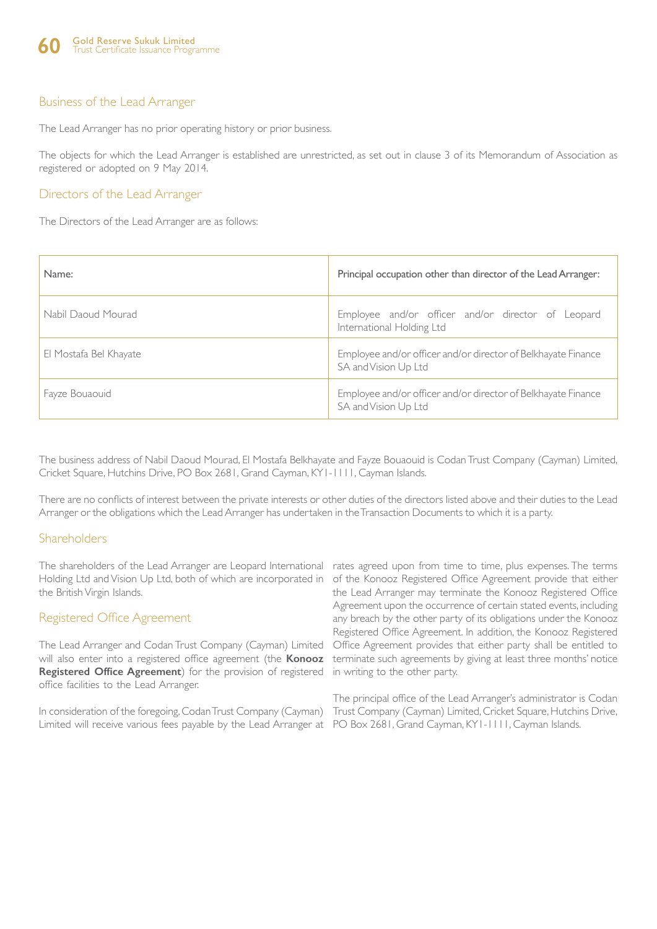### Business of the Lead Arranger

The Lead Arranger has no prior operating history or prior business.

The objects for which the Lead Arranger is established are unrestricted, as set out in clause 3 of its Memorandum of Association as registered or adopted on 9 May 2014.

### Directors of the Lead Arranger

The Directors of the Lead Arranger are as follows:

| Name:                  | Principal occupation other than director of the Lead Arranger:                        |
|------------------------|---------------------------------------------------------------------------------------|
| Nabil Daoud Mourad     | Employee and/or officer and/or director of Leopard<br>International Holding Ltd       |
| El Mostafa Bel Khayate | Employee and/or officer and/or director of Belkhayate Finance<br>SA and Vision Up Ltd |
| Fayze Bouaouid         | Employee and/or officer and/or director of Belkhayate Finance<br>SA and Vision Up Ltd |

The business address of Nabil Daoud Mourad, El Mostafa Belkhayate and Fayze Bouaouid is Codan Trust Company (Cayman) Limited, Cricket Square, Hutchins Drive, PO Box 2681, Grand Cayman, KY1-1111, Cayman Islands.

There are no conflicts of interest between the private interests or other duties of the directors listed above and their duties to the Lead Arranger or the obligations which the Lead Arranger has undertaken in the Transaction Documents to which it is a party.

### Shareholders

The shareholders of the Lead Arranger are Leopard International rates agreed upon from time to time, plus expenses. The terms Holding Ltd and Vision Up Ltd, both of which are incorporated in of the Konooz Registered Office Agreement provide that either the British Virgin Islands.

### Registered Office Agreement

The Lead Arranger and Codan Trust Company (Cayman) Limited will also enter into a registered office agreement (the **Konooz**  Registered Office Agreement) for the provision of registered in writing to the other party. office facilities to the Lead Arranger.

In consideration of the foregoing, Codan Trust Company (Cayman) Trust Company (Cayman) Limited, Cricket Square, Hutchins Drive, Limited will receive various fees payable by the Lead Arranger at PO Box 2681, Grand Cayman, KY1-1111, Cayman Islands.

the Lead Arranger may terminate the Konooz Registered Office Agreement upon the occurrence of certain stated events, including any breach by the other party of its obligations under the Konooz Registered Office Agreement. In addition, the Konooz Registered Office Agreement provides that either party shall be entitled to terminate such agreements by giving at least three months' notice

The principal office of the Lead Arranger's administrator is Codan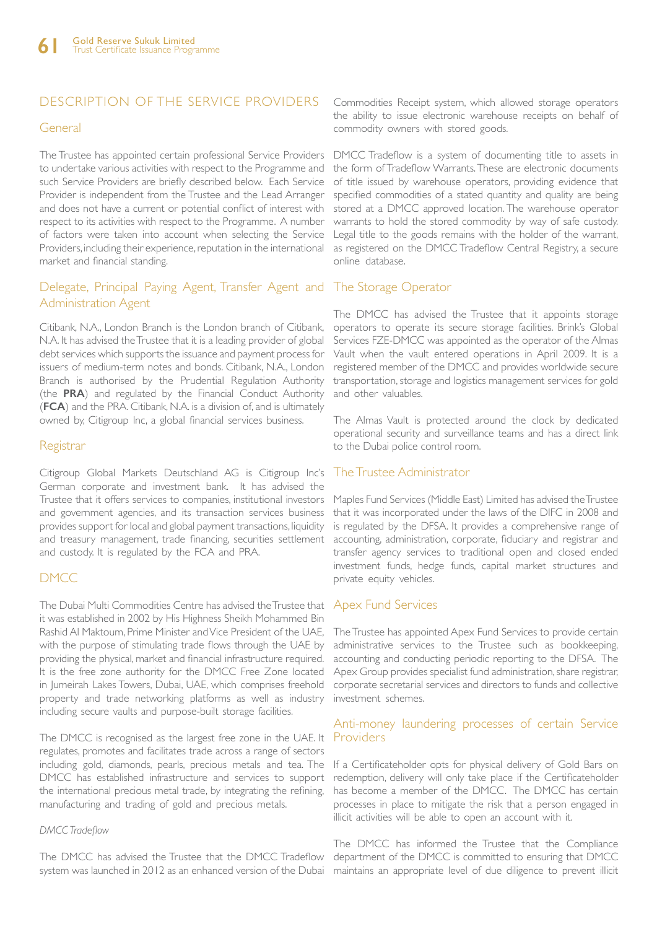### DESCRIPTION OF THE SERVICE PROVIDERS

#### General

to undertake various activities with respect to the Programme and such Service Providers are briefly described below. Each Service Provider is independent from the Trustee and the Lead Arranger and does not have a current or potential conflict of interest with respect to its activities with respect to the Programme. A number of factors were taken into account when selecting the Service Providers, including their experience, reputation in the international market and financial standing.

### Delegate, Principal Paying Agent, Transfer Agent and Administration Agent

Citibank, N.A., London Branch is the London branch of Citibank, N.A. It has advised the Trustee that it is a leading provider of global debt services which supports the issuance and payment process for issuers of medium-term notes and bonds. Citibank, N.A., London Branch is authorised by the Prudential Regulation Authority (the **PRA**) and regulated by the Financial Conduct Authority (**FCA**) and the PRA. Citibank, N.A. is a division of, and is ultimately owned by, Citigroup Inc, a global financial services business.

### **Registrar**

Citigroup Global Markets Deutschland AG is Citigroup Inc's German corporate and investment bank. It has advised the Trustee that it offers services to companies, institutional investors and government agencies, and its transaction services business provides support for local and global payment transactions, liquidity and treasury management, trade financing, securities settlement and custody. It is regulated by the FCA and PRA.

### DMCC

The Dubai Multi Commodities Centre has advised the Trustee that it was established in 2002 by His Highness Sheikh Mohammed Bin Rashid Al Maktoum, Prime Minister and Vice President of the UAE, with the purpose of stimulating trade flows through the UAE by providing the physical, market and financial infrastructure required. It is the free zone authority for the DMCC Free Zone located in Jumeirah Lakes Towers, Dubai, UAE, which comprises freehold property and trade networking platforms as well as industry including secure vaults and purpose-built storage facilities.

The DMCC is recognised as the largest free zone in the UAE. It Providers regulates, promotes and facilitates trade across a range of sectors including gold, diamonds, pearls, precious metals and tea. The DMCC has established infrastructure and services to support the international precious metal trade, by integrating the refining, manufacturing and trading of gold and precious metals.

#### *DMCC Tradeflow*

The DMCC has advised the Trustee that the DMCC Tradeflow system was launched in 2012 as an enhanced version of the Dubai maintains an appropriate level of due diligence to prevent illicit

Commodities Receipt system, which allowed storage operators the ability to issue electronic warehouse receipts on behalf of commodity owners with stored goods.

The Trustee has appointed certain professional Service Providers DMCC Tradeflow is a system of documenting title to assets in the form of Tradeflow Warrants. These are electronic documents of title issued by warehouse operators, providing evidence that specified commodities of a stated quantity and quality are being stored at a DMCC approved location. The warehouse operator warrants to hold the stored commodity by way of safe custody. Legal title to the goods remains with the holder of the warrant, as registered on the DMCC Tradeflow Central Registry, a secure online database.

### The Storage Operator

The DMCC has advised the Trustee that it appoints storage operators to operate its secure storage facilities. Brink's Global Services FZE-DMCC was appointed as the operator of the Almas Vault when the vault entered operations in April 2009. It is a registered member of the DMCC and provides worldwide secure transportation, storage and logistics management services for gold and other valuables.

The Almas Vault is protected around the clock by dedicated operational security and surveillance teams and has a direct link to the Dubai police control room.

### The Trustee Administrator

Maples Fund Services (Middle East) Limited has advised the Trustee that it was incorporated under the laws of the DIFC in 2008 and is regulated by the DFSA. It provides a comprehensive range of accounting, administration, corporate, fiduciary and registrar and transfer agency services to traditional open and closed ended investment funds, hedge funds, capital market structures and private equity vehicles.

### Apex Fund Services

The Trustee has appointed Apex Fund Services to provide certain administrative services to the Trustee such as bookkeeping, accounting and conducting periodic reporting to the DFSA. The Apex Group provides specialist fund administration, share registrar, corporate secretarial services and directors to funds and collective investment schemes.

# Anti-money laundering processes of certain Service

If a Certificateholder opts for physical delivery of Gold Bars on redemption, delivery will only take place if the Certificateholder has become a member of the DMCC. The DMCC has certain processes in place to mitigate the risk that a person engaged in illicit activities will be able to open an account with it.

The DMCC has informed the Trustee that the Compliance department of the DMCC is committed to ensuring that DMCC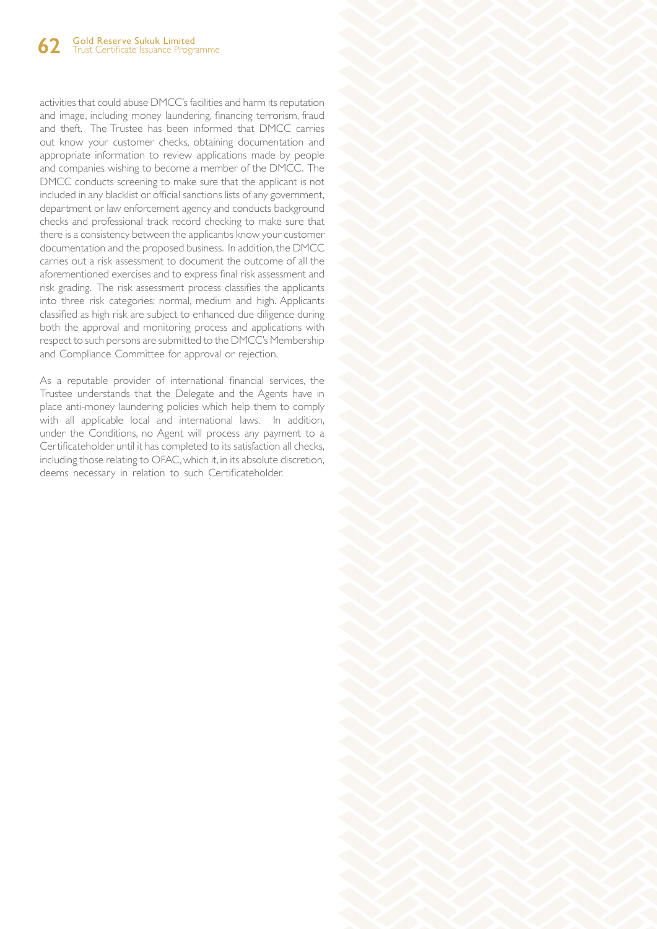activities that could abuse DMCC's facilities and harm its reputation and image, including money laundering, financing terrorism, fraud and theft. The Trustee has been informed that DMCC carries out know your customer checks, obtaining documentation and appropriate information to review applications made by people and companies wishing to become a member of the DMCC. The DMCC conducts screening to make sure that the applicant is not included in any blacklist or official sanctions lists of any government, department or law enforcement agency and conducts background checks and professional track record checking to make sure that there is a consistency between the applicantys know your customer documentation and the proposed business. In addition, the DMCC carries out a risk assessment to document the outcome of all the aforementioned exercises and to express final risk assessment and risk grading. The risk assessment process classifies the applicants into three risk categories: normal, medium and high. Applicants classified as high risk are subject to enhanced due diligence during both the approval and monitoring process and applications with respect to such persons are submitted to the DMCC's Membership and Compliance Committee for approval or rejection.

As a reputable provider of international financial services, the Trustee understands that the Delegate and the Agents have in place anti-money laundering policies which help them to comply with all applicable local and international laws. In addition, under the Conditions, no Agent will process any payment to a Certificateholder until it has completed to its satisfaction all checks, including those relating to OFAC, which it, in its absolute discretion, deems necessary in relation to such Certificateholder.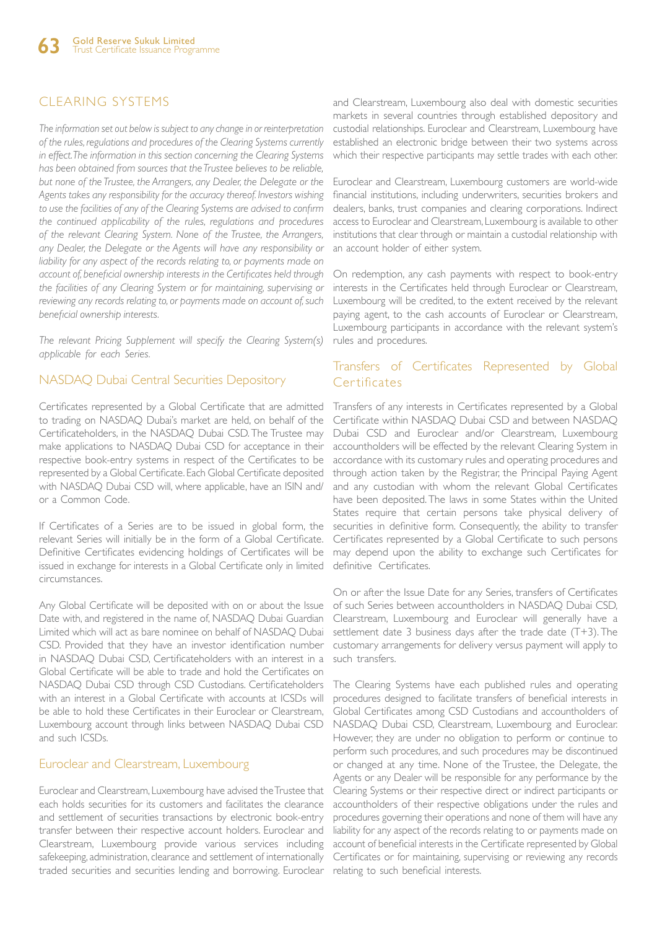### CLEARING SYSTEMS

*The information set out below is subject to any change in or reinterpretation of the rules, regulations and procedures of the Clearing Systems currently in effect. The information in this section concerning the Clearing Systems has been obtained from sources that the Trustee believes to be reliable, but none of the Trustee, the Arrangers, any Dealer, the Delegate or the Agents takes any responsibility for the accuracy thereof. Investors wishing to use the facilities of any of the Clearing Systems are advised to confirm the continued applicability of the rules, regulations and procedures of the relevant Clearing System. None of the Trustee, the Arrangers, any Dealer, the Delegate or the Agents will have any responsibility or liability for any aspect of the records relating to, or payments made on account of, beneficial ownership interests in the Certificates held through the facilities of any Clearing System or for maintaining, supervising or reviewing any records relating to, or payments made on account of, such beneficial ownership interests.*

*The relevant Pricing Supplement will specify the Clearing System(s) applicable for each Series.*

### NASDAQ Dubai Central Securities Depository

Certificates represented by a Global Certificate that are admitted to trading on NASDAQ Dubai's market are held, on behalf of the Certificateholders, in the NASDAQ Dubai CSD. The Trustee may make applications to NASDAQ Dubai CSD for acceptance in their respective book-entry systems in respect of the Certificates to be represented by a Global Certificate. Each Global Certificate deposited with NASDAQ Dubai CSD will, where applicable, have an ISIN and/ or a Common Code.

If Certificates of a Series are to be issued in global form, the relevant Series will initially be in the form of a Global Certificate. Definitive Certificates evidencing holdings of Certificates will be issued in exchange for interests in a Global Certificate only in limited circumstances.

Any Global Certificate will be deposited with on or about the Issue Date with, and registered in the name of, NASDAQ Dubai Guardian Limited which will act as bare nominee on behalf of NASDAQ Dubai CSD. Provided that they have an investor identification number in NASDAQ Dubai CSD, Certificateholders with an interest in a Global Certificate will be able to trade and hold the Certificates on NASDAQ Dubai CSD through CSD Custodians. Certificateholders with an interest in a Global Certificate with accounts at ICSDs will be able to hold these Certificates in their Euroclear or Clearstream, Luxembourg account through links between NASDAQ Dubai CSD and such ICSDs.

### Euroclear and Clearstream, Luxembourg

Euroclear and Clearstream, Luxembourg have advised the Trustee that each holds securities for its customers and facilitates the clearance and settlement of securities transactions by electronic book-entry transfer between their respective account holders. Euroclear and Clearstream, Luxembourg provide various services including safekeeping, administration, clearance and settlement of internationally traded securities and securities lending and borrowing. Euroclear

and Clearstream, Luxembourg also deal with domestic securities markets in several countries through established depository and custodial relationships. Euroclear and Clearstream, Luxembourg have established an electronic bridge between their two systems across which their respective participants may settle trades with each other.

Euroclear and Clearstream, Luxembourg customers are world-wide financial institutions, including underwriters, securities brokers and dealers, banks, trust companies and clearing corporations. Indirect access to Euroclear and Clearstream, Luxembourg is available to other institutions that clear through or maintain a custodial relationship with an account holder of either system.

On redemption, any cash payments with respect to book-entry interests in the Certificates held through Euroclear or Clearstream, Luxembourg will be credited, to the extent received by the relevant paying agent, to the cash accounts of Euroclear or Clearstream, Luxembourg participants in accordance with the relevant system's rules and procedures.

### Transfers of Certificates Represented by Global Certificates

Transfers of any interests in Certificates represented by a Global Certificate within NASDAQ Dubai CSD and between NASDAQ Dubai CSD and Euroclear and/or Clearstream, Luxembourg accountholders will be effected by the relevant Clearing System in accordance with its customary rules and operating procedures and through action taken by the Registrar, the Principal Paying Agent and any custodian with whom the relevant Global Certificates have been deposited. The laws in some States within the United States require that certain persons take physical delivery of securities in definitive form. Consequently, the ability to transfer Certificates represented by a Global Certificate to such persons may depend upon the ability to exchange such Certificates for definitive Certificates.

On or after the Issue Date for any Series, transfers of Certificates of such Series between accountholders in NASDAQ Dubai CSD, Clearstream, Luxembourg and Euroclear will generally have a settlement date 3 business days after the trade date (T+3). The customary arrangements for delivery versus payment will apply to such transfers.

The Clearing Systems have each published rules and operating procedures designed to facilitate transfers of beneficial interests in Global Certificates among CSD Custodians and accountholders of NASDAQ Dubai CSD, Clearstream, Luxembourg and Euroclear. However, they are under no obligation to perform or continue to perform such procedures, and such procedures may be discontinued or changed at any time. None of the Trustee, the Delegate, the Agents or any Dealer will be responsible for any performance by the Clearing Systems or their respective direct or indirect participants or accountholders of their respective obligations under the rules and procedures governing their operations and none of them will have any liability for any aspect of the records relating to or payments made on account of beneficial interests in the Certificate represented by Global Certificates or for maintaining, supervising or reviewing any records relating to such beneficial interests.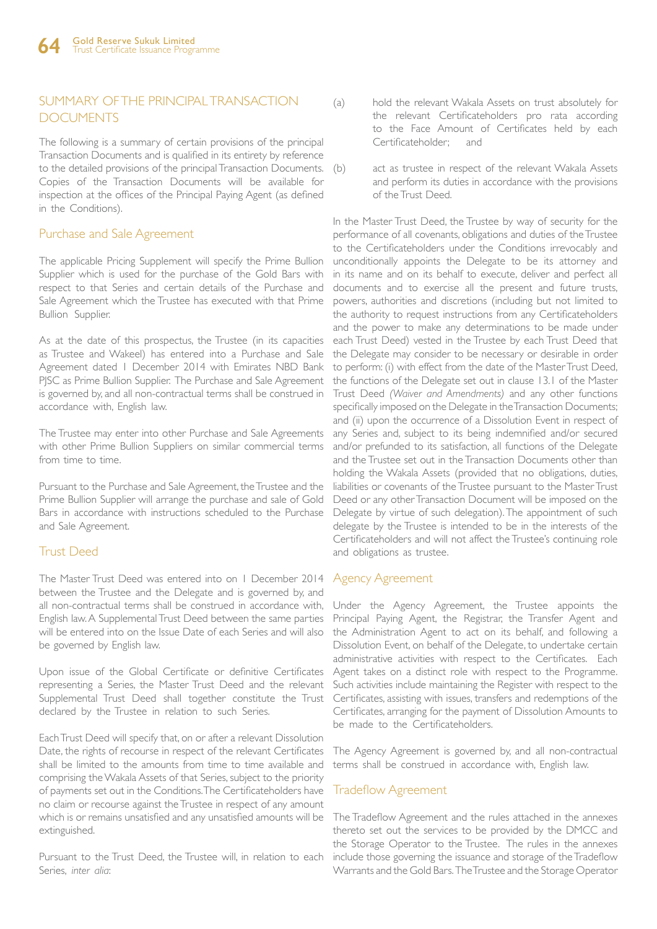### SUMMARY OF THE PRINCIPAL TRANSACTION DOCUMENTS

The following is a summary of certain provisions of the principal Transaction Documents and is qualified in its entirety by reference to the detailed provisions of the principal Transaction Documents. Copies of the Transaction Documents will be available for inspection at the offices of the Principal Paying Agent (as defined in the Conditions).

### Purchase and Sale Agreement

The applicable Pricing Supplement will specify the Prime Bullion Supplier which is used for the purchase of the Gold Bars with respect to that Series and certain details of the Purchase and Sale Agreement which the Trustee has executed with that Prime Bullion Supplier.

As at the date of this prospectus, the Trustee (in its capacities as Trustee and Wakeel) has entered into a Purchase and Sale Agreement dated 1 December 2014 with Emirates NBD Bank PJSC as Prime Bullion Supplier. The Purchase and Sale Agreement is governed by, and all non-contractual terms shall be construed in accordance with, English law.

The Trustee may enter into other Purchase and Sale Agreements with other Prime Bullion Suppliers on similar commercial terms from time to time.

Pursuant to the Purchase and Sale Agreement, the Trustee and the Prime Bullion Supplier will arrange the purchase and sale of Gold Bars in accordance with instructions scheduled to the Purchase and Sale Agreement.

### Trust Deed

The Master Trust Deed was entered into on 1 December 2014 between the Trustee and the Delegate and is governed by, and all non-contractual terms shall be construed in accordance with, English law. A Supplemental Trust Deed between the same parties will be entered into on the Issue Date of each Series and will also be governed by English law.

Upon issue of the Global Certificate or definitive Certificates representing a Series, the Master Trust Deed and the relevant Supplemental Trust Deed shall together constitute the Trust declared by the Trustee in relation to such Series.

Each Trust Deed will specify that, on or after a relevant Dissolution Date, the rights of recourse in respect of the relevant Certificates shall be limited to the amounts from time to time available and comprising the Wakala Assets of that Series, subject to the priority of payments set out in the Conditions. The Certificateholders have no claim or recourse against the Trustee in respect of any amount which is or remains unsatisfied and any unsatisfied amounts will be extinguished.

Pursuant to the Trust Deed, the Trustee will, in relation to each Series, *inter alia*:

- (a) hold the relevant Wakala Assets on trust absolutely for the relevant Certificateholders pro rata according to the Face Amount of Certificates held by each Certificateholder; and
- act as trustee in respect of the relevant Wakala Assets and perform its duties in accordance with the provisions of the Trust Deed.

In the Master Trust Deed, the Trustee by way of security for the performance of all covenants, obligations and duties of the Trustee to the Certificateholders under the Conditions irrevocably and unconditionally appoints the Delegate to be its attorney and in its name and on its behalf to execute, deliver and perfect all documents and to exercise all the present and future trusts, powers, authorities and discretions (including but not limited to the authority to request instructions from any Certificateholders and the power to make any determinations to be made under each Trust Deed) vested in the Trustee by each Trust Deed that the Delegate may consider to be necessary or desirable in order to perform: (i) with effect from the date of the Master Trust Deed, the functions of the Delegate set out in clause 13.1 of the Master Trust Deed *(Waiver and Amendments)* and any other functions specifically imposed on the Delegate in the Transaction Documents; and (ii) upon the occurrence of a Dissolution Event in respect of any Series and, subject to its being indemnified and/or secured and/or prefunded to its satisfaction, all functions of the Delegate and the Trustee set out in the Transaction Documents other than holding the Wakala Assets (provided that no obligations, duties, liabilities or covenants of the Trustee pursuant to the Master Trust Deed or any other Transaction Document will be imposed on the Delegate by virtue of such delegation). The appointment of such delegate by the Trustee is intended to be in the interests of the Certificateholders and will not affect the Trustee's continuing role and obligations as trustee.

### Agency Agreement

Under the Agency Agreement, the Trustee appoints the Principal Paying Agent, the Registrar, the Transfer Agent and the Administration Agent to act on its behalf, and following a Dissolution Event, on behalf of the Delegate, to undertake certain administrative activities with respect to the Certificates. Each Agent takes on a distinct role with respect to the Programme. Such activities include maintaining the Register with respect to the Certificates, assisting with issues, transfers and redemptions of the Certificates, arranging for the payment of Dissolution Amounts to be made to the Certificateholders.

The Agency Agreement is governed by, and all non-contractual terms shall be construed in accordance with, English law.

### Tradeflow Agreement

The Tradeflow Agreement and the rules attached in the annexes thereto set out the services to be provided by the DMCC and the Storage Operator to the Trustee. The rules in the annexes include those governing the issuance and storage of the Tradeflow Warrants and the Gold Bars. The Trustee and the Storage Operator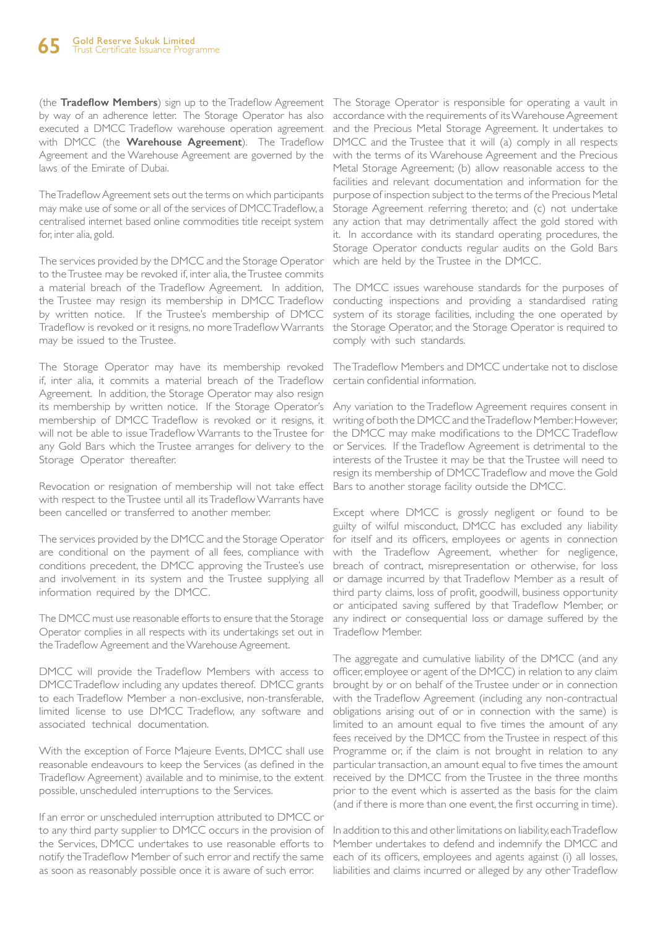(the **Tradeflow Members**) sign up to the Tradeflow Agreement by way of an adherence letter. The Storage Operator has also executed a DMCC Tradeflow warehouse operation agreement with DMCC (the **Warehouse Agreement**). The Tradeflow Agreement and the Warehouse Agreement are governed by the laws of the Emirate of Dubai.

The Tradeflow Agreement sets out the terms on which participants may make use of some or all of the services of DMCC Tradeflow, a centralised internet based online commodities title receipt system for, inter alia, gold.

The services provided by the DMCC and the Storage Operator to the Trustee may be revoked if, inter alia, the Trustee commits a material breach of the Tradeflow Agreement. In addition, the Trustee may resign its membership in DMCC Tradeflow by written notice. If the Trustee's membership of DMCC Tradeflow is revoked or it resigns, no more Tradeflow Warrants may be issued to the Trustee.

The Storage Operator may have its membership revoked if, inter alia, it commits a material breach of the Tradeflow Agreement. In addition, the Storage Operator may also resign its membership by written notice. If the Storage Operator's membership of DMCC Tradeflow is revoked or it resigns, it will not be able to issue Tradeflow Warrants to the Trustee for any Gold Bars which the Trustee arranges for delivery to the Storage Operator thereafter.

Revocation or resignation of membership will not take effect with respect to the Trustee until all its Tradeflow Warrants have been cancelled or transferred to another member.

The services provided by the DMCC and the Storage Operator are conditional on the payment of all fees, compliance with conditions precedent, the DMCC approving the Trustee's use and involvement in its system and the Trustee supplying all information required by the DMCC.

The DMCC must use reasonable efforts to ensure that the Storage Operator complies in all respects with its undertakings set out in the Tradeflow Agreement and the Warehouse Agreement.

DMCC will provide the Tradeflow Members with access to DMCC Tradeflow including any updates thereof. DMCC grants to each Tradeflow Member a non-exclusive, non-transferable, limited license to use DMCC Tradeflow, any software and associated technical documentation.

With the exception of Force Majeure Events, DMCC shall use reasonable endeavours to keep the Services (as defined in the Tradeflow Agreement) available and to minimise, to the extent possible, unscheduled interruptions to the Services.

If an error or unscheduled interruption attributed to DMCC or to any third party supplier to DMCC occurs in the provision of the Services, DMCC undertakes to use reasonable efforts to notify the Tradeflow Member of such error and rectify the same as soon as reasonably possible once it is aware of such error.

The Storage Operator is responsible for operating a vault in accordance with the requirements of its Warehouse Agreement and the Precious Metal Storage Agreement. It undertakes to DMCC and the Trustee that it will (a) comply in all respects with the terms of its Warehouse Agreement and the Precious Metal Storage Agreement; (b) allow reasonable access to the facilities and relevant documentation and information for the purpose of inspection subject to the terms of the Precious Metal Storage Agreement referring thereto; and (c) not undertake any action that may detrimentally affect the gold stored with it. In accordance with its standard operating procedures, the Storage Operator conducts regular audits on the Gold Bars which are held by the Trustee in the DMCC.

The DMCC issues warehouse standards for the purposes of conducting inspections and providing a standardised rating system of its storage facilities, including the one operated by the Storage Operator, and the Storage Operator is required to comply with such standards.

The Tradeflow Members and DMCC undertake not to disclose certain confidential information.

Any variation to the Tradeflow Agreement requires consent in writing of both the DMCC and the Tradeflow Member. However, the DMCC may make modifications to the DMCC Tradeflow or Services. If the Tradeflow Agreement is detrimental to the interests of the Trustee it may be that the Trustee will need to resign its membership of DMCC Tradeflow and move the Gold Bars to another storage facility outside the DMCC.

Except where DMCC is grossly negligent or found to be guilty of wilful misconduct, DMCC has excluded any liability for itself and its officers, employees or agents in connection with the Tradeflow Agreement, whether for negligence, breach of contract, misrepresentation or otherwise, for loss or damage incurred by that Tradeflow Member as a result of third party claims, loss of profit, goodwill, business opportunity or anticipated saving suffered by that Tradeflow Member, or any indirect or consequential loss or damage suffered by the Tradeflow Member.

The aggregate and cumulative liability of the DMCC (and any officer, employee or agent of the DMCC) in relation to any claim brought by or on behalf of the Trustee under or in connection with the Tradeflow Agreement (including any non-contractual obligations arising out of or in connection with the same) is limited to an amount equal to five times the amount of any fees received by the DMCC from the Trustee in respect of this Programme or, if the claim is not brought in relation to any particular transaction, an amount equal to five times the amount received by the DMCC from the Trustee in the three months prior to the event which is asserted as the basis for the claim (and if there is more than one event, the first occurring in time).

In addition to this and other limitations on liability, each Tradeflow Member undertakes to defend and indemnify the DMCC and each of its officers, employees and agents against (i) all losses, liabilities and claims incurred or alleged by any other Tradeflow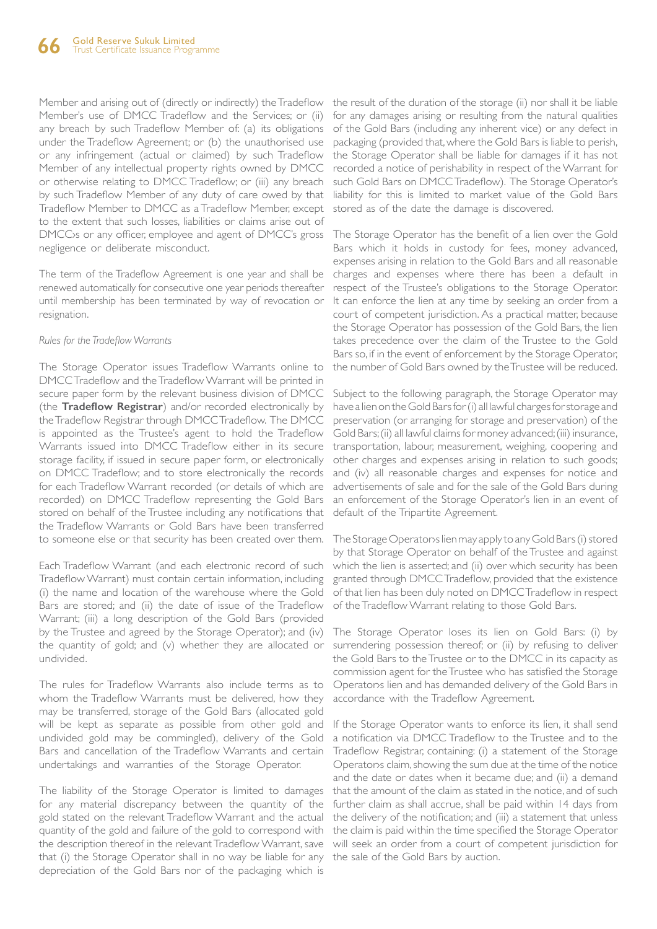Member and arising out of (directly or indirectly) the Tradeflow Member's use of DMCC Tradeflow and the Services; or (ii) any breach by such Tradeflow Member of: (a) its obligations under the Tradeflow Agreement; or (b) the unauthorised use or any infringement (actual or claimed) by such Tradeflow Member of any intellectual property rights owned by DMCC or otherwise relating to DMCC Tradeflow; or (iii) any breach by such Tradeflow Member of any duty of care owed by that Tradeflow Member to DMCC as a Tradeflow Member, except to the extent that such losses, liabilities or claims arise out of DMCC›s or any officer, employee and agent of DMCC's gross negligence or deliberate misconduct.

The term of the Tradeflow Agreement is one year and shall be renewed automatically for consecutive one year periods thereafter until membership has been terminated by way of revocation or resignation.

#### *Rules for the Tradeflow Warrants*

The Storage Operator issues Tradeflow Warrants online to DMCC Tradeflow and the Tradeflow Warrant will be printed in secure paper form by the relevant business division of DMCC (the **Tradeflow Registrar**) and/or recorded electronically by the Tradeflow Registrar through DMCC Tradeflow. The DMCC is appointed as the Trustee's agent to hold the Tradeflow Warrants issued into DMCC Tradeflow either in its secure storage facility, if issued in secure paper form, or electronically on DMCC Tradeflow; and to store electronically the records for each Tradeflow Warrant recorded (or details of which are recorded) on DMCC Tradeflow representing the Gold Bars stored on behalf of the Trustee including any notifications that the Tradeflow Warrants or Gold Bars have been transferred to someone else or that security has been created over them.

Each Tradeflow Warrant (and each electronic record of such Tradeflow Warrant) must contain certain information, including (i) the name and location of the warehouse where the Gold Bars are stored; and (ii) the date of issue of the Tradeflow Warrant; (iii) a long description of the Gold Bars (provided by the Trustee and agreed by the Storage Operator); and (iv) the quantity of gold; and (v) whether they are allocated or undivided.

The rules for Tradeflow Warrants also include terms as to whom the Tradeflow Warrants must be delivered, how they may be transferred, storage of the Gold Bars (allocated gold will be kept as separate as possible from other gold and undivided gold may be commingled), delivery of the Gold Bars and cancellation of the Tradeflow Warrants and certain undertakings and warranties of the Storage Operator.

The liability of the Storage Operator is limited to damages for any material discrepancy between the quantity of the that (i) the Storage Operator shall in no way be liable for any the sale of the Gold Bars by auction.depreciation of the Gold Bars nor of the packaging which is

the result of the duration of the storage (ii) nor shall it be liable for any damages arising or resulting from the natural qualities of the Gold Bars (including any inherent vice) or any defect in packaging (provided that, where the Gold Bars is liable to perish, the Storage Operator shall be liable for damages if it has not recorded a notice of perishability in respect of the Warrant for such Gold Bars on DMCC Tradeflow). The Storage Operator's liability for this is limited to market value of the Gold Bars stored as of the date the damage is discovered.

The Storage Operator has the benefit of a lien over the Gold Bars which it holds in custody for fees, money advanced, expenses arising in relation to the Gold Bars and all reasonable charges and expenses where there has been a default in respect of the Trustee's obligations to the Storage Operator. It can enforce the lien at any time by seeking an order from a court of competent jurisdiction. As a practical matter, because the Storage Operator has possession of the Gold Bars, the lien takes precedence over the claim of the Trustee to the Gold Bars so, if in the event of enforcement by the Storage Operator, the number of Gold Bars owned by the Trustee will be reduced.

Subject to the following paragraph, the Storage Operator may have a lien on the Gold Bars for (i) all lawful charges for storage and preservation (or arranging for storage and preservation) of the Gold Bars; (ii) all lawful claims for money advanced; (iii) insurance, transportation, labour, measurement, weighing, coopering and other charges and expenses arising in relation to such goods; and (iv) all reasonable charges and expenses for notice and advertisements of sale and for the sale of the Gold Bars during an enforcement of the Storage Operator's lien in an event of default of the Tripartite Agreement.

The Storage Operatory lien may apply to any Gold Bars (i) stored by that Storage Operator on behalf of the Trustee and against which the lien is asserted; and (ii) over which security has been granted through DMCC Tradeflow, provided that the existence of that lien has been duly noted on DMCC Tradeflow in respect of the Tradeflow Warrant relating to those Gold Bars.

The Storage Operator loses its lien on Gold Bars: (i) by surrendering possession thereof; or (ii) by refusing to deliver the Gold Bars to the Trustee or to the DMCC in its capacity as commission agent for the Trustee who has satisfied the Storage Operatory lien and has demanded delivery of the Gold Bars in accordance with the Tradeflow Agreement.

gold stated on the relevant Tradeflow Warrant and the actual the delivery of the notification; and (iii) a statement that unless quantity of the gold and failure of the gold to correspond with the claim is paid within the time specified the Storage Operator the description thereof in the relevant Tradeflow Warrant, save will seek an order from a court of competent jurisdiction for If the Storage Operator wants to enforce its lien, it shall send a notification via DMCC Tradeflow to the Trustee and to the Tradeflow Registrar, containing: (i) a statement of the Storage Operatory claim, showing the sum due at the time of the notice and the date or dates when it became due; and (ii) a demand that the amount of the claim as stated in the notice, and of such further claim as shall accrue, shall be paid within 14 days from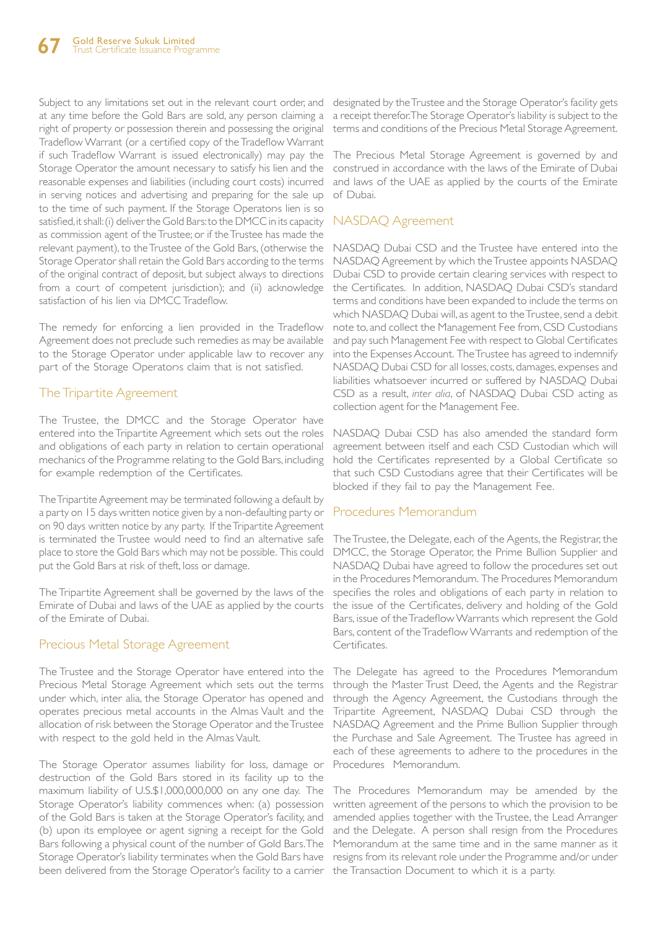Subject to any limitations set out in the relevant court order, and designated by the Trustee and the Storage Operator's facility gets at any time before the Gold Bars are sold, any person claiming a right of property or possession therein and possessing the original Tradeflow Warrant (or a certified copy of the Tradeflow Warrant if such Tradeflow Warrant is issued electronically) may pay the Storage Operator the amount necessary to satisfy his lien and the reasonable expenses and liabilities (including court costs) incurred in serving notices and advertising and preparing for the sale up to the time of such payment. If the Storage Operatorys lien is so satisfied, it shall: (i) deliver the Gold Bars: to the DMCC in its capacity as commission agent of the Trustee; or if the Trustee has made the relevant payment), to the Trustee of the Gold Bars, (otherwise the Storage Operator shall retain the Gold Bars according to the terms of the original contract of deposit, but subject always to directions from a court of competent jurisdiction); and (ii) acknowledge satisfaction of his lien via DMCC Tradeflow.

The remedy for enforcing a lien provided in the Tradeflow Agreement does not preclude such remedies as may be available to the Storage Operator under applicable law to recover any part of the Storage Operatorys claim that is not satisfied.

### The Tripartite Agreement

The Trustee, the DMCC and the Storage Operator have entered into the Tripartite Agreement which sets out the roles and obligations of each party in relation to certain operational mechanics of the Programme relating to the Gold Bars, including for example redemption of the Certificates.

The Tripartite Agreement may be terminated following a default by a party on 15 days written notice given by a non-defaulting party or on 90 days written notice by any party. If the Tripartite Agreement is terminated the Trustee would need to find an alternative safe place to store the Gold Bars which may not be possible. This could put the Gold Bars at risk of theft, loss or damage.

The Tripartite Agreement shall be governed by the laws of the Emirate of Dubai and laws of the UAE as applied by the courts of the Emirate of Dubai.

### Precious Metal Storage Agreement

The Trustee and the Storage Operator have entered into the Precious Metal Storage Agreement which sets out the terms under which, inter alia, the Storage Operator has opened and operates precious metal accounts in the Almas Vault and the allocation of risk between the Storage Operator and the Trustee with respect to the gold held in the Almas Vault.

The Storage Operator assumes liability for loss, damage or destruction of the Gold Bars stored in its facility up to the maximum liability of U.S.\$1,000,000,000 on any one day. The Storage Operator's liability commences when: (a) possession of the Gold Bars is taken at the Storage Operator's facility, and (b) upon its employee or agent signing a receipt for the Gold Bars following a physical count of the number of Gold Bars. The Storage Operator's liability terminates when the Gold Bars have resigns from its relevant role under the Programme and/or under been delivered from the Storage Operator's facility to a carrier the Transaction Document to which it is a party.

a receipt therefor. The Storage Operator's liability is subject to the terms and conditions of the Precious Metal Storage Agreement.

The Precious Metal Storage Agreement is governed by and construed in accordance with the laws of the Emirate of Dubai and laws of the UAE as applied by the courts of the Emirate of Dubai.

### NASDAQ Agreement

NASDAQ Dubai CSD and the Trustee have entered into the NASDAQ Agreement by which the Trustee appoints NASDAQ Dubai CSD to provide certain clearing services with respect to the Certificates. In addition, NASDAQ Dubai CSD's standard terms and conditions have been expanded to include the terms on which NASDAQ Dubai will, as agent to the Trustee, send a debit note to, and collect the Management Fee from, CSD Custodians and pay such Management Fee with respect to Global Certificates into the Expenses Account. The Trustee has agreed to indemnify NASDAQ Dubai CSD for all losses, costs, damages, expenses and liabilities whatsoever incurred or suffered by NASDAQ Dubai CSD as a result, *inter alia*, of NASDAQ Dubai CSD acting as collection agent for the Management Fee.

NASDAQ Dubai CSD has also amended the standard form agreement between itself and each CSD Custodian which will hold the Certificates represented by a Global Certificate so that such CSD Custodians agree that their Certificates will be blocked if they fail to pay the Management Fee.

### Procedures Memorandum

The Trustee, the Delegate, each of the Agents, the Registrar, the DMCC, the Storage Operator, the Prime Bullion Supplier and NASDAQ Dubai have agreed to follow the procedures set out in the Procedures Memorandum. The Procedures Memorandum specifies the roles and obligations of each party in relation to the issue of the Certificates, delivery and holding of the Gold Bars, issue of the Tradeflow Warrants which represent the Gold Bars, content of the Tradeflow Warrants and redemption of the Certificates.

The Delegate has agreed to the Procedures Memorandum through the Master Trust Deed, the Agents and the Registrar through the Agency Agreement, the Custodians through the Tripartite Agreement, NASDAQ Dubai CSD through the NASDAQ Agreement and the Prime Bullion Supplier through the Purchase and Sale Agreement. The Trustee has agreed in each of these agreements to adhere to the procedures in the Procedures Memorandum.

The Procedures Memorandum may be amended by the written agreement of the persons to which the provision to be amended applies together with the Trustee, the Lead Arranger and the Delegate. A person shall resign from the Procedures Memorandum at the same time and in the same manner as it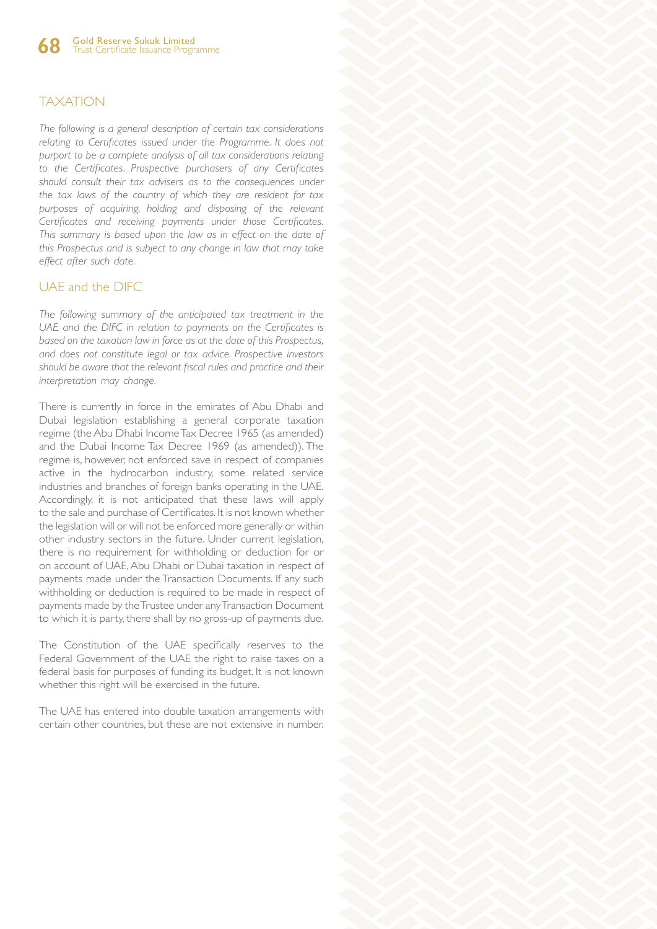### **TAXATION**

*The following is a general description of certain tax considerations relating to Certificates issued under the Programme. It does not purport to be a complete analysis of all tax considerations relating to the Certificates. Prospective purchasers of any Certificates should consult their tax advisers as to the consequences under the tax laws of the country of which they are resident for tax purposes of acquiring, holding and disposing of the relevant Certificates and receiving payments under those Certificates. This summary is based upon the law as in effect on the date of this Prospectus and is subject to any change in law that may take effect after such date.* 

### UAE and the DIFC

*The following summary of the anticipated tax treatment in the UAE and the DIFC in relation to payments on the Certificates is based on the taxation law in force as at the date of this Prospectus, and does not constitute legal or tax advice. Prospective investors should be aware that the relevant fiscal rules and practice and their interpretation may change.* 

There is currently in force in the emirates of Abu Dhabi and Dubai legislation establishing a general corporate taxation regime (the Abu Dhabi Income Tax Decree 1965 (as amended) and the Dubai Income Tax Decree 1969 (as amended)). The regime is, however, not enforced save in respect of companies active in the hydrocarbon industry, some related service industries and branches of foreign banks operating in the UAE. Accordingly, it is not anticipated that these laws will apply to the sale and purchase of Certificates. It is not known whether the legislation will or will not be enforced more generally or within other industry sectors in the future. Under current legislation, there is no requirement for withholding or deduction for or on account of UAE, Abu Dhabi or Dubai taxation in respect of payments made under the Transaction Documents. If any such withholding or deduction is required to be made in respect of payments made by the Trustee under any Transaction Document to which it is party, there shall by no gross-up of payments due.

The Constitution of the UAE specifically reserves to the Federal Government of the UAE the right to raise taxes on a federal basis for purposes of funding its budget. It is not known whether this right will be exercised in the future.

The UAE has entered into double taxation arrangements with certain other countries, but these are not extensive in number.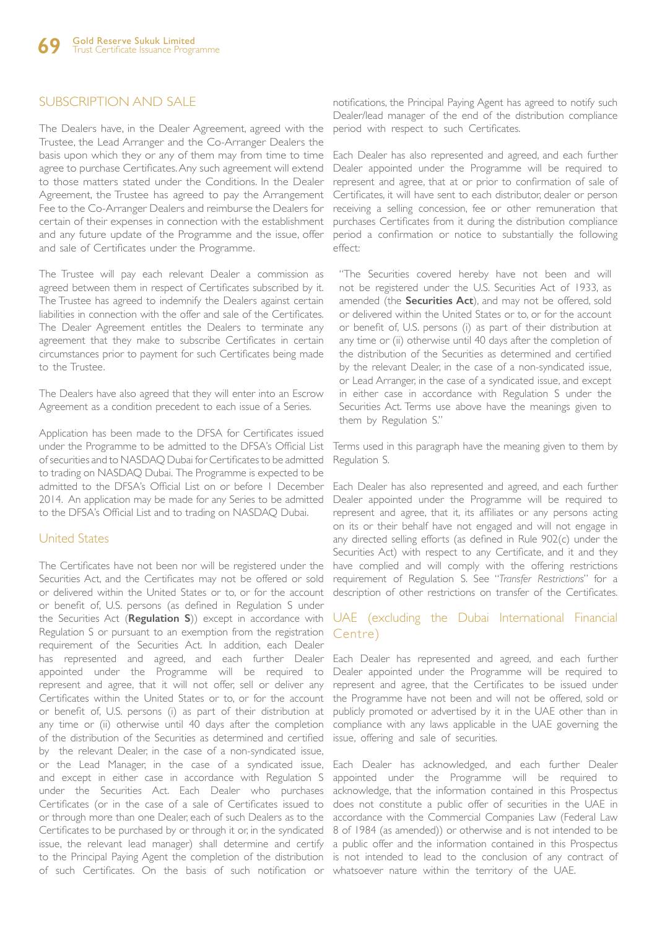### SUBSCRIPTION AND SALE

The Dealers have, in the Dealer Agreement, agreed with the Trustee, the Lead Arranger and the Co-Arranger Dealers the basis upon which they or any of them may from time to time agree to purchase Certificates. Any such agreement will extend to those matters stated under the Conditions. In the Dealer Agreement, the Trustee has agreed to pay the Arrangement Fee to the Co-Arranger Dealers and reimburse the Dealers for certain of their expenses in connection with the establishment and any future update of the Programme and the issue, offer and sale of Certificates under the Programme.

The Trustee will pay each relevant Dealer a commission as agreed between them in respect of Certificates subscribed by it. The Trustee has agreed to indemnify the Dealers against certain liabilities in connection with the offer and sale of the Certificates. The Dealer Agreement entitles the Dealers to terminate any agreement that they make to subscribe Certificates in certain circumstances prior to payment for such Certificates being made to the Trustee.

The Dealers have also agreed that they will enter into an Escrow Agreement as a condition precedent to each issue of a Series.

Application has been made to the DFSA for Certificates issued under the Programme to be admitted to the DFSA's Official List of securities and to NASDAQ Dubai for Certificates to be admitted to trading on NASDAQ Dubai. The Programme is expected to be admitted to the DFSA's Official List on or before 1 December 2014. An application may be made for any Series to be admitted to the DFSA's Official List and to trading on NASDAQ Dubai.

### United States

The Certificates have not been nor will be registered under the Securities Act, and the Certificates may not be offered or sold or delivered within the United States or to, or for the account or benefit of, U.S. persons (as defined in Regulation S under the Securities Act (**Regulation S**)) except in accordance with Regulation S or pursuant to an exemption from the registration requirement of the Securities Act. In addition, each Dealer has represented and agreed, and each further Dealer Each Dealer has represented and agreed, and each further appointed under the Programme will be required to represent and agree, that it will not offer, sell or deliver any Certificates within the United States or to, or for the account or benefit of, U.S. persons (i) as part of their distribution at any time or (ii) otherwise until 40 days after the completion of the distribution of the Securities as determined and certified by the relevant Dealer, in the case of a non-syndicated issue, or the Lead Manager, in the case of a syndicated issue, and except in either case in accordance with Regulation S under the Securities Act. Each Dealer who purchases acknowledge, that the information contained in this Prospectus Certificates (or in the case of a sale of Certificates issued to does not constitute a public offer of securities in the UAE in or through more than one Dealer, each of such Dealers as to the accordance with the Commercial Companies Law (Federal Law Certificates to be purchased by or through it or, in the syndicated 8 of 1984 (as amended)) or otherwise and is not intended to be issue, the relevant lead manager) shall determine and certify a public offer and the information contained in this Prospectus to the Principal Paying Agent the completion of the distribution is not intended to lead to the conclusion of any contract of of such Certificates. On the basis of such notification or whatsoever nature within the territory of the UAE.

notifications, the Principal Paying Agent has agreed to notify such Dealer/lead manager of the end of the distribution compliance period with respect to such Certificates.

Each Dealer has also represented and agreed, and each further Dealer appointed under the Programme will be required to represent and agree, that at or prior to confirmation of sale of Certificates, it will have sent to each distributor, dealer or person receiving a selling concession, fee or other remuneration that purchases Certificates from it during the distribution compliance period a confirmation or notice to substantially the following effect:

"The Securities covered hereby have not been and will not be registered under the U.S. Securities Act of 1933, as amended (the **Securities Act**), and may not be offered, sold or delivered within the United States or to, or for the account or benefit of, U.S. persons (i) as part of their distribution at any time or (ii) otherwise until 40 days after the completion of the distribution of the Securities as determined and certified by the relevant Dealer, in the case of a non-syndicated issue, or Lead Arranger, in the case of a syndicated issue, and except in either case in accordance with Regulation S under the Securities Act. Terms use above have the meanings given to them by Regulation S."

Terms used in this paragraph have the meaning given to them by Regulation S.

Each Dealer has also represented and agreed, and each further Dealer appointed under the Programme will be required to represent and agree, that it, its affiliates or any persons acting on its or their behalf have not engaged and will not engage in any directed selling efforts (as defined in Rule 902(c) under the Securities Act) with respect to any Certificate, and it and they have complied and will comply with the offering restrictions requirement of Regulation S. See "*Transfer Restrictions*" for a description of other restrictions on transfer of the Certificates.

### UAE (excluding the Dubai International Financial Centre)

Dealer appointed under the Programme will be required to represent and agree, that the Certificates to be issued under the Programme have not been and will not be offered, sold or publicly promoted or advertised by it in the UAE other than in compliance with any laws applicable in the UAE governing the issue, offering and sale of securities.

Each Dealer has acknowledged, and each further Dealer appointed under the Programme will be required to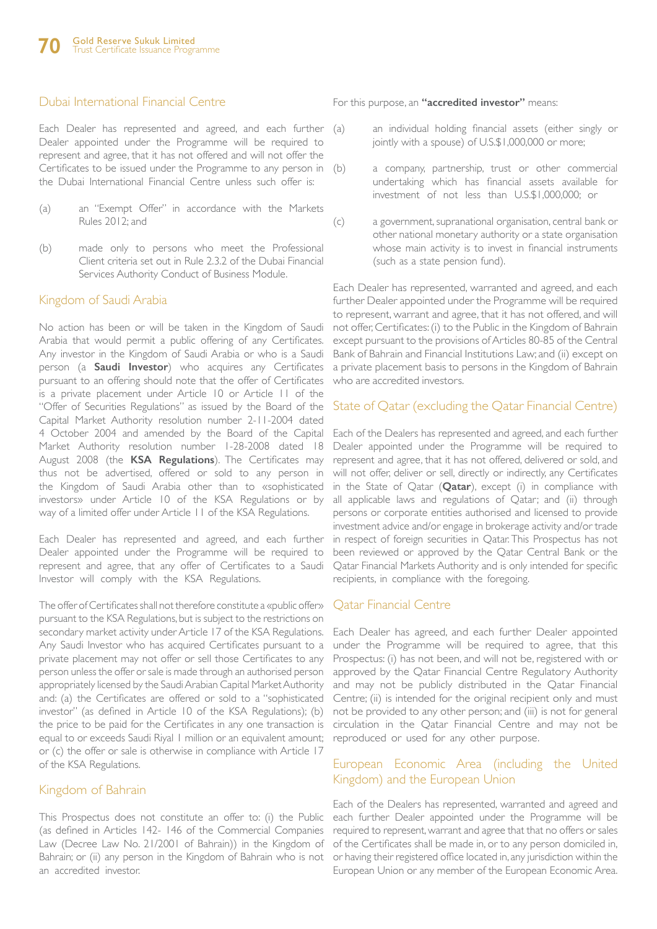### Dubai International Financial Centre

Each Dealer has represented and agreed, and each further (a) Dealer appointed under the Programme will be required to represent and agree, that it has not offered and will not offer the Certificates to be issued under the Programme to any person in (b) the Dubai International Financial Centre unless such offer is:

- (a) an "Exempt Offer" in accordance with the Markets Rules 2012; and
- (b) made only to persons who meet the Professional Client criteria set out in Rule 2.3.2 of the Dubai Financial Services Authority Conduct of Business Module.

#### Kingdom of Saudi Arabia

No action has been or will be taken in the Kingdom of Saudi Arabia that would permit a public offering of any Certificates. Any investor in the Kingdom of Saudi Arabia or who is a Saudi person (a **Saudi Investor**) who acquires any Certificates pursuant to an offering should note that the offer of Certificates is a private placement under Article 10 or Article 11 of the "Offer of Securities Regulations" as issued by the Board of the Capital Market Authority resolution number 2-11-2004 dated 4 October 2004 and amended by the Board of the Capital Market Authority resolution number 1-28-2008 dated 18 August 2008 (the **KSA Regulations**). The Certificates may thus not be advertised, offered or sold to any person in the Kingdom of Saudi Arabia other than to «sophisticated investors» under Article 10 of the KSA Regulations or by way of a limited offer under Article 11 of the KSA Regulations.

Each Dealer has represented and agreed, and each further Dealer appointed under the Programme will be required to represent and agree, that any offer of Certificates to a Saudi Investor will comply with the KSA Regulations.

The offer of Certificates shall not therefore constitute a «public offer» pursuant to the KSA Regulations, but is subject to the restrictions on secondary market activity under Article 17 of the KSA Regulations. Any Saudi Investor who has acquired Certificates pursuant to a private placement may not offer or sell those Certificates to any person unless the offer or sale is made through an authorised person appropriately licensed by the Saudi Arabian Capital Market Authority and: (a) the Certificates are offered or sold to a "sophisticated investor" (as defined in Article 10 of the KSA Regulations); (b) the price to be paid for the Certificates in any one transaction is equal to or exceeds Saudi Riyal 1 million or an equivalent amount; or (c) the offer or sale is otherwise in compliance with Article 17 of the KSA Regulations.

### Kingdom of Bahrain

This Prospectus does not constitute an offer to: (i) the Public (as defined in Articles 142- 146 of the Commercial Companies Law (Decree Law No. 21/2001 of Bahrain)) in the Kingdom of Bahrain; or (ii) any person in the Kingdom of Bahrain who is not an accredited investor.

For this purpose, an **"accredited investor"** means:

- an individual holding financial assets (either singly or jointly with a spouse) of U.S.\$1,000,000 or more;
- a company, partnership, trust or other commercial undertaking which has financial assets available for investment of not less than U.S.\$1,000,000; or
- (c) a government, supranational organisation, central bank or other national monetary authority or a state organisation whose main activity is to invest in financial instruments (such as a state pension fund).

Each Dealer has represented, warranted and agreed, and each further Dealer appointed under the Programme will be required to represent, warrant and agree, that it has not offered, and will not offer, Certificates: (i) to the Public in the Kingdom of Bahrain except pursuant to the provisions of Articles 80-85 of the Central Bank of Bahrain and Financial Institutions Law; and (ii) except on a private placement basis to persons in the Kingdom of Bahrain who are accredited investors.

#### State of Qatar (excluding the Qatar Financial Centre)

Each of the Dealers has represented and agreed, and each further Dealer appointed under the Programme will be required to represent and agree, that it has not offered, delivered or sold, and will not offer, deliver or sell, directly or indirectly, any Certificates in the State of Qatar (**Qatar**), except (i) in compliance with all applicable laws and regulations of Qatar; and (ii) through persons or corporate entities authorised and licensed to provide investment advice and/or engage in brokerage activity and/or trade in respect of foreign securities in Qatar. This Prospectus has not been reviewed or approved by the Qatar Central Bank or the Qatar Financial Markets Authority and is only intended for specific recipients, in compliance with the foregoing.

#### Qatar Financial Centre

Each Dealer has agreed, and each further Dealer appointed under the Programme will be required to agree, that this Prospectus: (i) has not been, and will not be, registered with or approved by the Qatar Financial Centre Regulatory Authority and may not be publicly distributed in the Qatar Financial Centre; (ii) is intended for the original recipient only and must not be provided to any other person; and (iii) is not for general circulation in the Qatar Financial Centre and may not be reproduced or used for any other purpose.

### European Economic Area (including the United Kingdom) and the European Union

Each of the Dealers has represented, warranted and agreed and each further Dealer appointed under the Programme will be required to represent, warrant and agree that that no offers or sales of the Certificates shall be made in, or to any person domiciled in, or having their registered office located in, any jurisdiction within the European Union or any member of the European Economic Area.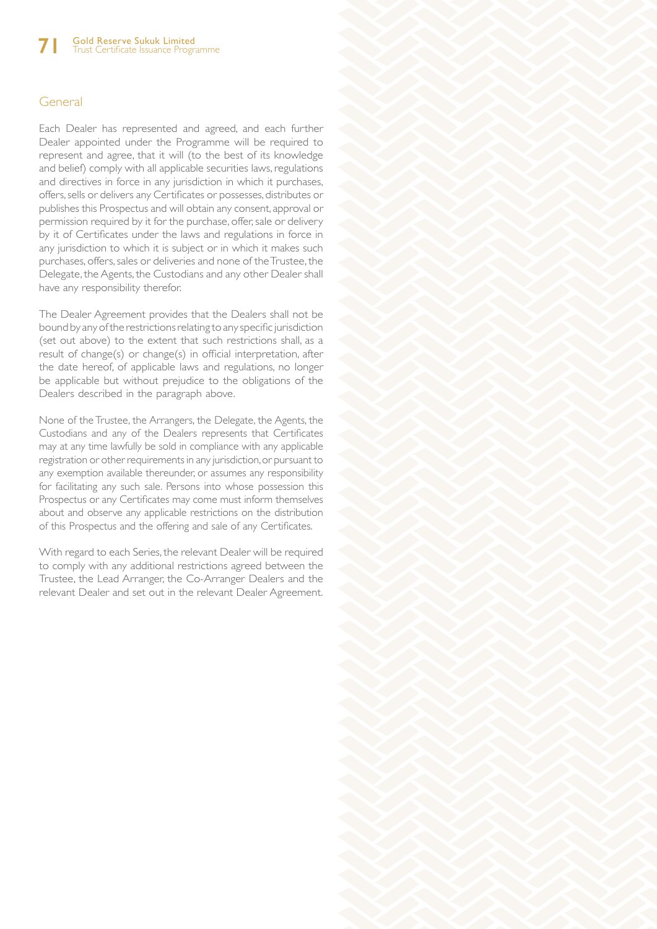### General

Each Dealer has represented and agreed, and each further Dealer appointed under the Programme will be required to represent and agree, that it will (to the best of its knowledge and belief) comply with all applicable securities laws, regulations and directives in force in any jurisdiction in which it purchases, offers, sells or delivers any Certificates or possesses, distributes or publishes this Prospectus and will obtain any consent, approval or permission required by it for the purchase, offer, sale or delivery by it of Certificates under the laws and regulations in force in any jurisdiction to which it is subject or in which it makes such purchases, offers, sales or deliveries and none of the Trustee, the Delegate, the Agents, the Custodians and any other Dealer shall have any responsibility therefor.

The Dealer Agreement provides that the Dealers shall not be bound by any of the restrictions relating to any specific jurisdiction (set out above) to the extent that such restrictions shall, as a result of change(s) or change(s) in official interpretation, after the date hereof, of applicable laws and regulations, no longer be applicable but without prejudice to the obligations of the Dealers described in the paragraph above.

None of the Trustee, the Arrangers, the Delegate, the Agents, the Custodians and any of the Dealers represents that Certificates may at any time lawfully be sold in compliance with any applicable registration or other requirements in any jurisdiction, or pursuant to any exemption available thereunder, or assumes any responsibility for facilitating any such sale. Persons into whose possession this Prospectus or any Certificates may come must inform themselves about and observe any applicable restrictions on the distribution of this Prospectus and the offering and sale of any Certificates.

With regard to each Series, the relevant Dealer will be required to comply with any additional restrictions agreed between the Trustee, the Lead Arranger, the Co-Arranger Dealers and the relevant Dealer and set out in the relevant Dealer Agreement.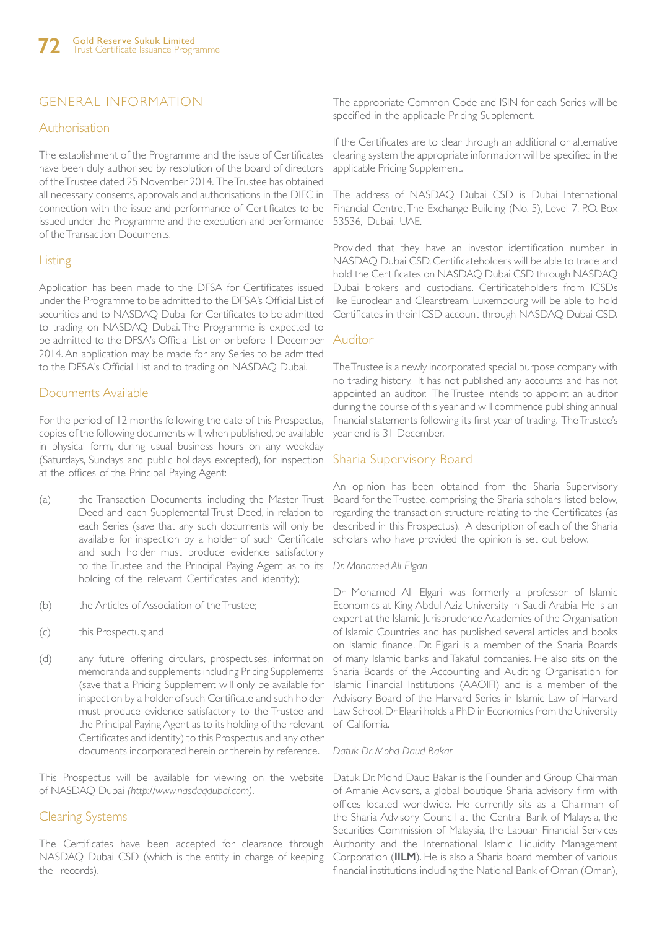# GENERAL INFORMATION

### Authorisation

The establishment of the Programme and the issue of Certificates have been duly authorised by resolution of the board of directors of the Trustee dated 25 November 2014. The Trustee has obtained all necessary consents, approvals and authorisations in the DIFC in connection with the issue and performance of Certificates to be issued under the Programme and the execution and performance of the Transaction Documents.

### Listing

Application has been made to the DFSA for Certificates issued under the Programme to be admitted to the DFSA's Official List of securities and to NASDAQ Dubai for Certificates to be admitted to trading on NASDAQ Dubai. The Programme is expected to be admitted to the DFSA's Official List on or before 1 December 2014. An application may be made for any Series to be admitted to the DFSA's Official List and to trading on NASDAQ Dubai.

### Documents Available

For the period of 12 months following the date of this Prospectus, copies of the following documents will, when published, be available in physical form, during usual business hours on any weekday (Saturdays, Sundays and public holidays excepted), for inspection at the offices of the Principal Paying Agent:

- (a) the Transaction Documents, including the Master Trust Deed and each Supplemental Trust Deed, in relation to each Series (save that any such documents will only be available for inspection by a holder of such Certificate and such holder must produce evidence satisfactory to the Trustee and the Principal Paying Agent as to its *Dr. Mohamed Ali Elgari*  holding of the relevant Certificates and identity);
- (b) the Articles of Association of the Trustee;
- (c) this Prospectus; and
- (d) any future offering circulars, prospectuses, information memoranda and supplements including Pricing Supplements (save that a Pricing Supplement will only be available for inspection by a holder of such Certificate and such holder must produce evidence satisfactory to the Trustee and the Principal Paying Agent as to its holding of the relevant Certificates and identity) to this Prospectus and any other documents incorporated herein or therein by reference.

This Prospectus will be available for viewing on the website of NASDAQ Dubai *(http://www.nasdaqdubai.com)*.

### Clearing Systems

The Certificates have been accepted for clearance through NASDAQ Dubai CSD (which is the entity in charge of keeping the records).

The appropriate Common Code and ISIN for each Series will be specified in the applicable Pricing Supplement.

If the Certificates are to clear through an additional or alternative clearing system the appropriate information will be specified in the applicable Pricing Supplement.

The address of NASDAQ Dubai CSD is Dubai International Financial Centre, The Exchange Building (No. 5), Level 7, P.O. Box 53536, Dubai, UAE.

Provided that they have an investor identification number in NASDAQ Dubai CSD, Certificateholders will be able to trade and hold the Certificates on NASDAQ Dubai CSD through NASDAQ Dubai brokers and custodians. Certificateholders from ICSDs like Euroclear and Clearstream, Luxembourg will be able to hold Certificates in their ICSD account through NASDAQ Dubai CSD.

### Auditor

The Trustee is a newly incorporated special purpose company with no trading history. It has not published any accounts and has not appointed an auditor. The Trustee intends to appoint an auditor during the course of this year and will commence publishing annual financial statements following its first year of trading. The Trustee's year end is 31 December.

### Sharia Supervisory Board

An opinion has been obtained from the Sharia Supervisory Board for the Trustee, comprising the Sharia scholars listed below, regarding the transaction structure relating to the Certificates (as described in this Prospectus). A description of each of the Sharia scholars who have provided the opinion is set out below.

Dr Mohamed Ali Elgari was formerly a professor of Islamic Economics at King Abdul Aziz University in Saudi Arabia. He is an expert at the Islamic Jurisprudence Academies of the Organisation of Islamic Countries and has published several articles and books on Islamic finance. Dr. Elgari is a member of the Sharia Boards of many Islamic banks and Takaful companies. He also sits on the Sharia Boards of the Accounting and Auditing Organisation for Islamic Financial Institutions (AAOIFI) and is a member of the Advisory Board of the Harvard Series in Islamic Law of Harvard Law School. Dr Elgari holds a PhD in Economics from the University of California.

#### *Datuk Dr. Mohd Daud Bakar*

Datuk Dr. Mohd Daud Bakar is the Founder and Group Chairman of Amanie Advisors, a global boutique Sharia advisory firm with offices located worldwide. He currently sits as a Chairman of the Sharia Advisory Council at the Central Bank of Malaysia, the Securities Commission of Malaysia, the Labuan Financial Services Authority and the International Islamic Liquidity Management Corporation (**IILM**). He is also a Sharia board member of various financial institutions, including the National Bank of Oman (Oman),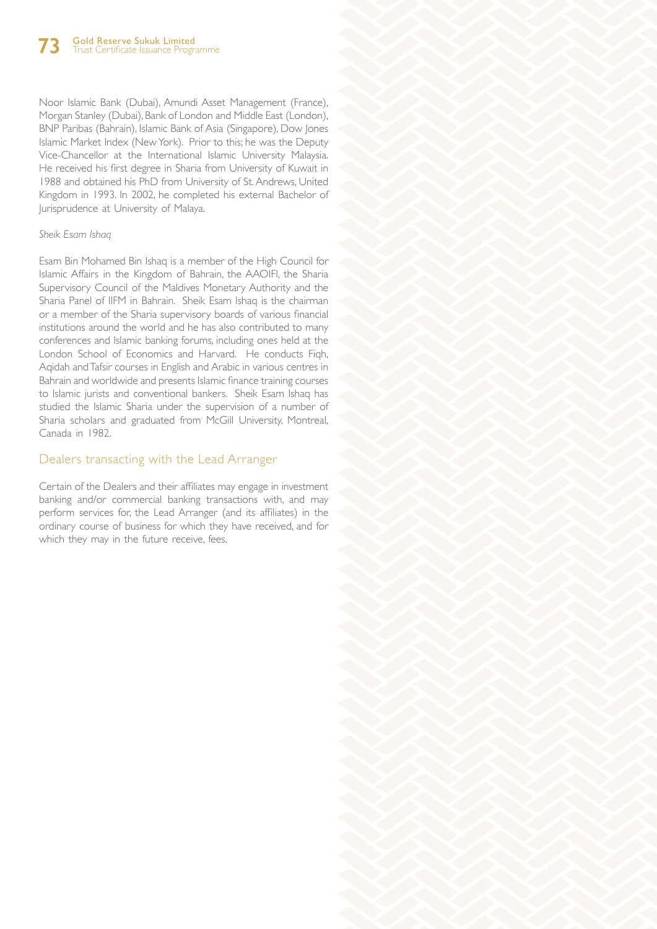Noor Islamic Bank (Dubai), Amundi Asset Management (France), Morgan Stanley (Dubai), Bank of London and Middle East (London), BNP Paribas (Bahrain), Islamic Bank of Asia (Singapore), Dow Jones Islamic Market Index (New York). Prior to this; he was the Deputy Vice-Chancellor at the International Islamic University Malaysia. He received his first degree in Sharia from University of Kuwait in 1988 and obtained his PhD from University of St. Andrews, United Kingdom in 1993. In 2002, he completed his external Bachelor of Jurisprudence at University of Malaya.

#### *Sheik Esam Ishaq*

Esam Bin Mohamed Bin Ishaq is a member of the High Council for Islamic Affairs in the Kingdom of Bahrain, the AAOIFI, the Sharia Supervisory Council of the Maldives Monetary Authority and the Sharia Panel of IIFM in Bahrain. Sheik Esam Ishaq is the chairman or a member of the Sharia supervisory boards of various financial institutions around the world and he has also contributed to many conferences and Islamic banking forums, including ones held at the London School of Economics and Harvard. He conducts Fiqh, Aqidah and Tafsir courses in English and Arabic in various centres in Bahrain and worldwide and presents Islamic finance training courses to Islamic jurists and conventional bankers. Sheik Esam Ishaq has studied the Islamic Sharia under the supervision of a number of Sharia scholars and graduated from McGill University, Montreal, Canada in 1982.

## Dealers transacting with the Lead Arranger

Certain of the Dealers and their affiliates may engage in investment banking and/or commercial banking transactions with, and may perform services for, the Lead Arranger (and its affiliates) in the ordinary course of business for which they have received, and for which they may in the future receive, fees.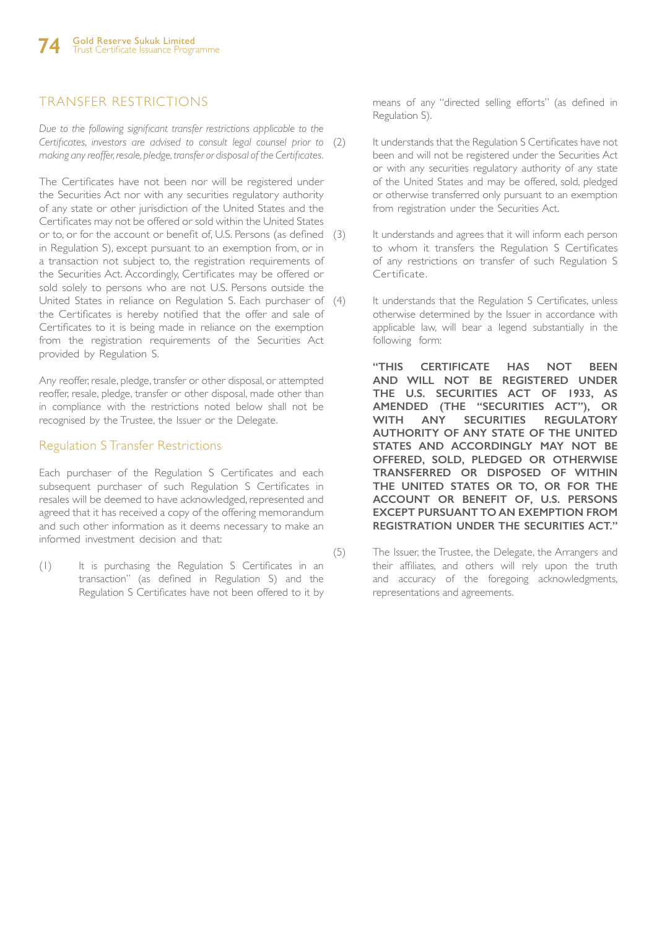# TRANSFER RESTRICTIONS

*Due to the following significant transfer restrictions applicable to the Certificates, investors are advised to consult legal counsel prior to making any reoffer, resale, pledge, transfer or disposal of the Certificates.*

The Certificates have not been nor will be registered under the Securities Act nor with any securities regulatory authority of any state or other jurisdiction of the United States and the Certificates may not be offered or sold within the United States or to, or for the account or benefit of, U.S. Persons (as defined in Regulation S), except pursuant to an exemption from, or in a transaction not subject to, the registration requirements of the Securities Act. Accordingly, Certificates may be offered or sold solely to persons who are not U.S. Persons outside the United States in reliance on Regulation S. Each purchaser of (4) the Certificates is hereby notified that the offer and sale of Certificates to it is being made in reliance on the exemption from the registration requirements of the Securities Act provided by Regulation S.

Any reoffer, resale, pledge, transfer or other disposal, or attempted reoffer, resale, pledge, transfer or other disposal, made other than in compliance with the restrictions noted below shall not be recognised by the Trustee, the Issuer or the Delegate.

## Regulation S Transfer Restrictions

Each purchaser of the Regulation S Certificates and each subsequent purchaser of such Regulation S Certificates in resales will be deemed to have acknowledged, represented and agreed that it has received a copy of the offering memorandum and such other information as it deems necessary to make an informed investment decision and that:

(1) It is purchasing the Regulation S Certificates in an transaction" (as defined in Regulation S) and the Regulation S Certificates have not been offered to it by means of any "directed selling efforts" (as defined in Regulation S).

- It understands that the Regulation S Certificates have not been and will not be registered under the Securities Act or with any securities regulatory authority of any state of the United States and may be offered, sold, pledged or otherwise transferred only pursuant to an exemption from registration under the Securities Act.
- It understands and agrees that it will inform each person to whom it transfers the Regulation S Certificates of any restrictions on transfer of such Regulation S Certificate.
- It understands that the Regulation S Certificates, unless otherwise determined by the Issuer in accordance with applicable law, will bear a legend substantially in the following form:

**"THIS CERTIFICATE HAS NOT BEEN AND WILL NOT BE REGISTERED UNDER THE U.S. SECURITIES ACT OF 1933, AS AMENDED (THE "SECURITIES ACT"), OR WITH ANY SECURITIES REGULATORY AUTHORITY OF ANY STATE OF THE UNITED STATES AND ACCORDINGLY MAY NOT BE OFFERED, SOLD, PLEDGED OR OTHERWISE TRANSFERRED OR DISPOSED OF WITHIN THE UNITED STATES OR TO, OR FOR THE ACCOUNT OR BENEFIT OF, U.S. PERSONS EXCEPT PURSUANT TO AN EXEMPTION FROM REGISTRATION UNDER THE SECURITIES ACT."** 

(5) The Issuer, the Trustee, the Delegate, the Arrangers and their affiliates, and others will rely upon the truth and accuracy of the foregoing acknowledgments, representations and agreements.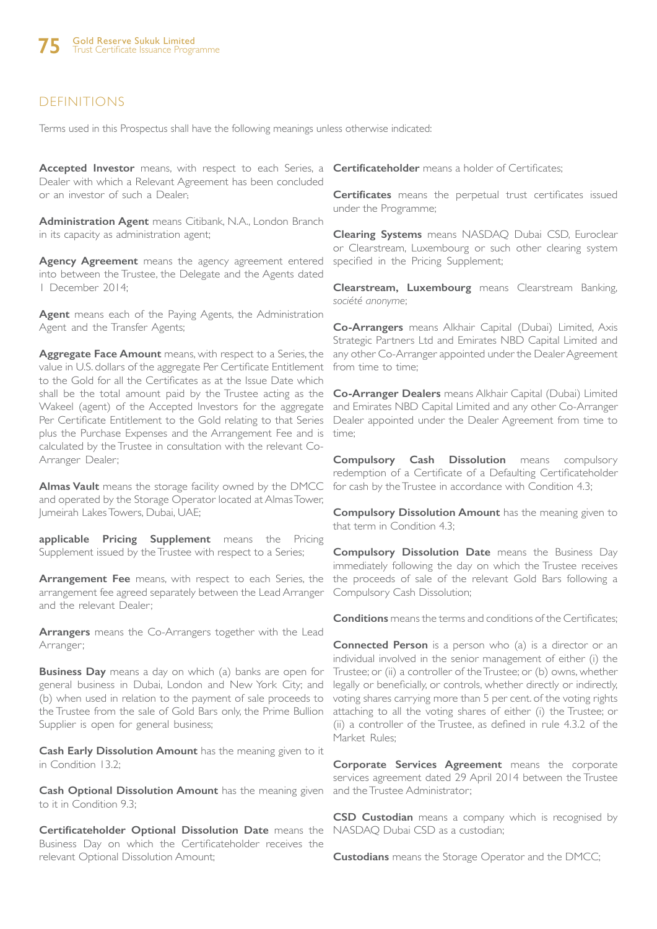# DEFINITIONS

Terms used in this Prospectus shall have the following meanings unless otherwise indicated:

**Accepted Investor** means, with respect to each Series, a **Certificateholder** means a holder of Certificates; Dealer with which a Relevant Agreement has been concluded or an investor of such a Dealer;

**Administration Agent** means Citibank, N.A., London Branch in its capacity as administration agent;

**Agency Agreement** means the agency agreement entered into between the Trustee, the Delegate and the Agents dated 1 December 2014;

**Agent** means each of the Paying Agents, the Administration Agent and the Transfer Agents;

**Aggregate Face Amount** means, with respect to a Series, the value in U.S. dollars of the aggregate Per Certificate Entitlement to the Gold for all the Certificates as at the Issue Date which shall be the total amount paid by the Trustee acting as the Wakeel (agent) of the Accepted Investors for the aggregate Per Certificate Entitlement to the Gold relating to that Series plus the Purchase Expenses and the Arrangement Fee and is calculated by the Trustee in consultation with the relevant Co-Arranger Dealer;

**Almas Vault** means the storage facility owned by the DMCC and operated by the Storage Operator located at Almas Tower, Jumeirah Lakes Towers, Dubai, UAE;

**applicable Pricing Supplement** means the Pricing Supplement issued by the Trustee with respect to a Series;

**Arrangement Fee** means, with respect to each Series, the arrangement fee agreed separately between the Lead Arranger and the relevant Dealer;

**Arrangers** means the Co-Arrangers together with the Lead Arranger;

**Business Day** means a day on which (a) banks are open for general business in Dubai, London and New York City; and (b) when used in relation to the payment of sale proceeds to the Trustee from the sale of Gold Bars only, the Prime Bullion Supplier is open for general business;

**Cash Early Dissolution Amount** has the meaning given to it in Condition 13.2;

**Cash Optional Dissolution Amount** has the meaning given to it in Condition 9.3;

**Certificateholder Optional Dissolution Date** means the Business Day on which the Certificateholder receives the relevant Optional Dissolution Amount;

**Certificates** means the perpetual trust certificates issued under the Programme;

**Clearing Systems** means NASDAQ Dubai CSD, Euroclear or Clearstream, Luxembourg or such other clearing system specified in the Pricing Supplement;

**Clearstream, Luxembourg** means Clearstream Banking, *société anonyme*;

**Co-Arrangers** means Alkhair Capital (Dubai) Limited, Axis Strategic Partners Ltd and Emirates NBD Capital Limited and any other Co-Arranger appointed under the Dealer Agreement from time to time;

**Co-Arranger Dealers** means Alkhair Capital (Dubai) Limited and Emirates NBD Capital Limited and any other Co-Arranger Dealer appointed under the Dealer Agreement from time to time;

**Compulsory Cash Dissolution** means compulsory redemption of a Certificate of a Defaulting Certificateholder for cash by the Trustee in accordance with Condition 4.3;

**Compulsory Dissolution Amount** has the meaning given to that term in Condition 4.3;

**Compulsory Dissolution Date** means the Business Day immediately following the day on which the Trustee receives the proceeds of sale of the relevant Gold Bars following a Compulsory Cash Dissolution;

**Conditions** means the terms and conditions of the Certificates;

**Connected Person** is a person who (a) is a director or an individual involved in the senior management of either (i) the Trustee; or (ii) a controller of the Trustee; or (b) owns, whether legally or beneficially, or controls, whether directly or indirectly, voting shares carrying more than 5 per cent. of the voting rights attaching to all the voting shares of either (i) the Trustee; or (ii) a controller of the Trustee, as defined in rule 4.3.2 of the Market Rules;

**Corporate Services Agreement** means the corporate services agreement dated 29 April 2014 between the Trustee and the Trustee Administrator;

**CSD Custodian** means a company which is recognised by NASDAQ Dubai CSD as a custodian;

**Custodians** means the Storage Operator and the DMCC;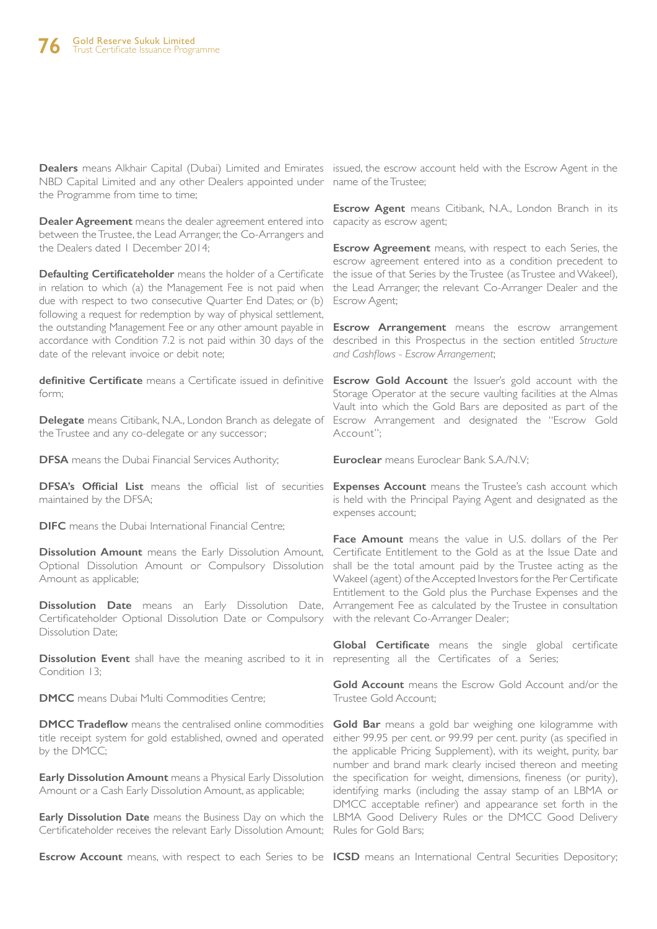NBD Capital Limited and any other Dealers appointed under name of the Trustee; the Programme from time to time;

**Dealer Agreement** means the dealer agreement entered into between the Trustee, the Lead Arranger, the Co-Arrangers and the Dealers dated 1 December 2014;

**Defaulting Certificateholder** means the holder of a Certificate in relation to which (a) the Management Fee is not paid when due with respect to two consecutive Quarter End Dates; or (b) following a request for redemption by way of physical settlement, the outstanding Management Fee or any other amount payable in accordance with Condition 7.2 is not paid within 30 days of the date of the relevant invoice or debit note;

**definitive Certificate** means a Certificate issued in definitive **Escrow Gold Account** the Issuer's gold account with the form;

the Trustee and any co-delegate or any successor;

**DFSA** means the Dubai Financial Services Authority;

DFSA's Official List means the official list of securities Expenses Account means the Trustee's cash account which maintained by the DFSA;

**DIFC** means the Dubai International Financial Centre:

**Dissolution Amount** means the Early Dissolution Amount, Optional Dissolution Amount or Compulsory Dissolution Amount as applicable;

Certificateholder Optional Dissolution Date or Compulsory with the relevant Co-Arranger Dealer; Dissolution Date;

Dissolution Event shall have the meaning ascribed to it in representing all the Certificates of a Series; Condition 13:

**DMCC** means Dubai Multi Commodities Centre;

**DMCC Tradeflow** means the centralised online commodities title receipt system for gold established, owned and operated by the DMCC;

**Early Dissolution Amount** means a Physical Early Dissolution Amount or a Cash Early Dissolution Amount, as applicable;

**Early Dissolution Date** means the Business Day on which the LBMA Good Delivery Rules or the DMCC Good Delivery Certificateholder receives the relevant Early Dissolution Amount; Rules for Gold Bars;

**Escrow Account** means, with respect to each Series to be **ICSD** means an International Central Securities Depository;

Dealers means Alkhair Capital (Dubai) Limited and Emirates issued, the escrow account held with the Escrow Agent in the

**Escrow Agent** means Citibank, N.A., London Branch in its capacity as escrow agent;

**Escrow Agreement** means, with respect to each Series, the escrow agreement entered into as a condition precedent to the issue of that Series by the Trustee (as Trustee and Wakeel), the Lead Arranger, the relevant Co-Arranger Dealer and the Escrow Agent;

**Escrow Arrangement** means the escrow arrangement described in this Prospectus in the section entitled *Structure and Cashflows - Escrow Arrangement*;

**Delegate** means Citibank, N.A., London Branch as delegate of Escrow Arrangement and designated the "Escrow Gold Storage Operator at the secure vaulting facilities at the Almas Vault into which the Gold Bars are deposited as part of the Account";

**Euroclear** means Euroclear Bank S.A./N.V;

is held with the Principal Paying Agent and designated as the expenses account;

Dissolution Date means an Early Dissolution Date, Arrangement Fee as calculated by the Trustee in consultation **Face Amount** means the value in U.S. dollars of the Per Certificate Entitlement to the Gold as at the Issue Date and shall be the total amount paid by the Trustee acting as the Wakeel (agent) of the Accepted Investors for the Per Certificate Entitlement to the Gold plus the Purchase Expenses and the

**Global Certificate** means the single global certificate

**Gold Account** means the Escrow Gold Account and/or the Trustee Gold Account;

**Gold Bar** means a gold bar weighing one kilogramme with either 99.95 per cent. or 99.99 per cent. purity (as specified in the applicable Pricing Supplement), with its weight, purity, bar number and brand mark clearly incised thereon and meeting the specification for weight, dimensions, fineness (or purity), identifying marks (including the assay stamp of an LBMA or DMCC acceptable refiner) and appearance set forth in the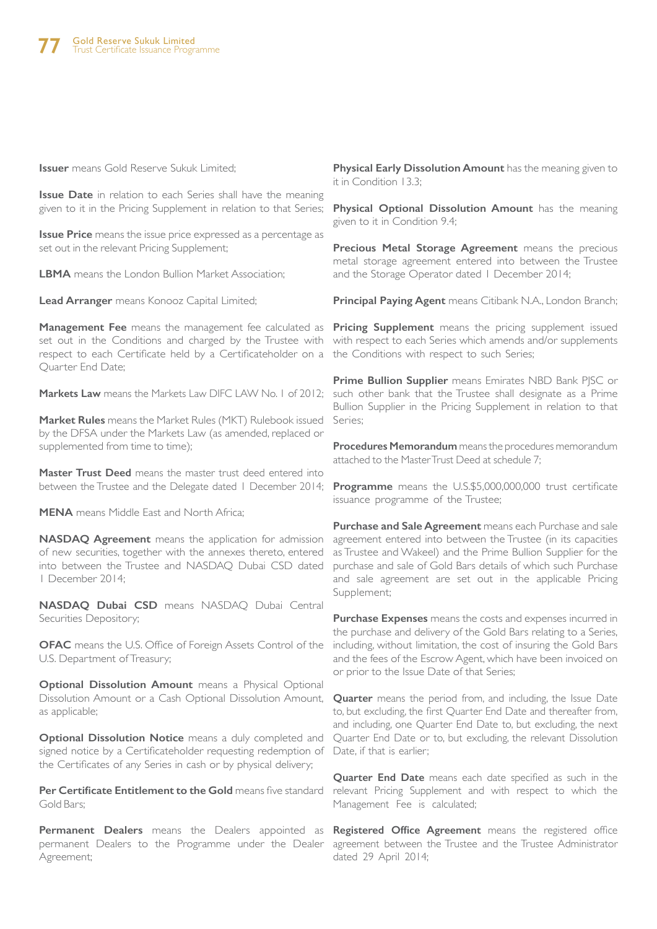**Issuer** means Gold Reserve Sukuk Limited;

**Issue Date** in relation to each Series shall have the meaning given to it in the Pricing Supplement in relation to that Series;

**Issue Price** means the issue price expressed as a percentage as set out in the relevant Pricing Supplement;

**LBMA** means the London Bullion Market Association;

**Lead Arranger** means Konooz Capital Limited;

**Management Fee** means the management fee calculated as **Pricing Supplement** means the pricing supplement issued set out in the Conditions and charged by the Trustee with with respect to each Series which amends and/or supplements respect to each Certificate held by a Certificateholder on a the Conditions with respect to such Series; Quarter End Date;

**Markets Law** means the Markets Law DIFC LAW No. 1 of 2012;

**Market Rules** means the Market Rules (MKT) Rulebook issued by the DFSA under the Markets Law (as amended, replaced or supplemented from time to time);

**Master Trust Deed** means the master trust deed entered into between the Trustee and the Delegate dated 1 December 2014;

**MENA** means Middle East and North Africa;

**NASDAQ Agreement** means the application for admission of new securities, together with the annexes thereto, entered into between the Trustee and NASDAQ Dubai CSD dated 1 December 2014;

**NASDAQ Dubai CSD** means NASDAQ Dubai Central Securities Depository;

**OFAC** means the U.S. Office of Foreign Assets Control of the U.S. Department of Treasury;

**Optional Dissolution Amount** means a Physical Optional Dissolution Amount or a Cash Optional Dissolution Amount, as applicable;

**Optional Dissolution Notice** means a duly completed and signed notice by a Certificateholder requesting redemption of the Certificates of any Series in cash or by physical delivery;

**Per Certificate Entitlement to the Gold** means five standard Gold Bars;

**Permanent Dealers** means the Dealers appointed as permanent Dealers to the Programme under the Dealer Agreement;

**Physical Early Dissolution Amount** has the meaning given to it in Condition 13.3;

**Physical Optional Dissolution Amount** has the meaning given to it in Condition 9.4;

**Precious Metal Storage Agreement** means the precious metal storage agreement entered into between the Trustee and the Storage Operator dated 1 December 2014;

**Principal Paying Agent** means Citibank N.A., London Branch;

**Prime Bullion Supplier** means Emirates NBD Bank PJSC or such other bank that the Trustee shall designate as a Prime Bullion Supplier in the Pricing Supplement in relation to that Series;

**Procedures Memorandum** means the procedures memorandum attached to the Master Trust Deed at schedule 7;

**Programme** means the U.S.\$5,000,000,000 trust certificate issuance programme of the Trustee;

**Purchase and Sale Agreement** means each Purchase and sale agreement entered into between the Trustee (in its capacities as Trustee and Wakeel) and the Prime Bullion Supplier for the purchase and sale of Gold Bars details of which such Purchase and sale agreement are set out in the applicable Pricing Supplement;

**Purchase Expenses** means the costs and expenses incurred in the purchase and delivery of the Gold Bars relating to a Series, including, without limitation, the cost of insuring the Gold Bars and the fees of the Escrow Agent, which have been invoiced on or prior to the Issue Date of that Series;

**Quarter** means the period from, and including, the Issue Date to, but excluding, the first Quarter End Date and thereafter from, and including, one Quarter End Date to, but excluding, the next Quarter End Date or to, but excluding, the relevant Dissolution Date, if that is earlier;

**Quarter End Date** means each date specified as such in the relevant Pricing Supplement and with respect to which the Management Fee is calculated;

**Registered Office Agreement** means the registered office agreement between the Trustee and the Trustee Administrator dated 29 April 2014;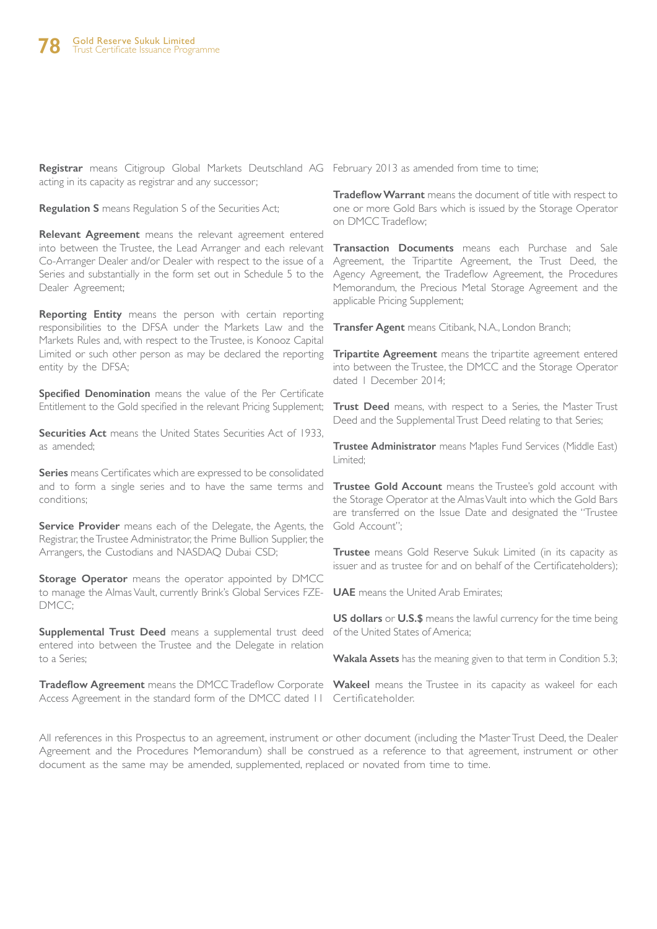**Registrar** means Citigroup Global Markets Deutschland AG February 2013 as amended from time to time; acting in its capacity as registrar and any successor;

**Regulation S** means Regulation S of the Securities Act;

**Relevant Agreement** means the relevant agreement entered into between the Trustee, the Lead Arranger and each relevant Co-Arranger Dealer and/or Dealer with respect to the issue of a Series and substantially in the form set out in Schedule 5 to the Dealer Agreement;

**Reporting Entity** means the person with certain reporting responsibilities to the DFSA under the Markets Law and the Markets Rules and, with respect to the Trustee, is Konooz Capital Limited or such other person as may be declared the reporting entity by the DFSA;

**Specified Denomination** means the value of the Per Certificate Entitlement to the Gold specified in the relevant Pricing Supplement;

**Securities Act** means the United States Securities Act of 1933, as amended;

**Series** means Certificates which are expressed to be consolidated and to form a single series and to have the same terms and conditions;

**Service Provider** means each of the Delegate, the Agents, the Registrar, the Trustee Administrator, the Prime Bullion Supplier, the Arrangers, the Custodians and NASDAQ Dubai CSD;

**Storage Operator** means the operator appointed by DMCC to manage the Almas Vault, currently Brink's Global Services FZE-DMCC;

**Supplemental Trust Deed** means a supplemental trust deed entered into between the Trustee and the Delegate in relation to a Series;

**Tradeflow Agreement** means the DMCC Tradeflow Corporate Wakeel means the Trustee in its capacity as wakeel for each Access Agreement in the standard form of the DMCC dated 11 Certificateholder.

**Tradeflow Warrant** means the document of title with respect to one or more Gold Bars which is issued by the Storage Operator on DMCC Tradeflow;

**Transaction Documents** means each Purchase and Sale Agreement, the Tripartite Agreement, the Trust Deed, the Agency Agreement, the Tradeflow Agreement, the Procedures Memorandum, the Precious Metal Storage Agreement and the applicable Pricing Supplement;

**Transfer Agent** means Citibank, N.A., London Branch;

**Tripartite Agreement** means the tripartite agreement entered into between the Trustee, the DMCC and the Storage Operator dated 1 December 2014;

**Trust Deed** means, with respect to a Series, the Master Trust Deed and the Supplemental Trust Deed relating to that Series;

**Trustee Administrator** means Maples Fund Services (Middle East) Limited;

**Trustee Gold Account** means the Trustee's gold account with the Storage Operator at the Almas Vault into which the Gold Bars are transferred on the Issue Date and designated the "Trustee Gold Account";

**Trustee** means Gold Reserve Sukuk Limited (in its capacity as issuer and as trustee for and on behalf of the Certificateholders);

**UAE** means the United Arab Emirates;

**US dollars** or **U.S.\$** means the lawful currency for the time being of the United States of America;

**Wakala Assets** has the meaning given to that term in Condition 5.3;

All references in this Prospectus to an agreement, instrument or other document (including the Master Trust Deed, the Dealer Agreement and the Procedures Memorandum) shall be construed as a reference to that agreement, instrument or other document as the same may be amended, supplemented, replaced or novated from time to time.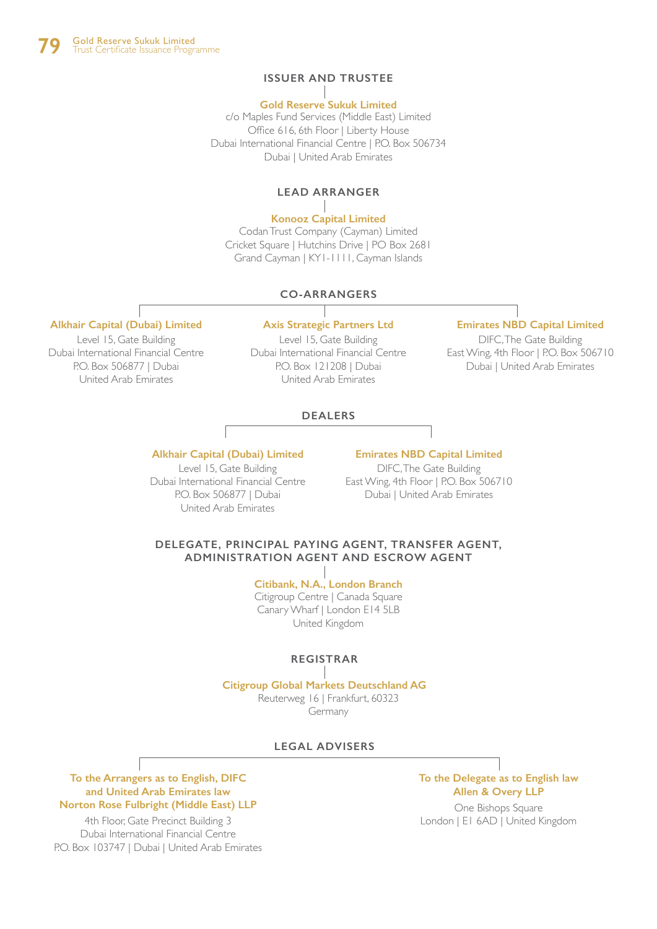## **ISSUER AND TRUSTEE**

#### **Gold Reserve Sukuk Limited**

c/o Maples Fund Services (Middle East) Limited Office 616, 6th Floor | Liberty House Dubai International Financial Centre | P.O. Box 506734 Dubai | United Arab Emirates

## **LEAD ARRANGER**

## **Konooz Capital Limited**

Codan Trust Company (Cayman) Limited Cricket Square | Hutchins Drive | PO Box 2681 Grand Cayman | KY1-1111, Cayman Islands

#### **CO-ARRANGERS**

## **Alkhair Capital (Dubai) Limited**

Level 15, Gate Building Dubai International Financial Centre P.O. Box 506877 | Dubai United Arab Emirates

Level 15, Gate Building Dubai International Financial Centre P.O. Box 121208 | Dubai United Arab Emirates

## **Axis Strategic Partners Ltd Emirates NBD Capital Limited**

DIFC, The Gate Building East Wing, 4th Floor | P.O. Box 506710 Dubai | United Arab Emirates

## **DEALERS**

#### **Alkhair Capital (Dubai) Limited**

Level 15, Gate Building Dubai International Financial Centre P.O. Box 506877 | Dubai United Arab Emirates

#### **Emirates NBD Capital Limited**

DIFC, The Gate Building East Wing, 4th Floor | P.O. Box 506710 Dubai | United Arab Emirates

#### **DELEGATE, PRINCIPAL PAYING AGENT, TRANSFER AGENT, ADMINISTRATION AGENT AND ESCROW AGENT**

#### **Citibank, N.A., London Branch** Citigroup Centre | Canada Square Canary Wharf | London E14 5LB

United Kingdom

## **REGISTRAR**

## **Citigroup Global Markets Deutschland AG** Reuterweg 16 | Frankfurt, 60323

Germany

#### **LEGAL ADVISERS**

**To the Arrangers as to English, DIFC and United Arab Emirates law Norton Rose Fulbright (Middle East) LLP**

4th Floor, Gate Precinct Building 3 Dubai International Financial Centre P.O. Box 103747 | Dubai | United Arab Emirates

## **To the Delegate as to English law Allen & Overy LLP**

One Bishops Square London | E1 6AD | United Kingdom